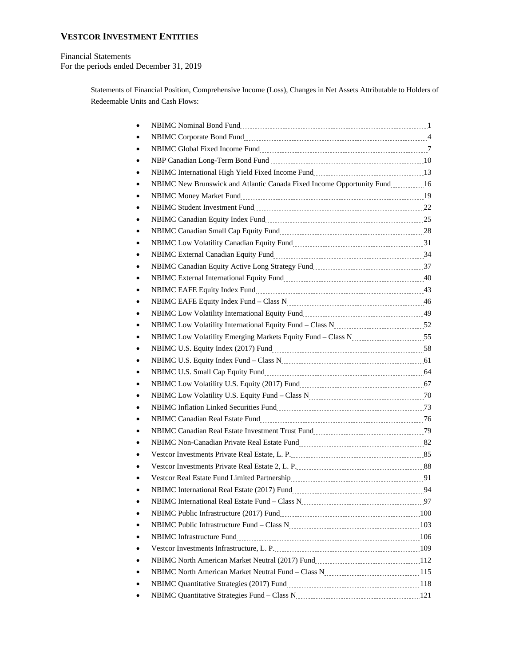### **VESTCOR INVESTMENT ENTITIES**

#### Financial Statements For the periods ended December 31, 2019

Statements of Financial Position, Comprehensive Income (Loss), Changes in Net Assets Attributable to Holders of Redeemable Units and Cash Flows:

| NBIMC Corporate Bond Fund 11 Million Corporate Bond Fund 1 Million Corporate Bond Fund 1 Million Corporate Bond Fund 1 Million Corporate Bond Fund 1 Million Corporate Bond Fund 1 Million Corporate Bond Ture Corporate Bond |  |
|-------------------------------------------------------------------------------------------------------------------------------------------------------------------------------------------------------------------------------|--|
|                                                                                                                                                                                                                               |  |
|                                                                                                                                                                                                                               |  |
|                                                                                                                                                                                                                               |  |
| NBIMC New Brunswick and Atlantic Canada Fixed Income Opportunity Fund 16                                                                                                                                                      |  |
|                                                                                                                                                                                                                               |  |
|                                                                                                                                                                                                                               |  |
|                                                                                                                                                                                                                               |  |
|                                                                                                                                                                                                                               |  |
| NBIMC Low Volatility Canadian Equity Fund<br>131                                                                                                                                                                              |  |
|                                                                                                                                                                                                                               |  |
|                                                                                                                                                                                                                               |  |
|                                                                                                                                                                                                                               |  |
|                                                                                                                                                                                                                               |  |
|                                                                                                                                                                                                                               |  |
|                                                                                                                                                                                                                               |  |
| NBIMC Low Volatility International Equity Fund - Class N<br>22. [17] NBIMC Low Volatility International Equity Fund - Class N                                                                                                 |  |
| NBIMC Low Volatility Emerging Markets Equity Fund - Class N 55                                                                                                                                                                |  |
|                                                                                                                                                                                                                               |  |
|                                                                                                                                                                                                                               |  |
|                                                                                                                                                                                                                               |  |
|                                                                                                                                                                                                                               |  |
| NBIMC Low Volatility U.S. Equity Fund - Class N<br>2011 - 2020 N                                                                                                                                                              |  |
| NBIMC Inflation Linked Securities Fund<br>173                                                                                                                                                                                 |  |
|                                                                                                                                                                                                                               |  |
|                                                                                                                                                                                                                               |  |
|                                                                                                                                                                                                                               |  |
|                                                                                                                                                                                                                               |  |
|                                                                                                                                                                                                                               |  |
|                                                                                                                                                                                                                               |  |
| NBIMC International Real Estate (2017) Fund<br>1944                                                                                                                                                                           |  |
| NBIMC International Real Estate Fund - Class N<br>197                                                                                                                                                                         |  |
|                                                                                                                                                                                                                               |  |
|                                                                                                                                                                                                                               |  |
|                                                                                                                                                                                                                               |  |
|                                                                                                                                                                                                                               |  |
|                                                                                                                                                                                                                               |  |
| NBIMC North American Market Neutral Fund - Class N<br>115                                                                                                                                                                     |  |
|                                                                                                                                                                                                                               |  |
| NBIMC Quantitative Strategies Fund - Class N<br>21                                                                                                                                                                            |  |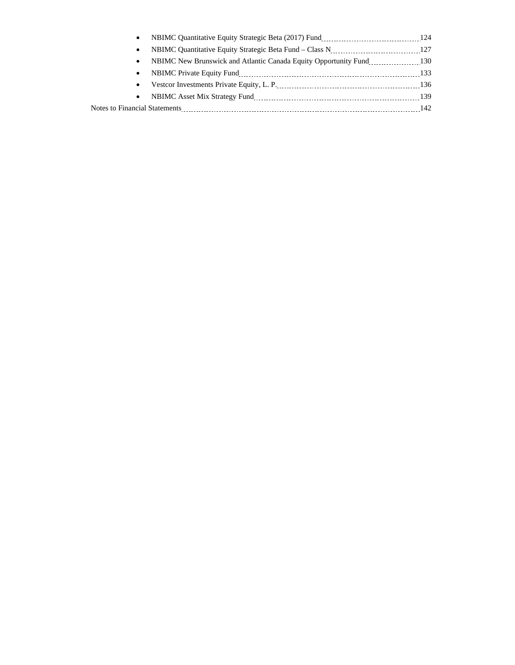| $\bullet$ |     |
|-----------|-----|
| $\bullet$ |     |
| $\bullet$ |     |
| $\bullet$ |     |
|           | 142 |
|           |     |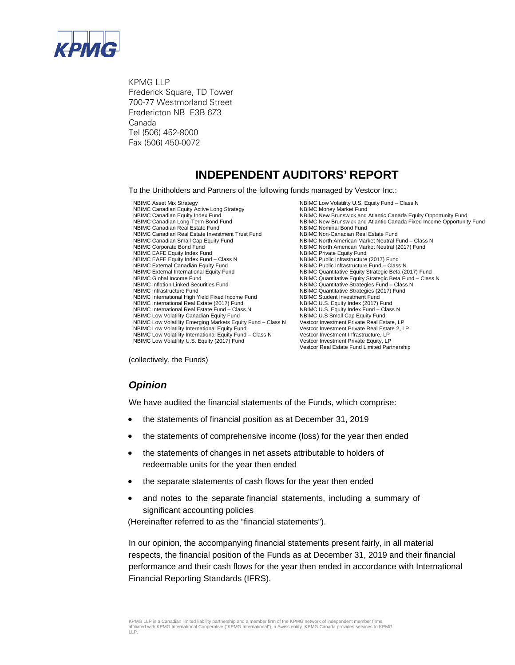

KPMG LLP Frederick Square, TD Tower 700-77 Westmorland Street Fredericton NB E3B 6Z3 Canada Tel (506) 452-8000 Fax (506) 450-0072

# **INDEPENDENT AUDITORS' REPORT**

To the Unitholders and Partners of the following funds managed by Vestcor Inc.:

NBIMC Asset Mix Strategy<br>
NBIMC Asset Mix Strategy NBIMC Money Market Fund<br>
NBIMC Canadian Equity Active Long Strategy<br>
NBIMC Money Market Fund NBIMC Asset Mix Strategy<br>NBIMC Canadian Equity Active Long Strategy<br>NBIMC Canadian Equity Index Fund NBIMC Canadian Real Estate Fund<br>NBIMC Canadian Real Estate Investment Trust Fund NBIMC Non-Canadian Real Estate Fund NBIMC Canadian Real Estate Investment Trust Fund NBIMC Canadian Small Cap Equity Fund<br>
NBIMC North American Market Neutral (2017) Fund<br>
NBIMC North American Market Neutral (2017) Fund NBIMC EAFE Equity Index Fund<br>
NBIMC EAFE Equity Index Fund - Class N<br>
NBIMC Public Infrastructure (2017) Fund NBIMC EAFE Equity Index Fund – Class N<br>NBIMC External Canadian Equity Fund NBIMC External Canadian Equity Fund<br>
NBIMC Auantitative Equity Strategic Beta (2<br>
NBIMC Quantitative Equity Strategic Beta (2 NBIMC Global Income Fund<br>
NBIMC Quantitative Equity Strategic Beta Fund – Class N<br>
NBIMC Quantitative Strategies Fund – Class N NBIMC Inflation Linked Securities Fund<br>
NBIMC Quantitative Strategies (2017) Fund<br>
NBIMC Quantitative Strategies (2017) Fund NBIMC International High Yield Fixed Income Fund NBIMC Student Investment Fund<br>NBIMC International Real Estate (2017) Fund NBIMC U.S. Equity Index (2017) Fund NBIMC International Real Estate (2017) Fund NBIMC U.S. Equity Index (2017) Fund<br>NBIMC International Real Estate Fund - Class N<br>NBIMC U.S. Equity Index Fund - Class N NBIMC International Real Estate Fund – Class N NBIMC Low Volatility Canadian Equity Fund NBIMC U.S Small Cap Equity Fund<br>NBIMC Low Volatility Emerging Markets Equity Fund - Class N Vestcor Investment Private Real Estate. LP NBIMC Low Volatility Emerging Markets Equity Fund – Class N<br>NBIMC Low Volatility International Equity Fund NBIMC Low Volatility International Equity Fund – Class N Vestcor Investment Infrastructure, LP<br>NBIMC Low Volatility U.S. Equity (2017) Fund Vestcor Investment Private Equity, LP NBIMC Low Volatility U.S. Equity (2017) Fund

NBIMC Canadian Equity Index Fund<br>NBIMC Canadian Equity Index Fund<br>NBIMC New Brunswick and Atlantic Canada Fixed Income Opportunity Fund<br>NBIMC New Brunswick and Atlantic Canada Fixed Income Opportunit NBIMC New Brunswick and Atlantic Canada Fixed Income Opportunity Fund<br>NBIMC Nominal Bond Fund NBIMC North American Market Neutral (2017) Fund<br>NBIMC Private Equity Fund NBIMC Quantitative Equity Strategic Beta (2017) Fund NBIMC Quantitative Strategies (2017) Fund<br>NBIMC Student Investment Fund Vestcor Investment Private Real Estate 2, LP<br>Vestcor Investment Infrastructure, LP Vestcor Real Estate Fund Limited Partnership

(collectively, the Funds)

# *Opinion*

We have audited the financial statements of the Funds, which comprise:

- the statements of financial position as at December 31, 2019
- the statements of comprehensive income (loss) for the year then ended
- the statements of changes in net assets attributable to holders of redeemable units for the year then ended
- the separate statements of cash flows for the year then ended
- and notes to the separate financial statements, including a summary of significant accounting policies

(Hereinafter referred to as the "financial statements").

In our opinion, the accompanying financial statements present fairly, in all material respects, the financial position of the Funds as at December 31, 2019 and their financial performance and their cash flows for the year then ended in accordance with International Financial Reporting Standards (IFRS).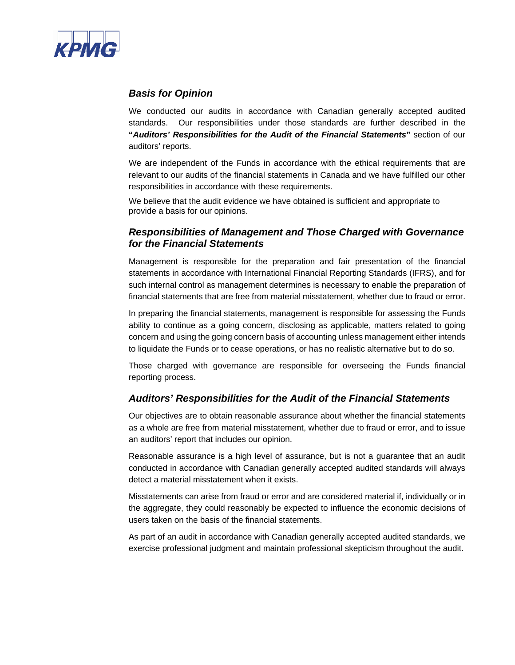

# *Basis for Opinion*

We conducted our audits in accordance with Canadian generally accepted audited standards. Our responsibilities under those standards are further described in the **"***Auditors' Responsibilities for the Audit of the Financial Statements***"** section of our auditors' reports.

We are independent of the Funds in accordance with the ethical requirements that are relevant to our audits of the financial statements in Canada and we have fulfilled our other responsibilities in accordance with these requirements.

We believe that the audit evidence we have obtained is sufficient and appropriate to provide a basis for our opinions.

# *Responsibilities of Management and Those Charged with Governance for the Financial Statements*

Management is responsible for the preparation and fair presentation of the financial statements in accordance with International Financial Reporting Standards (IFRS), and for such internal control as management determines is necessary to enable the preparation of financial statements that are free from material misstatement, whether due to fraud or error.

In preparing the financial statements, management is responsible for assessing the Funds ability to continue as a going concern, disclosing as applicable, matters related to going concern and using the going concern basis of accounting unless management either intends to liquidate the Funds or to cease operations, or has no realistic alternative but to do so.

Those charged with governance are responsible for overseeing the Funds financial reporting process.

### *Auditors' Responsibilities for the Audit of the Financial Statements*

Our objectives are to obtain reasonable assurance about whether the financial statements as a whole are free from material misstatement, whether due to fraud or error, and to issue an auditors' report that includes our opinion.

Reasonable assurance is a high level of assurance, but is not a guarantee that an audit conducted in accordance with Canadian generally accepted audited standards will always detect a material misstatement when it exists.

Misstatements can arise from fraud or error and are considered material if, individually or in the aggregate, they could reasonably be expected to influence the economic decisions of users taken on the basis of the financial statements.

As part of an audit in accordance with Canadian generally accepted audited standards, we exercise professional judgment and maintain professional skepticism throughout the audit.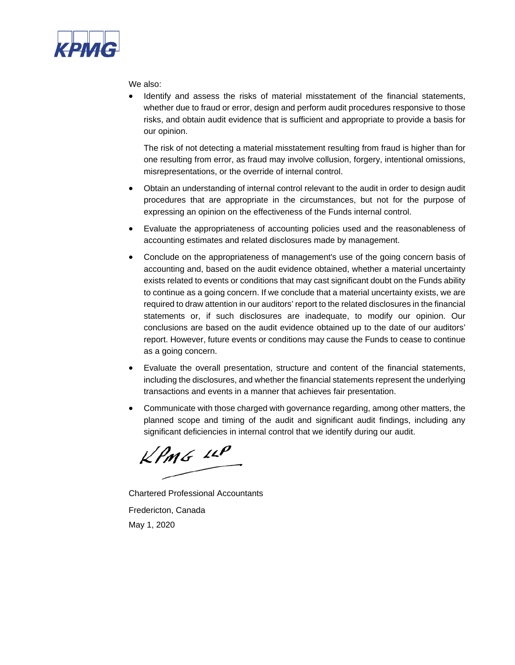

We also:

 Identify and assess the risks of material misstatement of the financial statements, whether due to fraud or error, design and perform audit procedures responsive to those risks, and obtain audit evidence that is sufficient and appropriate to provide a basis for our opinion.

The risk of not detecting a material misstatement resulting from fraud is higher than for one resulting from error, as fraud may involve collusion, forgery, intentional omissions, misrepresentations, or the override of internal control.

- Obtain an understanding of internal control relevant to the audit in order to design audit procedures that are appropriate in the circumstances, but not for the purpose of expressing an opinion on the effectiveness of the Funds internal control.
- Evaluate the appropriateness of accounting policies used and the reasonableness of accounting estimates and related disclosures made by management.
- Conclude on the appropriateness of management's use of the going concern basis of accounting and, based on the audit evidence obtained, whether a material uncertainty exists related to events or conditions that may cast significant doubt on the Funds ability to continue as a going concern. If we conclude that a material uncertainty exists, we are required to draw attention in our auditors' report to the related disclosures in the financial statements or, if such disclosures are inadequate, to modify our opinion. Our conclusions are based on the audit evidence obtained up to the date of our auditors' report. However, future events or conditions may cause the Funds to cease to continue as a going concern.
- Evaluate the overall presentation, structure and content of the financial statements, including the disclosures, and whether the financial statements represent the underlying transactions and events in a manner that achieves fair presentation.
- Communicate with those charged with governance regarding, among other matters, the planned scope and timing of the audit and significant audit findings, including any significant deficiencies in internal control that we identify during our audit.

 $KPMG$  11P

Chartered Professional Accountants Fredericton, Canada May 1, 2020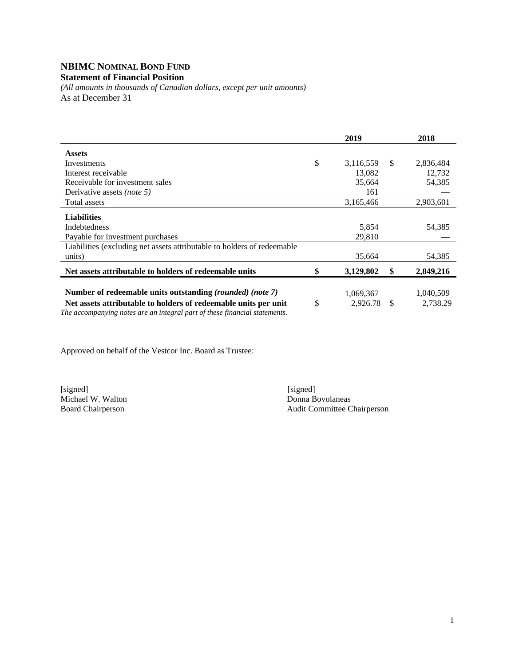#### **NBIMC NOMINAL BOND FUND Statement of Financial Position**

*(All amounts in thousands of Canadian dollars, except per unit amounts)*  As at December 31

|                                                                                                                                               | 2019            |     | 2018      |
|-----------------------------------------------------------------------------------------------------------------------------------------------|-----------------|-----|-----------|
| <b>Assets</b>                                                                                                                                 |                 |     |           |
| Investments                                                                                                                                   | \$<br>3,116,559 | \$. | 2,836,484 |
| Interest receivable                                                                                                                           | 13,082          |     | 12,732    |
| Receivable for investment sales                                                                                                               | 35,664          |     | 54,385    |
| Derivative assets (note 5)                                                                                                                    | 161             |     |           |
| Total assets                                                                                                                                  | 3,165,466       |     | 2,903,601 |
| <b>Liabilities</b>                                                                                                                            |                 |     |           |
| <b>Indebtedness</b>                                                                                                                           | 5,854           |     | 54,385    |
| Payable for investment purchases                                                                                                              | 29,810          |     |           |
| Liabilities (excluding net assets attributable to holders of redeemable                                                                       |                 |     |           |
| units)                                                                                                                                        | 35,664          |     | 54,385    |
| Net assets attributable to holders of redeemable units                                                                                        | \$<br>3,129,802 | -\$ | 2,849,216 |
| Number of redeemable units outstanding (rounded) (note 7)                                                                                     | 1,069,367       |     | 1,040,509 |
| Net assets attributable to holders of redeemable units per unit<br>The accompanying notes are an integral part of these financial statements. | \$<br>2,926.78  | S   | 2,738.29  |

Approved on behalf of the Vestcor Inc. Board as Trustee:

Michael W. Walton<br>Board Chairperson

[signed] [signed] [signed] [signed] [signed] [signed] [signed] [signed] [signed] [signed] [signed] [Signed] [Signed] [Signed] [Signed] [Signed] [Signed] [Signed] [Signed] [Signed] [Signed] [Signed] [Signed] [Signed] [Signe Audit Committee Chairperson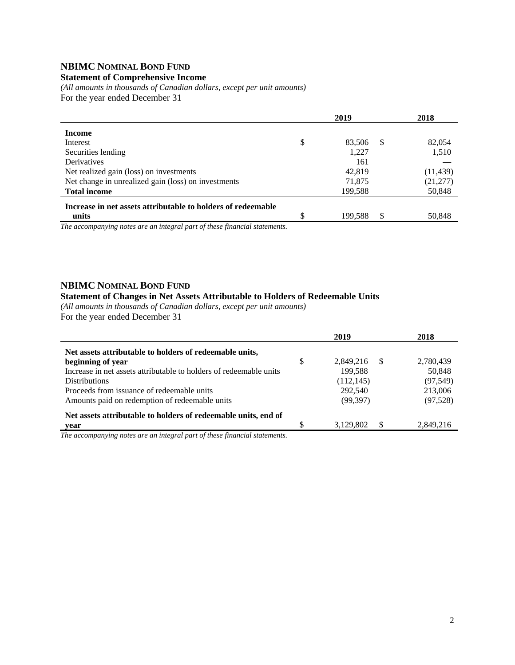# **NBIMC NOMINAL BOND FUND**

### **Statement of Comprehensive Income**

*(All amounts in thousands of Canadian dollars, except per unit amounts)*  For the year ended December 31

|                                                              | 2019         |               | 2018      |
|--------------------------------------------------------------|--------------|---------------|-----------|
| <b>Income</b>                                                |              |               |           |
| Interest                                                     | \$<br>83,506 | <sup>\$</sup> | 82,054    |
| Securities lending                                           | 1,227        |               | 1,510     |
| Derivatives                                                  | 161          |               |           |
| Net realized gain (loss) on investments                      | 42.819       |               | (11, 439) |
| Net change in unrealized gain (loss) on investments          | 71,875       |               | (21, 277) |
| <b>Total income</b>                                          | 199.588      |               | 50,848    |
| Increase in net assets attributable to holders of redeemable |              |               |           |
| units                                                        | 199,588      | \$            | 50,848    |

*The accompanying notes are an integral part of these financial statements.* 

#### **NBIMC NOMINAL BOND FUND**

#### **Statement of Changes in Net Assets Attributable to Holders of Redeemable Units**

*(All amounts in thousands of Canadian dollars, except per unit amounts)*  For the year ended December 31

|                                                                    | 2019                    | 2018      |
|--------------------------------------------------------------------|-------------------------|-----------|
| Net assets attributable to holders of redeemable units,            |                         |           |
| beginning of year                                                  | \$<br>2,849,216<br>- \$ | 2,780,439 |
| Increase in net assets attributable to holders of redeemable units | 199,588                 | 50,848    |
| <b>Distributions</b>                                               | (112, 145)              | (97, 549) |
| Proceeds from issuance of redeemable units                         | 292,540                 | 213,006   |
| Amounts paid on redemption of redeemable units                     | (99, 397)               | (97,528)  |
| Net assets attributable to holders of redeemable units, end of     |                         |           |
| year                                                               | 3,129,802<br>-S         | 2,849,216 |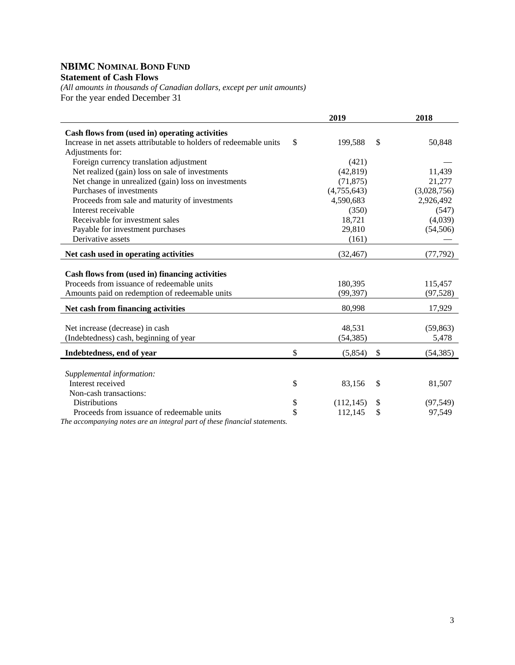### **NBIMC NOMINAL BOND FUND Statement of Cash Flows**

*(All amounts in thousands of Canadian dollars, except per unit amounts)*  For the year ended December 31

|                                                                                                                                                | 2019                 |              | 2018                 |
|------------------------------------------------------------------------------------------------------------------------------------------------|----------------------|--------------|----------------------|
| Cash flows from (used in) operating activities                                                                                                 |                      |              |                      |
| Increase in net assets attributable to holders of redeemable units                                                                             | \$<br>199,588        | $\mathbb{S}$ | 50,848               |
| Adjustments for:                                                                                                                               |                      |              |                      |
| Foreign currency translation adjustment                                                                                                        | (421)                |              |                      |
| Net realized (gain) loss on sale of investments                                                                                                | (42, 819)            |              | 11,439               |
| Net change in unrealized (gain) loss on investments                                                                                            | (71, 875)            |              | 21,277               |
| Purchases of investments                                                                                                                       | (4,755,643)          |              | (3,028,756)          |
| Proceeds from sale and maturity of investments                                                                                                 | 4,590,683            |              | 2,926,492            |
| Interest receivable                                                                                                                            | (350)                |              | (547)                |
| Receivable for investment sales                                                                                                                | 18,721               |              | (4,039)              |
| Payable for investment purchases                                                                                                               | 29,810               |              | (54, 506)            |
| Derivative assets                                                                                                                              | (161)                |              |                      |
| Net cash used in operating activities                                                                                                          | (32, 467)            |              | (77, 792)            |
| Cash flows from (used in) financing activities<br>Proceeds from issuance of redeemable units<br>Amounts paid on redemption of redeemable units | 180,395<br>(99, 397) |              | 115,457<br>(97, 528) |
| Net cash from financing activities                                                                                                             | 80,998               |              | 17,929               |
|                                                                                                                                                |                      |              |                      |
| Net increase (decrease) in cash                                                                                                                | 48,531               |              | (59, 863)            |
| (Indebtedness) cash, beginning of year                                                                                                         | (54, 385)            |              | 5,478                |
| Indebtedness, end of year                                                                                                                      | \$<br>(5,854)        | \$           | (54, 385)            |
|                                                                                                                                                |                      |              |                      |
| Supplemental information:                                                                                                                      |                      |              |                      |
| Interest received                                                                                                                              | \$<br>83,156         | \$           | 81,507               |
| Non-cash transactions:                                                                                                                         |                      |              |                      |
| <b>Distributions</b>                                                                                                                           | \$<br>(112, 145)     | \$           | (97, 549)            |
| Proceeds from issuance of redeemable units<br>The generative matrix and one internal near of these financial stations                          | \$<br>112,145        | \$           | 97,549               |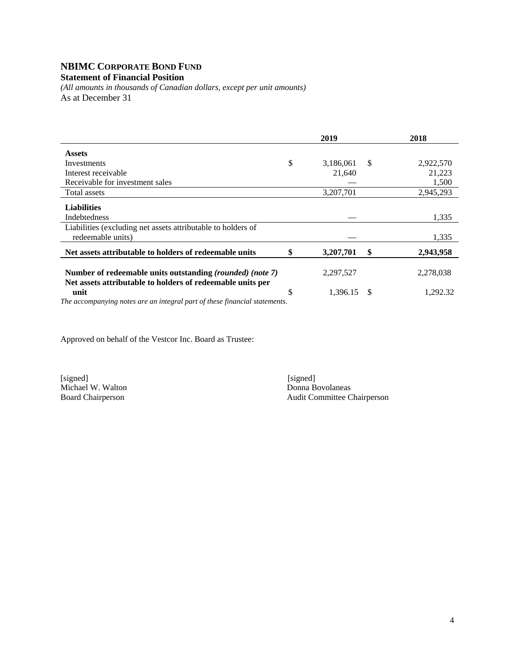#### **NBIMC CORPORATE BOND FUND Statement of Financial Position**

*(All amounts in thousands of Canadian dollars, except per unit amounts)*  As at December 31

|                                                                            | 2019            |              | 2018      |
|----------------------------------------------------------------------------|-----------------|--------------|-----------|
| <b>Assets</b>                                                              |                 |              |           |
| Investments                                                                | \$<br>3,186,061 | $\mathbb{S}$ | 2,922,570 |
| Interest receivable                                                        | 21,640          |              | 21,223    |
| Receivable for investment sales                                            |                 |              | 1,500     |
| Total assets                                                               | 3,207,701       |              | 2,945,293 |
| <b>Liabilities</b>                                                         |                 |              |           |
| Indebtedness                                                               |                 |              | 1,335     |
| Liabilities (excluding net assets attributable to holders of               |                 |              |           |
| redeemable units)                                                          |                 |              | 1,335     |
| Net assets attributable to holders of redeemable units                     | \$<br>3,207,701 | \$           | 2,943,958 |
| Number of redeemable units outstanding (rounded) (note 7)                  | 2,297,527       |              | 2,278,038 |
| Net assets attributable to holders of redeemable units per                 |                 |              |           |
| unit                                                                       | \$<br>1,396.15  | -S           | 1,292.32  |
| The accompanying notes are an integral part of these financial statements. |                 |              |           |

Approved on behalf of the Vestcor Inc. Board as Trustee:

[signed] [signed] [signed] [signed] [signed] [signed] [signed] [signed] [signed] [signed] [Signed] [Signed] [Signed] [Signed] [Signed] [Signed] [Signed] [Signed] [Signed] [Signed] [Signed] [Signed] [Signed] [Signed] [Signe Michael W. Walton<br>Board Chairperson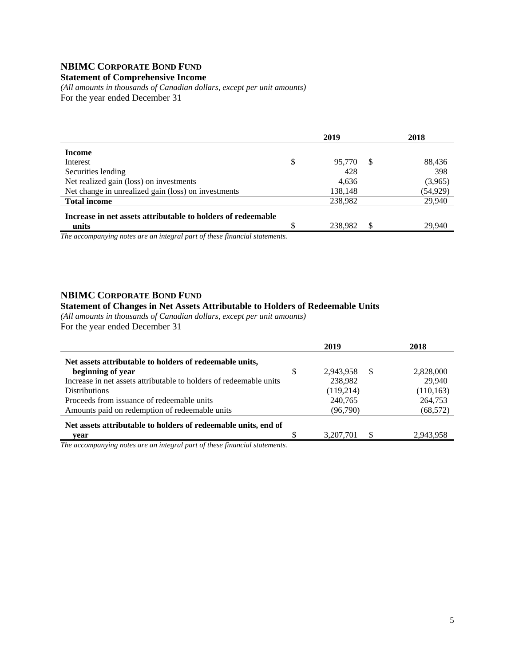# **NBIMC CORPORATE BOND FUND**

#### **Statement of Comprehensive Income**

*(All amounts in thousands of Canadian dollars, except per unit amounts)* For the year ended December 31

|                                                              |   | 2019    |    | 2018      |
|--------------------------------------------------------------|---|---------|----|-----------|
| Income                                                       |   |         |    |           |
| Interest                                                     | S | 95,770  | -S | 88,436    |
| Securities lending                                           |   | 428     |    | 398       |
| Net realized gain (loss) on investments                      |   | 4.636   |    | (3,965)   |
| Net change in unrealized gain (loss) on investments          |   | 138,148 |    | (54, 929) |
| <b>Total income</b>                                          |   | 238,982 |    | 29,940    |
| Increase in net assets attributable to holders of redeemable |   |         |    |           |
| units                                                        |   | 238.982 |    | 29.940    |

*The accompanying notes are an integral part of these financial statements.*

#### **NBIMC CORPORATE BOND FUND**

#### **Statement of Changes in Net Assets Attributable to Holders of Redeemable Units**

*(All amounts in thousands of Canadian dollars, except per unit amounts)*  For the year ended December 31

|                                                                    | 2019                  | 2018       |
|--------------------------------------------------------------------|-----------------------|------------|
| Net assets attributable to holders of redeemable units,            |                       |            |
| beginning of year                                                  | \$<br>2,943,958<br>-S | 2,828,000  |
| Increase in net assets attributable to holders of redeemable units | 238,982               | 29,940     |
| <b>Distributions</b>                                               | (119,214)             | (110, 163) |
| Proceeds from issuance of redeemable units                         | 240,765               | 264,753    |
| Amounts paid on redemption of redeemable units                     | (96,790)              | (68, 572)  |
| Net assets attributable to holders of redeemable units, end of     |                       |            |
| vear                                                               | 3,207,701             | 2,943,958  |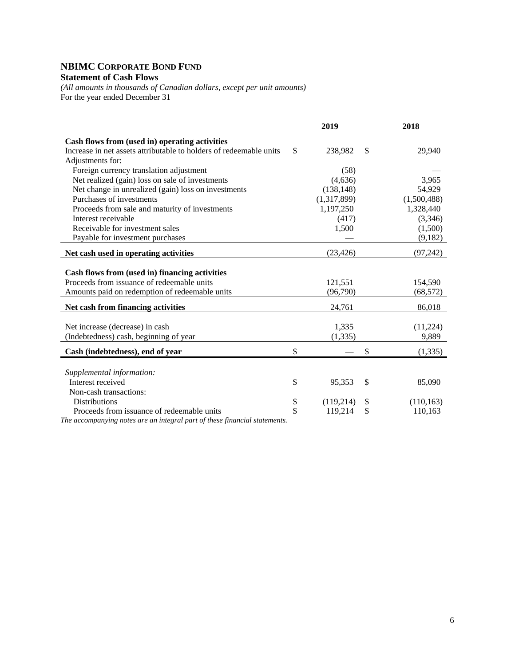# **NBIMC CORPORATE BOND FUND Statement of Cash Flows**

*(All amounts in thousands of Canadian dollars, except per unit amounts)*  For the year ended December 31

|                                                                    | 2019            | 2018             |
|--------------------------------------------------------------------|-----------------|------------------|
| Cash flows from (used in) operating activities                     |                 |                  |
| Increase in net assets attributable to holders of redeemable units | \$<br>238,982   | \$<br>29,940     |
| Adjustments for:                                                   |                 |                  |
| Foreign currency translation adjustment                            | (58)            |                  |
| Net realized (gain) loss on sale of investments                    | (4,636)         | 3,965            |
| Net change in unrealized (gain) loss on investments                | (138, 148)      | 54,929           |
| Purchases of investments                                           | (1,317,899)     | (1,500,488)      |
| Proceeds from sale and maturity of investments                     | 1,197,250       | 1,328,440        |
| Interest receivable                                                | (417)           | (3,346)          |
| Receivable for investment sales                                    | 1,500           | (1,500)          |
| Payable for investment purchases                                   |                 | (9,182)          |
| Net cash used in operating activities                              | (23, 426)       | (97,242)         |
|                                                                    |                 |                  |
| Cash flows from (used in) financing activities                     |                 |                  |
| Proceeds from issuance of redeemable units                         | 121,551         | 154,590          |
| Amounts paid on redemption of redeemable units                     | (96,790)        | (68, 572)        |
| Net cash from financing activities                                 | 24,761          | 86,018           |
|                                                                    |                 |                  |
| Net increase (decrease) in cash                                    | 1,335           | (11,224)         |
| (Indebtedness) cash, beginning of year                             | (1, 335)        | 9,889            |
| Cash (indebtedness), end of year                                   | \$              | \$<br>(1, 335)   |
|                                                                    |                 |                  |
| Supplemental information:                                          |                 |                  |
| Interest received                                                  | \$<br>95,353    | \$<br>85,090     |
| Non-cash transactions:                                             |                 |                  |
| <b>Distributions</b>                                               | \$<br>(119,214) | \$<br>(110, 163) |
| Proceeds from issuance of redeemable units                         | \$<br>119,214   | \$<br>110,163    |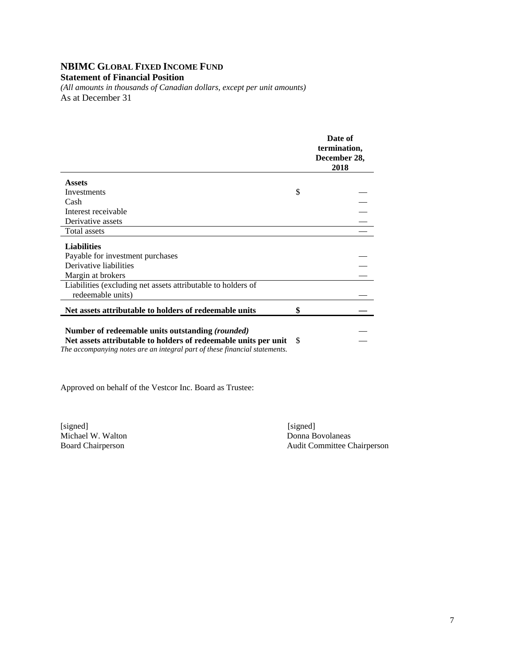# **NBIMC GLOBAL FIXED INCOME FUND**

#### **Statement of Financial Position**

*(All amounts in thousands of Canadian dollars, except per unit amounts)*  As at December 31

|                                                                 |    | Date of<br>termination,<br>December 28,<br>2018 |
|-----------------------------------------------------------------|----|-------------------------------------------------|
| <b>Assets</b>                                                   |    |                                                 |
| Investments                                                     | \$ |                                                 |
| Cash                                                            |    |                                                 |
| Interest receivable                                             |    |                                                 |
| Derivative assets                                               |    |                                                 |
| Total assets                                                    |    |                                                 |
| <b>Liabilities</b>                                              |    |                                                 |
| Payable for investment purchases                                |    |                                                 |
| Derivative liabilities                                          |    |                                                 |
| Margin at brokers                                               |    |                                                 |
| Liabilities (excluding net assets attributable to holders of    |    |                                                 |
| redeemable units)                                               |    |                                                 |
| Net assets attributable to holders of redeemable units          | \$ |                                                 |
|                                                                 |    |                                                 |
| Number of redeemable units outstanding (rounded)                |    |                                                 |
| Net assets attributable to holders of redeemable units per unit | S  |                                                 |

*The accompanying notes are an integral part of these financial statements.* 

Approved on behalf of the Vestcor Inc. Board as Trustee:

[signed] [signed] [signed] [signed] [signed] [signed] [signed] [signed] [signed] [signed] [signed] [Signed] [Signed] [Signed] [Signed] [Signed] [Signed] [Signed] [Signed] [Signed] [Signed] [Signed] [Signed] [Signed] [Signe Michael W. Walton

Board Chairperson Audit Committee Chairperson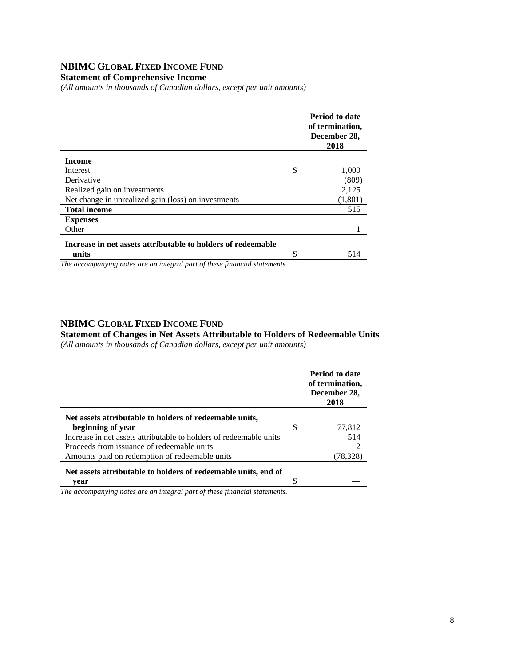# **NBIMC GLOBAL FIXED INCOME FUND**

**Statement of Comprehensive Income** 

*(All amounts in thousands of Canadian dollars, except per unit amounts)* 

|                                                              |   | Period to date<br>of termination,<br>December 28,<br>2018 |
|--------------------------------------------------------------|---|-----------------------------------------------------------|
| <b>Income</b>                                                |   |                                                           |
| Interest                                                     | S | 1,000                                                     |
| Derivative                                                   |   | (809)                                                     |
| Realized gain on investments                                 |   | 2,125                                                     |
| Net change in unrealized gain (loss) on investments          |   | (1,801)                                                   |
| <b>Total income</b>                                          |   | 515                                                       |
| <b>Expenses</b>                                              |   |                                                           |
| Other                                                        |   |                                                           |
| Increase in net assets attributable to holders of redeemable |   |                                                           |
| units                                                        | S | 514                                                       |
|                                                              |   |                                                           |

*The accompanying notes are an integral part of these financial statements.*

### **NBIMC GLOBAL FIXED INCOME FUND**

**Statement of Changes in Net Assets Attributable to Holders of Redeemable Units** 

*(All amounts in thousands of Canadian dollars, except per unit amounts)* 

|                                                                    |   | <b>Period to date</b><br>of termination,<br>December 28,<br>2018 |
|--------------------------------------------------------------------|---|------------------------------------------------------------------|
| Net assets attributable to holders of redeemable units,            |   |                                                                  |
| beginning of year                                                  | S | 77,812                                                           |
| Increase in net assets attributable to holders of redeemable units |   | 514                                                              |
| Proceeds from issuance of redeemable units                         |   |                                                                  |
| Amounts paid on redemption of redeemable units                     |   | (78,328)                                                         |
| Net assets attributable to holders of redeemable units, end of     |   |                                                                  |
| vear                                                               |   |                                                                  |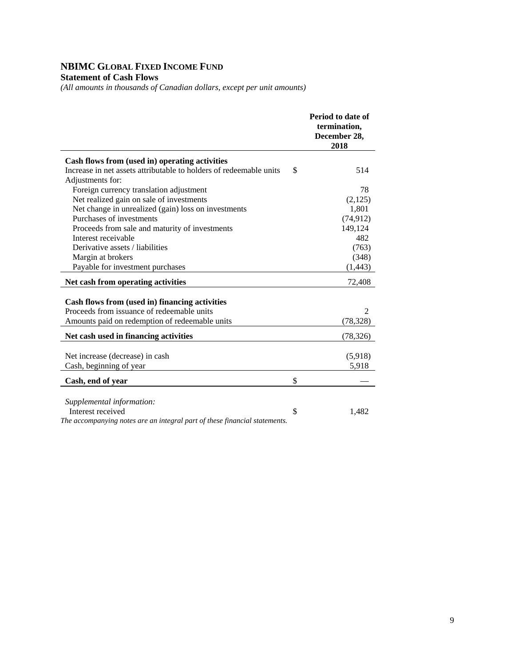# **NBIMC GLOBAL FIXED INCOME FUND**

# **Statement of Cash Flows**

*(All amounts in thousands of Canadian dollars, except per unit amounts)* 

|                                                                                                                                                | Period to date of<br>termination,<br>December 28,<br>2018 |
|------------------------------------------------------------------------------------------------------------------------------------------------|-----------------------------------------------------------|
| Cash flows from (used in) operating activities                                                                                                 |                                                           |
| Increase in net assets attributable to holders of redeemable units                                                                             | \$<br>514                                                 |
| Adjustments for:                                                                                                                               |                                                           |
| Foreign currency translation adjustment                                                                                                        | 78                                                        |
| Net realized gain on sale of investments                                                                                                       | (2,125)                                                   |
| Net change in unrealized (gain) loss on investments                                                                                            | 1,801                                                     |
| Purchases of investments                                                                                                                       | (74, 912)                                                 |
| Proceeds from sale and maturity of investments                                                                                                 | 149,124                                                   |
| Interest receivable                                                                                                                            | 482                                                       |
| Derivative assets / liabilities                                                                                                                | (763)                                                     |
| Margin at brokers                                                                                                                              | (348)                                                     |
| Payable for investment purchases                                                                                                               | (1, 443)                                                  |
| Net cash from operating activities                                                                                                             | 72,408                                                    |
| Cash flows from (used in) financing activities<br>Proceeds from issuance of redeemable units<br>Amounts paid on redemption of redeemable units | $\mathfrak{D}$<br>(78, 328)                               |
| Net cash used in financing activities                                                                                                          | (78, 326)                                                 |
| Net increase (decrease) in cash<br>Cash, beginning of year                                                                                     | (5,918)<br>5,918                                          |
| Cash, end of year                                                                                                                              | \$                                                        |
| Supplemental information:<br>Interest received<br>The accompanying notes are an integral part of these financial statements.                   | \$<br>1,482                                               |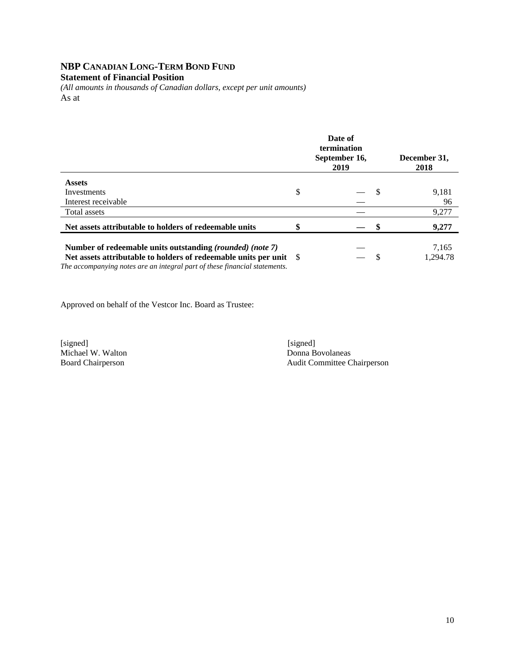# **NBP CANADIAN LONG-TERM BOND FUND**

# **Statement of Financial Position**

*(All amounts in thousands of Canadian dollars, except per unit amounts)*  As at

|                                                                                                                                                                                                                      | Date of<br>termination<br>September 16,<br>2019 | December 31,<br>2018 |
|----------------------------------------------------------------------------------------------------------------------------------------------------------------------------------------------------------------------|-------------------------------------------------|----------------------|
| <b>Assets</b>                                                                                                                                                                                                        |                                                 |                      |
| Investments                                                                                                                                                                                                          | \$                                              | 9,181                |
| Interest receivable                                                                                                                                                                                                  |                                                 | 96                   |
| Total assets                                                                                                                                                                                                         |                                                 | 9,277                |
| Net assets attributable to holders of redeemable units                                                                                                                                                               |                                                 | 9,277                |
| Number of redeemable units outstanding <i>(rounded) (note 7)</i><br>Net assets attributable to holders of redeemable units per unit \$<br>The accompanying notes are an integral part of these financial statements. |                                                 | 7,165<br>1.294.78    |

Approved on behalf of the Vestcor Inc. Board as Trustee:

[signed] [signed] [signed] [signed] [signed] [signed] [signed] [signed] [signed] [signed] [signed] [ Michael W. Walton<br>Board Chairperson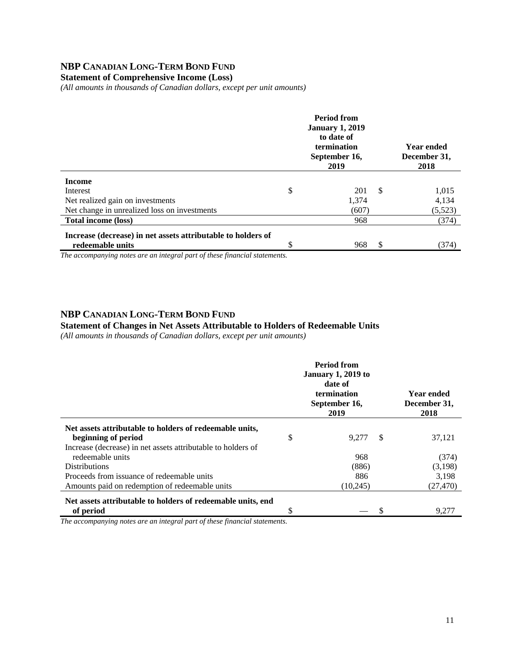# **NBP CANADIAN LONG-TERM BOND FUND**

**Statement of Comprehensive Income (Loss)** 

*(All amounts in thousands of Canadian dollars, except per unit amounts)* 

|                                                                                  | <b>Period from</b><br><b>January 1, 2019</b><br>to date of<br>termination<br>September 16,<br>2019 | <b>Year ended</b><br>December 31,<br>2018 |         |
|----------------------------------------------------------------------------------|----------------------------------------------------------------------------------------------------|-------------------------------------------|---------|
| <b>Income</b>                                                                    |                                                                                                    |                                           |         |
| Interest                                                                         | \$<br>201                                                                                          | <sup>\$</sup>                             | 1,015   |
| Net realized gain on investments                                                 | 1,374                                                                                              |                                           | 4,134   |
| Net change in unrealized loss on investments                                     | (607)                                                                                              |                                           | (5,523) |
| <b>Total income (loss)</b>                                                       | 968                                                                                                |                                           | (374)   |
| Increase (decrease) in net assets attributable to holders of<br>redeemable units | \$<br>968                                                                                          | \$.                                       | (374)   |

*The accompanying notes are an integral part of these financial statements.*

## **NBP CANADIAN LONG-TERM BOND FUND**

#### **Statement of Changes in Net Assets Attributable to Holders of Redeemable Units**

*(All amounts in thousands of Canadian dollars, except per unit amounts)* 

|                                                              |    | <b>Period from</b><br><b>January 1, 2019 to</b><br>date of<br>termination<br>September 16,<br>2019 |               | <b>Year ended</b><br>December 31,<br>2018 |
|--------------------------------------------------------------|----|----------------------------------------------------------------------------------------------------|---------------|-------------------------------------------|
| Net assets attributable to holders of redeemable units,      |    |                                                                                                    |               |                                           |
| beginning of period                                          | \$ | 9.277                                                                                              | <sup>\$</sup> | 37,121                                    |
| Increase (decrease) in net assets attributable to holders of |    |                                                                                                    |               |                                           |
| redeemable units                                             |    | 968                                                                                                |               | (374)                                     |
| <b>Distributions</b>                                         |    | (886)                                                                                              |               | (3,198)                                   |
| Proceeds from issuance of redeemable units                   |    | 886                                                                                                |               | 3.198                                     |
| Amounts paid on redemption of redeemable units               |    | (10, 245)                                                                                          |               | (27, 470)                                 |
| Net assets attributable to holders of redeemable units, end  |    |                                                                                                    |               |                                           |
| of period                                                    | S  |                                                                                                    |               | 9,277                                     |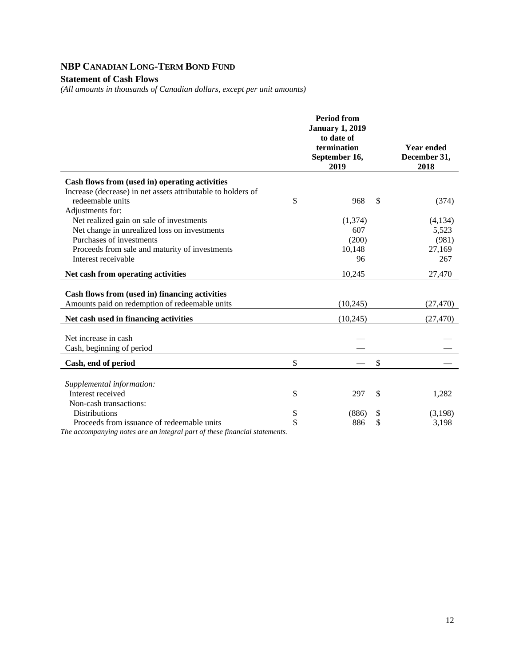# **NBP CANADIAN LONG-TERM BOND FUND**

### **Statement of Cash Flows**

*(All amounts in thousands of Canadian dollars, except per unit amounts)* 

|                                                                                                  | <b>Period from</b><br><b>January 1, 2019</b><br>to date of<br>termination<br>September 16,<br>2019 | <b>Year ended</b><br>December 31,<br>2018 |
|--------------------------------------------------------------------------------------------------|----------------------------------------------------------------------------------------------------|-------------------------------------------|
| Cash flows from (used in) operating activities                                                   |                                                                                                    |                                           |
| Increase (decrease) in net assets attributable to holders of                                     |                                                                                                    |                                           |
| redeemable units                                                                                 | \$<br>968                                                                                          | \$<br>(374)                               |
| Adjustments for:                                                                                 |                                                                                                    |                                           |
| Net realized gain on sale of investments                                                         | (1,374)                                                                                            | (4, 134)                                  |
| Net change in unrealized loss on investments                                                     | 607                                                                                                | 5,523                                     |
| Purchases of investments                                                                         | (200)                                                                                              | (981)                                     |
| Proceeds from sale and maturity of investments                                                   | 10,148                                                                                             | 27,169                                    |
| Interest receivable                                                                              | 96                                                                                                 | 267                                       |
| Net cash from operating activities                                                               | 10,245                                                                                             | 27,470                                    |
| Cash flows from (used in) financing activities<br>Amounts paid on redemption of redeemable units | (10, 245)                                                                                          | (27, 470)                                 |
| Net cash used in financing activities                                                            | (10, 245)                                                                                          | (27, 470)                                 |
|                                                                                                  |                                                                                                    |                                           |
| Net increase in cash                                                                             |                                                                                                    |                                           |
| Cash, beginning of period                                                                        |                                                                                                    |                                           |
| Cash, end of period                                                                              | \$                                                                                                 | \$                                        |
|                                                                                                  |                                                                                                    |                                           |
| Supplemental information:                                                                        |                                                                                                    |                                           |
| Interest received                                                                                | \$<br>297                                                                                          | \$<br>1,282                               |
| Non-cash transactions:                                                                           |                                                                                                    |                                           |
| <b>Distributions</b>                                                                             | \$<br>(886)                                                                                        | \$<br>(3,198)                             |
| Proceeds from issuance of redeemable units                                                       | \$<br>886                                                                                          | \$<br>3,198                               |
| The accompanying notes are an integral part of these financial statements.                       |                                                                                                    |                                           |

12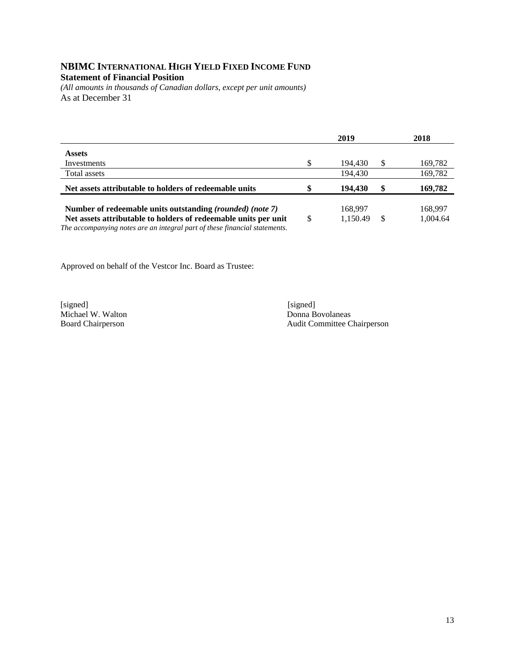# **NBIMC INTERNATIONAL HIGH YIELD FIXED INCOME FUND Statement of Financial Position**

*(All amounts in thousands of Canadian dollars, except per unit amounts)*  As at December 31

|                                                                                                                                               |    | 2019     |   | 2018     |
|-----------------------------------------------------------------------------------------------------------------------------------------------|----|----------|---|----------|
| <b>Assets</b>                                                                                                                                 |    |          |   |          |
| Investments                                                                                                                                   | \$ | 194.430  | S | 169,782  |
| Total assets                                                                                                                                  |    | 194,430  |   | 169,782  |
| Net assets attributable to holders of redeemable units                                                                                        | \$ | 194,430  |   | 169,782  |
| Number of redeemable units outstanding <i>(rounded) (note 7)</i>                                                                              |    | 168,997  |   | 168,997  |
| Net assets attributable to holders of redeemable units per unit<br>The accompanying notes are an integral part of these financial statements. | S  | 1,150.49 |   | 1.004.64 |

Approved on behalf of the Vestcor Inc. Board as Trustee:

[signed] [signed] [signed] [signed] [signed] [signed] [signed] [signed] [signed] [signed] [Signed] [Signed] [Signed] [Signed] [Signed] [Signed] [Signed] [Signed] [Signed] [Signed] [Signed] [Signed] [Signed] [Signed] [Signe Michael W. Walton<br>Board Chairperson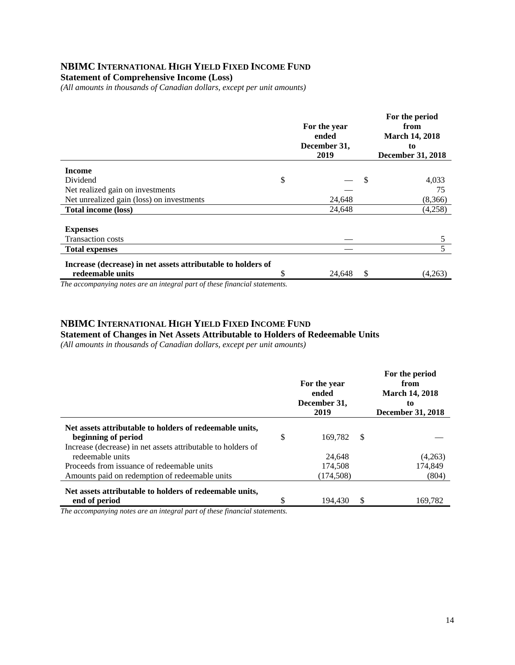### **NBIMC INTERNATIONAL HIGH YIELD FIXED INCOME FUND**

**Statement of Comprehensive Income (Loss)** 

*(All amounts in thousands of Canadian dollars, except per unit amounts)* 

|                                                              | For the year<br>ended<br>December 31,<br>2019 | For the period<br>from<br><b>March 14, 2018</b><br>to<br><b>December 31, 2018</b> |
|--------------------------------------------------------------|-----------------------------------------------|-----------------------------------------------------------------------------------|
| <b>Income</b>                                                |                                               |                                                                                   |
| Dividend                                                     | \$                                            | \$<br>4,033                                                                       |
| Net realized gain on investments                             |                                               | 75                                                                                |
| Net unrealized gain (loss) on investments                    | 24,648                                        | (8,366)                                                                           |
| <b>Total income (loss)</b>                                   | 24,648                                        | (4,258)                                                                           |
|                                                              |                                               |                                                                                   |
| <b>Expenses</b>                                              |                                               |                                                                                   |
| <b>Transaction costs</b>                                     |                                               | 5                                                                                 |
| <b>Total expenses</b>                                        |                                               | 5                                                                                 |
| Increase (decrease) in net assets attributable to holders of |                                               |                                                                                   |
| redeemable units                                             | \$<br>24,648                                  | \$<br>(4,263)                                                                     |

*The accompanying notes are an integral part of these financial statements.*

#### **NBIMC INTERNATIONAL HIGH YIELD FIXED INCOME FUND**

**Statement of Changes in Net Assets Attributable to Holders of Redeemable Units** 

*(All amounts in thousands of Canadian dollars, except per unit amounts)* 

|                                                              |    | For the year<br>ended<br>December 31,<br>2019 |     | For the period<br>from<br><b>March 14, 2018</b><br>to<br><b>December 31, 2018</b> |
|--------------------------------------------------------------|----|-----------------------------------------------|-----|-----------------------------------------------------------------------------------|
| Net assets attributable to holders of redeemable units,      |    |                                               |     |                                                                                   |
| beginning of period                                          | \$ | 169.782                                       | -\$ |                                                                                   |
| Increase (decrease) in net assets attributable to holders of |    |                                               |     |                                                                                   |
| redeemable units                                             |    | 24,648                                        |     | (4,263)                                                                           |
| Proceeds from issuance of redeemable units                   |    | 174.508                                       |     | 174.849                                                                           |
| Amounts paid on redemption of redeemable units               |    | (174, 508)                                    |     | (804)                                                                             |
| Net assets attributable to holders of redeemable units,      |    |                                               |     |                                                                                   |
| end of period                                                | ¢  | 194.430                                       |     | 169,782                                                                           |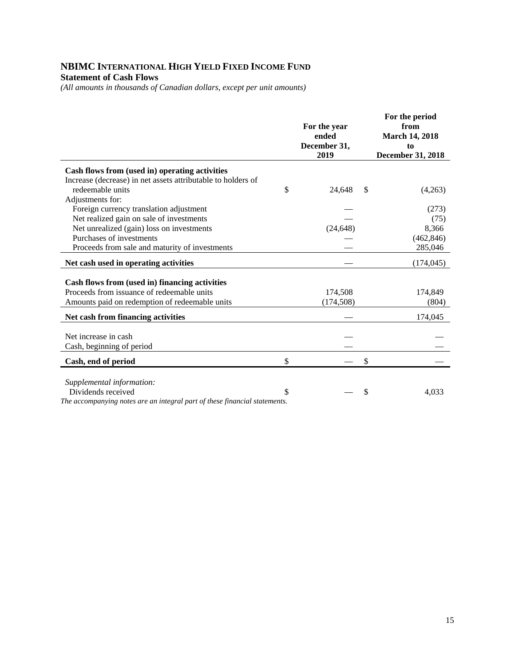# **NBIMC INTERNATIONAL HIGH YIELD FIXED INCOME FUND Statement of Cash Flows**

*(All amounts in thousands of Canadian dollars, except per unit amounts)* 

|                                                                            | For the year<br>ended<br>December 31,<br>2019 | For the period<br>from<br><b>March 14, 2018</b><br>to<br><b>December 31, 2018</b> |
|----------------------------------------------------------------------------|-----------------------------------------------|-----------------------------------------------------------------------------------|
| Cash flows from (used in) operating activities                             |                                               |                                                                                   |
| Increase (decrease) in net assets attributable to holders of               |                                               |                                                                                   |
| redeemable units                                                           | \$<br>24,648                                  | \$<br>(4,263)                                                                     |
| Adjustments for:                                                           |                                               |                                                                                   |
| Foreign currency translation adjustment                                    |                                               | (273)                                                                             |
| Net realized gain on sale of investments                                   |                                               | (75)                                                                              |
| Net unrealized (gain) loss on investments                                  | (24, 648)                                     | 8,366                                                                             |
| Purchases of investments                                                   |                                               | (462, 846)                                                                        |
| Proceeds from sale and maturity of investments                             |                                               | 285,046                                                                           |
| Net cash used in operating activities                                      |                                               | (174, 045)                                                                        |
|                                                                            |                                               |                                                                                   |
| Cash flows from (used in) financing activities                             |                                               |                                                                                   |
| Proceeds from issuance of redeemable units                                 | 174,508                                       | 174,849                                                                           |
| Amounts paid on redemption of redeemable units                             | (174, 508)                                    | (804)                                                                             |
| Net cash from financing activities                                         |                                               | 174,045                                                                           |
| Net increase in cash                                                       |                                               |                                                                                   |
| Cash, beginning of period                                                  |                                               |                                                                                   |
|                                                                            |                                               |                                                                                   |
| Cash, end of period                                                        | \$                                            | \$                                                                                |
|                                                                            |                                               |                                                                                   |
| Supplemental information:<br>Dividends received                            | \$                                            | \$<br>4,033                                                                       |
| The accompanying notes are an integral part of these financial statements. |                                               |                                                                                   |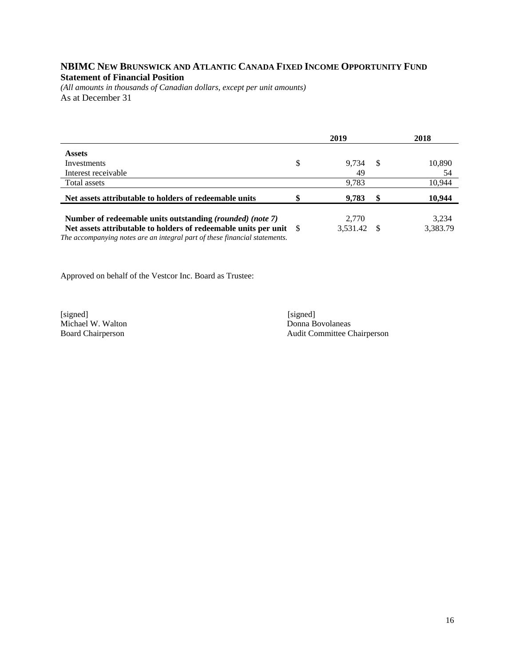## **NBIMC NEW BRUNSWICK AND ATLANTIC CANADA FIXED INCOME OPPORTUNITY FUND Statement of Financial Position**

*(All amounts in thousands of Canadian dollars, except per unit amounts)*  As at December 31

|                                                                                                                                                                                                                      | 2019 |                   |    | 2018              |  |
|----------------------------------------------------------------------------------------------------------------------------------------------------------------------------------------------------------------------|------|-------------------|----|-------------------|--|
| <b>Assets</b>                                                                                                                                                                                                        |      |                   |    |                   |  |
| Investments                                                                                                                                                                                                          | \$   | 9.734             | -8 | 10,890            |  |
| Interest receivable                                                                                                                                                                                                  |      | 49                |    | 54                |  |
| Total assets                                                                                                                                                                                                         |      | 9,783             |    | 10,944            |  |
| Net assets attributable to holders of redeemable units                                                                                                                                                               |      | 9,783             | \$ | 10,944            |  |
| Number of redeemable units outstanding <i>(rounded) (note 7)</i><br>Net assets attributable to holders of redeemable units per unit \$<br>The accompanying notes are an integral part of these financial statements. |      | 2.770<br>3.531.42 |    | 3.234<br>3,383.79 |  |

Approved on behalf of the Vestcor Inc. Board as Trustee:

[signed] [signed] [signed] [signed] [signed] [signed] [signed] [signed] [signed] [signed] [signed] [Signed] [Signed] [Signed] [Signed] [Signed] [Signed] [Signed] [Signed] [Signed] [Signed] [Signed] [Signed] [Signed] [Signe Michael W. Walton<br>Board Chairperson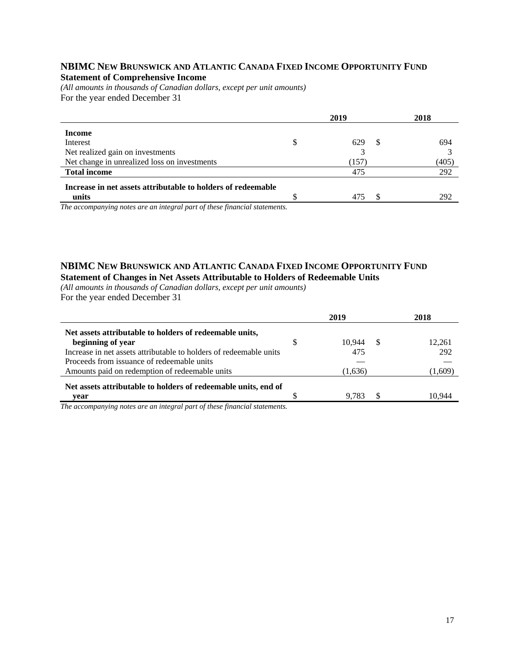#### **NBIMC NEW BRUNSWICK AND ATLANTIC CANADA FIXED INCOME OPPORTUNITY FUND Statement of Comprehensive Income**

*(All amounts in thousands of Canadian dollars, except per unit amounts)*  For the year ended December 31

|                                                              |   | 2019       | 2018  |
|--------------------------------------------------------------|---|------------|-------|
| Income                                                       |   |            |       |
| Interest                                                     | S | 629<br>-SS | 694   |
| Net realized gain on investments                             |   |            |       |
| Net change in unrealized loss on investments                 |   | (157)      | (405) |
| <b>Total income</b>                                          |   | 475        | 292   |
| Increase in net assets attributable to holders of redeemable |   |            |       |
| units                                                        |   | 475        | 292   |

*The accompanying notes are an integral part of these financial statements.*

#### **NBIMC NEW BRUNSWICK AND ATLANTIC CANADA FIXED INCOME OPPORTUNITY FUND Statement of Changes in Net Assets Attributable to Holders of Redeemable Units**

*(All amounts in thousands of Canadian dollars, except per unit amounts)*  For the year ended December 31

|                                                                          |   | 2019    | 2018    |
|--------------------------------------------------------------------------|---|---------|---------|
| Net assets attributable to holders of redeemable units,                  |   |         |         |
| beginning of year                                                        | S | 10.944  | 12.261  |
| Increase in net assets attributable to holders of redeemable units       |   | 475     | 292     |
| Proceeds from issuance of redeemable units                               |   |         |         |
| Amounts paid on redemption of redeemable units                           |   | (1,636) | (1,609) |
| Net assets attributable to holders of redeemable units, end of           |   |         |         |
| vear                                                                     |   | 9.783   | 10.944  |
| The generalizer notes are an integral part of these financial statements |   |         |         |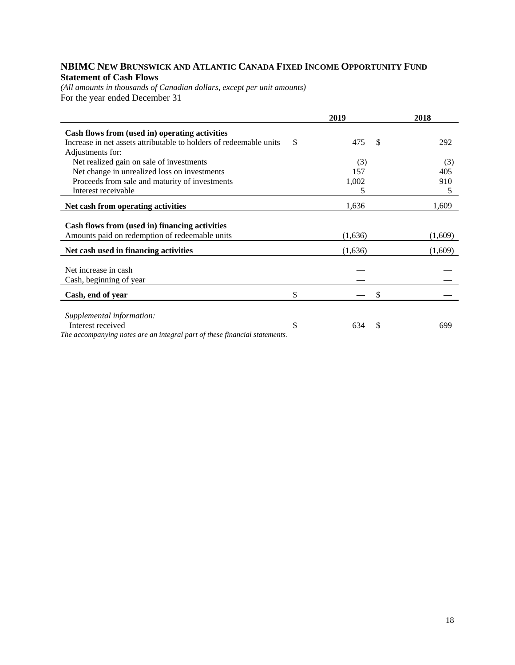# **NBIMC NEW BRUNSWICK AND ATLANTIC CANADA FIXED INCOME OPPORTUNITY FUND Statement of Cash Flows**

*(All amounts in thousands of Canadian dollars, except per unit amounts)*  For the year ended December 31

|                                                                            | 2019             | 2018    |
|----------------------------------------------------------------------------|------------------|---------|
| Cash flows from (used in) operating activities                             |                  |         |
| Increase in net assets attributable to holders of redeemable units         | \$<br>475<br>\$  | 292     |
| Adjustments for:                                                           |                  |         |
| Net realized gain on sale of investments                                   | (3)              | (3)     |
| Net change in unrealized loss on investments                               | 157              | 405     |
| Proceeds from sale and maturity of investments                             | 1,002            | 910     |
| Interest receivable                                                        | 5                | 5       |
| Net cash from operating activities                                         | 1,636            | 1,609   |
| Cash flows from (used in) financing activities                             |                  |         |
| Amounts paid on redemption of redeemable units                             | (1,636)          | (1,609) |
| Net cash used in financing activities                                      | (1,636)          | (1,609) |
|                                                                            |                  |         |
| Net increase in cash                                                       |                  |         |
| Cash, beginning of year                                                    |                  |         |
| Cash, end of year                                                          | \$<br>S          |         |
|                                                                            |                  |         |
| Supplemental information:<br>Interest received                             | \$<br>634<br>\$. | 699     |
| The accompanying notes are an integral part of these financial statements. |                  |         |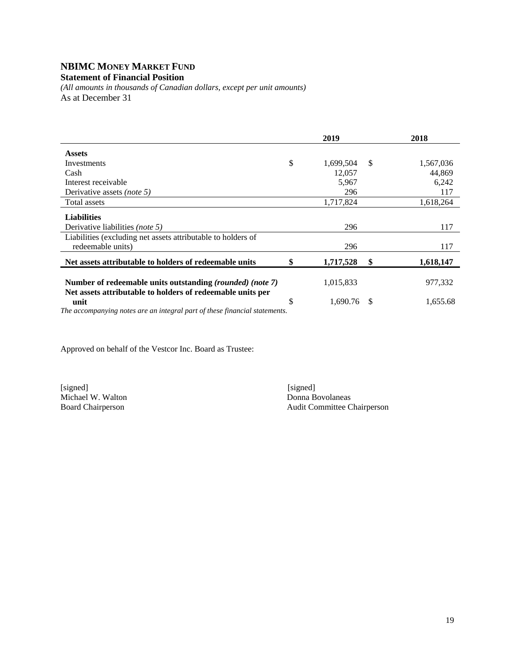# **NBIMC MONEY MARKET FUND**

**Statement of Financial Position** 

*(All amounts in thousands of Canadian dollars, except per unit amounts)*  As at December 31

|                                                                                                                                                |    | 2019      |              | 2018      |
|------------------------------------------------------------------------------------------------------------------------------------------------|----|-----------|--------------|-----------|
| <b>Assets</b>                                                                                                                                  |    |           |              |           |
| Investments                                                                                                                                    | \$ | 1,699,504 | $\mathbb{S}$ | 1,567,036 |
| Cash                                                                                                                                           |    | 12,057    |              | 44,869    |
| Interest receivable                                                                                                                            |    | 5,967     |              | 6,242     |
| Derivative assets <i>(note 5)</i>                                                                                                              |    | 296       |              | 117       |
| <b>Total assets</b>                                                                                                                            |    | 1,717,824 |              | 1,618,264 |
| <b>Liabilities</b>                                                                                                                             |    |           |              |           |
| Derivative liabilities <i>(note 5)</i>                                                                                                         |    | 296       |              | 117       |
| Liabilities (excluding net assets attributable to holders of                                                                                   |    |           |              |           |
| redeemable units)                                                                                                                              |    | 296       |              | 117       |
| Net assets attributable to holders of redeemable units                                                                                         | S  | 1,717,528 | \$           | 1,618,147 |
| Number of redeemable units outstanding (rounded) (note 7)                                                                                      |    | 1,015,833 |              | 977,332   |
| Net assets attributable to holders of redeemable units per<br>unit<br>The generalizer notes are an integral part of these financial statements | \$ | 1.690.76  | \$.          | 1,655.68  |

*The accompanying notes are an integral part of these financial statements.* 

Approved on behalf of the Vestcor Inc. Board as Trustee:

[signed] [signed] [signed] [signed] [signed] [signed] [signed] [signed] [signed] [signed] [signed] [ Michael W. Walton<br>Board Chairperson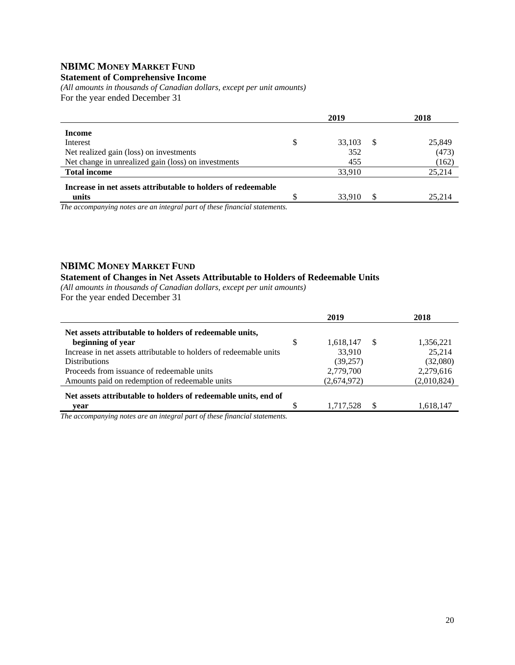# **NBIMC MONEY MARKET FUND**

### **Statement of Comprehensive Income**

*(All amounts in thousands of Canadian dollars, except per unit amounts)*  For the year ended December 31

|                                                              |   | 2019   |    | 2018   |
|--------------------------------------------------------------|---|--------|----|--------|
| Income                                                       |   |        |    |        |
| Interest                                                     | S | 33,103 | -S | 25,849 |
| Net realized gain (loss) on investments                      |   | 352    |    | (473)  |
| Net change in unrealized gain (loss) on investments          |   | 455    |    | (162)  |
| <b>Total income</b>                                          |   | 33,910 |    | 25,214 |
| Increase in net assets attributable to holders of redeemable |   |        |    |        |
| units                                                        |   | 33.910 |    | 25.214 |

*The accompanying notes are an integral part of these financial statements.*

#### **NBIMC MONEY MARKET FUND**

#### **Statement of Changes in Net Assets Attributable to Holders of Redeemable Units**

*(All amounts in thousands of Canadian dollars, except per unit amounts)*  For the year ended December 31

|                                                                    | 2019                  | 2018        |
|--------------------------------------------------------------------|-----------------------|-------------|
| Net assets attributable to holders of redeemable units,            |                       |             |
| beginning of year                                                  | \$<br>1,618,147<br>-S | 1,356,221   |
| Increase in net assets attributable to holders of redeemable units | 33.910                | 25.214      |
| <b>Distributions</b>                                               | (39, 257)             | (32,080)    |
| Proceeds from issuance of redeemable units                         | 2,779,700             | 2,279,616   |
| Amounts paid on redemption of redeemable units                     | (2,674,972)           | (2,010,824) |
| Net assets attributable to holders of redeemable units, end of     |                       |             |
| vear                                                               | -S<br>1,717,528       | 1,618,147   |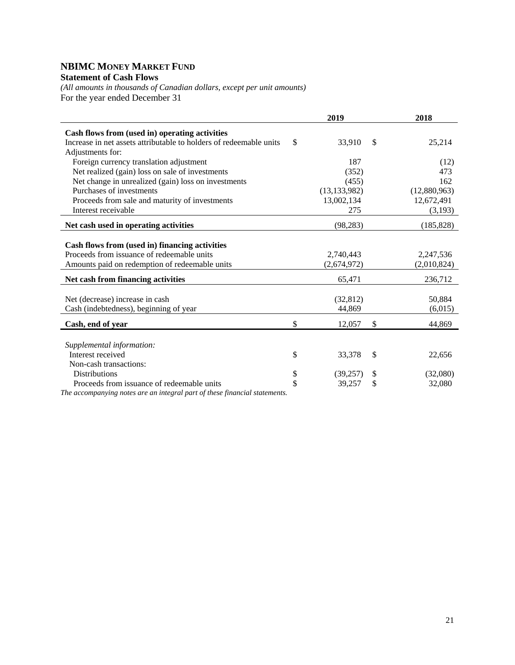### **NBIMC MONEY MARKET FUND Statement of Cash Flows**

*(All amounts in thousands of Canadian dollars, except per unit amounts)*  For the year ended December 31

|                                                                            |                    | 2019           | 2018           |
|----------------------------------------------------------------------------|--------------------|----------------|----------------|
| Cash flows from (used in) operating activities                             |                    |                |                |
| Increase in net assets attributable to holders of redeemable units         | \$                 | 33,910         | \$<br>25,214   |
| Adjustments for:                                                           |                    |                |                |
| Foreign currency translation adjustment                                    |                    | 187            | (12)           |
| Net realized (gain) loss on sale of investments                            |                    | (352)          | 473            |
| Net change in unrealized (gain) loss on investments                        |                    | (455)          | 162            |
| Purchases of investments                                                   |                    | (13, 133, 982) | (12,880,963)   |
| Proceeds from sale and maturity of investments                             |                    | 13,002,134     | 12,672,491     |
| Interest receivable                                                        |                    | 275            | (3,193)        |
| Net cash used in operating activities                                      |                    | (98, 283)      | (185, 828)     |
|                                                                            |                    |                |                |
| Cash flows from (used in) financing activities                             |                    |                |                |
| Proceeds from issuance of redeemable units                                 |                    | 2,740,443      | 2,247,536      |
| Amounts paid on redemption of redeemable units                             |                    | (2,674,972)    | (2,010,824)    |
| Net cash from financing activities                                         |                    | 65,471         | 236,712        |
|                                                                            |                    |                |                |
| Net (decrease) increase in cash                                            |                    | (32, 812)      | 50,884         |
| Cash (indebtedness), beginning of year                                     |                    | 44,869         | (6,015)        |
| Cash, end of year                                                          | \$                 | 12,057         | \$<br>44,869   |
|                                                                            |                    |                |                |
| Supplemental information:                                                  |                    |                |                |
| Interest received                                                          | \$                 | 33,378         | \$<br>22,656   |
| Non-cash transactions:                                                     |                    |                |                |
| <b>Distributions</b>                                                       | \$                 | (39,257)       | \$<br>(32,080) |
| Proceeds from issuance of redeemable units                                 | $\mathbf{\hat{S}}$ | 39,257         | \$<br>32,080   |
| The accompanying notes are an integral part of these financial statements. |                    |                |                |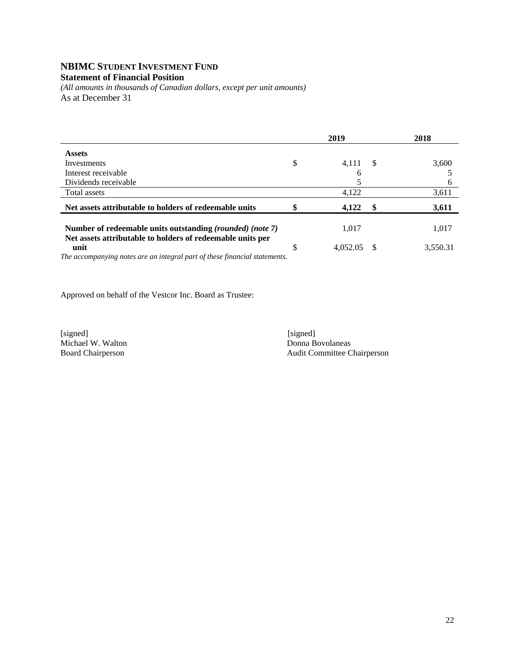# **NBIMC STUDENT INVESTMENT FUND**

### **Statement of Financial Position**

*(All amounts in thousands of Canadian dollars, except per unit amounts)*  As at December 31

|                                                                                                                                          |         | 2019     |          | 2018     |
|------------------------------------------------------------------------------------------------------------------------------------------|---------|----------|----------|----------|
| <b>Assets</b>                                                                                                                            |         |          |          |          |
| Investments                                                                                                                              | \$      | 4,111    | -S       | 3.600    |
| Interest receivable                                                                                                                      |         | 6        |          |          |
| Dividends receivable                                                                                                                     |         |          |          | 6        |
| Total assets                                                                                                                             |         | 4,122    |          | 3,611    |
| Net assets attributable to holders of redeemable units                                                                                   |         | 4,122    | S        | 3,611    |
| Number of redeemable units outstanding <i>(rounded) (note 7)</i>                                                                         |         | 1.017    |          | 1,017    |
| unit                                                                                                                                     | ¢<br>J. | 4,052.05 | <b>S</b> | 3.550.31 |
| Net assets attributable to holders of redeemable units per<br>The accompanying notes are an integral part of these financial statements. |         |          |          |          |

Approved on behalf of the Vestcor Inc. Board as Trustee:

[signed] [signed] [signed] [signed] [signed] [signed] [signed] [signed] [signed] [signed] [signed] [Signed] [Signed] [Signed] [Signed] [Signed] [Signed] [Signed] [Signed] [Signed] [Signed] [Signed] [Signed] [Signed] [Signe Michael W. Walton<br>Board Chairperson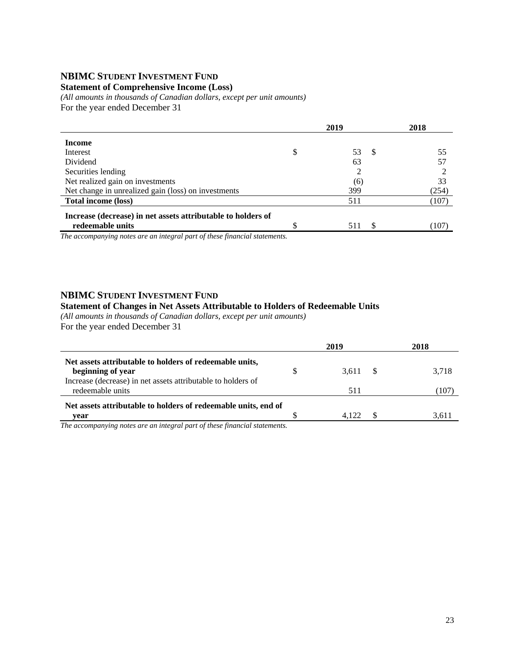#### **NBIMC STUDENT INVESTMENT FUND**

#### **Statement of Comprehensive Income (Loss)**

*(All amounts in thousands of Canadian dollars, except per unit amounts)*  For the year ended December 31

|                                                              | 2019           | 2018  |
|--------------------------------------------------------------|----------------|-------|
| Income                                                       |                |       |
| Interest                                                     | \$<br>53<br>-8 | 55    |
| Dividend                                                     | 63             | 57    |
| Securities lending                                           | 2              |       |
| Net realized gain on investments                             | (6)            | 33    |
| Net change in unrealized gain (loss) on investments          | 399            | (254) |
| <b>Total income (loss)</b>                                   | 511            | (107) |
| Increase (decrease) in net assets attributable to holders of |                |       |
| redeemable units                                             | -S<br>511      | (107) |

*The accompanying notes are an integral part of these financial statements.*

#### **NBIMC STUDENT INVESTMENT FUND**

#### **Statement of Changes in Net Assets Attributable to Holders of Redeemable Units**

*(All amounts in thousands of Canadian dollars, except per unit amounts)*  For the year ended December 31

|                                                                                  |   | 2019     | 2018  |
|----------------------------------------------------------------------------------|---|----------|-------|
| Net assets attributable to holders of redeemable units,<br>beginning of year     | S | 3.611 \$ | 3.718 |
| Increase (decrease) in net assets attributable to holders of<br>redeemable units |   | 511      | 107   |
| Net assets attributable to holders of redeemable units, end of                   |   |          |       |
| vear                                                                             |   | 4 1 2 2  |       |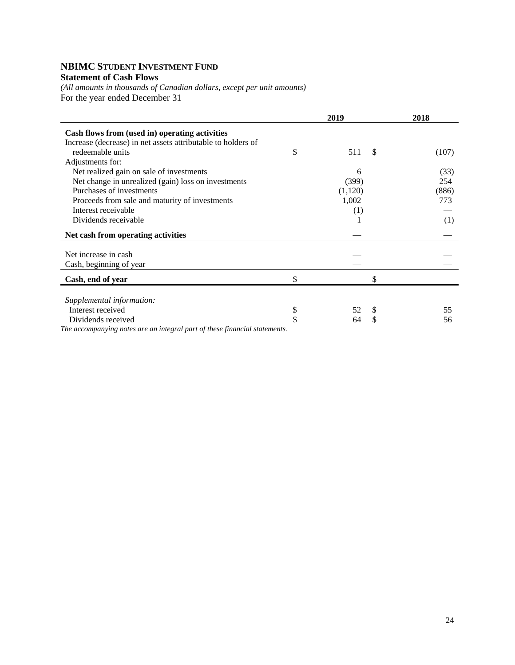# **NBIMC STUDENT INVESTMENT FUND**

# **Statement of Cash Flows**

*(All amounts in thousands of Canadian dollars, except per unit amounts)*  For the year ended December 31

|                                                                            | 2019            | 2018  |
|----------------------------------------------------------------------------|-----------------|-------|
| Cash flows from (used in) operating activities                             |                 |       |
| Increase (decrease) in net assets attributable to holders of               |                 |       |
| redeemable units                                                           | \$<br>511<br>\$ | (107) |
| Adjustments for:                                                           |                 |       |
| Net realized gain on sale of investments                                   | 6               | (33)  |
| Net change in unrealized (gain) loss on investments                        | (399)           | 254   |
| Purchases of investments                                                   | (1,120)         | (886) |
| Proceeds from sale and maturity of investments                             | 1,002           | 773   |
| Interest receivable                                                        | (1)             |       |
| Dividends receivable                                                       |                 | (1)   |
| Net cash from operating activities                                         |                 |       |
|                                                                            |                 |       |
| Net increase in cash                                                       |                 |       |
| Cash, beginning of year                                                    |                 |       |
| Cash, end of year                                                          | \$<br>S         |       |
|                                                                            |                 |       |
| Supplemental information:                                                  |                 |       |
| Interest received                                                          | \$<br>52<br>\$  | 55    |
| Dividends received                                                         | \$<br>\$<br>64  | 56    |
| The accompanying notes are an integral part of these financial statements. |                 |       |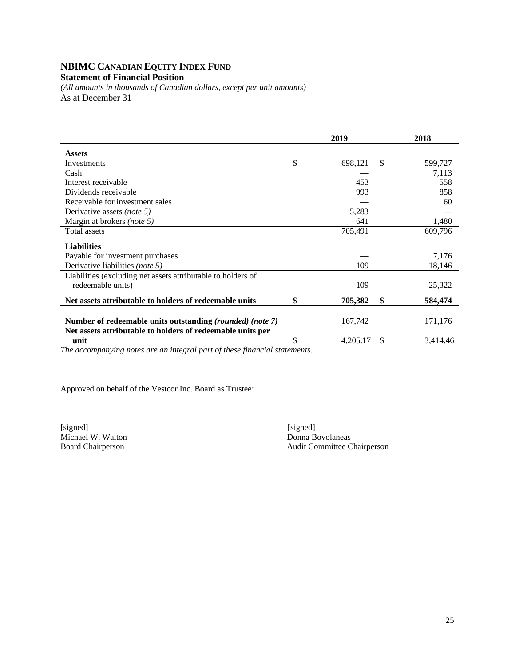# **NBIMC CANADIAN EQUITY INDEX FUND**

# **Statement of Financial Position**

*(All amounts in thousands of Canadian dollars, except per unit amounts)*  As at December 31

|                                                                                                                         |    | 2019     |    | 2018     |
|-------------------------------------------------------------------------------------------------------------------------|----|----------|----|----------|
| <b>Assets</b>                                                                                                           |    |          |    |          |
| Investments                                                                                                             | \$ | 698,121  | \$ | 599,727  |
| Cash                                                                                                                    |    |          |    | 7,113    |
| Interest receivable                                                                                                     |    | 453      |    | 558      |
| Dividends receivable                                                                                                    |    | 993      |    | 858      |
| Receivable for investment sales                                                                                         |    |          |    | 60       |
| Derivative assets <i>(note 5)</i>                                                                                       |    | 5,283    |    |          |
| Margin at brokers (note 5)                                                                                              |    | 641      |    | 1,480    |
| Total assets                                                                                                            |    | 705,491  |    | 609,796  |
| <b>Liabilities</b>                                                                                                      |    |          |    |          |
| Payable for investment purchases                                                                                        |    |          |    | 7,176    |
| Derivative liabilities (note 5)                                                                                         |    | 109      |    | 18,146   |
| Liabilities (excluding net assets attributable to holders of                                                            |    |          |    |          |
| redeemable units)                                                                                                       |    | 109      |    | 25,322   |
| Net assets attributable to holders of redeemable units                                                                  | \$ | 705,382  | \$ | 584,474  |
| Number of redeemable units outstanding (rounded) (note 7)<br>Net assets attributable to holders of redeemable units per |    | 167,742  |    | 171,176  |
| unit                                                                                                                    | S  | 4,205.17 | S  | 3,414.46 |

*The accompanying notes are an integral part of these financial statements.* 

Approved on behalf of the Vestcor Inc. Board as Trustee:

[signed] [signed] Michael W. Walton Donna Bovolaneas<br>Board Chairperson Audit Committee C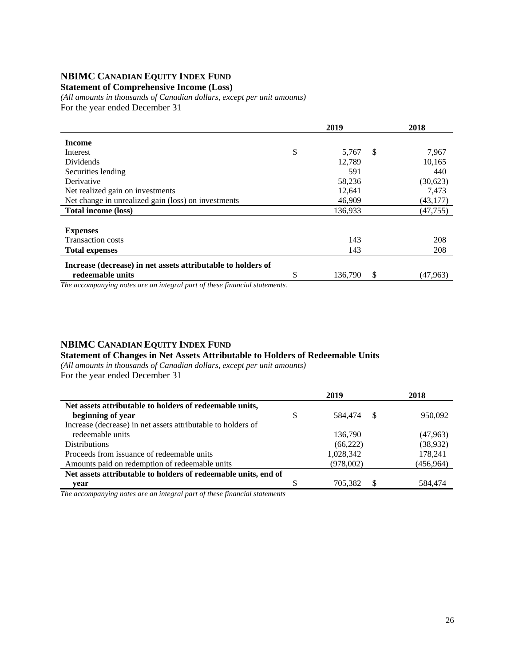### **NBIMC CANADIAN EQUITY INDEX FUND**

#### **Statement of Comprehensive Income (Loss)**

*(All amounts in thousands of Canadian dollars, except per unit amounts)*  For the year ended December 31

|                                                              | 2019                | 2018      |
|--------------------------------------------------------------|---------------------|-----------|
| <b>Income</b>                                                |                     |           |
| Interest                                                     | \$<br>5,767<br>-S   | 7,967     |
| <b>Dividends</b>                                             | 12,789              | 10,165    |
| Securities lending                                           | 591                 | 440       |
| Derivative                                                   | 58,236              | (30,623)  |
| Net realized gain on investments                             | 12,641              | 7,473     |
| Net change in unrealized gain (loss) on investments          | 46,909              | (43, 177) |
| <b>Total income (loss)</b>                                   | 136,933             | (47, 755) |
|                                                              |                     |           |
| <b>Expenses</b>                                              |                     |           |
| <b>Transaction costs</b>                                     | 143                 | 208       |
| <b>Total expenses</b>                                        | 143                 | 208       |
| Increase (decrease) in net assets attributable to holders of |                     |           |
| redeemable units                                             | \$<br>136,790<br>\$ | (47,963)  |

*The accompanying notes are an integral part of these financial statements.*

### **NBIMC CANADIAN EQUITY INDEX FUND**

#### **Statement of Changes in Net Assets Attributable to Holders of Redeemable Units**

*(All amounts in thousands of Canadian dollars, except per unit amounts)*  For the year ended December 31

|                                                                | 2019 |           |          | 2018       |
|----------------------------------------------------------------|------|-----------|----------|------------|
| Net assets attributable to holders of redeemable units,        |      |           |          |            |
| beginning of year                                              | \$   | 584,474   | <b>S</b> | 950,092    |
| Increase (decrease) in net assets attributable to holders of   |      |           |          |            |
| redeemable units                                               |      | 136,790   |          | (47,963)   |
| <b>Distributions</b>                                           |      | (66, 222) |          | (38, 932)  |
| Proceeds from issuance of redeemable units                     |      | 1,028,342 |          | 178,241    |
| Amounts paid on redemption of redeemable units                 |      | (978,002) |          | (456, 964) |
| Net assets attributable to holders of redeemable units, end of |      |           |          |            |
| vear                                                           |      | 705,382   |          | 584.474    |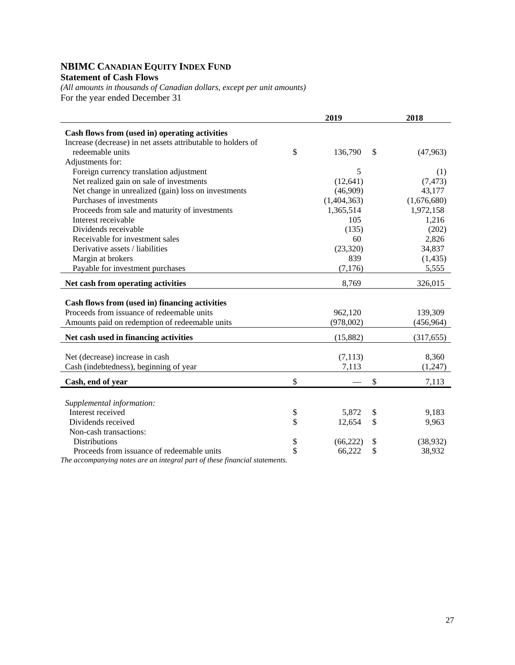# **NBIMC CANADIAN EQUITY INDEX FUND Statement of Cash Flows**

*(All amounts in thousands of Canadian dollars, except per unit amounts)*  For the year ended December 31

|                                                              | 2019            | 2018            |
|--------------------------------------------------------------|-----------------|-----------------|
| Cash flows from (used in) operating activities               |                 |                 |
| Increase (decrease) in net assets attributable to holders of |                 |                 |
| redeemable units                                             | \$<br>136,790   | \$<br>(47,963)  |
| Adjustments for:                                             |                 |                 |
| Foreign currency translation adjustment                      | 5               | (1)             |
| Net realized gain on sale of investments                     | (12, 641)       | (7, 473)        |
| Net change in unrealized (gain) loss on investments          | (46,909)        | 43,177          |
| Purchases of investments                                     | (1,404,363)     | (1,676,680)     |
| Proceeds from sale and maturity of investments               | 1,365,514       | 1,972,158       |
| Interest receivable                                          | 105             | 1,216           |
| Dividends receivable                                         | (135)           | (202)           |
| Receivable for investment sales                              | 60              | 2,826           |
| Derivative assets / liabilities                              | (23, 320)       | 34,837          |
| Margin at brokers                                            | 839             | (1, 435)        |
| Payable for investment purchases                             | (7,176)         | 5,555           |
|                                                              |                 |                 |
| Net cash from operating activities                           | 8,769           | 326,015         |
| Cash flows from (used in) financing activities               |                 |                 |
| Proceeds from issuance of redeemable units                   | 962,120         | 139,309         |
| Amounts paid on redemption of redeemable units               | (978,002)       | (456, 964)      |
|                                                              |                 |                 |
| Net cash used in financing activities                        | (15,882)        | (317, 655)      |
|                                                              |                 |                 |
| Net (decrease) increase in cash                              | (7, 113)        | 8,360           |
| Cash (indebtedness), beginning of year                       | 7,113           | (1,247)         |
| Cash, end of year                                            | \$              | \$<br>7,113     |
|                                                              |                 |                 |
| Supplemental information:                                    |                 |                 |
| Interest received                                            | \$<br>5,872     | \$<br>9,183     |
| Dividends received                                           | \$<br>12,654    | \$<br>9,963     |
| Non-cash transactions:                                       |                 |                 |
| <b>Distributions</b>                                         | \$<br>(66, 222) | \$<br>(38, 932) |
| Proceeds from issuance of redeemable units                   | \$<br>66,222    | \$<br>38,932    |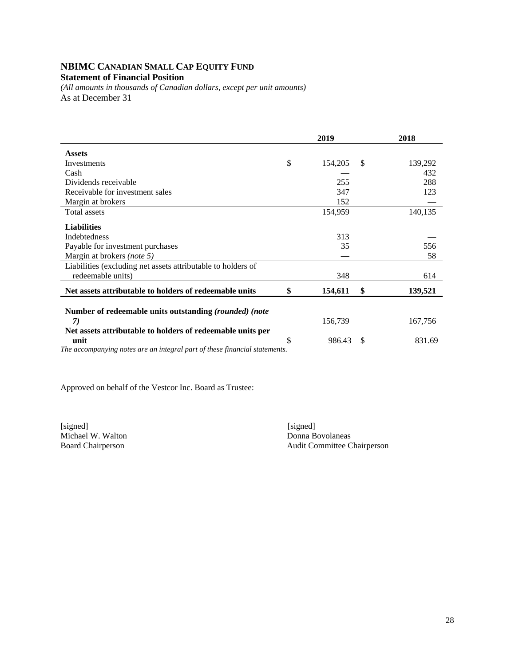# **NBIMC CANADIAN SMALL CAP EQUITY FUND**

# **Statement of Financial Position**

*(All amounts in thousands of Canadian dollars, except per unit amounts)*  As at December 31

|                                                                            | 2019          |               | 2018    |
|----------------------------------------------------------------------------|---------------|---------------|---------|
| <b>Assets</b>                                                              |               |               |         |
| Investments                                                                | \$<br>154,205 | <sup>\$</sup> | 139,292 |
| Cash                                                                       |               |               | 432     |
| Dividends receivable                                                       | 255           |               | 288     |
| Receivable for investment sales                                            | 347           |               | 123     |
| Margin at brokers                                                          | 152           |               |         |
| Total assets                                                               | 154,959       |               | 140,135 |
| <b>Liabilities</b>                                                         |               |               |         |
| <b>Indebtedness</b>                                                        | 313           |               |         |
| Payable for investment purchases                                           | 35            |               | 556     |
| Margin at brokers (note 5)                                                 |               |               | 58      |
| Liabilities (excluding net assets attributable to holders of               |               |               |         |
| redeemable units)                                                          | 348           |               | 614     |
| Net assets attributable to holders of redeemable units                     | \$<br>154,611 | \$            | 139,521 |
|                                                                            |               |               |         |
| Number of redeemable units outstanding (rounded) (note                     |               |               |         |
| 7)                                                                         | 156,739       |               | 167,756 |
| Net assets attributable to holders of redeemable units per                 |               |               |         |
| unit                                                                       | \$<br>986.43  | S             | 831.69  |
| The accompanying notes are an integral part of these financial statements. |               |               |         |

Approved on behalf of the Vestcor Inc. Board as Trustee:

[signed] [signed] [signed] [signed] [signed] [signed] [signed] [signed] [signed] [signed] [signed] [Signed] [Signed] [Signed] [Signed] [Signed] [Signed] [Signed] [Signed] [Signed] [Signed] [Signed] [Signed] [Signed] [Signe Michael W. Walton<br>Board Chairperson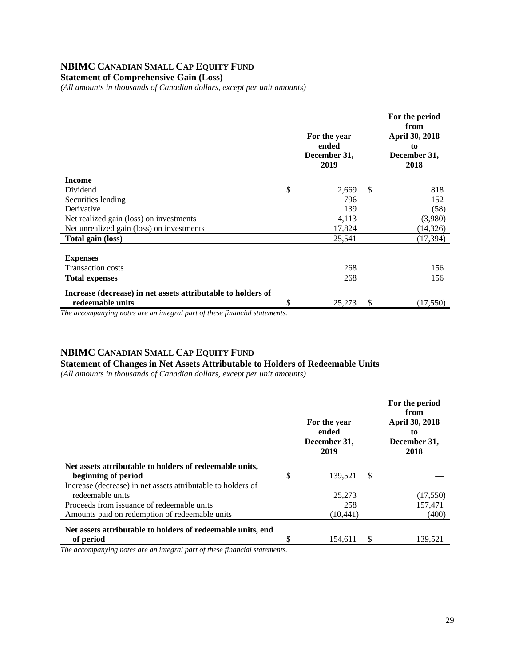# **NBIMC CANADIAN SMALL CAP EQUITY FUND**

**Statement of Comprehensive Gain (Loss)** 

*(All amounts in thousands of Canadian dollars, except per unit amounts)* 

|                                                              | For the year<br>ended<br>December 31,<br>2019 | For the period<br>from<br>April 30, 2018<br>to<br>December 31,<br>2018 |
|--------------------------------------------------------------|-----------------------------------------------|------------------------------------------------------------------------|
| <b>Income</b>                                                |                                               |                                                                        |
| Dividend                                                     | \$<br>2,669                                   | \$<br>818                                                              |
| Securities lending                                           | 796                                           | 152                                                                    |
| Derivative                                                   | 139                                           | (58)                                                                   |
| Net realized gain (loss) on investments                      | 4,113                                         | (3,980)                                                                |
| Net unrealized gain (loss) on investments                    | 17,824                                        | (14,326)                                                               |
| Total gain (loss)                                            | 25,541                                        | (17, 394)                                                              |
|                                                              |                                               |                                                                        |
| <b>Expenses</b>                                              |                                               |                                                                        |
| <b>Transaction costs</b>                                     | 268                                           | 156                                                                    |
| <b>Total expenses</b>                                        | 268                                           | 156                                                                    |
| Increase (decrease) in net assets attributable to holders of |                                               |                                                                        |
| redeemable units                                             | \$<br>25,273                                  | \$<br>(17,550)                                                         |

*The accompanying notes are an integral part of these financial statements.*

#### **NBIMC CANADIAN SMALL CAP EQUITY FUND**

#### **Statement of Changes in Net Assets Attributable to Holders of Redeemable Units**

*(All amounts in thousands of Canadian dollars, except per unit amounts)* 

|                                                                                              | For the year<br>ended<br>December 31,<br>2019 |     | For the period<br>from<br><b>April 30, 2018</b><br>to<br>December 31,<br>2018 |
|----------------------------------------------------------------------------------------------|-----------------------------------------------|-----|-------------------------------------------------------------------------------|
| Net assets attributable to holders of redeemable units,<br>beginning of period               | \$<br>139,521                                 | -S  |                                                                               |
| Increase (decrease) in net assets attributable to holders of<br>redeemable units             | 25,273                                        |     | (17,550)                                                                      |
| Proceeds from issuance of redeemable units<br>Amounts paid on redemption of redeemable units | 258<br>(10, 441)                              |     | 157.471<br>(400)                                                              |
| Net assets attributable to holders of redeemable units, end<br>of period                     | 154,611                                       | \$. | 139,521                                                                       |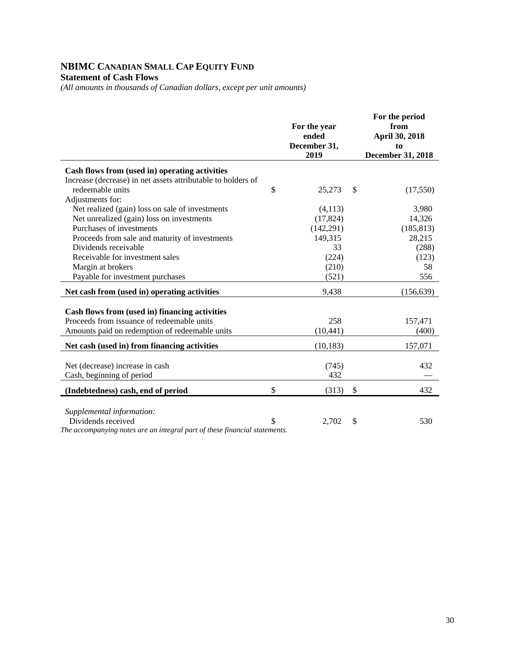# **NBIMC CANADIAN SMALL CAP EQUITY FUND**

**Statement of Cash Flows** 

*(All amounts in thousands of Canadian dollars, except per unit amounts)* 

|                                                                            | For the year<br>ended<br>December 31,<br>2019 | For the period<br>from<br>April 30, 2018<br>to<br><b>December 31, 2018</b> |
|----------------------------------------------------------------------------|-----------------------------------------------|----------------------------------------------------------------------------|
| Cash flows from (used in) operating activities                             |                                               |                                                                            |
| Increase (decrease) in net assets attributable to holders of               |                                               |                                                                            |
| redeemable units                                                           | \$<br>25,273                                  | \$<br>(17,550)                                                             |
| Adjustments for:                                                           |                                               |                                                                            |
| Net realized (gain) loss on sale of investments                            | (4,113)                                       | 3,980                                                                      |
| Net unrealized (gain) loss on investments                                  | (17, 824)                                     | 14,326                                                                     |
| Purchases of investments                                                   | (142, 291)                                    | (185, 813)                                                                 |
| Proceeds from sale and maturity of investments                             | 149,315                                       | 28,215                                                                     |
| Dividends receivable                                                       | 33                                            | (288)                                                                      |
| Receivable for investment sales                                            | (224)                                         | (123)                                                                      |
| Margin at brokers                                                          | (210)                                         | 58                                                                         |
| Payable for investment purchases                                           | (521)                                         | 556                                                                        |
| Net cash from (used in) operating activities                               | 9,438                                         | (156, 639)                                                                 |
|                                                                            |                                               |                                                                            |
| Cash flows from (used in) financing activities                             |                                               |                                                                            |
| Proceeds from issuance of redeemable units                                 | 258                                           | 157,471                                                                    |
| Amounts paid on redemption of redeemable units                             | (10, 441)                                     | (400)                                                                      |
| Net cash (used in) from financing activities                               | (10, 183)                                     | 157,071                                                                    |
| Net (decrease) increase in cash                                            | (745)                                         | 432                                                                        |
| Cash, beginning of period                                                  | 432                                           |                                                                            |
|                                                                            | \$<br>(313)                                   | \$<br>432                                                                  |
| (Indebtedness) cash, end of period                                         |                                               |                                                                            |
| Supplemental information:                                                  |                                               |                                                                            |
| Dividends received                                                         | \$<br>2,702                                   | \$<br>530                                                                  |
| The accompanying notes are an integral part of these financial statements. |                                               |                                                                            |

30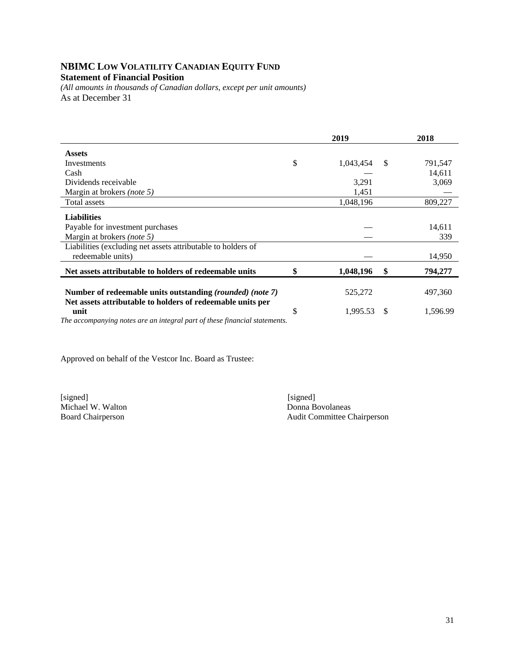### **NBIMC LOW VOLATILITY CANADIAN EQUITY FUND Statement of Financial Position**

*(All amounts in thousands of Canadian dollars, except per unit amounts)*  As at December 31

|                                                                                                                                    | 2019 |           |               | 2018     |  |
|------------------------------------------------------------------------------------------------------------------------------------|------|-----------|---------------|----------|--|
| <b>Assets</b>                                                                                                                      |      |           |               |          |  |
| Investments                                                                                                                        | \$   | 1,043,454 | <sup>\$</sup> | 791,547  |  |
| Cash                                                                                                                               |      |           |               | 14,611   |  |
| Dividends receivable                                                                                                               |      | 3,291     |               | 3,069    |  |
| Margin at brokers (note 5)                                                                                                         |      | 1,451     |               |          |  |
| Total assets                                                                                                                       |      | 1,048,196 |               | 809,227  |  |
| <b>Liabilities</b>                                                                                                                 |      |           |               |          |  |
| Payable for investment purchases                                                                                                   |      |           |               | 14,611   |  |
| Margin at brokers (note 5)                                                                                                         |      |           |               | 339      |  |
| Liabilities (excluding net assets attributable to holders of                                                                       |      |           |               |          |  |
| redeemable units)                                                                                                                  |      |           |               | 14,950   |  |
| Net assets attributable to holders of redeemable units                                                                             |      | 1,048,196 | \$            | 794,277  |  |
| Number of redeemable units outstanding (rounded) (note 7)<br>Net assets attributable to holders of redeemable units per            |      | 525,272   |               | 497,360  |  |
| unit<br>$\bm{T}l$ , and consider the contraction of the contraction of the contract $\bm{C}$ , and the contract of the contract of | \$   | 1,995.53  | S             | 1,596.99 |  |

*The accompanying notes are an integral part of these financial statements.* 

Approved on behalf of the Vestcor Inc. Board as Trustee:

[signed] [signed] Michael W. Walton<br>Board Chairperson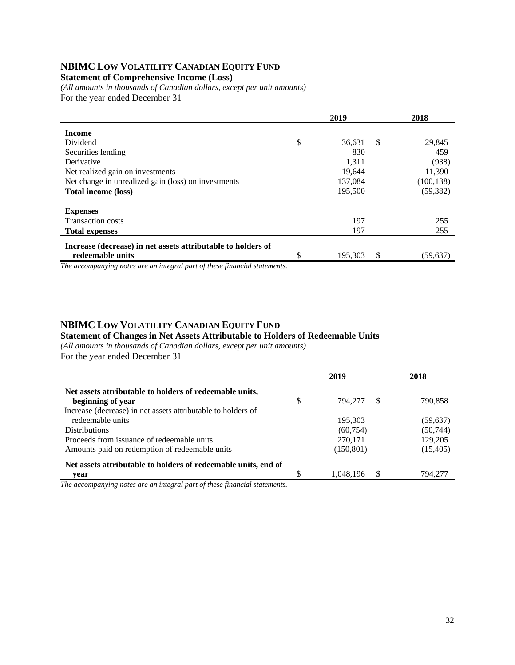## **NBIMC LOW VOLATILITY CANADIAN EQUITY FUND**

#### **Statement of Comprehensive Income (Loss)**

*(All amounts in thousands of Canadian dollars, except per unit amounts)*  For the year ended December 31

|                                                              | 2019 |         |    | 2018       |
|--------------------------------------------------------------|------|---------|----|------------|
| <b>Income</b>                                                |      |         |    |            |
| Dividend                                                     | \$   | 36,631  | \$ | 29,845     |
| Securities lending                                           |      | 830     |    | 459        |
| Derivative                                                   |      | 1,311   |    | (938)      |
| Net realized gain on investments                             |      | 19,644  |    | 11,390     |
| Net change in unrealized gain (loss) on investments          |      | 137,084 |    | (100, 138) |
| <b>Total income (loss)</b>                                   |      | 195,500 |    | (59, 382)  |
|                                                              |      |         |    |            |
| <b>Expenses</b>                                              |      |         |    |            |
| <b>Transaction costs</b>                                     |      | 197     |    | 255        |
| <b>Total expenses</b>                                        |      | 197     |    | 255        |
| Increase (decrease) in net assets attributable to holders of |      |         |    |            |
| redeemable units                                             | \$   | 195,303 | \$ | (59,637)   |

*The accompanying notes are an integral part of these financial statements.*

#### **NBIMC LOW VOLATILITY CANADIAN EQUITY FUND**

#### **Statement of Changes in Net Assets Attributable to Holders of Redeemable Units**

*(All amounts in thousands of Canadian dollars, except per unit amounts)*  For the year ended December 31

|                                                                | 2019          |    | 2018      |
|----------------------------------------------------------------|---------------|----|-----------|
| Net assets attributable to holders of redeemable units,        |               |    |           |
| beginning of year                                              | \$<br>794.277 | S  | 790,858   |
| Increase (decrease) in net assets attributable to holders of   |               |    |           |
| redeemable units                                               | 195.303       |    | (59, 637) |
| <b>Distributions</b>                                           | (60, 754)     |    | (50, 744) |
| Proceeds from issuance of redeemable units                     | 270,171       |    | 129,205   |
| Amounts paid on redemption of redeemable units                 | (150, 801)    |    | (15, 405) |
| Net assets attributable to holders of redeemable units, end of |               |    |           |
| vear                                                           | 1,048,196     | \$ | 794.277   |
|                                                                |               |    |           |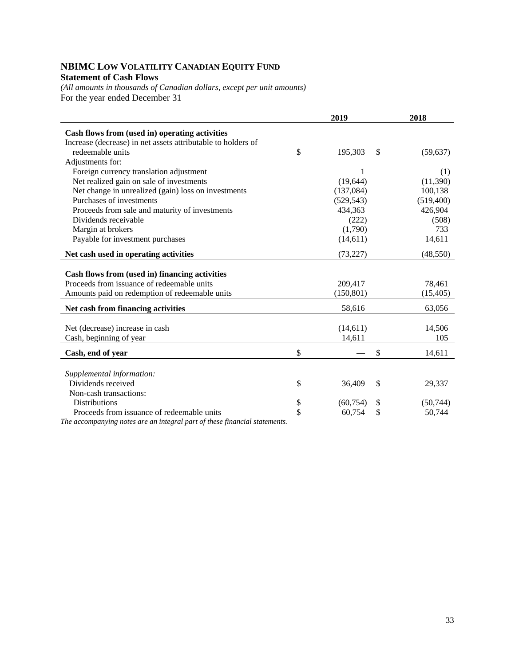### **NBIMC LOW VOLATILITY CANADIAN EQUITY FUND Statement of Cash Flows**

*(All amounts in thousands of Canadian dollars, except per unit amounts)*  For the year ended December 31

|                                                                                | 2019            |    | 2018       |
|--------------------------------------------------------------------------------|-----------------|----|------------|
| Cash flows from (used in) operating activities                                 |                 |    |            |
| Increase (decrease) in net assets attributable to holders of                   |                 |    |            |
| redeemable units                                                               | \$<br>195,303   | -S | (59, 637)  |
| Adjustments for:                                                               |                 |    |            |
| Foreign currency translation adjustment                                        | 1               |    | (1)        |
| Net realized gain on sale of investments                                       | (19, 644)       |    | (11,390)   |
| Net change in unrealized (gain) loss on investments                            | (137,084)       |    | 100,138    |
| Purchases of investments                                                       | (529, 543)      |    | (519, 400) |
| Proceeds from sale and maturity of investments                                 | 434,363         |    | 426,904    |
| Dividends receivable                                                           | (222)           |    | (508)      |
| Margin at brokers                                                              | (1,790)         |    | 733        |
| Payable for investment purchases                                               | (14, 611)       |    | 14,611     |
| Net cash used in operating activities                                          | (73, 227)       |    | (48, 550)  |
| Cash flows from (used in) financing activities                                 |                 |    |            |
| Proceeds from issuance of redeemable units                                     | 209,417         |    | 78,461     |
| Amounts paid on redemption of redeemable units                                 | (150, 801)      |    | (15, 405)  |
| Net cash from financing activities                                             | 58,616          |    | 63,056     |
| Net (decrease) increase in cash                                                | (14, 611)       |    | 14,506     |
| Cash, beginning of year                                                        | 14,611          |    | 105        |
|                                                                                |                 |    |            |
| Cash, end of year                                                              | \$              | \$ | 14,611     |
|                                                                                |                 |    |            |
| Supplemental information:                                                      |                 |    |            |
| Dividends received                                                             | \$<br>36,409    | \$ | 29,337     |
| Non-cash transactions:                                                         |                 |    |            |
| <b>Distributions</b>                                                           | \$<br>(60, 754) | \$ | (50, 744)  |
| Proceeds from issuance of redeemable units                                     | \$<br>60,754    | \$ | 50,744     |
| The generation with a patent and an integral part of these financial statement |                 |    |            |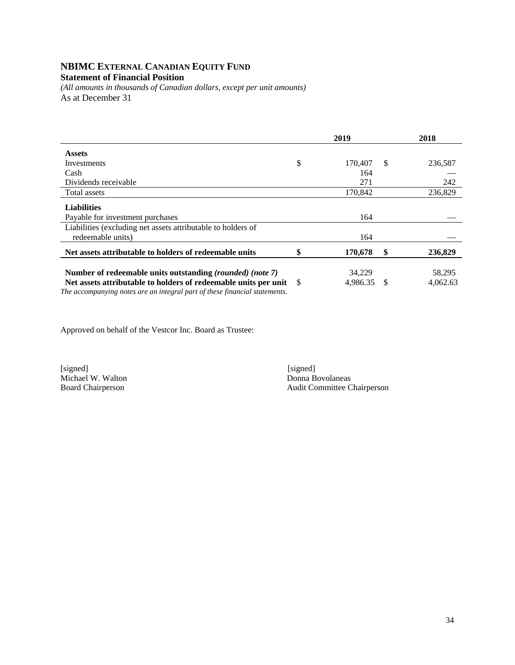# **NBIMC EXTERNAL CANADIAN EQUITY FUND**

## **Statement of Financial Position**

*(All amounts in thousands of Canadian dollars, except per unit amounts)*  As at December 31

|                                                                                                                                                                                                               | 2019 |                    |     | 2018               |  |
|---------------------------------------------------------------------------------------------------------------------------------------------------------------------------------------------------------------|------|--------------------|-----|--------------------|--|
| <b>Assets</b>                                                                                                                                                                                                 |      |                    |     |                    |  |
| Investments                                                                                                                                                                                                   | \$   | 170,407            | S   | 236,587            |  |
| Cash                                                                                                                                                                                                          |      | 164                |     |                    |  |
| Dividends receivable                                                                                                                                                                                          |      | 271                |     | 242                |  |
| Total assets                                                                                                                                                                                                  |      | 170,842            |     | 236,829            |  |
| <b>Liabilities</b><br>Payable for investment purchases                                                                                                                                                        |      | 164                |     |                    |  |
| Liabilities (excluding net assets attributable to holders of<br>redeemable units)                                                                                                                             |      | 164                |     |                    |  |
| Net assets attributable to holders of redeemable units                                                                                                                                                        | \$   | 170,678            | S   | 236,829            |  |
| Number of redeemable units outstanding (rounded) (note 7)<br>Net assets attributable to holders of redeemable units per unit \$<br>The accompanying notes are an integral part of these financial statements. |      | 34.229<br>4.986.35 | \$. | 58,295<br>4,062.63 |  |

Approved on behalf of the Vestcor Inc. Board as Trustee:

[signed] [signed] [signed] [signed] [signed] [signed] [signed] [signed] [signed] [signed] [signed] [Signed] [Signed] [Signed] [Signed] [Signed] [Signed] [Signed] [Signed] [Signed] [Signed] [Signed] [Signed] [Signed] [Signe Michael W. Walton<br>Board Chairperson

Audit Committee Chairperson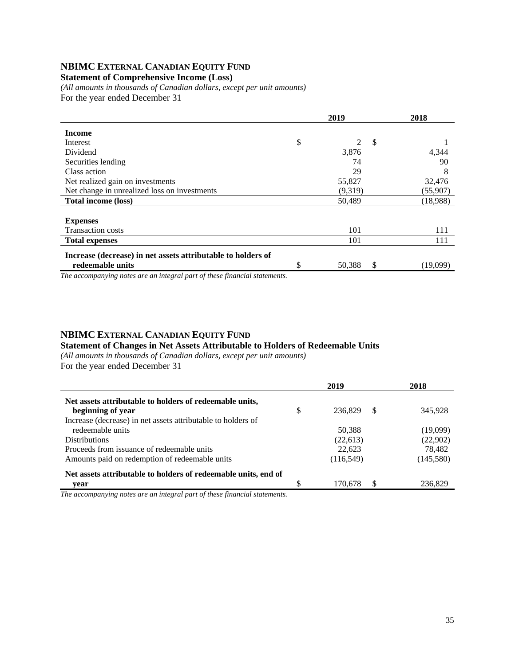## **NBIMC EXTERNAL CANADIAN EQUITY FUND**

#### **Statement of Comprehensive Income (Loss)**

*(All amounts in thousands of Canadian dollars, except per unit amounts)*  For the year ended December 31

|                                                              |    | 2018        |          |
|--------------------------------------------------------------|----|-------------|----------|
| <b>Income</b>                                                |    |             |          |
| Interest                                                     | \$ | S           |          |
| Dividend                                                     |    | 3,876       | 4,344    |
| Securities lending                                           |    | 74          | 90       |
| Class action                                                 |    | 29          | 8        |
| Net realized gain on investments                             |    | 55,827      | 32,476   |
| Net change in unrealized loss on investments                 |    | (9,319)     | (55,907) |
| <b>Total income (loss)</b>                                   |    | 50,489      | (18,988) |
|                                                              |    |             |          |
| <b>Expenses</b>                                              |    |             |          |
| <b>Transaction costs</b>                                     |    | 101         | 111      |
| <b>Total expenses</b>                                        |    | 101         | 111      |
| Increase (decrease) in net assets attributable to holders of |    |             |          |
| redeemable units                                             | \$ | 50,388<br>S | (19,099) |

*The accompanying notes are an integral part of these financial statements.*

#### **NBIMC EXTERNAL CANADIAN EQUITY FUND**

#### **Statement of Changes in Net Assets Attributable to Holders of Redeemable Units**

*(All amounts in thousands of Canadian dollars, except per unit amounts)* 

|                                                                |     | 2019          | 2018       |
|----------------------------------------------------------------|-----|---------------|------------|
| Net assets attributable to holders of redeemable units,        |     |               |            |
| beginning of year                                              | \$  | 236,829<br>-S | 345,928    |
| Increase (decrease) in net assets attributable to holders of   |     |               |            |
| redeemable units                                               |     | 50.388        | (19,099)   |
| <b>Distributions</b>                                           |     | (22,613)      | (22,902)   |
| Proceeds from issuance of redeemable units                     |     | 22,623        | 78,482     |
| Amounts paid on redemption of redeemable units                 |     | (116, 549)    | (145, 580) |
| Net assets attributable to holders of redeemable units, end of |     |               |            |
| vear                                                           | \$. | 170.678       | 236.829    |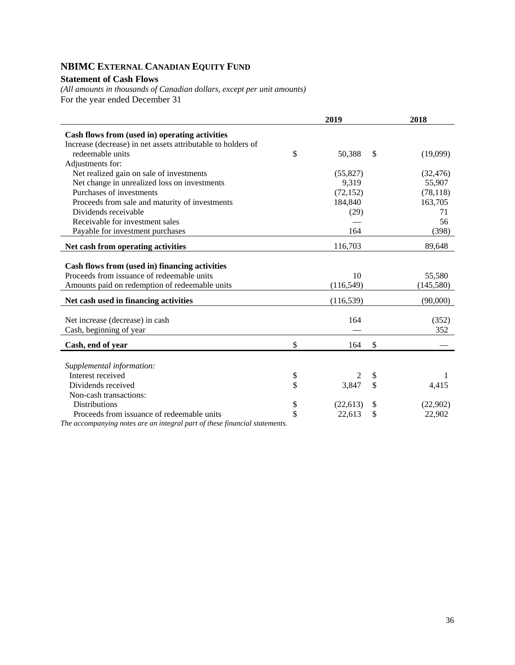## **NBIMC EXTERNAL CANADIAN EQUITY FUND**

#### **Statement of Cash Flows**

*(All amounts in thousands of Canadian dollars, except per unit amounts)*  For the year ended December 31

|                                                              | 2019 |            |    | 2018       |
|--------------------------------------------------------------|------|------------|----|------------|
| Cash flows from (used in) operating activities               |      |            |    |            |
| Increase (decrease) in net assets attributable to holders of |      |            |    |            |
| redeemable units                                             | \$   | 50,388     | \$ | (19,099)   |
| Adjustments for:                                             |      |            |    |            |
| Net realized gain on sale of investments                     |      | (55, 827)  |    | (32, 476)  |
| Net change in unrealized loss on investments                 |      | 9,319      |    | 55,907     |
| Purchases of investments                                     |      | (72, 152)  |    | (78, 118)  |
| Proceeds from sale and maturity of investments               |      | 184,840    |    | 163,705    |
| Dividends receivable                                         |      | (29)       |    | 71         |
| Receivable for investment sales                              |      |            |    | 56         |
| Payable for investment purchases                             |      | 164        |    | (398)      |
| Net cash from operating activities                           |      | 116,703    |    | 89,648     |
| Cash flows from (used in) financing activities               |      |            |    |            |
| Proceeds from issuance of redeemable units                   |      | 10         |    | 55,580     |
| Amounts paid on redemption of redeemable units               |      | (116, 549) |    | (145, 580) |
| Net cash used in financing activities                        |      | (116, 539) |    | (90,000)   |
|                                                              |      |            |    |            |
| Net increase (decrease) in cash                              |      | 164        |    | (352)      |
| Cash, beginning of year                                      |      |            |    | 352        |
| Cash, end of year                                            | \$   | 164        | \$ |            |
|                                                              |      |            |    |            |
| Supplemental information:                                    |      |            |    |            |
| Interest received                                            | \$   | 2          | \$ | 1          |
| Dividends received                                           | \$   | 3,847      | \$ | 4,415      |
| Non-cash transactions:                                       |      |            |    |            |
| <b>Distributions</b>                                         | \$   | (22, 613)  | \$ | (22,902)   |
| Proceeds from issuance of redeemable units                   | \$   | 22,613     | \$ | 22,902     |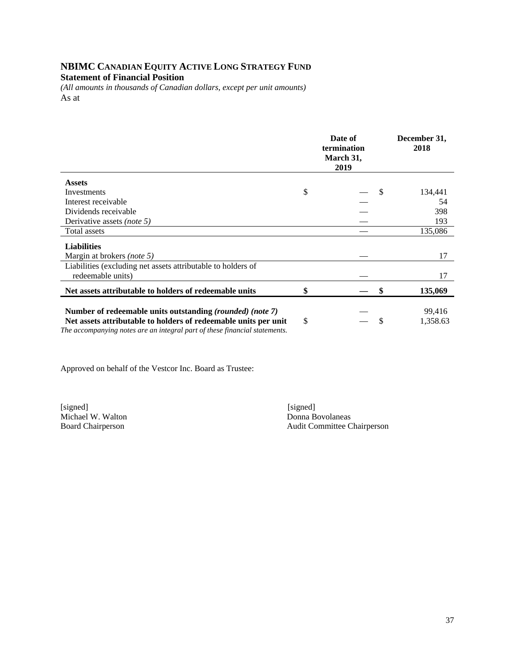## **NBIMC CANADIAN EQUITY ACTIVE LONG STRATEGY FUND Statement of Financial Position**

*(All amounts in thousands of Canadian dollars, except per unit amounts)*  As at

|                                                                                                                                               | Date of<br>termination<br>March 31,<br>2019 |               | December 31,<br>2018 |
|-----------------------------------------------------------------------------------------------------------------------------------------------|---------------------------------------------|---------------|----------------------|
| <b>Assets</b>                                                                                                                                 |                                             |               |                      |
| Investments                                                                                                                                   | \$                                          | <sup>\$</sup> | 134,441              |
| Interest receivable                                                                                                                           |                                             |               | 54                   |
| Dividends receivable                                                                                                                          |                                             |               | 398                  |
| Derivative assets (note 5)                                                                                                                    |                                             |               | 193                  |
| Total assets                                                                                                                                  |                                             |               | 135,086              |
| <b>Liabilities</b>                                                                                                                            |                                             |               |                      |
| Margin at brokers (note 5)                                                                                                                    |                                             |               | 17                   |
| Liabilities (excluding net assets attributable to holders of                                                                                  |                                             |               |                      |
| redeemable units)                                                                                                                             |                                             |               | 17                   |
| Net assets attributable to holders of redeemable units                                                                                        | \$                                          | S             | 135,069              |
| Number of redeemable units outstanding (rounded) (note 7)                                                                                     |                                             |               | 99,416               |
| Net assets attributable to holders of redeemable units per unit<br>The accompanying notes are an integral part of these financial statements. | \$                                          | S             | 1,358.63             |

Approved on behalf of the Vestcor Inc. Board as Trustee:

[signed] [signed] [signed] [signed] [signed] [signed] [signed] [signed] [signed] [signed] [signed] [ Michael W. Walton

Board Chairperson Audit Committee Chairperson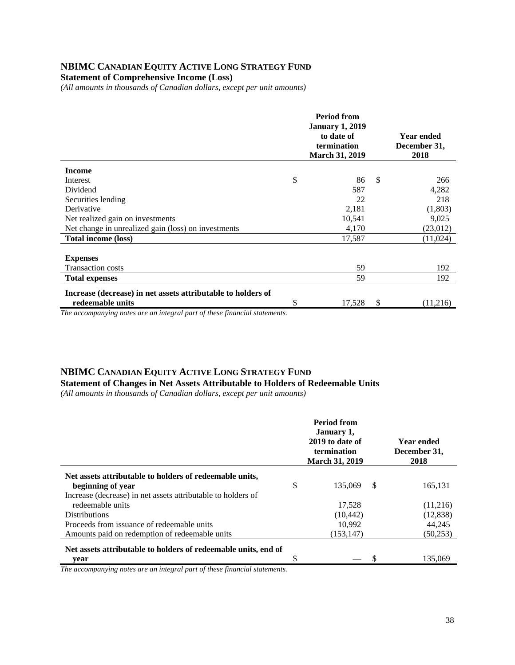## **NBIMC CANADIAN EQUITY ACTIVE LONG STRATEGY FUND**

**Statement of Comprehensive Income (Loss)** 

*(All amounts in thousands of Canadian dollars, except per unit amounts)* 

|                                                              | <b>Period from</b><br><b>January 1, 2019</b><br>to date of<br>termination<br><b>March 31, 2019</b> |        |    | <b>Year ended</b><br>December 31,<br>2018 |
|--------------------------------------------------------------|----------------------------------------------------------------------------------------------------|--------|----|-------------------------------------------|
| <b>Income</b>                                                |                                                                                                    |        |    |                                           |
| Interest                                                     | \$                                                                                                 | 86     | -S | 266                                       |
| Dividend                                                     |                                                                                                    | 587    |    | 4,282                                     |
| Securities lending                                           |                                                                                                    | 22     |    | 218                                       |
| Derivative                                                   |                                                                                                    | 2,181  |    | (1,803)                                   |
| Net realized gain on investments                             |                                                                                                    | 10,541 |    | 9,025                                     |
| Net change in unrealized gain (loss) on investments          |                                                                                                    | 4,170  |    | (23,012)                                  |
| Total income (loss)                                          |                                                                                                    | 17,587 |    | (11,024)                                  |
|                                                              |                                                                                                    |        |    |                                           |
| <b>Expenses</b>                                              |                                                                                                    |        |    |                                           |
| <b>Transaction costs</b>                                     |                                                                                                    | 59     |    | 192                                       |
| <b>Total expenses</b>                                        |                                                                                                    | 59     |    | 192                                       |
| Increase (decrease) in net assets attributable to holders of |                                                                                                    |        |    |                                           |
| redeemable units                                             | \$                                                                                                 | 17,528 | S  | (11,216)                                  |

*The accompanying notes are an integral part of these financial statements.*

#### **NBIMC CANADIAN EQUITY ACTIVE LONG STRATEGY FUND**

**Statement of Changes in Net Assets Attributable to Holders of Redeemable Units** 

*(All amounts in thousands of Canadian dollars, except per unit amounts)* 

|                                                                |    | <b>Period from</b><br>January 1,<br>2019 to date of<br>termination<br><b>March 31, 2019</b> | Year ended<br>December 31,<br>2018 |
|----------------------------------------------------------------|----|---------------------------------------------------------------------------------------------|------------------------------------|
| Net assets attributable to holders of redeemable units,        |    |                                                                                             |                                    |
| beginning of year                                              | \$ | 135.069                                                                                     | \$<br>165,131                      |
| Increase (decrease) in net assets attributable to holders of   |    |                                                                                             |                                    |
| redeemable units                                               |    | 17,528                                                                                      | (11,216)                           |
| <b>Distributions</b>                                           |    | (10, 442)                                                                                   | (12, 838)                          |
| Proceeds from issuance of redeemable units                     |    | 10.992                                                                                      | 44,245                             |
| Amounts paid on redemption of redeemable units                 |    | (153, 147)                                                                                  | (50, 253)                          |
| Net assets attributable to holders of redeemable units, end of |    |                                                                                             |                                    |
| year                                                           | S  |                                                                                             | 135.069                            |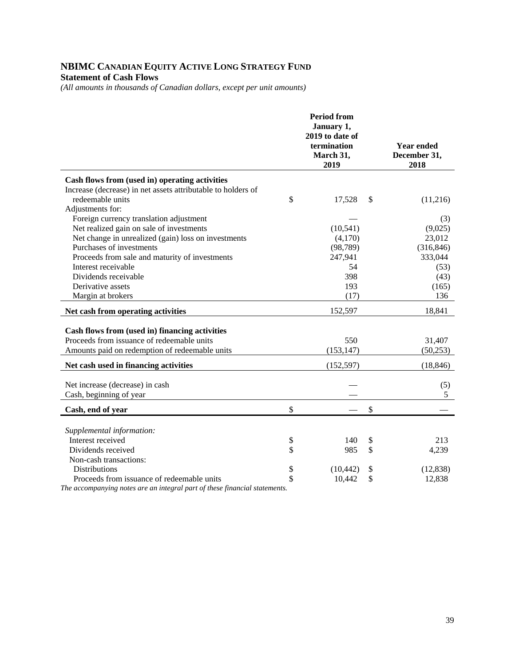### **NBIMC CANADIAN EQUITY ACTIVE LONG STRATEGY FUND Statement of Cash Flows**

*(All amounts in thousands of Canadian dollars, except per unit amounts)* 

|                                                                                              | <b>Period from</b><br>January 1,<br>2019 to date of<br>termination<br>March 31,<br>2019 | <b>Year ended</b><br>December 31,<br>2018 |
|----------------------------------------------------------------------------------------------|-----------------------------------------------------------------------------------------|-------------------------------------------|
| Cash flows from (used in) operating activities                                               |                                                                                         |                                           |
| Increase (decrease) in net assets attributable to holders of                                 |                                                                                         |                                           |
| redeemable units                                                                             | \$<br>17,528                                                                            | \$<br>(11,216)                            |
| Adjustments for:                                                                             |                                                                                         |                                           |
| Foreign currency translation adjustment                                                      |                                                                                         | (3)                                       |
| Net realized gain on sale of investments                                                     | (10, 541)                                                                               | (9,025)                                   |
| Net change in unrealized (gain) loss on investments                                          | (4,170)                                                                                 | 23,012                                    |
| Purchases of investments                                                                     | (98, 789)                                                                               | (316, 846)                                |
| Proceeds from sale and maturity of investments                                               | 247,941                                                                                 | 333,044                                   |
| Interest receivable                                                                          | 54                                                                                      | (53)                                      |
| Dividends receivable                                                                         | 398                                                                                     | (43)                                      |
| Derivative assets                                                                            | 193                                                                                     | (165)                                     |
| Margin at brokers                                                                            | (17)                                                                                    | 136                                       |
| Net cash from operating activities                                                           | 152,597                                                                                 | 18,841                                    |
|                                                                                              |                                                                                         |                                           |
| Cash flows from (used in) financing activities<br>Proceeds from issuance of redeemable units | 550                                                                                     | 31,407                                    |
| Amounts paid on redemption of redeemable units                                               | (153, 147)                                                                              | (50, 253)                                 |
|                                                                                              |                                                                                         |                                           |
| Net cash used in financing activities                                                        | (152, 597)                                                                              | (18, 846)                                 |
| Net increase (decrease) in cash                                                              |                                                                                         | (5)                                       |
| Cash, beginning of year                                                                      |                                                                                         | 5                                         |
| Cash, end of year                                                                            | \$                                                                                      | \$                                        |
|                                                                                              |                                                                                         |                                           |
| Supplemental information:                                                                    |                                                                                         |                                           |
| Interest received                                                                            | \$<br>140                                                                               | \$<br>213                                 |
| Dividends received                                                                           | \$<br>985                                                                               | \$<br>4,239                               |
| Non-cash transactions:                                                                       |                                                                                         |                                           |
| <b>Distributions</b>                                                                         | \$<br>(10, 442)                                                                         | \$<br>(12, 838)                           |
| Proceeds from issuance of redeemable units                                                   | \$<br>10,442                                                                            | \$<br>12,838                              |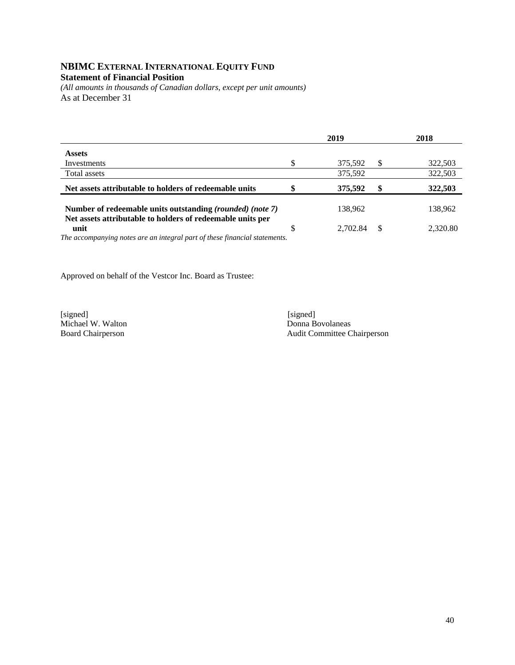#### **NBIMC EXTERNAL INTERNATIONAL EQUITY FUND Statement of Financial Position**

*(All amounts in thousands of Canadian dollars, except per unit amounts)*  As at December 31

|                                                                                                                                                 | 2019     |          | 2018     |
|-------------------------------------------------------------------------------------------------------------------------------------------------|----------|----------|----------|
| <b>Assets</b>                                                                                                                                   |          |          |          |
| Investments                                                                                                                                     | 375,592  | <b>S</b> | 322,503  |
| Total assets                                                                                                                                    | 375,592  |          | 322,503  |
| Net assets attributable to holders of redeemable units                                                                                          | 375.592  |          | 322,503  |
| Number of redeemable units outstanding (rounded) (note 7)                                                                                       | 138,962  |          | 138.962  |
| Net assets attributable to holders of redeemable units per<br>unit<br>The accompanying notes are an integral part of these financial statements | 2.702.84 | £.       | 2,320.80 |

*The accompanying notes are an integral part of these financial statements.* 

Approved on behalf of the Vestcor Inc. Board as Trustee:

[signed] [signed] [signed] [signed] [signed] [signed] [signed] [signed] [signed] [signed] [signed] [Signed] [Signed] [Signed] [Signed] [Signed] [Signed] [Signed] [Signed] [Signed] [Signed] [Signed] [Signed] [Signed] [Signe Michael W. Walton<br>Board Chairperson

Audit Committee Chairperson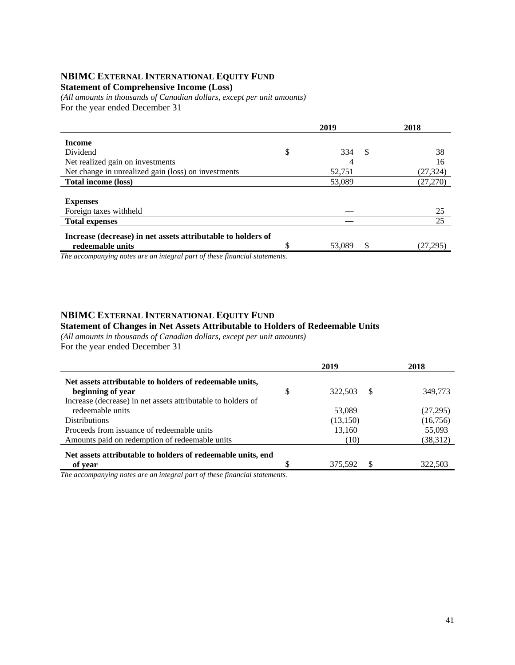#### **NBIMC EXTERNAL INTERNATIONAL EQUITY FUND**

#### **Statement of Comprehensive Income (Loss)**

*(All amounts in thousands of Canadian dollars, except per unit amounts)*  For the year ended December 31

| 2019 |        |    | 2018      |
|------|--------|----|-----------|
|      |        |    |           |
| \$   | 334    | S  | 38        |
|      | 4      |    | 16        |
|      | 52,751 |    | (27,324)  |
|      | 53,089 |    | (27, 270) |
|      |        |    |           |
|      |        |    |           |
|      |        |    | 25        |
|      |        |    | 25        |
|      |        |    |           |
|      | 53,089 | \$ | (27,295)  |
|      |        |    |           |

*The accompanying notes are an integral part of these financial statements.*

#### **NBIMC EXTERNAL INTERNATIONAL EQUITY FUND**

#### **Statement of Changes in Net Assets Attributable to Holders of Redeemable Units**

*(All amounts in thousands of Canadian dollars, except per unit amounts)*  For the year ended December 31

|                                                              |   | 2019          | 2018      |
|--------------------------------------------------------------|---|---------------|-----------|
| Net assets attributable to holders of redeemable units,      |   |               |           |
| beginning of year                                            | S | -S<br>322.503 | 349,773   |
| Increase (decrease) in net assets attributable to holders of |   |               |           |
| redeemable units                                             |   | 53,089        | (27, 295) |
| <b>Distributions</b>                                         |   | (13,150)      | (16, 756) |
| Proceeds from issuance of redeemable units                   |   | 13,160        | 55,093    |
| Amounts paid on redemption of redeemable units               |   | (10)          | (38,312)  |
| Net assets attributable to holders of redeemable units, end  |   |               |           |
| of year                                                      |   | 375.592       | 322,503   |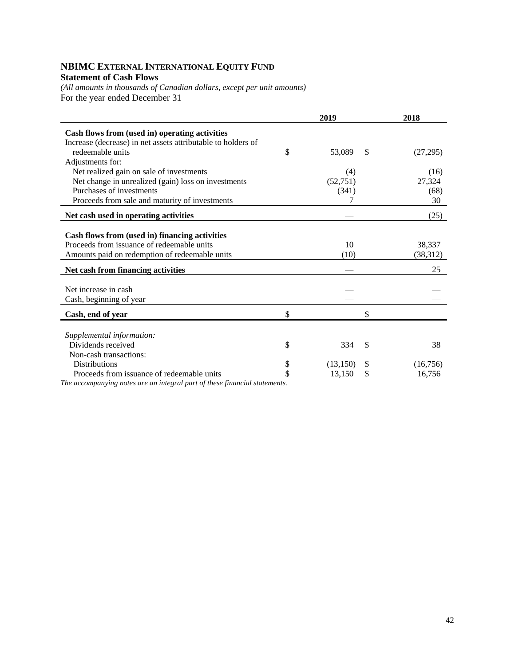#### **NBIMC EXTERNAL INTERNATIONAL EQUITY FUND Statement of Cash Flows**

*(All amounts in thousands of Canadian dollars, except per unit amounts)*  For the year ended December 31

|                                                                              | 2019         |    | 2018      |
|------------------------------------------------------------------------------|--------------|----|-----------|
| Cash flows from (used in) operating activities                               |              |    |           |
| Increase (decrease) in net assets attributable to holders of                 |              |    |           |
| redeemable units                                                             | \$<br>53,089 | \$ | (27, 295) |
| Adjustments for:                                                             |              |    |           |
| Net realized gain on sale of investments                                     | (4)          |    | (16)      |
| Net change in unrealized (gain) loss on investments                          | (52, 751)    |    | 27,324    |
| Purchases of investments                                                     | (341)        |    | (68)      |
| Proceeds from sale and maturity of investments                               |              |    | 30        |
|                                                                              |              |    |           |
| Net cash used in operating activities                                        |              |    | (25)      |
|                                                                              |              |    |           |
| Cash flows from (used in) financing activities                               |              |    |           |
| Proceeds from issuance of redeemable units                                   | 10           |    | 38,337    |
| Amounts paid on redemption of redeemable units                               | (10)         |    | (38, 312) |
| Net cash from financing activities                                           |              |    | 25        |
|                                                                              |              |    |           |
| Net increase in cash                                                         |              |    |           |
| Cash, beginning of year                                                      |              |    |           |
| Cash, end of year                                                            | \$           | \$ |           |
|                                                                              |              |    |           |
| Supplemental information:                                                    |              |    |           |
| Dividends received                                                           | \$<br>334    | \$ | 38        |
| Non-cash transactions:                                                       |              |    |           |
| <b>Distributions</b>                                                         | (13, 150)    | \$ | (16,756)  |
| Proceeds from issuance of redeemable units                                   | 13,150       | S  | 16,756    |
| The government to perfect and me integral part of these financial statements |              |    |           |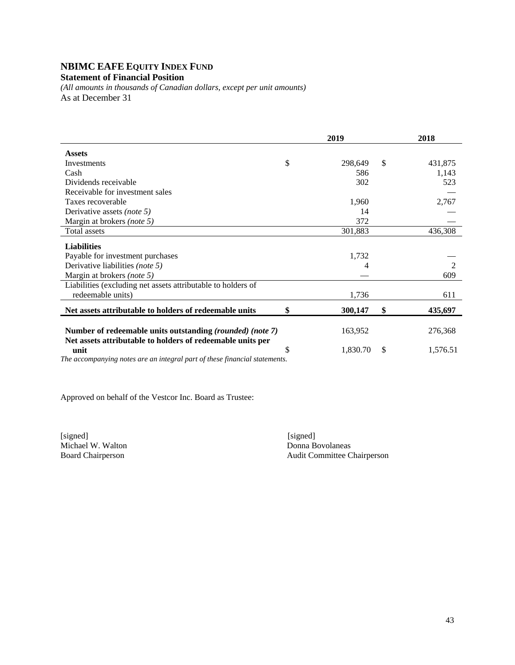## **NBIMC EAFE EQUITY INDEX FUND**

## **Statement of Financial Position**

*(All amounts in thousands of Canadian dollars, except per unit amounts)*  As at December 31

|                                                                            | 2019           | 2018 |                |
|----------------------------------------------------------------------------|----------------|------|----------------|
| <b>Assets</b>                                                              |                |      |                |
| <b>Investments</b>                                                         | \$<br>298,649  | \$   | 431,875        |
| Cash                                                                       | 586            |      | 1,143          |
| Dividends receivable                                                       | 302            |      | 523            |
| Receivable for investment sales                                            |                |      |                |
| Taxes recoverable                                                          | 1,960          |      | 2,767          |
| Derivative assets (note 5)                                                 | 14             |      |                |
| Margin at brokers (note 5)                                                 | 372            |      |                |
| Total assets                                                               | 301,883        |      | 436,308        |
| <b>Liabilities</b>                                                         |                |      |                |
| Payable for investment purchases                                           | 1,732          |      |                |
| Derivative liabilities (note 5)                                            |                |      | $\mathfrak{D}$ |
| Margin at brokers (note 5)                                                 |                |      | 609            |
| Liabilities (excluding net assets attributable to holders of               |                |      |                |
| redeemable units)                                                          | 1,736          |      | 611            |
| Net assets attributable to holders of redeemable units                     | \$<br>300,147  | \$   | 435,697        |
|                                                                            |                |      |                |
| Number of redeemable units outstanding (rounded) (note 7)                  | 163,952        |      | 276,368        |
| Net assets attributable to holders of redeemable units per                 |                |      |                |
| unit                                                                       | \$<br>1,830.70 | \$   | 1,576.51       |
| The accompanying notes are an integral part of these financial statements. |                |      |                |

Approved on behalf of the Vestcor Inc. Board as Trustee:

[signed] [signed] [signed] [signed] [signed] [signed] [signed] [signed] [signed] [signed] [Signed] [Signed] [Signed] [Signed] [Signed] [Signed] [Signed] [Signed] [Signed] [Signed] [Signed] [Signed] [Signed] [Signed] [Signe Michael W. Walton<br>Board Chairperson

Audit Committee Chairperson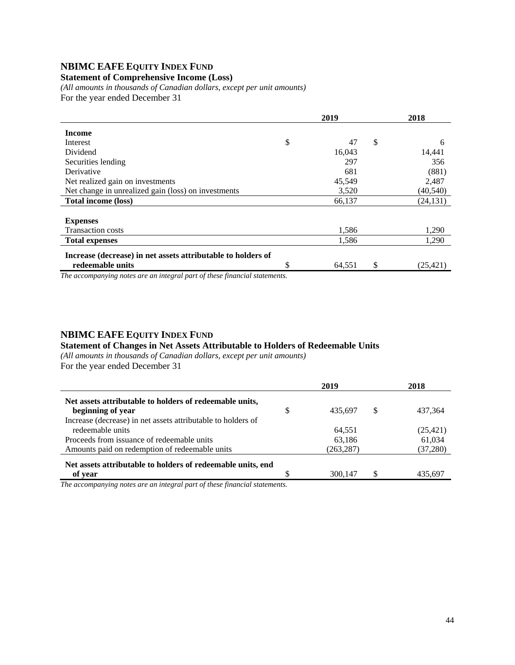## **NBIMC EAFE EQUITY INDEX FUND**

#### **Statement of Comprehensive Income (Loss)**

*(All amounts in thousands of Canadian dollars, except per unit amounts)*  For the year ended December 31

|                                                               | 2019         | 2018            |
|---------------------------------------------------------------|--------------|-----------------|
| <b>Income</b>                                                 |              |                 |
| Interest                                                      | \$<br>47     | \$<br>6         |
| Dividend                                                      | 16,043       | 14,441          |
| Securities lending                                            | 297          | 356             |
| Derivative                                                    | 681          | (881)           |
| Net realized gain on investments                              | 45,549       | 2,487           |
| Net change in unrealized gain (loss) on investments           | 3,520        | (40, 540)       |
| <b>Total income (loss)</b>                                    | 66,137       | (24, 131)       |
| <b>Expenses</b><br><b>Transaction costs</b>                   | 1,586        | 1,290           |
| <b>Total expenses</b>                                         | 1,586        | 1,290           |
| Increase (decrease) in net assets attributable to holders of  |              |                 |
| redeemable units<br>$\cdot$ $\cdot$ $\cdot$ $\cdot$<br>$\sim$ | \$<br>64,551 | \$<br>(25, 421) |

*The accompanying notes are an integral part of these financial statements.*

#### **NBIMC EAFE EQUITY INDEX FUND**

#### **Statement of Changes in Net Assets Attributable to Holders of Redeemable Units**

*(All amounts in thousands of Canadian dollars, except per unit amounts)*  For the year ended December 31

|                                                              | 2019      |   | 2018      |
|--------------------------------------------------------------|-----------|---|-----------|
| Net assets attributable to holders of redeemable units,      |           |   |           |
| beginning of year                                            | 435.697   | S | 437,364   |
| Increase (decrease) in net assets attributable to holders of |           |   |           |
| redeemable units                                             | 64.551    |   | (25, 421) |
| Proceeds from issuance of redeemable units                   | 63,186    |   | 61,034    |
| Amounts paid on redemption of redeemable units               | (263,287) |   | (37, 280) |
| Net assets attributable to holders of redeemable units, end  |           |   |           |
| of year                                                      | 300.147   | S | 435.697   |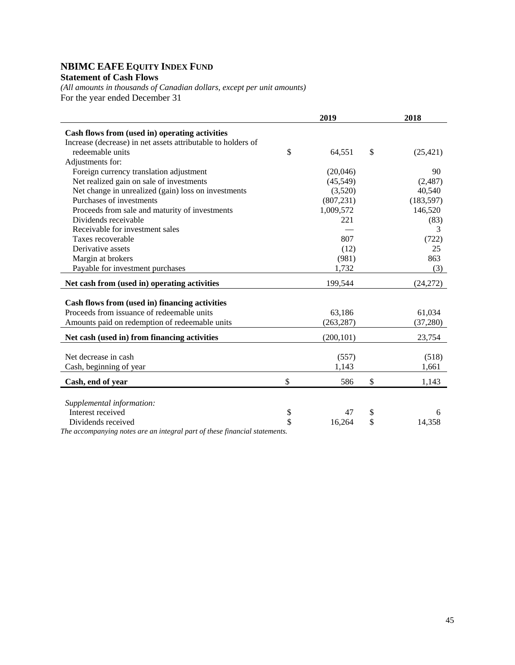## **NBIMC EAFE EQUITY INDEX FUND**

#### **Statement of Cash Flows**

*(All amounts in thousands of Canadian dollars, except per unit amounts)*  For the year ended December 31

|                                                              | 2019         | 2018            |
|--------------------------------------------------------------|--------------|-----------------|
| Cash flows from (used in) operating activities               |              |                 |
| Increase (decrease) in net assets attributable to holders of |              |                 |
| redeemable units                                             | \$<br>64,551 | \$<br>(25, 421) |
| Adjustments for:                                             |              |                 |
| Foreign currency translation adjustment                      | (20,046)     | 90              |
| Net realized gain on sale of investments                     | (45,549)     | (2,487)         |
| Net change in unrealized (gain) loss on investments          | (3,520)      | 40,540          |
| Purchases of investments                                     | (807, 231)   | (183, 597)      |
| Proceeds from sale and maturity of investments               | 1,009,572    | 146,520         |
| Dividends receivable                                         | 221          | (83)            |
| Receivable for investment sales                              |              | 3               |
| Taxes recoverable                                            | 807          | (722)           |
| Derivative assets                                            | (12)         | 25              |
| Margin at brokers                                            | (981)        | 863             |
| Payable for investment purchases                             | 1,732        | (3)             |
| Net cash from (used in) operating activities                 | 199,544      | (24,272)        |
|                                                              |              |                 |
| Cash flows from (used in) financing activities               |              |                 |
| Proceeds from issuance of redeemable units                   | 63,186       | 61,034          |
| Amounts paid on redemption of redeemable units               | (263, 287)   | (37, 280)       |
| Net cash (used in) from financing activities                 | (200, 101)   | 23,754          |
|                                                              |              |                 |
| Net decrease in cash                                         | (557)        | (518)           |
| Cash, beginning of year                                      | 1,143        | 1,661           |
| Cash, end of year                                            | \$<br>586    | \$<br>1,143     |
|                                                              |              |                 |
| Supplemental information:                                    |              |                 |
| Interest received                                            | \$<br>47     | \$<br>6         |
| Dividends received<br>T1                                     | \$<br>16,264 | \$<br>14,358    |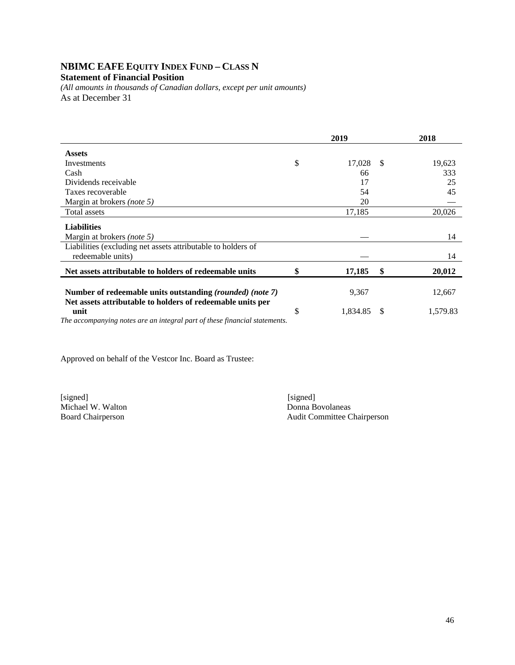## **NBIMC EAFE EQUITY INDEX FUND – CLASS N**

#### **Statement of Financial Position**

*(All amounts in thousands of Canadian dollars, except per unit amounts)*  As at December 31

|                                                                            | 2019           |    | 2018     |
|----------------------------------------------------------------------------|----------------|----|----------|
| <b>Assets</b>                                                              |                |    |          |
| Investments                                                                | \$<br>17,028   | -S | 19,623   |
| Cash                                                                       | 66             |    | 333      |
| Dividends receivable                                                       | 17             |    | 25       |
| Taxes recoverable                                                          | 54             |    | 45       |
| Margin at brokers (note 5)                                                 | 20             |    |          |
| Total assets                                                               | 17,185         |    | 20,026   |
| <b>Liabilities</b>                                                         |                |    |          |
| Margin at brokers (note 5)                                                 |                |    | 14       |
| Liabilities (excluding net assets attributable to holders of               |                |    |          |
| redeemable units)                                                          |                |    | 14       |
| Net assets attributable to holders of redeemable units                     | \$<br>17,185   | \$ | 20,012   |
| Number of redeemable units outstanding (rounded) (note 7)                  | 9,367          |    | 12,667   |
|                                                                            |                |    |          |
| Net assets attributable to holders of redeemable units per<br>unit         | \$<br>1,834.85 | -S | 1,579.83 |
| The accompanying notes are an integral part of these financial statements. |                |    |          |
|                                                                            |                |    |          |

Approved on behalf of the Vestcor Inc. Board as Trustee:

[signed] [signed] Michael W. Walton

Board Chairperson Audit Committee Chairperson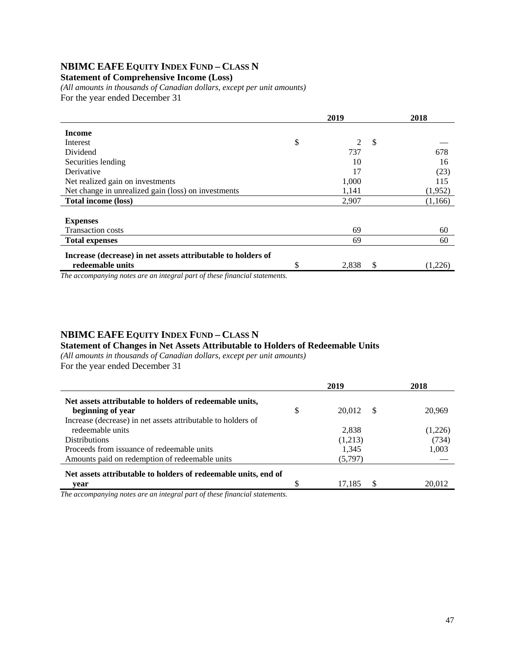## **NBIMC EAFE EQUITY INDEX FUND – CLASS N**

#### **Statement of Comprehensive Income (Loss)**

*(All amounts in thousands of Canadian dollars, except per unit amounts)*  For the year ended December 31

|                                                              |    | 2019  | 2018 |         |
|--------------------------------------------------------------|----|-------|------|---------|
| <b>Income</b>                                                |    |       |      |         |
| Interest                                                     | \$ | 2     | S    |         |
| Dividend                                                     |    | 737   |      | 678     |
| Securities lending                                           |    | 10    |      | 16      |
| Derivative                                                   |    | 17    |      | (23)    |
| Net realized gain on investments                             |    | 1,000 |      | 115     |
| Net change in unrealized gain (loss) on investments          |    | 1,141 |      | (1,952) |
| <b>Total income (loss)</b>                                   |    | 2,907 |      | (1,166) |
|                                                              |    |       |      |         |
| <b>Expenses</b>                                              |    |       |      |         |
| <b>Transaction costs</b>                                     |    | 69    |      | 60      |
| <b>Total expenses</b>                                        |    | 69    |      | 60      |
| Increase (decrease) in net assets attributable to holders of |    |       |      |         |
| redeemable units                                             | S  | 2,838 | \$   | (1,226) |
| $\sim$                                                       |    |       |      |         |

*The accompanying notes are an integral part of these financial statements.*

### **NBIMC EAFE EQUITY INDEX FUND – CLASS N**

#### **Statement of Changes in Net Assets Attributable to Holders of Redeemable Units**

*(All amounts in thousands of Canadian dollars, except per unit amounts)* 

For the year ended December 31

|                                                                | 2019               | 2018    |
|----------------------------------------------------------------|--------------------|---------|
| Net assets attributable to holders of redeemable units,        |                    |         |
| beginning of year                                              | \$<br>20,012<br>-8 | 20,969  |
| Increase (decrease) in net assets attributable to holders of   |                    |         |
| redeemable units                                               | 2.838              | (1,226) |
| <b>Distributions</b>                                           | (1,213)            | (734)   |
| Proceeds from issuance of redeemable units                     | 1,345              | 1,003   |
| Amounts paid on redemption of redeemable units                 | (5,797)            |         |
| Net assets attributable to holders of redeemable units, end of |                    |         |
| vear                                                           | 17.185             | 20.012  |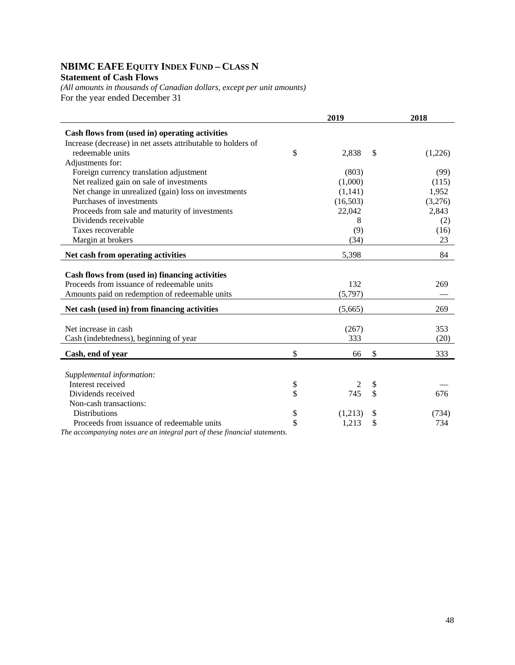## **NBIMC EAFE EQUITY INDEX FUND – CLASS N**

## **Statement of Cash Flows**

*(All amounts in thousands of Canadian dollars, except per unit amounts)*  For the year ended December 31

|                                                              | 2019                 | 2018          |
|--------------------------------------------------------------|----------------------|---------------|
| Cash flows from (used in) operating activities               |                      |               |
| Increase (decrease) in net assets attributable to holders of |                      |               |
| redeemable units                                             | \$<br>2,838          | \$<br>(1,226) |
| Adjustments for:                                             |                      |               |
| Foreign currency translation adjustment                      | (803)                | (99)          |
| Net realized gain on sale of investments                     | (1,000)              | (115)         |
| Net change in unrealized (gain) loss on investments          | (1,141)              | 1,952         |
| Purchases of investments                                     | (16,503)             | (3,276)       |
| Proceeds from sale and maturity of investments               | 22,042               | 2,843         |
| Dividends receivable                                         | 8                    | (2)           |
| Taxes recoverable                                            | (9)                  | (16)          |
| Margin at brokers                                            | (34)                 | 23            |
| Net cash from operating activities                           | 5,398                | 84            |
|                                                              |                      |               |
| Cash flows from (used in) financing activities               |                      |               |
| Proceeds from issuance of redeemable units                   | 132                  | 269           |
| Amounts paid on redemption of redeemable units               | (5,797)              |               |
| Net cash (used in) from financing activities                 | (5,665)              | 269           |
|                                                              |                      |               |
| Net increase in cash                                         | (267)<br>333         | 353           |
| Cash (indebtedness), beginning of year                       |                      | (20)          |
| Cash, end of year                                            | \$<br>66             | \$<br>333     |
|                                                              |                      |               |
| Supplemental information:                                    |                      |               |
| Interest received                                            | \$<br>$\overline{c}$ | \$            |
| Dividends received                                           | \$<br>745            | \$<br>676     |
| Non-cash transactions:                                       |                      |               |
| <b>Distributions</b>                                         | \$<br>(1,213)        | \$<br>(734)   |
| Proceeds from issuance of redeemable units                   | \$<br>1,213          | \$<br>734     |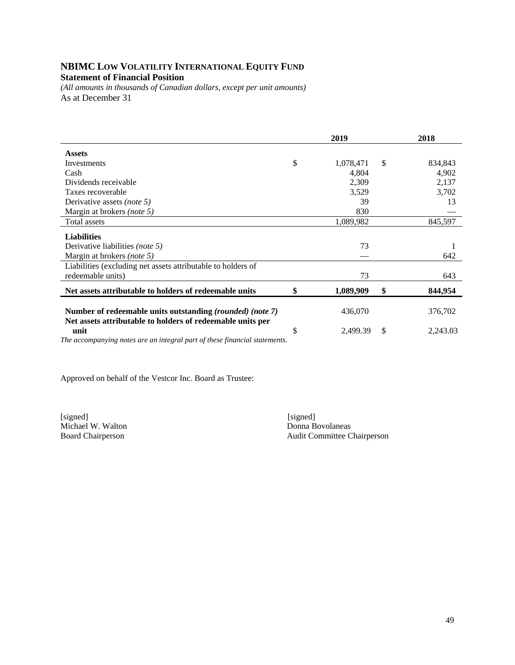## **NBIMC LOW VOLATILITY INTERNATIONAL EQUITY FUND Statement of Financial Position**

*(All amounts in thousands of Canadian dollars, except per unit amounts)*  As at December 31

|                                                                                                                         |    | 2019      | 2018           |
|-------------------------------------------------------------------------------------------------------------------------|----|-----------|----------------|
| <b>Assets</b>                                                                                                           |    |           |                |
| Investments                                                                                                             | \$ | 1,078,471 | \$<br>834,843  |
| Cash                                                                                                                    |    | 4,804     | 4,902          |
| Dividends receivable                                                                                                    |    | 2,309     | 2,137          |
| Taxes recoverable                                                                                                       |    | 3,529     | 3,702          |
| Derivative assets <i>(note 5)</i>                                                                                       |    | 39        | 13             |
| Margin at brokers (note 5)                                                                                              |    | 830       |                |
| Total assets                                                                                                            |    | 1,089,982 | 845,597        |
| <b>Liabilities</b>                                                                                                      |    |           |                |
| Derivative liabilities (note 5)                                                                                         |    | 73        |                |
| Margin at brokers (note 5)                                                                                              |    |           | 642            |
| Liabilities (excluding net assets attributable to holders of                                                            |    |           |                |
| redeemable units)                                                                                                       |    | 73        | 643            |
| Net assets attributable to holders of redeemable units                                                                  | \$ | 1,089,909 | \$<br>844,954  |
| Number of redeemable units outstanding (rounded) (note 7)<br>Net assets attributable to holders of redeemable units per |    | 436,070   | 376,702        |
| unit<br>The accompanying notes are an integral part of these financial statements.                                      | S  | 2,499.39  | \$<br>2,243.03 |

Approved on behalf of the Vestcor Inc. Board as Trustee:

[signed] [signed] [signed] [signed] [signed] [signed] [signed] [signed] [signed] [signed] [signed] [5] [1] [1]  $\frac{1}{2}$  [1]  $\frac{1}{2}$  [1]  $\frac{1}{2}$  [1]  $\frac{1}{2}$  [1]  $\frac{1}{2}$  [1]  $\frac{1}{2}$  [1]  $\frac{1}{2}$  [1]  $\frac{1}{2}$  [1] Michael W. Walton<br>Board Chairperson

Audit Committee Chairperson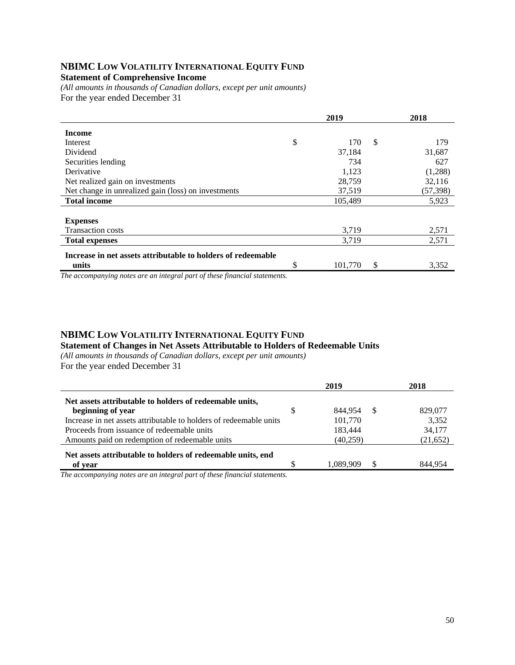#### **NBIMC LOW VOLATILITY INTERNATIONAL EQUITY FUND Statement of Comprehensive Income**

*(All amounts in thousands of Canadian dollars, except per unit amounts)*  For the year ended December 31

|                                                              | 2019          |              | 2018     |
|--------------------------------------------------------------|---------------|--------------|----------|
| <b>Income</b>                                                |               |              |          |
| Interest                                                     | \$<br>170     | $\mathbb{S}$ | 179      |
| Dividend                                                     | 37,184        |              | 31,687   |
| Securities lending                                           | 734           |              | 627      |
| Derivative                                                   | 1,123         |              | (1,288)  |
| Net realized gain on investments                             | 28,759        |              | 32,116   |
| Net change in unrealized gain (loss) on investments          | 37,519        |              | (57,398) |
| <b>Total income</b>                                          | 105,489       |              | 5,923    |
|                                                              |               |              |          |
| <b>Expenses</b>                                              |               |              |          |
| <b>Transaction costs</b>                                     | 3,719         |              | 2,571    |
| <b>Total expenses</b>                                        | 3,719         |              | 2,571    |
| Increase in net assets attributable to holders of redeemable |               |              |          |
| units                                                        | \$<br>101,770 | \$           | 3,352    |

*The accompanying notes are an integral part of these financial statements.*

### **NBIMC LOW VOLATILITY INTERNATIONAL EQUITY FUND**

**Statement of Changes in Net Assets Attributable to Holders of Redeemable Units** 

*(All amounts in thousands of Canadian dollars, except per unit amounts)*  For the year ended December 31

|                                                                    |    | 2019            | 2018      |
|--------------------------------------------------------------------|----|-----------------|-----------|
| Net assets attributable to holders of redeemable units,            |    |                 |           |
| beginning of year                                                  | \$ | 844.954<br>- \$ | 829,077   |
| Increase in net assets attributable to holders of redeemable units |    | 101,770         | 3,352     |
| Proceeds from issuance of redeemable units                         |    | 183,444         | 34,177    |
| Amounts paid on redemption of redeemable units                     |    | (40,259)        | (21, 652) |
| Net assets attributable to holders of redeemable units, end        |    |                 |           |
| of year                                                            | S  | 1.089.909       | 844.954   |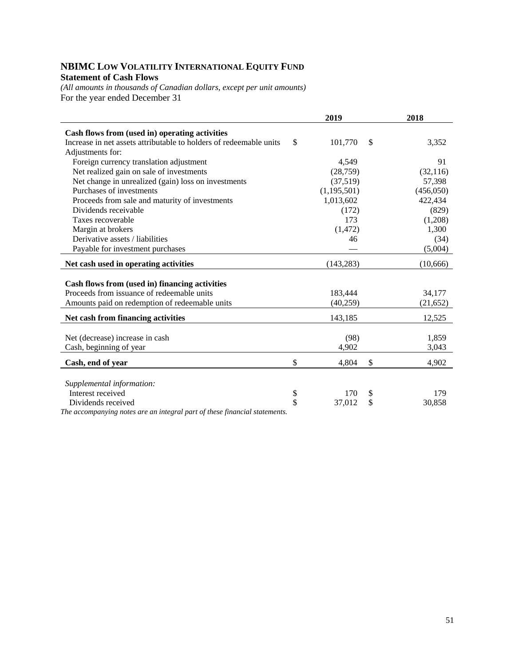### **NBIMC LOW VOLATILITY INTERNATIONAL EQUITY FUND Statement of Cash Flows**

*(All amounts in thousands of Canadian dollars, except per unit amounts)*  For the year ended December 31

|                                                                            | 2019          |              | 2018           |
|----------------------------------------------------------------------------|---------------|--------------|----------------|
| Cash flows from (used in) operating activities                             |               |              |                |
| Increase in net assets attributable to holders of redeemable units         | \$<br>101,770 | $\mathbb{S}$ | 3,352          |
| Adjustments for:                                                           |               |              |                |
| Foreign currency translation adjustment                                    | 4,549         |              | 91             |
| Net realized gain on sale of investments                                   | (28, 759)     |              | (32, 116)      |
| Net change in unrealized (gain) loss on investments                        | (37,519)      |              | 57,398         |
| Purchases of investments                                                   | (1, 195, 501) |              | (456,050)      |
| Proceeds from sale and maturity of investments                             | 1,013,602     |              | 422,434        |
| Dividends receivable                                                       | (172)         |              | (829)          |
| Taxes recoverable                                                          | 173           |              | (1,208)        |
| Margin at brokers                                                          | (1, 472)      |              | 1,300          |
| Derivative assets / liabilities                                            | 46            |              | (34)           |
| Payable for investment purchases                                           |               |              | (5,004)        |
| Net cash used in operating activities                                      | (143, 283)    |              | (10,666)       |
|                                                                            |               |              |                |
| Cash flows from (used in) financing activities                             |               |              |                |
| Proceeds from issuance of redeemable units                                 | 183,444       |              | 34,177         |
| Amounts paid on redemption of redeemable units                             | (40,259)      |              | (21, 652)      |
| Net cash from financing activities                                         | 143,185       |              | 12,525         |
|                                                                            |               |              |                |
| Net (decrease) increase in cash                                            | (98)<br>4,902 |              | 1,859<br>3,043 |
| Cash, beginning of year                                                    |               |              |                |
| Cash, end of year                                                          | \$<br>4,804   | \$           | 4,902          |
| Supplemental information:                                                  |               |              |                |
| Interest received                                                          | \$<br>170     | \$           | 179            |
| Dividends received                                                         | \$<br>37,012  | \$           | 30,858         |
| The accompanying notes are an integral part of these financial statements. |               |              |                |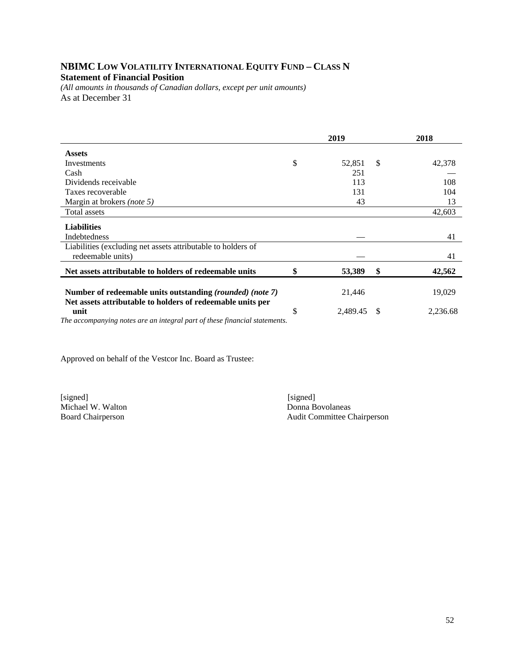### **NBIMC LOW VOLATILITY INTERNATIONAL EQUITY FUND – CLASS N Statement of Financial Position**

*(All amounts in thousands of Canadian dollars, except per unit amounts)*  As at December 31

|                                                                                                                         |    | 2019     |               | 2018     |
|-------------------------------------------------------------------------------------------------------------------------|----|----------|---------------|----------|
| <b>Assets</b>                                                                                                           |    |          |               |          |
| Investments                                                                                                             | \$ | 52,851   | $\mathcal{S}$ | 42,378   |
| Cash                                                                                                                    |    | 251      |               |          |
| Dividends receivable                                                                                                    |    | 113      |               | 108      |
| Taxes recoverable                                                                                                       |    | 131      |               | 104      |
| Margin at brokers <i>(note 5)</i>                                                                                       |    | 43       |               | 13       |
| Total assets                                                                                                            |    |          |               | 42,603   |
| <b>Liabilities</b>                                                                                                      |    |          |               |          |
| Indebtedness                                                                                                            |    |          |               | 41       |
| Liabilities (excluding net assets attributable to holders of<br>redeemable units)                                       |    |          |               | 41       |
| Net assets attributable to holders of redeemable units                                                                  |    | 53,389   | \$            | 42,562   |
| Number of redeemable units outstanding (rounded) (note 7)<br>Net assets attributable to holders of redeemable units per |    | 21,446   |               | 19,029   |
| unit<br>The generative period and consumer integral part of these financial statements                                  | S  | 2,489.45 | S             | 2,236.68 |

*The accompanying notes are an integral part of these financial statements.* 

Approved on behalf of the Vestcor Inc. Board as Trustee:

Michael W. Walton<br>Board Chairperson

[signed] [signed] Audit Committee Chairperson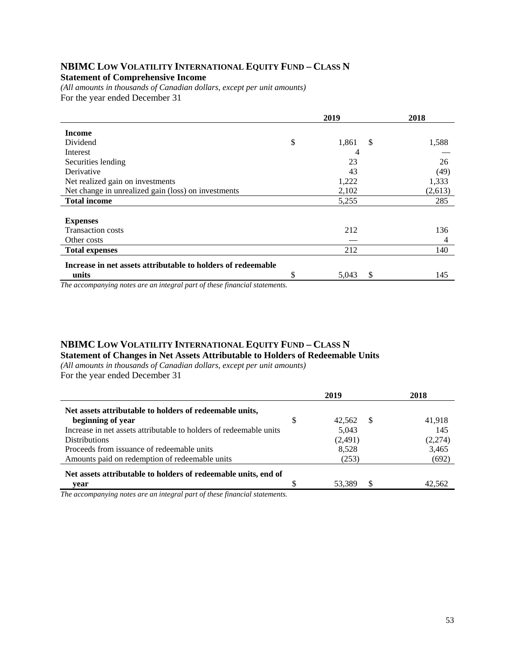#### **NBIMC LOW VOLATILITY INTERNATIONAL EQUITY FUND – CLASS N Statement of Comprehensive Income**

*(All amounts in thousands of Canadian dollars, except per unit amounts)*  For the year ended December 31

|                                                              | 2019        | 2018        |
|--------------------------------------------------------------|-------------|-------------|
| <b>Income</b>                                                |             |             |
| Dividend                                                     | \$<br>1,861 | S.<br>1,588 |
| Interest                                                     | 4           |             |
| Securities lending                                           | 23          | 26          |
| Derivative                                                   | 43          | (49)        |
| Net realized gain on investments                             | 1,222       | 1,333       |
| Net change in unrealized gain (loss) on investments          | 2,102       | (2,613)     |
| <b>Total income</b>                                          | 5,255       | 285         |
|                                                              |             |             |
| <b>Expenses</b>                                              |             |             |
| <b>Transaction costs</b>                                     | 212         | 136         |
| Other costs                                                  |             | 4           |
| <b>Total expenses</b>                                        | 212         | 140         |
| Increase in net assets attributable to holders of redeemable |             |             |
| units                                                        | \$<br>5,043 | 145<br>S    |

*The accompanying notes are an integral part of these financial statements.*

#### **NBIMC LOW VOLATILITY INTERNATIONAL EQUITY FUND – CLASS N Statement of Changes in Net Assets Attributable to Holders of Redeemable Units**

*(All amounts in thousands of Canadian dollars, except per unit amounts)*  For the year ended December 31

|                                                                    | 2019                | 2018    |
|--------------------------------------------------------------------|---------------------|---------|
| Net assets attributable to holders of redeemable units,            |                     |         |
| beginning of year                                                  | \$<br>42.562<br>- S | 41.918  |
| Increase in net assets attributable to holders of redeemable units | 5,043               | 145     |
| <b>Distributions</b>                                               | (2,491)             | (2,274) |
| Proceeds from issuance of redeemable units                         | 8,528               | 3,465   |
| Amounts paid on redemption of redeemable units                     | (253)               | (692)   |
| Net assets attributable to holders of redeemable units, end of     |                     |         |
| vear                                                               | 53.389              |         |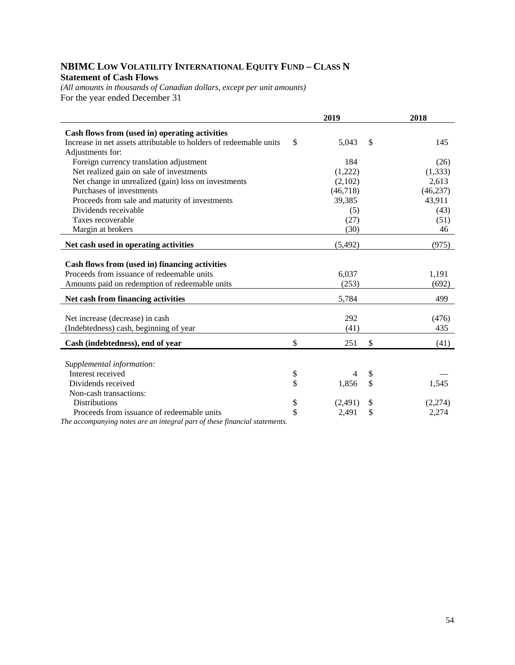## **NBIMC LOW VOLATILITY INTERNATIONAL EQUITY FUND – CLASS N Statement of Cash Flows**

*(All amounts in thousands of Canadian dollars, except per unit amounts)*  For the year ended December 31

| 2019                 |                                                                     | 2018                 |
|----------------------|---------------------------------------------------------------------|----------------------|
|                      |                                                                     |                      |
| \$                   |                                                                     | 145                  |
|                      |                                                                     |                      |
| 184                  |                                                                     | (26)                 |
|                      |                                                                     | (1, 333)             |
| (2,102)              |                                                                     | 2,613                |
| (46,718)             |                                                                     | (46, 237)            |
| 39,385               |                                                                     | 43,911               |
| (5)                  |                                                                     | (43)                 |
| (27)                 |                                                                     | (51)                 |
| (30)                 |                                                                     | 46                   |
| (5, 492)             |                                                                     | (975)                |
|                      |                                                                     |                      |
|                      |                                                                     |                      |
|                      |                                                                     | 1,191                |
|                      |                                                                     | (692)                |
| 5,784                |                                                                     | 499                  |
|                      |                                                                     |                      |
|                      |                                                                     | (476)                |
|                      |                                                                     | 435                  |
| \$<br>251            | \$                                                                  | (41)                 |
|                      |                                                                     |                      |
|                      |                                                                     |                      |
| 4                    |                                                                     |                      |
|                      |                                                                     | 1,545                |
|                      |                                                                     |                      |
| (2,491)              | \$                                                                  | (2,274)              |
|                      |                                                                     | 2,274                |
| \$<br>\$<br>\$<br>\$ | 5,043<br>(1,222)<br>6,037<br>(253)<br>292<br>(41)<br>1,856<br>2,491 | \$<br>\$<br>\$<br>\$ |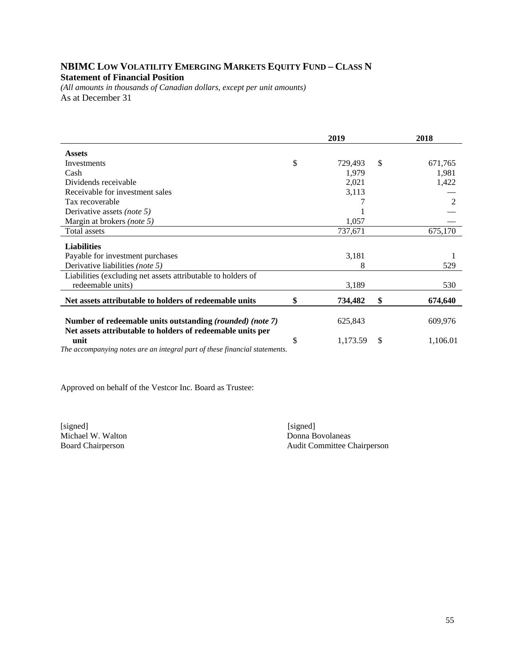### **NBIMC LOW VOLATILITY EMERGING MARKETS EQUITY FUND – CLASS N Statement of Financial Position**

*(All amounts in thousands of Canadian dollars, except per unit amounts)*  As at December 31

|                                                                            | 2019 |          |    | 2018           |  |
|----------------------------------------------------------------------------|------|----------|----|----------------|--|
| <b>Assets</b>                                                              |      |          |    |                |  |
| Investments                                                                | \$   | 729,493  | \$ | 671,765        |  |
| Cash                                                                       |      | 1,979    |    | 1,981          |  |
| Dividends receivable                                                       |      | 2,021    |    | 1,422          |  |
| Receivable for investment sales                                            |      | 3,113    |    |                |  |
| Tax recoverable                                                            |      |          |    | $\mathfrak{D}$ |  |
| Derivative assets <i>(note 5)</i>                                          |      |          |    |                |  |
| Margin at brokers <i>(note 5)</i>                                          |      | 1,057    |    |                |  |
| Total assets                                                               |      | 737,671  |    | 675,170        |  |
| <b>Liabilities</b>                                                         |      |          |    |                |  |
| Payable for investment purchases                                           |      | 3,181    |    |                |  |
| Derivative liabilities (note 5)                                            |      | 8        |    | 529            |  |
| Liabilities (excluding net assets attributable to holders of               |      |          |    |                |  |
| redeemable units)                                                          |      | 3,189    |    | 530            |  |
| Net assets attributable to holders of redeemable units                     | \$   | 734,482  | \$ | 674,640        |  |
|                                                                            |      |          |    |                |  |
| Number of redeemable units outstanding (rounded) (note 7)                  |      | 625,843  |    | 609,976        |  |
| Net assets attributable to holders of redeemable units per                 |      |          |    |                |  |
| unit                                                                       | \$   | 1,173.59 | S  | 1,106.01       |  |
| The accompanying notes are an integral part of these financial statements. |      |          |    |                |  |

Approved on behalf of the Vestcor Inc. Board as Trustee:

[signed] [signed] [signed] [signed] [signed] [signed] [signed] [signed] [signed] [signed] [signed] [Signed] [Signed] [Signed] [Signed] [Signed] [Signed] [Signed] [Signed] [Signed] [Signed] [Signed] [Signed] [Signed] [Signe Michael W. Walton

Board Chairperson Audit Committee Chairperson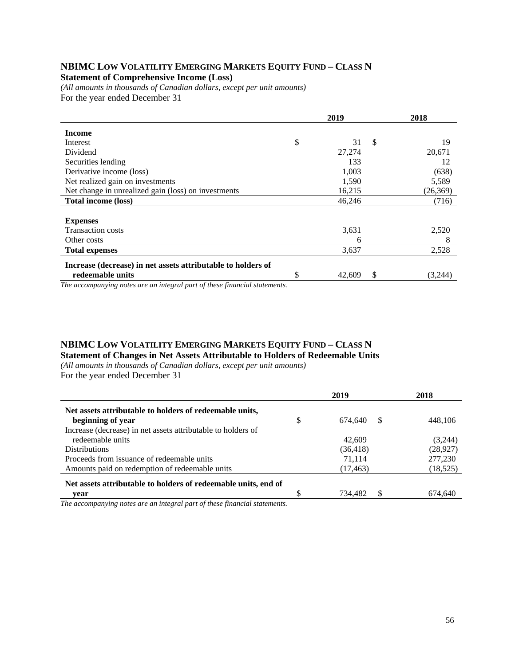## **NBIMC LOW VOLATILITY EMERGING MARKETS EQUITY FUND – CLASS N**

#### **Statement of Comprehensive Income (Loss)**

*(All amounts in thousands of Canadian dollars, except per unit amounts)*  For the year ended December 31

|                                                              | 2019         |    | 2018     |
|--------------------------------------------------------------|--------------|----|----------|
| <b>Income</b>                                                |              |    |          |
| Interest                                                     | \$<br>31     | \$ | 19       |
| Dividend                                                     | 27,274       |    | 20,671   |
| Securities lending                                           | 133          |    | 12       |
| Derivative income (loss)                                     | 1,003        |    | (638)    |
| Net realized gain on investments                             | 1,590        |    | 5,589    |
| Net change in unrealized gain (loss) on investments          | 16,215       |    | (26,369) |
| <b>Total income (loss)</b>                                   | 46,246       |    | (716)    |
|                                                              |              |    |          |
| <b>Expenses</b>                                              |              |    |          |
| <b>Transaction costs</b>                                     | 3,631        |    | 2,520    |
| Other costs                                                  | 6            |    | 8        |
| <b>Total expenses</b>                                        | 3,637        |    | 2,528    |
| Increase (decrease) in net assets attributable to holders of |              |    |          |
| redeemable units                                             | \$<br>42,609 | S  | (3,244)  |

*The accompanying notes are an integral part of these financial statements.*

#### **NBIMC LOW VOLATILITY EMERGING MARKETS EQUITY FUND – CLASS N Statement of Changes in Net Assets Attributable to Holders of Redeemable Units**

*(All amounts in thousands of Canadian dollars, except per unit amounts)*  For the year ended December 31

|                                                                | 2019                 | 2018      |
|----------------------------------------------------------------|----------------------|-----------|
| Net assets attributable to holders of redeemable units,        |                      |           |
| beginning of year                                              | \$<br>674.640<br>\$. | 448.106   |
| Increase (decrease) in net assets attributable to holders of   |                      |           |
| redeemable units                                               | 42,609               | (3,244)   |
| <b>Distributions</b>                                           | (36, 418)            | (28, 927) |
| Proceeds from issuance of redeemable units                     | 71.114               | 277,230   |
| Amounts paid on redemption of redeemable units                 | (17, 463)            | (18, 525) |
| Net assets attributable to holders of redeemable units, end of |                      |           |
| vear                                                           | £.<br>734,482        | 674,640   |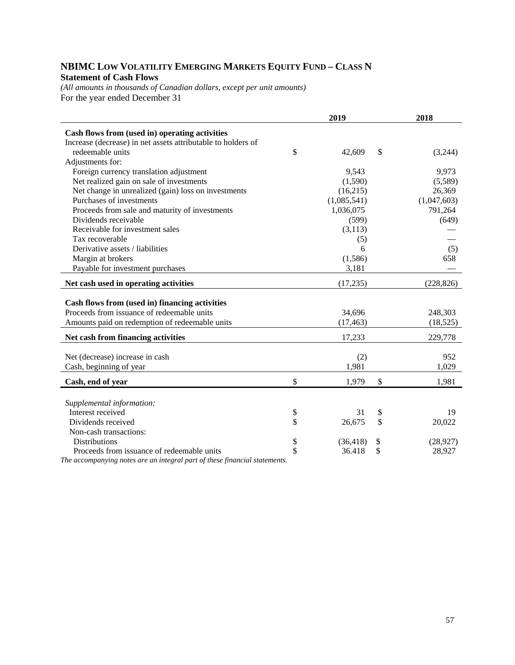## **NBIMC LOW VOLATILITY EMERGING MARKETS EQUITY FUND – CLASS N Statement of Cash Flows**

*(All amounts in thousands of Canadian dollars, except per unit amounts)*  For the year ended December 31

|                                                              | 2019            | 2018            |
|--------------------------------------------------------------|-----------------|-----------------|
| Cash flows from (used in) operating activities               |                 |                 |
| Increase (decrease) in net assets attributable to holders of |                 |                 |
| redeemable units                                             | \$<br>42,609    | \$<br>(3,244)   |
| Adjustments for:                                             |                 |                 |
| Foreign currency translation adjustment                      | 9,543           | 9,973           |
| Net realized gain on sale of investments                     | (1,590)         | (5,589)         |
| Net change in unrealized (gain) loss on investments          | (16,215)        | 26,369          |
| Purchases of investments                                     | (1,085,541)     | (1,047,603)     |
| Proceeds from sale and maturity of investments               | 1,036,075       | 791,264         |
| Dividends receivable                                         | (599)           | (649)           |
| Receivable for investment sales                              | (3, 113)        |                 |
| Tax recoverable                                              | (5)             |                 |
| Derivative assets / liabilities                              | 6               | (5)             |
| Margin at brokers                                            | (1,586)         | 658             |
| Payable for investment purchases                             | 3,181           |                 |
| Net cash used in operating activities                        | (17, 235)       | (228, 826)      |
|                                                              |                 |                 |
| Cash flows from (used in) financing activities               |                 |                 |
| Proceeds from issuance of redeemable units                   | 34,696          | 248,303         |
| Amounts paid on redemption of redeemable units               | (17, 463)       | (18, 525)       |
| Net cash from financing activities                           | 17,233          | 229,778         |
|                                                              |                 |                 |
| Net (decrease) increase in cash                              | (2)             | 952             |
| Cash, beginning of year                                      | 1,981           | 1,029           |
| Cash, end of year                                            | \$<br>1,979     | \$<br>1,981     |
|                                                              |                 |                 |
| Supplemental information:                                    |                 |                 |
| Interest received                                            | \$<br>31        | \$<br>19        |
| Dividends received                                           | \$<br>26,675    | \$<br>20,022    |
| Non-cash transactions:                                       |                 |                 |
| <b>Distributions</b>                                         | \$<br>(36, 418) | \$<br>(28, 927) |
| Proceeds from issuance of redeemable units                   | \$<br>36.418    | \$<br>28,927    |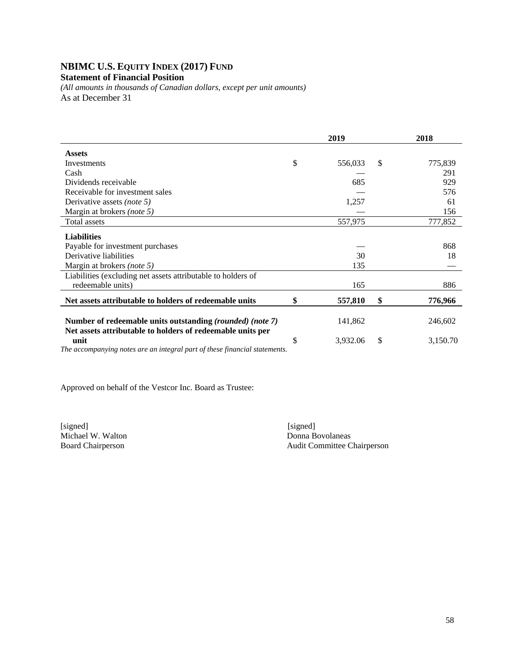## **NBIMC U.S. EQUITY INDEX (2017) FUND**

#### **Statement of Financial Position**

*(All amounts in thousands of Canadian dollars, except per unit amounts)*  As at December 31

|                                                                                                                         | 2019 |          |    | 2018     |
|-------------------------------------------------------------------------------------------------------------------------|------|----------|----|----------|
| <b>Assets</b>                                                                                                           |      |          |    |          |
| Investments                                                                                                             | \$   | 556,033  | \$ | 775,839  |
| Cash                                                                                                                    |      |          |    | 291      |
| Dividends receivable                                                                                                    |      | 685      |    | 929      |
| Receivable for investment sales                                                                                         |      |          |    | 576      |
| Derivative assets <i>(note 5)</i>                                                                                       |      | 1,257    |    | 61       |
| Margin at brokers (note 5)                                                                                              |      |          |    | 156      |
| Total assets                                                                                                            |      | 557,975  |    | 777,852  |
| <b>Liabilities</b>                                                                                                      |      |          |    |          |
| Payable for investment purchases                                                                                        |      |          |    | 868      |
| Derivative liabilities                                                                                                  |      | 30       |    | 18       |
| Margin at brokers (note 5)                                                                                              |      | 135      |    |          |
| Liabilities (excluding net assets attributable to holders of<br>redeemable units)                                       |      | 165      |    | 886      |
| Net assets attributable to holders of redeemable units                                                                  | \$   | 557,810  | \$ | 776,966  |
| Number of redeemable units outstanding (rounded) (note 7)<br>Net assets attributable to holders of redeemable units per |      | 141,862  |    | 246,602  |
| unit<br>The accompanying notes are an integral part of these financial statements.                                      | \$   | 3,932.06 | \$ | 3,150.70 |

Approved on behalf of the Vestcor Inc. Board as Trustee:

[signed] [signed] [signed] [signed] [signed] [signed] [signed] [signed] [signed] [signed] [signed] [Signed] [Signed] [Signed] [Signed] [Signed] [Signed] [Signed] [Signed] [Signed] [Signed] [Signed] [Signed] [Signed] [Signe Michael W. Walton

Board Chairperson Audit Committee Chairperson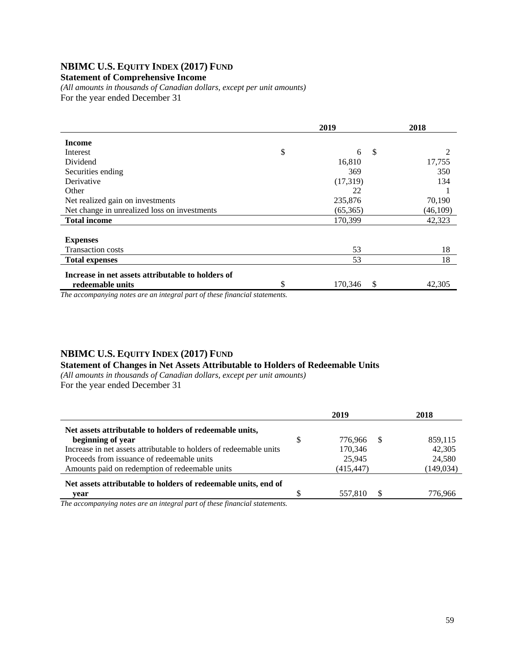## **NBIMC U.S. EQUITY INDEX (2017) FUND**

#### **Statement of Comprehensive Income**

*(All amounts in thousands of Canadian dollars, except per unit amounts)*  For the year ended December 31

|                                                   |    | 2018          |          |
|---------------------------------------------------|----|---------------|----------|
| <b>Income</b>                                     |    |               |          |
| Interest                                          | \$ | S<br>6        |          |
| Dividend                                          |    | 16,810        | 17,755   |
| Securities ending                                 |    | 369           | 350      |
| Derivative                                        |    | (17,319)      | 134      |
| Other                                             |    | 22            |          |
| Net realized gain on investments                  |    | 235,876       | 70,190   |
| Net change in unrealized loss on investments      |    | (65,365)      | (46,109) |
| <b>Total income</b>                               |    | 170,399       | 42,323   |
|                                                   |    |               |          |
| <b>Expenses</b>                                   |    |               |          |
| <b>Transaction costs</b>                          |    | 53            | 18       |
| <b>Total expenses</b>                             |    | 53            | 18       |
| Increase in net assets attributable to holders of |    |               |          |
| redeemable units                                  | \$ | 170,346<br>\$ | 42,305   |
| $\cdot$ $\cdot$ $\cdot$ $\cdot$<br>$\sim$         |    |               |          |

*The accompanying notes are an integral part of these financial statements.*

#### **NBIMC U.S. EQUITY INDEX (2017) FUND**

#### **Statement of Changes in Net Assets Attributable to Holders of Redeemable Units**

*(All amounts in thousands of Canadian dollars, except per unit amounts)*  For the year ended December 31

|                                                                    | 2019 |            |    | 2018       |
|--------------------------------------------------------------------|------|------------|----|------------|
| Net assets attributable to holders of redeemable units,            |      |            |    |            |
| beginning of year                                                  | \$   | 776.966    | -S | 859,115    |
| Increase in net assets attributable to holders of redeemable units |      | 170,346    |    | 42,305     |
| Proceeds from issuance of redeemable units                         |      | 25,945     |    | 24,580     |
| Amounts paid on redemption of redeemable units                     |      | (415, 447) |    | (149, 034) |
| Net assets attributable to holders of redeemable units, end of     |      |            |    |            |
| vear                                                               |      | 557.810    |    | 776.966    |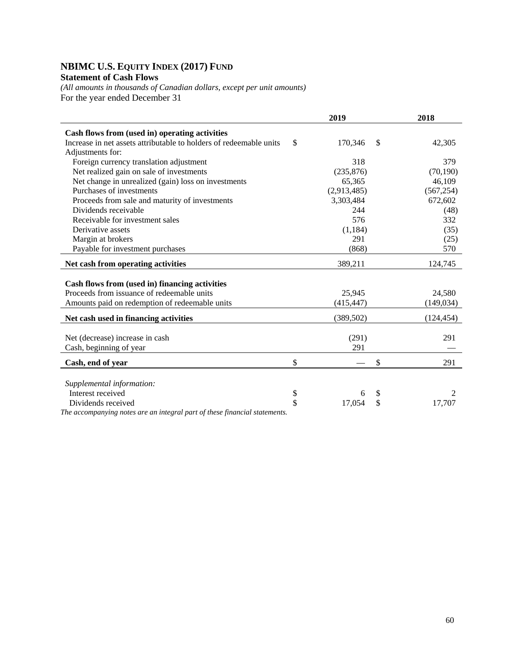## **NBIMC U.S. EQUITY INDEX (2017) FUND Statement of Cash Flows**

*(All amounts in thousands of Canadian dollars, except per unit amounts)*  For the year ended December 31

|                                                                            | 2019          |              | 2018       |
|----------------------------------------------------------------------------|---------------|--------------|------------|
| Cash flows from (used in) operating activities                             |               |              |            |
| Increase in net assets attributable to holders of redeemable units         | \$<br>170,346 | $\mathbb{S}$ | 42,305     |
| Adjustments for:                                                           |               |              |            |
| Foreign currency translation adjustment                                    | 318           |              | 379        |
| Net realized gain on sale of investments                                   | (235, 876)    |              | (70, 190)  |
| Net change in unrealized (gain) loss on investments                        | 65,365        |              | 46,109     |
| Purchases of investments                                                   | (2,913,485)   |              | (567, 254) |
| Proceeds from sale and maturity of investments                             | 3,303,484     |              | 672,602    |
| Dividends receivable                                                       | 244           |              | (48)       |
| Receivable for investment sales                                            | 576           |              | 332        |
| Derivative assets                                                          | (1, 184)      |              | (35)       |
| Margin at brokers                                                          | 291           |              | (25)       |
| Payable for investment purchases                                           | (868)         |              | 570        |
| Net cash from operating activities                                         | 389,211       |              | 124,745    |
|                                                                            |               |              |            |
| Cash flows from (used in) financing activities                             |               |              |            |
| Proceeds from issuance of redeemable units                                 | 25,945        |              | 24.580     |
| Amounts paid on redemption of redeemable units                             | (415, 447)    |              | (149, 034) |
| Net cash used in financing activities                                      | (389, 502)    |              | (124, 454) |
|                                                                            |               |              |            |
| Net (decrease) increase in cash                                            | (291)         |              | 291        |
| Cash, beginning of year                                                    | 291           |              |            |
|                                                                            |               |              |            |
| Cash, end of year                                                          | \$            | \$           | 291        |
|                                                                            |               |              |            |
| Supplemental information:                                                  |               |              |            |
| Interest received                                                          | \$<br>6       | \$           | 2          |
| Dividends received                                                         | \$<br>17,054  | \$           | 17,707     |
| The accompanying notes are an integral part of these financial statements. |               |              |            |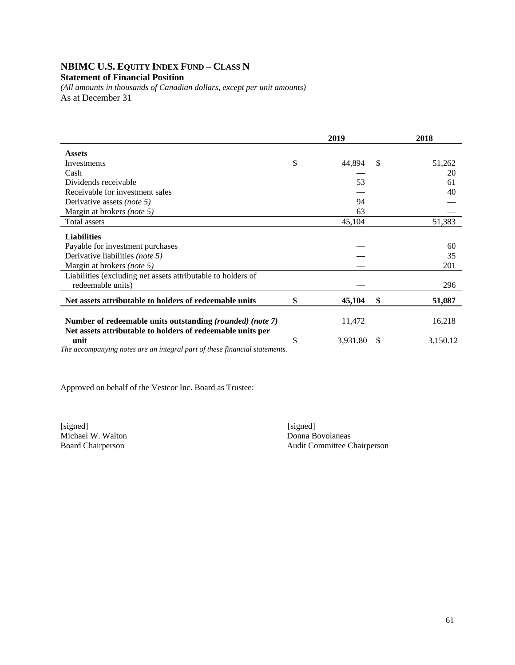### **NBIMC U.S. EQUITY INDEX FUND – CLASS N Statement of Financial Position**

*(All amounts in thousands of Canadian dollars, except per unit amounts)*  As at December 31

|                                                                                                                         | 2019 |          |    | 2018     |
|-------------------------------------------------------------------------------------------------------------------------|------|----------|----|----------|
| <b>Assets</b>                                                                                                           |      |          |    |          |
| Investments                                                                                                             | \$   | 44,894   | S  | 51,262   |
| Cash                                                                                                                    |      |          |    | 20       |
| Dividends receivable                                                                                                    |      | 53       |    | 61       |
| Receivable for investment sales                                                                                         |      |          |    | 40       |
| Derivative assets <i>(note 5)</i>                                                                                       |      | 94       |    |          |
| Margin at brokers (note 5)                                                                                              |      | 63       |    |          |
| Total assets                                                                                                            |      | 45,104   |    | 51,383   |
| <b>Liabilities</b>                                                                                                      |      |          |    |          |
| Payable for investment purchases                                                                                        |      |          |    | 60       |
| Derivative liabilities (note 5)                                                                                         |      |          |    | 35       |
| Margin at brokers (note 5)                                                                                              |      |          |    | 201      |
| Liabilities (excluding net assets attributable to holders of                                                            |      |          |    |          |
| redeemable units)                                                                                                       |      |          |    | 296      |
| Net assets attributable to holders of redeemable units                                                                  | \$   | 45,104   | \$ | 51,087   |
| Number of redeemable units outstanding (rounded) (note 7)<br>Net assets attributable to holders of redeemable units per |      | 11,472   |    | 16,218   |
| unit<br>The accompanying notes are an integral part of these financial statements.                                      | \$   | 3,931.80 | -S | 3,150.12 |

Approved on behalf of the Vestcor Inc. Board as Trustee:

[signed] [signed] [signed] [signed] [signed] [signed] [signed] [signed] [signed] [signed] [signed] [Signed] [Signed] [Signed] [Signed] [Signed] [Signed] [Signed] [Signed] [Signed] [Signed] [Signed] [Signed] [Signed] [Signe Michael W. Walton

Board Chairperson Audit Committee Chairperson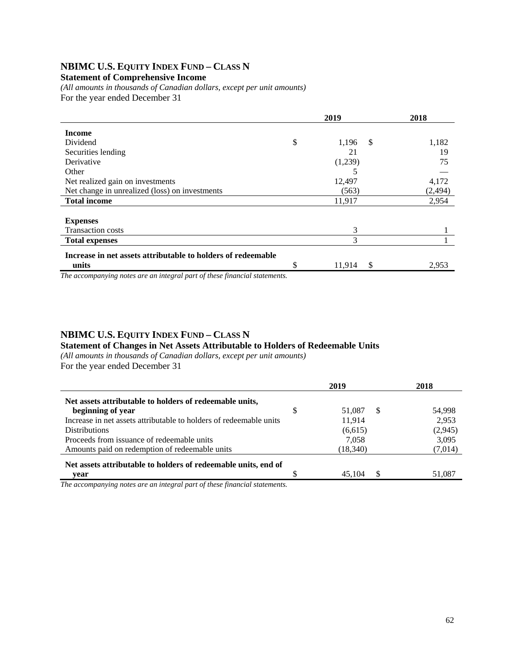## **NBIMC U.S. EQUITY INDEX FUND – CLASS N**

#### **Statement of Comprehensive Income**

*(All amounts in thousands of Canadian dollars, except per unit amounts)*  For the year ended December 31

|                                                                                                                                                                                                                                        |    | 2018         |          |
|----------------------------------------------------------------------------------------------------------------------------------------------------------------------------------------------------------------------------------------|----|--------------|----------|
| <b>Income</b>                                                                                                                                                                                                                          |    |              |          |
| Dividend                                                                                                                                                                                                                               | \$ | 1,196<br>-\$ | 1,182    |
| Securities lending                                                                                                                                                                                                                     |    | 21           | 19       |
| Derivative                                                                                                                                                                                                                             |    | (1,239)      | 75       |
| Other                                                                                                                                                                                                                                  |    |              |          |
| Net realized gain on investments                                                                                                                                                                                                       |    | 12,497       | 4,172    |
| Net change in unrealized (loss) on investments                                                                                                                                                                                         |    | (563)        | (2, 494) |
| <b>Total income</b>                                                                                                                                                                                                                    |    | 11,917       | 2,954    |
| <b>Expenses</b>                                                                                                                                                                                                                        |    |              |          |
| <b>Transaction costs</b>                                                                                                                                                                                                               |    | 3            |          |
| <b>Total expenses</b>                                                                                                                                                                                                                  |    | 3            |          |
| Increase in net assets attributable to holders of redeemable                                                                                                                                                                           |    |              |          |
| units<br>$T^{t}$ , and the contract of the contract of the contract of the contract of the contract of the contract of the contract of the contract of the contract of the contract of the contract of the contract of the contract of | S  | 11,914<br>-S | 2,953    |

*The accompanying notes are an integral part of these financial statements.*

### **NBIMC U.S. EQUITY INDEX FUND – CLASS N**

#### **Statement of Changes in Net Assets Attributable to Holders of Redeemable Units**

*(All amounts in thousands of Canadian dollars, except per unit amounts)* 

For the year ended December 31

|                                                                    | 2019               | 2018    |
|--------------------------------------------------------------------|--------------------|---------|
| Net assets attributable to holders of redeemable units,            |                    |         |
| beginning of year                                                  | 51,087<br><b>S</b> | 54.998  |
| Increase in net assets attributable to holders of redeemable units | 11,914             | 2.953   |
| <b>Distributions</b>                                               | (6,615)            | (2,945) |
| Proceeds from issuance of redeemable units                         | 7.058              | 3.095   |
| Amounts paid on redemption of redeemable units                     | (18,340)           | (7,014) |
| Net assets attributable to holders of redeemable units, end of     |                    |         |
| vear                                                               | 45.104             | 51,087  |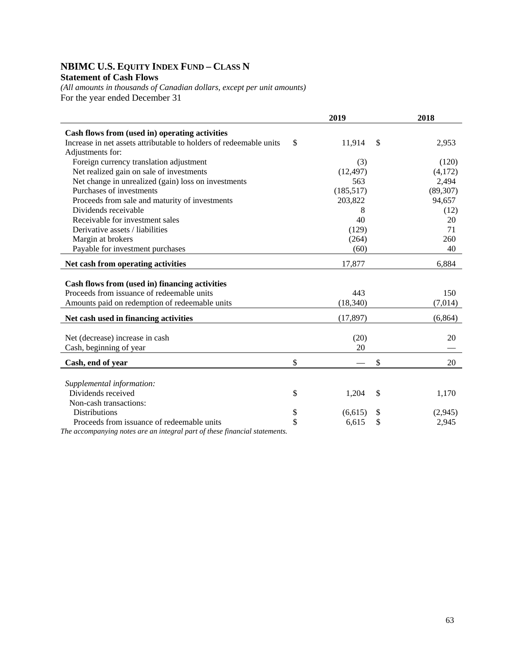## **NBIMC U.S. EQUITY INDEX FUND – CLASS N Statement of Cash Flows**

*(All amounts in thousands of Canadian dollars, except per unit amounts)*  For the year ended December 31

|                                                                    | 2019          |               | 2018      |
|--------------------------------------------------------------------|---------------|---------------|-----------|
| Cash flows from (used in) operating activities                     |               |               |           |
| Increase in net assets attributable to holders of redeemable units | \$<br>11,914  | <sup>\$</sup> | 2,953     |
| Adjustments for:                                                   |               |               |           |
| Foreign currency translation adjustment                            | (3)           |               | (120)     |
| Net realized gain on sale of investments                           | (12, 497)     |               | (4,172)   |
| Net change in unrealized (gain) loss on investments                | 563           |               | 2,494     |
| Purchases of investments                                           | (185, 517)    |               | (89, 307) |
| Proceeds from sale and maturity of investments                     | 203,822       |               | 94,657    |
| Dividends receivable                                               | 8             |               | (12)      |
| Receivable for investment sales                                    | 40            |               | 20        |
| Derivative assets / liabilities                                    | (129)         |               | 71        |
| Margin at brokers                                                  | (264)         |               | 260       |
| Payable for investment purchases                                   | (60)          |               | 40        |
| Net cash from operating activities                                 | 17,877        |               | 6,884     |
|                                                                    |               |               |           |
| Cash flows from (used in) financing activities                     |               |               |           |
| Proceeds from issuance of redeemable units                         | 443           |               | 150       |
| Amounts paid on redemption of redeemable units                     | (18, 340)     |               | (7,014)   |
| Net cash used in financing activities                              | (17, 897)     |               | (6,864)   |
| Net (decrease) increase in cash                                    | (20)          |               | 20        |
| Cash, beginning of year                                            | 20            |               |           |
|                                                                    |               |               |           |
| Cash, end of year                                                  | \$            | \$            | 20        |
|                                                                    |               |               |           |
| Supplemental information:                                          |               |               |           |
| Dividends received                                                 | \$<br>1,204   | \$            | 1,170     |
| Non-cash transactions:                                             |               |               |           |
| <b>Distributions</b>                                               | \$<br>(6,615) | \$            | (2,945)   |
| Proceeds from issuance of redeemable units                         | \$<br>6,615   | \$            | 2,945     |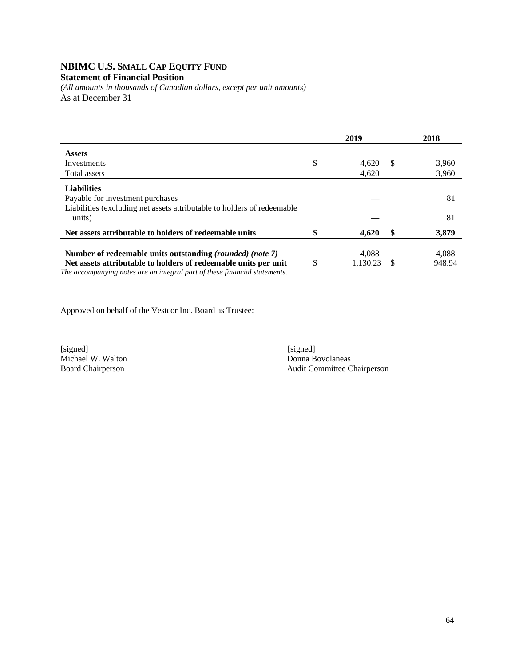## **NBIMC U.S. SMALL CAP EQUITY FUND**

## **Statement of Financial Position**

*(All amounts in thousands of Canadian dollars, except per unit amounts)*  As at December 31

|                                                                                                                              | 2019                    |     | 2018            |
|------------------------------------------------------------------------------------------------------------------------------|-------------------------|-----|-----------------|
| <b>Assets</b>                                                                                                                |                         |     |                 |
| Investments                                                                                                                  | \$<br>4,620             | \$. | 3,960           |
| Total assets                                                                                                                 | 4,620                   |     | 3,960           |
| <b>Liabilities</b>                                                                                                           |                         |     |                 |
| Payable for investment purchases                                                                                             |                         |     | 81              |
| Liabilities (excluding net assets attributable to holders of redeemable<br>units)                                            |                         |     | 81              |
| Net assets attributable to holders of redeemable units                                                                       | 4,620                   | \$  | 3,879           |
| Number of redeemable units outstanding (rounded) (note 7)<br>Net assets attributable to holders of redeemable units per unit | \$<br>4.088<br>1.130.23 | -S  | 4.088<br>948.94 |
| The accompanying notes are an integral part of these financial statements                                                    |                         |     |                 |

*The accompanying notes are an integral part of these financial statements.* 

Approved on behalf of the Vestcor Inc. Board as Trustee:

Michael W. Walton

[signed] [signed] [signed] [signed] [signed] [signed] [signed] [signed] [signed] [signed] [signed] [ Board Chairperson Audit Committee Chairperson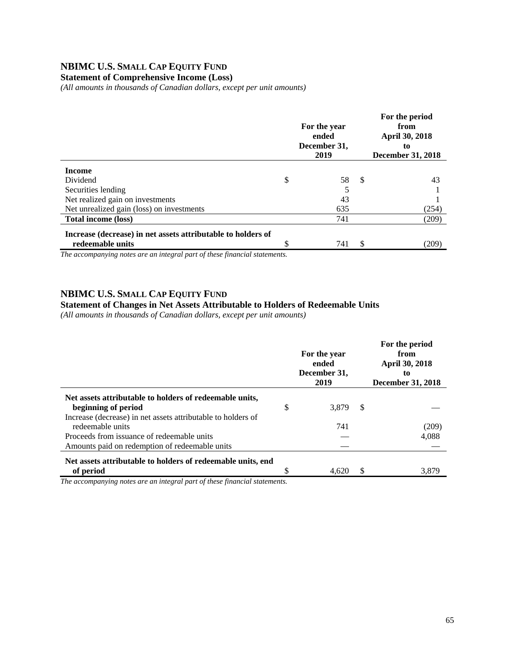## **NBIMC U.S. SMALL CAP EQUITY FUND**

### **Statement of Comprehensive Income (Loss)**

*(All amounts in thousands of Canadian dollars, except per unit amounts)* 

|                                                              | For the year<br>ended<br>December 31,<br>2019 |     | For the period<br>from<br><b>April 30, 2018</b><br>to<br>December 31, 2018 |
|--------------------------------------------------------------|-----------------------------------------------|-----|----------------------------------------------------------------------------|
| <b>Income</b>                                                |                                               |     |                                                                            |
| Dividend                                                     | \$<br>58                                      | -\$ | 43                                                                         |
| Securities lending                                           | 5                                             |     |                                                                            |
| Net realized gain on investments                             | 43                                            |     |                                                                            |
| Net unrealized gain (loss) on investments                    | 635                                           |     | (254)                                                                      |
| <b>Total income (loss)</b>                                   | 741                                           |     | (209)                                                                      |
| Increase (decrease) in net assets attributable to holders of |                                               |     |                                                                            |
| redeemable units                                             | 741                                           | S   | (209)                                                                      |

*The accompanying notes are an integral part of these financial statements.*

#### **NBIMC U.S. SMALL CAP EQUITY FUND**

#### **Statement of Changes in Net Assets Attributable to Holders of Redeemable Units**

*(All amounts in thousands of Canadian dollars, except per unit amounts)* 

|                                                                                | For the year<br>ended<br>December 31,<br>2019 |   | For the period<br>from<br>April 30, 2018<br>to<br><b>December 31, 2018</b> |
|--------------------------------------------------------------------------------|-----------------------------------------------|---|----------------------------------------------------------------------------|
| Net assets attributable to holders of redeemable units,<br>beginning of period | \$<br>3.879                                   | S |                                                                            |
| Increase (decrease) in net assets attributable to holders of                   |                                               |   |                                                                            |
| redeemable units                                                               | 741                                           |   | (209)                                                                      |
| Proceeds from issuance of redeemable units                                     |                                               |   | 4,088                                                                      |
| Amounts paid on redemption of redeemable units                                 |                                               |   |                                                                            |
| Net assets attributable to holders of redeemable units, end                    |                                               |   |                                                                            |
| of period                                                                      | 4.620                                         |   | 3.879                                                                      |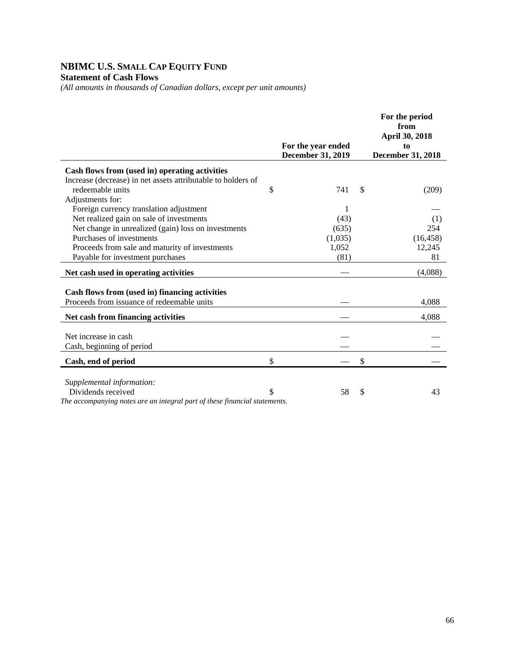## **NBIMC U.S. SMALL CAP EQUITY FUND Statement of Cash Flows**

*(All amounts in thousands of Canadian dollars, except per unit amounts)* 

|                                                                            | For the year ended<br>December 31, 2019 | For the period<br>from<br>April 30, 2018<br>to<br><b>December 31, 2018</b> |
|----------------------------------------------------------------------------|-----------------------------------------|----------------------------------------------------------------------------|
| Cash flows from (used in) operating activities                             |                                         |                                                                            |
| Increase (decrease) in net assets attributable to holders of               |                                         |                                                                            |
| redeemable units                                                           | \$<br>741                               | \$<br>(209)                                                                |
| Adjustments for:                                                           |                                         |                                                                            |
| Foreign currency translation adjustment                                    | 1                                       |                                                                            |
| Net realized gain on sale of investments                                   | (43)                                    | (1)                                                                        |
| Net change in unrealized (gain) loss on investments                        | (635)                                   | 254                                                                        |
| Purchases of investments                                                   | (1,035)                                 | (16, 458)                                                                  |
| Proceeds from sale and maturity of investments                             | 1,052                                   | 12,245                                                                     |
| Payable for investment purchases                                           | (81)                                    | 81                                                                         |
| Net cash used in operating activities                                      |                                         | (4,088)                                                                    |
|                                                                            |                                         |                                                                            |
| Cash flows from (used in) financing activities                             |                                         |                                                                            |
| Proceeds from issuance of redeemable units                                 |                                         | 4,088                                                                      |
| Net cash from financing activities                                         |                                         | 4,088                                                                      |
| Net increase in cash                                                       |                                         |                                                                            |
| Cash, beginning of period                                                  |                                         |                                                                            |
|                                                                            |                                         |                                                                            |
| Cash, end of period                                                        | \$                                      | \$                                                                         |
| Supplemental information:                                                  |                                         |                                                                            |
| Dividends received                                                         | \$<br>58                                | \$<br>43                                                                   |
| The accompanying notes are an integral part of these financial statements. |                                         |                                                                            |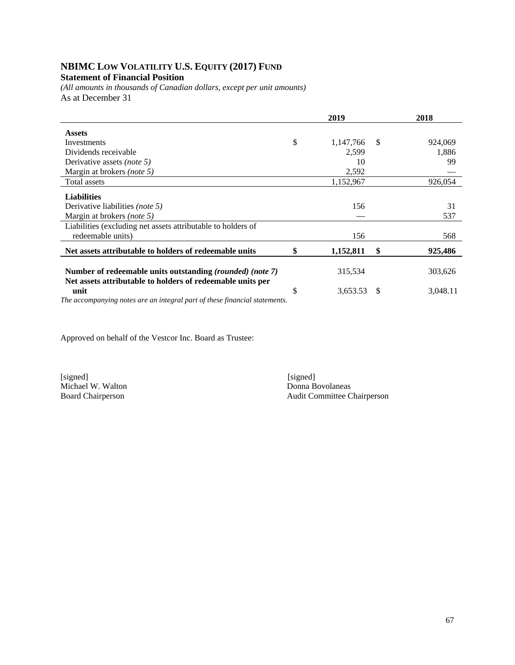# **NBIMC LOW VOLATILITY U.S. EQUITY (2017) FUND**

## **Statement of Financial Position**

*(All amounts in thousands of Canadian dollars, except per unit amounts)*  As at December 31

|                                                                                                                         |              | 2019      |    | 2018     |
|-------------------------------------------------------------------------------------------------------------------------|--------------|-----------|----|----------|
| <b>Assets</b>                                                                                                           |              |           |    |          |
| Investments                                                                                                             | $\mathbb{S}$ | 1,147,766 | -S | 924,069  |
| Dividends receivable                                                                                                    |              | 2,599     |    | 1,886    |
| Derivative assets <i>(note 5)</i>                                                                                       |              | 10        |    | 99       |
| Margin at brokers (note 5)                                                                                              |              | 2,592     |    |          |
| Total assets                                                                                                            |              | 1,152,967 |    | 926,054  |
| <b>Liabilities</b>                                                                                                      |              |           |    |          |
| Derivative liabilities <i>(note 5)</i>                                                                                  |              | 156       |    | 31       |
| Margin at brokers (note 5)                                                                                              |              |           |    | 537      |
| Liabilities (excluding net assets attributable to holders of                                                            |              |           |    |          |
| redeemable units)                                                                                                       |              | 156       |    | 568      |
| Net assets attributable to holders of redeemable units                                                                  |              | 1,152,811 | \$ | 925,486  |
| Number of redeemable units outstanding (rounded) (note 7)<br>Net assets attributable to holders of redeemable units per |              | 315,534   |    | 303,626  |
| unit                                                                                                                    | S            | 3,653.53  | S  | 3,048.11 |

*The accompanying notes are an integral part of these financial statements.* 

Approved on behalf of the Vestcor Inc. Board as Trustee:

Michael W. Walton<br>Board Chairperson

[signed] [signed] [signed] [signed] [signed] [signed] [signed] [signed] [signed] [signed] [Signed] [Signed] [Signed] [Signed] [Signed] [Signed] [Signed] [Signed] [Signed] [Signed] [Signed] [Signed] [Signed] [Signed] [Signe Audit Committee Chairperson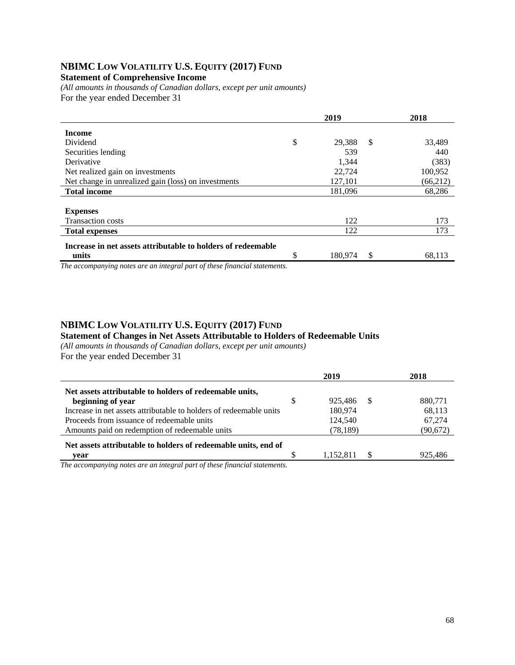## **NBIMC LOW VOLATILITY U.S. EQUITY (2017) FUND**

#### **Statement of Comprehensive Income**

*(All amounts in thousands of Canadian dollars, except per unit amounts)*  For the year ended December 31

|                                                                | 2019 |         |    | 2018     |
|----------------------------------------------------------------|------|---------|----|----------|
| <b>Income</b>                                                  |      |         |    |          |
| Dividend                                                       | \$   | 29,388  | -S | 33,489   |
| Securities lending                                             |      | 539     |    | 440      |
| Derivative                                                     |      | 1,344   |    | (383)    |
| Net realized gain on investments                               |      | 22,724  |    | 100,952  |
| Net change in unrealized gain (loss) on investments            |      | 127,101 |    | (66,212) |
| <b>Total income</b>                                            |      | 181,096 |    | 68,286   |
|                                                                |      |         |    |          |
| <b>Expenses</b>                                                |      |         |    |          |
| <b>Transaction costs</b>                                       |      | 122     |    | 173      |
| <b>Total expenses</b>                                          |      | 122     |    | 173      |
| Increase in net assets attributable to holders of redeemable   |      |         |    |          |
| units<br>$\sim$ $\sim$<br>$\alpha$ $\alpha$ $\alpha$<br>$\sim$ | \$   | 180,974 | \$ | 68,113   |

*The accompanying notes are an integral part of these financial statements.*

#### **NBIMC LOW VOLATILITY U.S. EQUITY (2017) FUND**

#### **Statement of Changes in Net Assets Attributable to Holders of Redeemable Units**

*(All amounts in thousands of Canadian dollars, except per unit amounts)*  For the year ended December 31

|                                                                                                                           | 2019 |           |    | 2018      |
|---------------------------------------------------------------------------------------------------------------------------|------|-----------|----|-----------|
| Net assets attributable to holders of redeemable units,                                                                   |      |           |    |           |
| beginning of year                                                                                                         | \$   | 925.486   | -S | 880.771   |
| Increase in net assets attributable to holders of redeemable units                                                        |      | 180.974   |    | 68,113    |
| Proceeds from issuance of redeemable units                                                                                |      | 124,540   |    | 67.274    |
| Amounts paid on redemption of redeemable units                                                                            |      | (78, 189) |    | (90, 672) |
| Net assets attributable to holders of redeemable units, end of                                                            |      |           |    |           |
| vear                                                                                                                      |      | 1,152,811 |    | 925.486   |
| $\bullet$ . $\bullet$ . $\bullet$ . $\bullet$ . $\bullet$ . $\bullet$ . $\bullet$ . $\bullet$ . $\bullet$<br>$\sim$<br>T1 |      |           |    |           |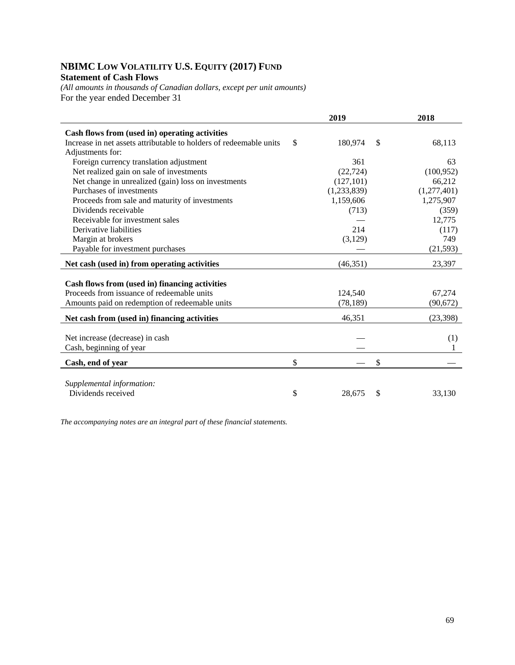## **NBIMC LOW VOLATILITY U.S. EQUITY (2017) FUND Statement of Cash Flows**

*(All amounts in thousands of Canadian dollars, except per unit amounts)*  For the year ended December 31

|                                                                    | 2019          | 2018         |
|--------------------------------------------------------------------|---------------|--------------|
| Cash flows from (used in) operating activities                     |               |              |
| Increase in net assets attributable to holders of redeemable units | \$<br>180,974 | \$<br>68,113 |
| Adjustments for:                                                   |               |              |
| Foreign currency translation adjustment                            | 361           | 63           |
| Net realized gain on sale of investments                           | (22, 724)     | (100, 952)   |
| Net change in unrealized (gain) loss on investments                | (127, 101)    | 66,212       |
| Purchases of investments                                           | (1,233,839)   | (1,277,401)  |
| Proceeds from sale and maturity of investments                     | 1,159,606     | 1,275,907    |
| Dividends receivable                                               | (713)         | (359)        |
| Receivable for investment sales                                    |               | 12,775       |
| Derivative liabilities                                             | 214           | (117)        |
| Margin at brokers                                                  | (3, 129)      | 749          |
| Payable for investment purchases                                   |               | (21, 593)    |
| Net cash (used in) from operating activities                       | (46, 351)     | 23,397       |
|                                                                    |               |              |
| Cash flows from (used in) financing activities                     |               |              |
| Proceeds from issuance of redeemable units                         | 124,540       | 67,274       |
| Amounts paid on redemption of redeemable units                     | (78, 189)     | (90, 672)    |
| Net cash from (used in) financing activities                       | 46,351        | (23, 398)    |
|                                                                    |               |              |
| Net increase (decrease) in cash                                    |               | (1)          |
| Cash, beginning of year                                            |               |              |
| Cash, end of year                                                  | \$            | \$           |
|                                                                    |               |              |
| Supplemental information:                                          |               |              |
| Dividends received                                                 | \$<br>28,675  | \$<br>33,130 |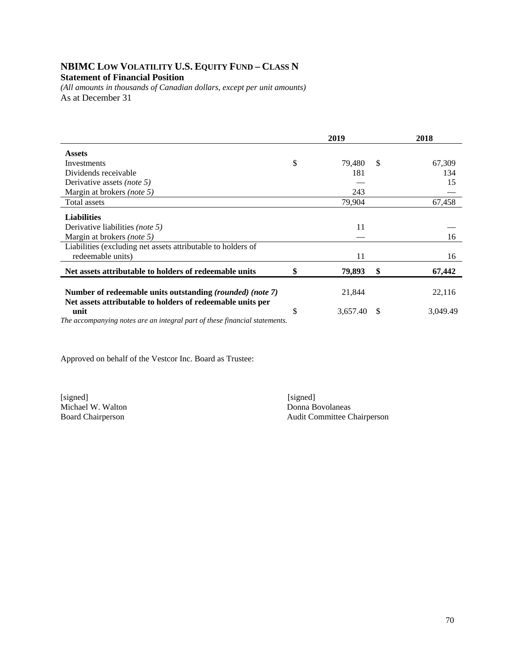## **NBIMC LOW VOLATILITY U.S. EQUITY FUND – CLASS N Statement of Financial Position**

*(All amounts in thousands of Canadian dollars, except per unit amounts)*  As at December 31

|                                                                                                                         | 2019 |          |    | 2018     |
|-------------------------------------------------------------------------------------------------------------------------|------|----------|----|----------|
| <b>Assets</b>                                                                                                           |      |          |    |          |
| Investments                                                                                                             | \$   | 79,480   | -S | 67,309   |
| Dividends receivable                                                                                                    |      | 181      |    | 134      |
| Derivative assets <i>(note 5)</i>                                                                                       |      |          |    | 15       |
| Margin at brokers (note 5)                                                                                              |      | 243      |    |          |
| Total assets                                                                                                            |      | 79,904   |    | 67,458   |
| <b>Liabilities</b>                                                                                                      |      |          |    |          |
| Derivative liabilities (note 5)                                                                                         |      | 11       |    |          |
| Margin at brokers <i>(note 5)</i>                                                                                       |      |          |    | 16       |
| Liabilities (excluding net assets attributable to holders of                                                            |      |          |    |          |
| redeemable units)                                                                                                       |      | 11       |    | 16       |
| Net assets attributable to holders of redeemable units                                                                  | \$   | 79,893   | \$ | 67,442   |
| Number of redeemable units outstanding (rounded) (note 7)<br>Net assets attributable to holders of redeemable units per |      | 21,844   |    | 22,116   |
| unit                                                                                                                    | S    | 3,657.40 | S  | 3,049.49 |

*The accompanying notes are an integral part of these financial statements.* 

Approved on behalf of the Vestcor Inc. Board as Trustee:

[signed] [signed] Michael W. Walton<br>Board Chairperson

Audit Committee Chairperson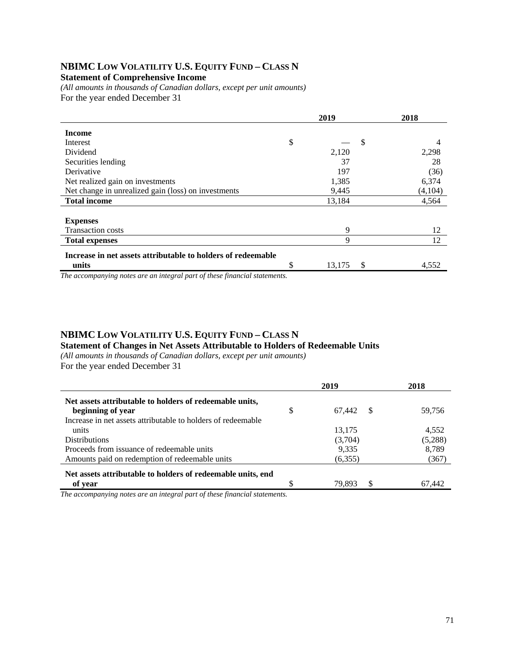### **NBIMC LOW VOLATILITY U.S. EQUITY FUND – CLASS N Statement of Comprehensive Income**

*(All amounts in thousands of Canadian dollars, except per unit amounts)*  For the year ended December 31

|                                                              | 2019 |        |    | 2018    |  |
|--------------------------------------------------------------|------|--------|----|---------|--|
| <b>Income</b>                                                |      |        |    |         |  |
| Interest                                                     | \$   |        | \$ | 4       |  |
| Dividend                                                     |      | 2,120  |    | 2,298   |  |
| Securities lending                                           |      | 37     |    | 28      |  |
| Derivative                                                   |      | 197    |    | (36)    |  |
| Net realized gain on investments                             |      | 1,385  |    | 6,374   |  |
| Net change in unrealized gain (loss) on investments          |      | 9,445  |    | (4,104) |  |
| <b>Total income</b>                                          |      | 13,184 |    | 4,564   |  |
|                                                              |      |        |    |         |  |
| <b>Expenses</b>                                              |      |        |    |         |  |
| <b>Transaction costs</b>                                     |      | 9      |    | 12      |  |
| <b>Total expenses</b>                                        |      | 9      |    | 12      |  |
| Increase in net assets attributable to holders of redeemable |      |        |    |         |  |
| units                                                        | \$   | 13,175 | \$ | 4,552   |  |
|                                                              |      |        |    |         |  |

*The accompanying notes are an integral part of these financial statements.*

#### **NBIMC LOW VOLATILITY U.S. EQUITY FUND – CLASS N**

**Statement of Changes in Net Assets Attributable to Holders of Redeemable Units** 

*(All amounts in thousands of Canadian dollars, except per unit amounts)* 

For the year ended December 31

|                                                              | 2019               | 2018    |
|--------------------------------------------------------------|--------------------|---------|
| Net assets attributable to holders of redeemable units,      |                    |         |
| beginning of year                                            | \$<br>67.442<br>-S | 59,756  |
| Increase in net assets attributable to holders of redeemable |                    |         |
| units                                                        | 13,175             | 4.552   |
| <b>Distributions</b>                                         | (3,704)            | (5,288) |
| Proceeds from issuance of redeemable units                   | 9.335              | 8,789   |
| Amounts paid on redemption of redeemable units               | (6,355)            | (367)   |
| Net assets attributable to holders of redeemable units, end  |                    |         |
| of year                                                      | 79.893<br>£.       | 67.442  |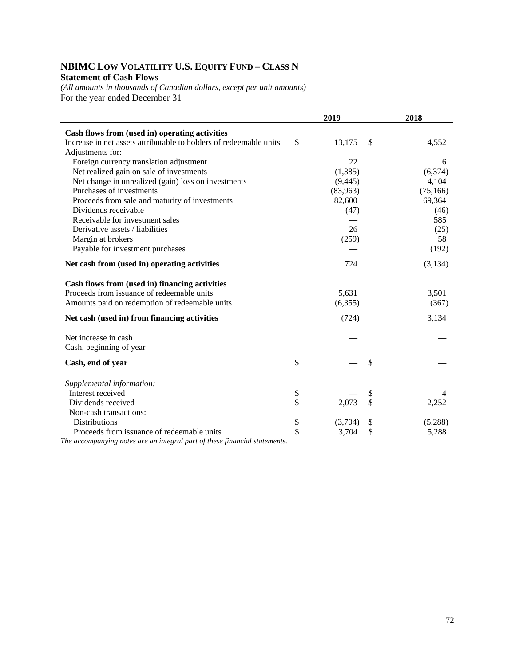## **NBIMC LOW VOLATILITY U.S. EQUITY FUND – CLASS N Statement of Cash Flows**

*(All amounts in thousands of Canadian dollars, except per unit amounts)*  For the year ended December 31

|                                                                    | 2019          | 2018        |
|--------------------------------------------------------------------|---------------|-------------|
| Cash flows from (used in) operating activities                     |               |             |
| Increase in net assets attributable to holders of redeemable units | \$<br>13,175  | \$<br>4,552 |
| Adjustments for:                                                   |               |             |
| Foreign currency translation adjustment                            | 22            | 6           |
| Net realized gain on sale of investments                           | (1, 385)      | (6,374)     |
| Net change in unrealized (gain) loss on investments                | (9, 445)      | 4,104       |
| Purchases of investments                                           | (83,963)      | (75, 166)   |
| Proceeds from sale and maturity of investments                     | 82,600        | 69,364      |
| Dividends receivable                                               | (47)          | (46)        |
| Receivable for investment sales                                    |               | 585         |
| Derivative assets / liabilities                                    | 26            | (25)        |
| Margin at brokers                                                  | (259)         | 58          |
| Payable for investment purchases                                   |               | (192)       |
| Net cash from (used in) operating activities                       | 724           | (3,134)     |
|                                                                    |               |             |
| Cash flows from (used in) financing activities                     |               |             |
| Proceeds from issuance of redeemable units                         | 5,631         | 3,501       |
| Amounts paid on redemption of redeemable units                     | (6, 355)      | (367)       |
| Net cash (used in) from financing activities                       | (724)         | 3,134       |
|                                                                    |               |             |
| Net increase in cash                                               |               |             |
| Cash, beginning of year                                            |               |             |
| Cash, end of year                                                  | \$            | \$          |
|                                                                    |               |             |
| Supplemental information:                                          |               |             |
| Interest received                                                  | \$            | \$<br>4     |
| Dividends received                                                 | \$<br>2,073   | \$<br>2,252 |
| Non-cash transactions:                                             |               |             |
| Distributions                                                      | \$<br>(3,704) | (5,288)     |
| Proceeds from issuance of redeemable units                         | \$<br>3,704   | \$<br>5,288 |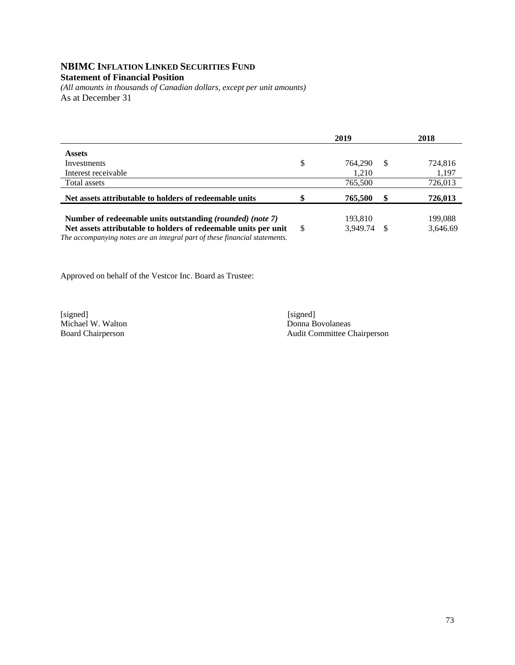#### **NBIMC INFLATION LINKED SECURITIES FUND Statement of Financial Position**

*(All amounts in thousands of Canadian dollars, except per unit amounts)*  As at December 31

|                                                                                                                                               |    | 2019     |    | 2018     |
|-----------------------------------------------------------------------------------------------------------------------------------------------|----|----------|----|----------|
| <b>Assets</b>                                                                                                                                 |    |          |    |          |
| Investments                                                                                                                                   | \$ | 764.290  | S  | 724,816  |
| Interest receivable                                                                                                                           |    | 1,210    |    | 1,197    |
| Total assets                                                                                                                                  |    | 765,500  |    | 726,013  |
| Net assets attributable to holders of redeemable units                                                                                        | ¢  | 765,500  | S  | 726,013  |
|                                                                                                                                               |    |          |    |          |
| Number of redeemable units outstanding (rounded) (note 7)                                                                                     |    | 193,810  |    | 199,088  |
| Net assets attributable to holders of redeemable units per unit<br>The accompanying notes are an integral part of these financial statements. | -S | 3.949.74 | -S | 3,646.69 |

Approved on behalf of the Vestcor Inc. Board as Trustee:

[signed] [signed] [signed] [signed] [signed] [signed] [signed] [signed] [signed] [signed] [signed] [Signed] [Signed] [Signed] [Signed] [Signed] [Signed] [Signed] [Signed] [Signed] [Signed] [Signed] [Signed] [Signed] [Signe Michael W. Walton<br>Board Chairperson

Audit Committee Chairperson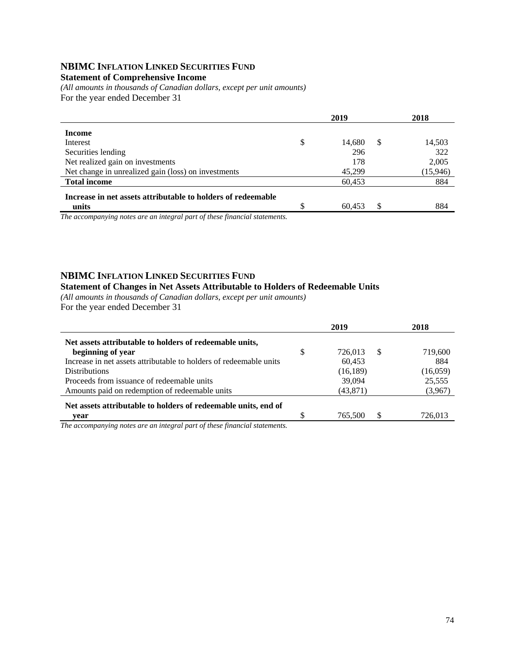## **NBIMC INFLATION LINKED SECURITIES FUND**

## **Statement of Comprehensive Income**

*(All amounts in thousands of Canadian dollars, except per unit amounts)*  For the year ended December 31

|                                                              | 2019         |    | 2018     |
|--------------------------------------------------------------|--------------|----|----------|
| Income                                                       |              |    |          |
| Interest                                                     | \$<br>14.680 | S  | 14,503   |
| Securities lending                                           | 296          |    | 322      |
| Net realized gain on investments                             | 178          |    | 2,005    |
| Net change in unrealized gain (loss) on investments          | 45.299       |    | (15,946) |
| <b>Total income</b>                                          | 60,453       |    | 884      |
| Increase in net assets attributable to holders of redeemable |              |    |          |
| units<br>$\sim$ $\sim$ $\sim$ $\sim$<br>$\sim$               | 60,453       | \$ | 884      |

*The accompanying notes are an integral part of these financial statements.*

### **NBIMC INFLATION LINKED SECURITIES FUND**

#### **Statement of Changes in Net Assets Attributable to Holders of Redeemable Units**

*(All amounts in thousands of Canadian dollars, except per unit amounts)*  For the year ended December 31

|                                                                    | 2019          |               | 2018     |
|--------------------------------------------------------------------|---------------|---------------|----------|
| Net assets attributable to holders of redeemable units,            |               |               |          |
| beginning of year                                                  | \$<br>726.013 | -S            | 719,600  |
| Increase in net assets attributable to holders of redeemable units | 60.453        |               | 884      |
| <b>Distributions</b>                                               | (16, 189)     |               | (16,059) |
| Proceeds from issuance of redeemable units                         | 39,094        |               | 25,555   |
| Amounts paid on redemption of redeemable units                     | (43, 871)     |               | (3,967)  |
| Net assets attributable to holders of redeemable units, end of     |               |               |          |
| vear                                                               | 765,500       | <sup>\$</sup> | 726.013  |
|                                                                    |               |               |          |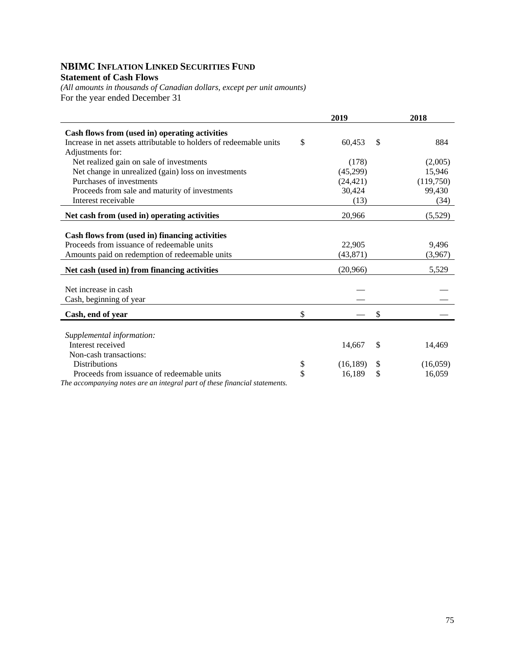### **NBIMC INFLATION LINKED SECURITIES FUND Statement of Cash Flows**

*(All amounts in thousands of Canadian dollars, except per unit amounts)*  For the year ended December 31

|                                                                    | 2019                          | 2018      |
|--------------------------------------------------------------------|-------------------------------|-----------|
| Cash flows from (used in) operating activities                     |                               |           |
| Increase in net assets attributable to holders of redeemable units | \$<br>60,453<br><sup>\$</sup> | 884       |
| Adjustments for:                                                   |                               |           |
| Net realized gain on sale of investments                           | (178)                         | (2,005)   |
| Net change in unrealized (gain) loss on investments                | (45,299)                      | 15,946    |
| Purchases of investments                                           | (24, 421)                     | (119,750) |
| Proceeds from sale and maturity of investments                     | 30,424                        | 99,430    |
| Interest receivable                                                | (13)                          | (34)      |
| Net cash from (used in) operating activities                       | 20,966                        | (5,529)   |
|                                                                    |                               |           |
| Cash flows from (used in) financing activities                     |                               |           |
| Proceeds from issuance of redeemable units                         | 22,905                        | 9,496     |
| Amounts paid on redemption of redeemable units                     | (43, 871)                     | (3,967)   |
| Net cash (used in) from financing activities                       | (20,966)                      | 5,529     |
|                                                                    |                               |           |
|                                                                    |                               |           |
|                                                                    |                               |           |
| Cash, end of year                                                  | \$<br>\$                      |           |
|                                                                    |                               |           |
| Supplemental information:                                          |                               |           |
| Interest received                                                  | 14,667<br><sup>\$</sup>       | 14,469    |
| Non-cash transactions:                                             |                               |           |
| <b>Distributions</b>                                               | \$<br>(16, 189)<br>-S         | (16,059)  |
| Proceeds from issuance of redeemable units                         | \$<br>16,189                  | 16,059    |
| Net increase in cash<br>Cash, beginning of year                    | \$                            |           |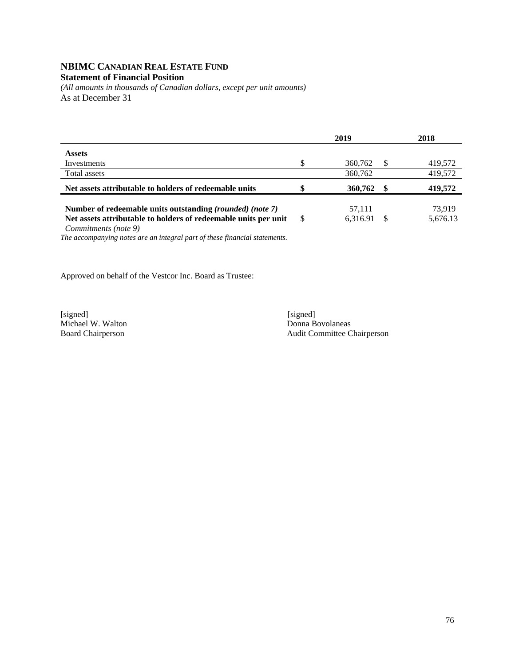## **NBIMC CANADIAN REAL ESTATE FUND**

#### **Statement of Financial Position**

*(All amounts in thousands of Canadian dollars, except per unit amounts)*  As at December 31

|                                                                                                                                     | 2019 |                    |    | 2018               |  |
|-------------------------------------------------------------------------------------------------------------------------------------|------|--------------------|----|--------------------|--|
| <b>Assets</b>                                                                                                                       |      |                    |    |                    |  |
| Investments                                                                                                                         |      | 360,762            | S  | 419,572            |  |
| Total assets                                                                                                                        |      | 360,762            |    | 419,572            |  |
| Net assets attributable to holders of redeemable units                                                                              |      | 360,762            | £. | 419,572            |  |
| Number of redeemable units outstanding <i>(rounded) (note 7)</i><br>Net assets attributable to holders of redeemable units per unit | -S   | 57,111<br>6,316.91 |    | 73.919<br>5,676.13 |  |

*Commitments (note 9)* 

*The accompanying notes are an integral part of these financial statements.* 

Approved on behalf of the Vestcor Inc. Board as Trustee:

[signed] [signed] [signed] [signed] [signed] [signed] [signed] [signed] [signed] [signed] [signed] [Signed] [Signed] [Signed] [Signed] [Signed] [Signed] [Signed] [Signed] [Signed] [Signed] [Signed] [Signed] [Signed] [Signe Michael W. Walton<br>Board Chairperson

Audit Committee Chairperson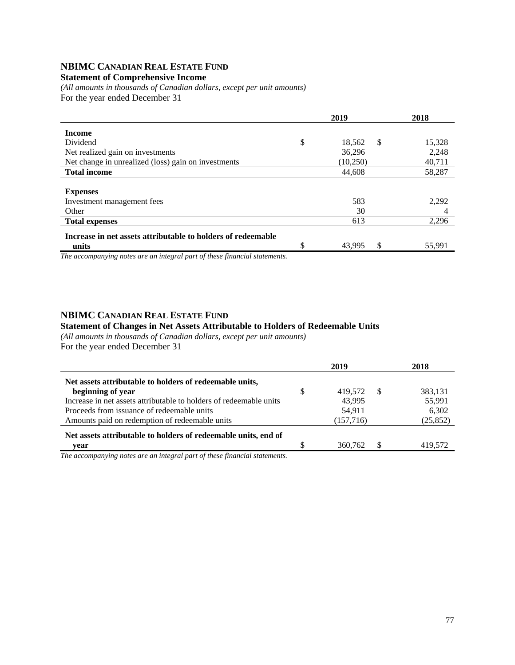## **NBIMC CANADIAN REAL ESTATE FUND**

#### **Statement of Comprehensive Income**

*(All amounts in thousands of Canadian dollars, except per unit amounts)*  For the year ended December 31

|                                                              | 2019 |          |    | 2018   |
|--------------------------------------------------------------|------|----------|----|--------|
| <b>Income</b>                                                |      |          |    |        |
| Dividend                                                     | \$   | 18,562   | \$ | 15,328 |
| Net realized gain on investments                             |      | 36,296   |    | 2,248  |
| Net change in unrealized (loss) gain on investments          |      | (10,250) |    | 40,711 |
| <b>Total income</b>                                          |      | 44,608   |    | 58,287 |
|                                                              |      |          |    |        |
| <b>Expenses</b>                                              |      |          |    |        |
| Investment management fees                                   |      | 583      |    | 2,292  |
| Other                                                        |      | 30       |    | 4      |
| <b>Total expenses</b>                                        |      | 613      |    | 2,296  |
| Increase in net assets attributable to holders of redeemable |      |          |    |        |
| units                                                        |      | 43,995   | \$ | 55,991 |

*The accompanying notes are an integral part of these financial statements.*

### **NBIMC CANADIAN REAL ESTATE FUND**

#### **Statement of Changes in Net Assets Attributable to Holders of Redeemable Units**

*(All amounts in thousands of Canadian dollars, except per unit amounts)*  For the year ended December 31

|                                                                              | 2019          |    | 2018      |
|------------------------------------------------------------------------------|---------------|----|-----------|
| Net assets attributable to holders of redeemable units,                      |               |    |           |
| beginning of year                                                            | \$<br>419.572 | -S | 383,131   |
| Increase in net assets attributable to holders of redeemable units           | 43.995        |    | 55,991    |
| Proceeds from issuance of redeemable units                                   | 54.911        |    | 6,302     |
| Amounts paid on redemption of redeemable units                               | (157, 716)    |    | (25, 852) |
| Net assets attributable to holders of redeemable units, end of               |               |    |           |
| vear                                                                         | 360,762       | S. | 419,572   |
| $\bullet$ . The contract of $\bullet$ is the contract of $\bullet$<br>$\sim$ |               |    |           |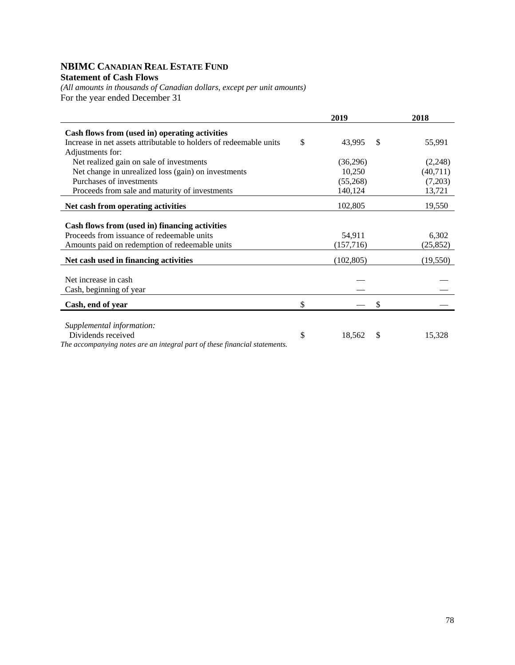## **NBIMC CANADIAN REAL ESTATE FUND Statement of Cash Flows**

*(All amounts in thousands of Canadian dollars, except per unit amounts)*  For the year ended December 31

|                                                                            | 2019               | 2018      |
|----------------------------------------------------------------------------|--------------------|-----------|
| Cash flows from (used in) operating activities                             |                    |           |
| Increase in net assets attributable to holders of redeemable units         | \$<br>43,995<br>-S | 55,991    |
| Adjustments for:                                                           |                    |           |
| Net realized gain on sale of investments                                   | (36,296)           | (2,248)   |
| Net change in unrealized loss (gain) on investments                        | 10,250             | (40,711)  |
| Purchases of investments                                                   | (55,268)           | (7,203)   |
| Proceeds from sale and maturity of investments                             | 140,124            | 13,721    |
| Net cash from operating activities                                         | 102,805            | 19,550    |
|                                                                            |                    |           |
| Cash flows from (used in) financing activities                             |                    |           |
| Proceeds from issuance of redeemable units                                 | 54,911             | 6,302     |
| Amounts paid on redemption of redeemable units                             | (157,716)          | (25, 852) |
| Net cash used in financing activities                                      | (102, 805)         | (19, 550) |
|                                                                            |                    |           |
| Net increase in cash                                                       |                    |           |
| Cash, beginning of year                                                    |                    |           |
| Cash, end of year                                                          | \$<br>\$           |           |
|                                                                            |                    |           |
| Supplemental information:                                                  |                    |           |
| Dividends received                                                         | \$<br>18,562<br>\$ | 15,328    |
| The accompanying notes are an integral part of these financial statements. |                    |           |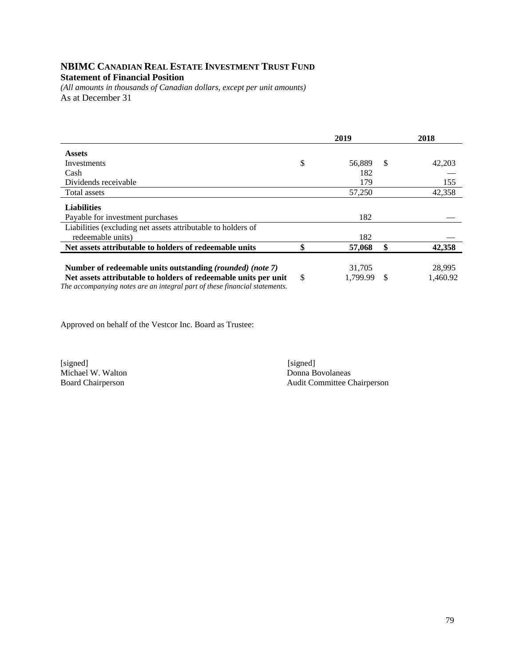## **NBIMC CANADIAN REAL ESTATE INVESTMENT TRUST FUND Statement of Financial Position**

*(All amounts in thousands of Canadian dollars, except per unit amounts)*  As at December 31

|                                                                                                                              | 2019   |                    |    | 2018               |
|------------------------------------------------------------------------------------------------------------------------------|--------|--------------------|----|--------------------|
| <b>Assets</b>                                                                                                                |        |                    |    |                    |
| Investments                                                                                                                  | \$     | 56,889             | S  | 42,203             |
| Cash                                                                                                                         |        | 182                |    |                    |
| Dividends receivable                                                                                                         |        | 179                |    | 155                |
| Total assets                                                                                                                 |        | 57,250             |    | 42,358             |
| <b>Liabilities</b>                                                                                                           |        |                    |    |                    |
| Payable for investment purchases                                                                                             |        | 182                |    |                    |
| Liabilities (excluding net assets attributable to holders of<br>redeemable units)                                            |        | 182                |    |                    |
| Net assets attributable to holders of redeemable units                                                                       | ¢<br>Φ | 57,068             | \$ | 42,358             |
| Number of redeemable units outstanding (rounded) (note 7)<br>Net assets attributable to holders of redeemable units per unit | \$     | 31,705<br>1.799.99 | \$ | 28,995<br>1.460.92 |

*The accompanying notes are an integral part of these financial statements.* 

Approved on behalf of the Vestcor Inc. Board as Trustee:

[signed] [signed] Michael W. Walton Donna Bovolaneas<br>Board Chairperson Audit Committee C

Audit Committee Chairperson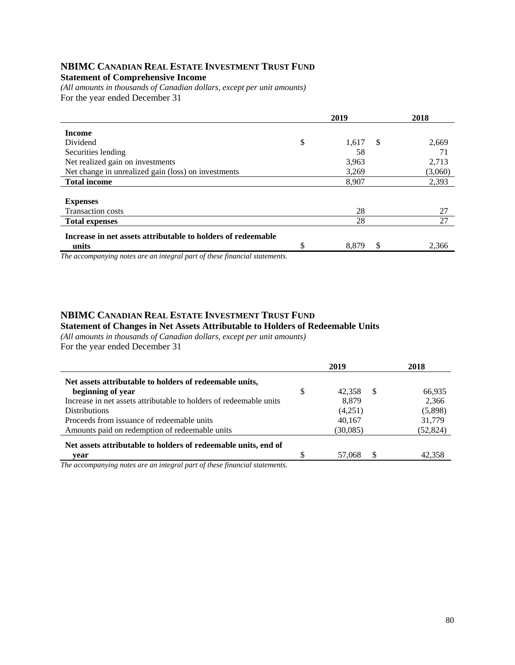#### **NBIMC CANADIAN REAL ESTATE INVESTMENT TRUST FUND Statement of Comprehensive Income**

*(All amounts in thousands of Canadian dollars, except per unit amounts)*  For the year ended December 31

|                                                              | 2019                         | 2018    |
|--------------------------------------------------------------|------------------------------|---------|
| <b>Income</b>                                                |                              |         |
| Dividend                                                     | \$<br><sup>\$</sup><br>1,617 | 2,669   |
| Securities lending                                           | 58                           | 71      |
| Net realized gain on investments                             | 3,963                        | 2,713   |
| Net change in unrealized gain (loss) on investments          | 3,269                        | (3,060) |
| <b>Total income</b>                                          | 8,907                        | 2,393   |
|                                                              |                              |         |
| <b>Expenses</b>                                              |                              |         |
| <b>Transaction costs</b>                                     | 28                           | 27      |
| <b>Total expenses</b>                                        | 28                           | 27      |
| Increase in net assets attributable to holders of redeemable |                              |         |
| units                                                        | \$<br>\$<br>8.879            | 2.366   |

*The accompanying notes are an integral part of these financial statements.*

#### **NBIMC CANADIAN REAL ESTATE INVESTMENT TRUST FUND Statement of Changes in Net Assets Attributable to Holders of Redeemable Units**

*(All amounts in thousands of Canadian dollars, except per unit amounts)*  For the year ended December 31

|                                                                    |    | 2019     |     | 2018      |
|--------------------------------------------------------------------|----|----------|-----|-----------|
| Net assets attributable to holders of redeemable units,            |    |          |     |           |
| beginning of year                                                  | \$ | 42.358   | \$. | 66,935    |
| Increase in net assets attributable to holders of redeemable units |    | 8.879    |     | 2,366     |
| <b>Distributions</b>                                               |    | (4,251)  |     | (5,898)   |
| Proceeds from issuance of redeemable units                         |    | 40.167   |     | 31,779    |
| Amounts paid on redemption of redeemable units                     |    | (30,085) |     | (52, 824) |
| Net assets attributable to holders of redeemable units, end of     |    |          |     |           |
| vear                                                               | S  | 57,068   | \$. | 42.358    |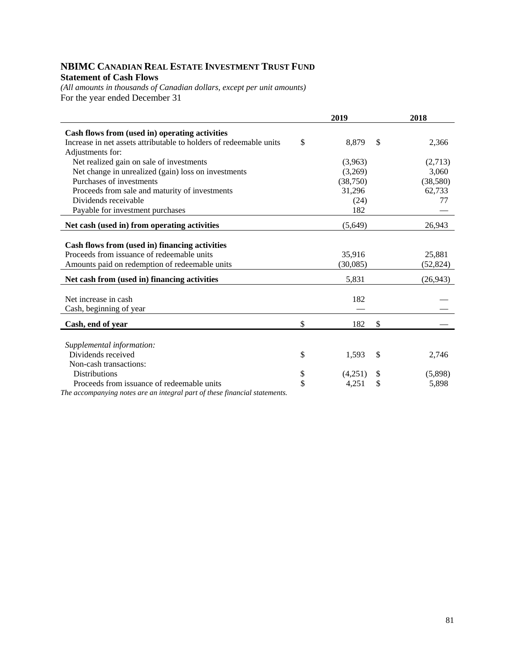## **NBIMC CANADIAN REAL ESTATE INVESTMENT TRUST FUND Statement of Cash Flows**

*(All amounts in thousands of Canadian dollars, except per unit amounts)*  For the year ended December 31

|                                                                            | 2019          |                           | 2018      |
|----------------------------------------------------------------------------|---------------|---------------------------|-----------|
| Cash flows from (used in) operating activities                             |               |                           |           |
| Increase in net assets attributable to holders of redeemable units         | \$<br>8,879   | $\boldsymbol{\mathsf{S}}$ | 2,366     |
| Adjustments for:                                                           |               |                           |           |
| Net realized gain on sale of investments                                   | (3,963)       |                           | (2,713)   |
| Net change in unrealized (gain) loss on investments                        | (3,269)       |                           | 3,060     |
| Purchases of investments                                                   | (38, 750)     |                           | (38,580)  |
| Proceeds from sale and maturity of investments                             | 31,296        |                           | 62,733    |
| Dividends receivable                                                       | (24)          |                           | 77        |
| Payable for investment purchases                                           | 182           |                           |           |
| Net cash (used in) from operating activities                               | (5,649)       |                           | 26,943    |
|                                                                            |               |                           |           |
| Cash flows from (used in) financing activities                             |               |                           |           |
| Proceeds from issuance of redeemable units                                 | 35,916        |                           | 25,881    |
| Amounts paid on redemption of redeemable units                             | (30,085)      |                           | (52, 824) |
| Net cash from (used in) financing activities                               | 5,831         |                           | (26, 943) |
|                                                                            |               |                           |           |
| Net increase in cash                                                       | 182           |                           |           |
| Cash, beginning of year                                                    |               |                           |           |
| Cash, end of year                                                          | \$<br>182     | \$                        |           |
|                                                                            |               |                           |           |
| Supplemental information:                                                  |               |                           |           |
| Dividends received                                                         | \$<br>1,593   | $\mathcal{S}$             | 2,746     |
| Non-cash transactions:                                                     |               |                           |           |
| <b>Distributions</b>                                                       | \$<br>(4,251) | S.                        | (5,898)   |
| Proceeds from issuance of redeemable units                                 | \$<br>4,251   | \$                        | 5,898     |
| The accompanying notes are an integral part of these financial statements. |               |                           |           |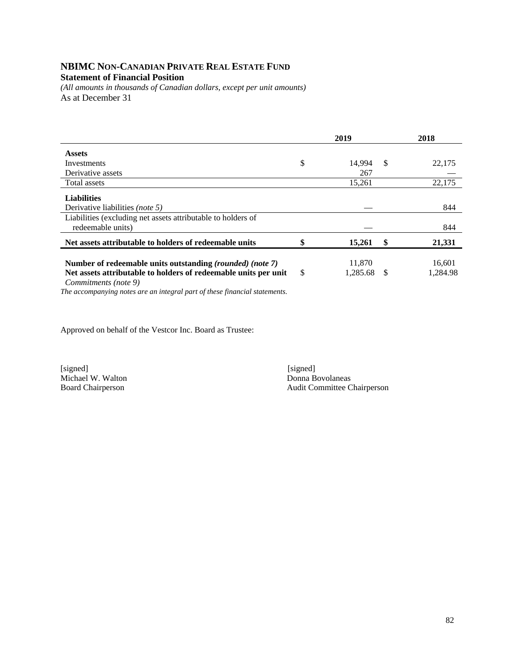## **NBIMC NON-CANADIAN PRIVATE REAL ESTATE FUND Statement of Financial Position**

*(All amounts in thousands of Canadian dollars, except per unit amounts)*  As at December 31

|                                                                                                                                                      |    | 2019               |    | 2018               |
|------------------------------------------------------------------------------------------------------------------------------------------------------|----|--------------------|----|--------------------|
| <b>Assets</b>                                                                                                                                        |    |                    |    |                    |
| Investments                                                                                                                                          | \$ | 14.994             | S  | 22,175             |
| Derivative assets                                                                                                                                    |    | 267                |    |                    |
| Total assets                                                                                                                                         |    | 15,261             |    | 22,175             |
| <b>Liabilities</b>                                                                                                                                   |    |                    |    |                    |
| Derivative liabilities <i>(note 5)</i>                                                                                                               |    |                    |    | 844                |
| Liabilities (excluding net assets attributable to holders of<br>redeemable units)                                                                    |    |                    |    | 844                |
| Net assets attributable to holders of redeemable units                                                                                               |    | 15,261             | \$ | 21,331             |
| Number of redeemable units outstanding (rounded) (note 7)<br>Net assets attributable to holders of redeemable units per unit<br>Commitments (note 9) | S  | 11,870<br>1,285.68 | -S | 16,601<br>1.284.98 |

*The accompanying notes are an integral part of these financial statements.* 

Approved on behalf of the Vestcor Inc. Board as Trustee:

Michael W. Walton<br>Board Chairperson

[signed] [signed] [signed] [signed] [signed] [signed] [signed] [signed] [signed] [signed] [Signed] [Signed] [Signed] [Signed] [Signed] [Signed] [Signed] [Signed] [Signed] [Signed] [Signed] [Signed] [Signed] [Signed] [Signe Audit Committee Chairperson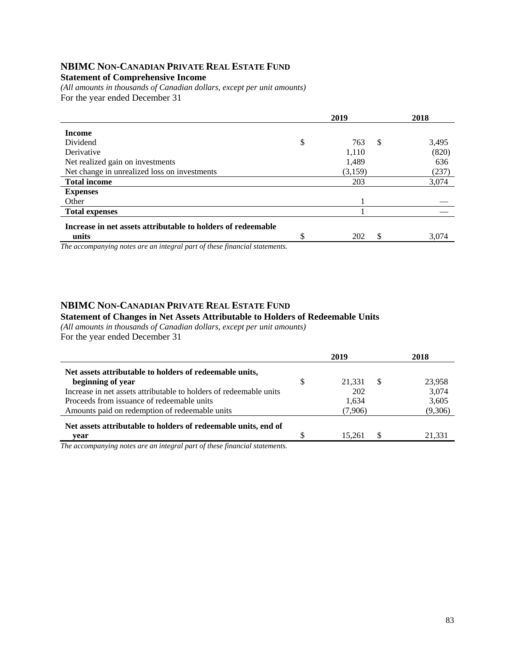## **NBIMC NON-CANADIAN PRIVATE REAL ESTATE FUND**

#### **Statement of Comprehensive Income**

*(All amounts in thousands of Canadian dollars, except per unit amounts)*  For the year ended December 31

|                                                                            |    | 2019    |   | 2018  |
|----------------------------------------------------------------------------|----|---------|---|-------|
| <b>Income</b>                                                              |    |         |   |       |
| Dividend                                                                   | \$ | 763     | S | 3,495 |
| Derivative                                                                 |    | 1,110   |   | (820) |
| Net realized gain on investments                                           |    | 1,489   |   | 636   |
| Net change in unrealized loss on investments                               |    | (3,159) |   | (237) |
| <b>Total income</b>                                                        |    | 203     |   | 3,074 |
| <b>Expenses</b>                                                            |    |         |   |       |
| Other                                                                      |    |         |   |       |
| <b>Total expenses</b>                                                      |    |         |   |       |
| Increase in net assets attributable to holders of redeemable               |    |         |   |       |
| units                                                                      | Φ  | 202     | S | 3,074 |
| The governmenting water and an integral work of these financial statements |    |         |   |       |

*The accompanying notes are an integral part of these financial statements.*

## **NBIMC NON-CANADIAN PRIVATE REAL ESTATE FUND**

#### **Statement of Changes in Net Assets Attributable to Holders of Redeemable Units**

*(All amounts in thousands of Canadian dollars, except per unit amounts)* 

For the year ended December 31

|                                                                    |   | 2019    |     | 2018    |
|--------------------------------------------------------------------|---|---------|-----|---------|
| Net assets attributable to holders of redeemable units,            |   |         |     |         |
| beginning of year                                                  | S | 21,331  | -S  | 23,958  |
| Increase in net assets attributable to holders of redeemable units |   | 202     |     | 3,074   |
| Proceeds from issuance of redeemable units                         |   | 1,634   |     | 3,605   |
| Amounts paid on redemption of redeemable units                     |   | (7,906) |     | (9,306) |
| Net assets attributable to holders of redeemable units, end of     |   |         |     |         |
| vear                                                               |   | 15.261  | \$. | 21,331  |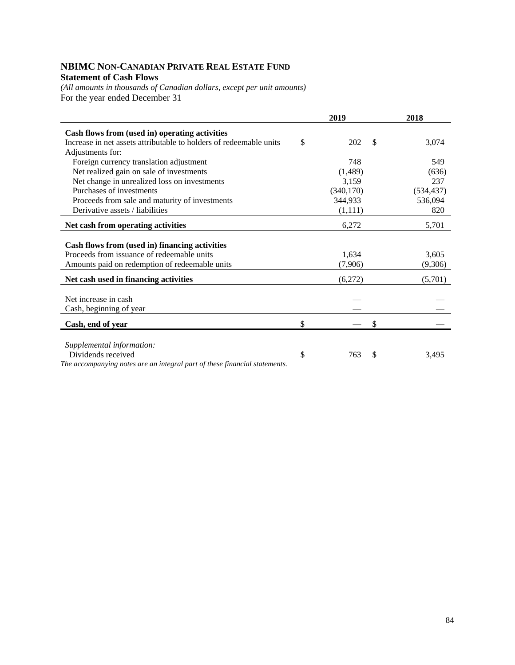## **NBIMC NON-CANADIAN PRIVATE REAL ESTATE FUND Statement of Cash Flows**

*(All amounts in thousands of Canadian dollars, except per unit amounts)*  For the year ended December 31

|                                                                                                 | 2019       |               | 2018       |
|-------------------------------------------------------------------------------------------------|------------|---------------|------------|
| Cash flows from (used in) operating activities                                                  |            |               |            |
| Increase in net assets attributable to holders of redeemable units                              | \$<br>202  | <sup>\$</sup> | 3,074      |
| Adjustments for:                                                                                |            |               |            |
| Foreign currency translation adjustment                                                         | 748        |               | 549        |
| Net realized gain on sale of investments                                                        | (1,489)    |               | (636)      |
| Net change in unrealized loss on investments                                                    | 3,159      |               | 237        |
| Purchases of investments                                                                        | (340, 170) |               | (534, 437) |
| Proceeds from sale and maturity of investments                                                  | 344,933    |               | 536,094    |
| Derivative assets / liabilities                                                                 | (1,111)    |               | 820        |
| Net cash from operating activities                                                              | 6,272      |               | 5,701      |
| Cash flows from (used in) financing activities                                                  |            |               |            |
| Proceeds from issuance of redeemable units                                                      | 1,634      |               | 3,605      |
| Amounts paid on redemption of redeemable units                                                  | (7,906)    |               | (9,306)    |
| Net cash used in financing activities                                                           | (6,272)    |               | (5,701)    |
| Net increase in cash                                                                            |            |               |            |
| Cash, beginning of year                                                                         |            |               |            |
| Cash, end of year                                                                               | \$         | \$            |            |
|                                                                                                 |            |               |            |
| Supplemental information:                                                                       |            |               |            |
| Dividends received<br>The accompanying notes are an integral part of these financial statements | \$<br>763  | \$            | 3,495      |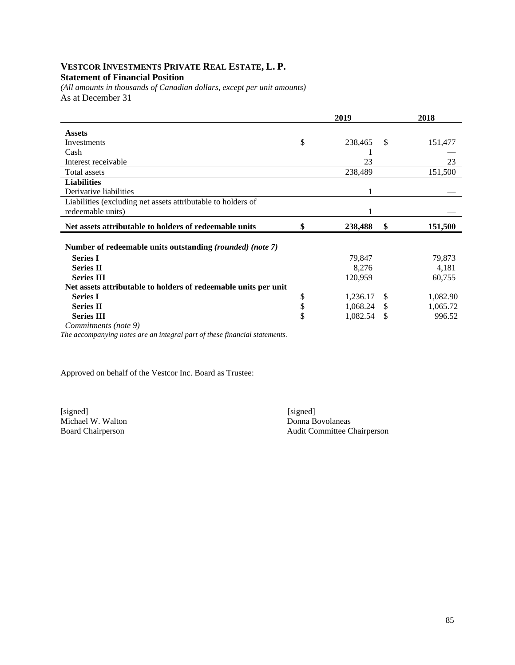### **VESTCOR INVESTMENTS PRIVATE REAL ESTATE, L. P. Statement of Financial Position**

*(All amounts in thousands of Canadian dollars, except per unit amounts)*  As at December 31

| 2019 |          |    | 2018     |  |
|------|----------|----|----------|--|
|      |          |    |          |  |
| \$   | 238,465  | S  | 151,477  |  |
|      |          |    |          |  |
|      | 23       |    | 23       |  |
|      | 238,489  |    | 151,500  |  |
|      |          |    |          |  |
|      |          |    |          |  |
|      |          |    |          |  |
|      |          |    |          |  |
| \$   | 238,488  | \$ | 151,500  |  |
|      |          |    |          |  |
|      |          |    |          |  |
|      | 79,847   |    | 79,873   |  |
|      | 8,276    |    | 4,181    |  |
|      | 120,959  |    | 60,755   |  |
|      |          |    |          |  |
| \$   | 1,236.17 | \$ | 1,082.90 |  |
| \$   | 1,068.24 | \$ | 1,065.72 |  |
| \$   | 1,082.54 | \$ | 996.52   |  |
|      |          |    |          |  |
|      |          |    |          |  |

*The accompanying notes are an integral part of these financial statements.* 

Approved on behalf of the Vestcor Inc. Board as Trustee:

[signed] [signed] [signed] [signed] [signed] [signed] [signed] [signed] [signed] [signed] [signed] [5] [1] [1]  $\frac{1}{2}$  [1]  $\frac{1}{2}$  [1]  $\frac{1}{2}$  [1]  $\frac{1}{2}$  [1]  $\frac{1}{2}$  [1]  $\frac{1}{2}$  [1]  $\frac{1}{2}$  [1]  $\frac{1}{2}$  [1] Michael W. Walton<br>Board Chairperson

Audit Committee Chairperson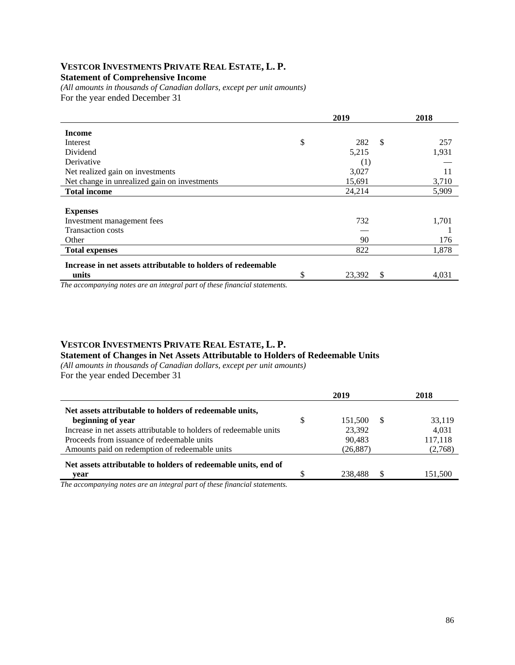### **VESTCOR INVESTMENTS PRIVATE REAL ESTATE, L. P. Statement of Comprehensive Income**

*(All amounts in thousands of Canadian dollars, except per unit amounts)*  For the year ended December 31

|                                                              |    | 2018         |       |
|--------------------------------------------------------------|----|--------------|-------|
| <b>Income</b>                                                |    |              |       |
| Interest                                                     | \$ | \$<br>282    | 257   |
| Dividend                                                     |    | 5,215        | 1,931 |
| Derivative                                                   |    | (1)          |       |
| Net realized gain on investments                             |    | 3,027        | 11    |
| Net change in unrealized gain on investments                 |    | 15,691       | 3,710 |
| <b>Total income</b>                                          |    | 24,214       | 5,909 |
|                                                              |    |              |       |
| <b>Expenses</b>                                              |    |              |       |
| Investment management fees                                   |    | 732          | 1,701 |
| <b>Transaction costs</b>                                     |    |              |       |
| Other                                                        |    | 90           | 176   |
| <b>Total expenses</b>                                        |    | 822          | 1,878 |
| Increase in net assets attributable to holders of redeemable |    |              |       |
| units                                                        | \$ | 23,392<br>\$ | 4,031 |

*The accompanying notes are an integral part of these financial statements.*

### **VESTCOR INVESTMENTS PRIVATE REAL ESTATE, L. P. Statement of Changes in Net Assets Attributable to Holders of Redeemable Units**

*(All amounts in thousands of Canadian dollars, except per unit amounts)*  For the year ended December 31

|                                                                                              |   | 2019      |    | 2018    |
|----------------------------------------------------------------------------------------------|---|-----------|----|---------|
| Net assets attributable to holders of redeemable units,                                      |   |           |    |         |
| beginning of year                                                                            | S | 151.500   | -S | 33,119  |
| Increase in net assets attributable to holders of redeemable units                           |   | 23,392    |    | 4.031   |
| Proceeds from issuance of redeemable units                                                   |   | 90.483    |    | 117,118 |
| Amounts paid on redemption of redeemable units                                               |   | (26, 887) |    | (2,768) |
| Net assets attributable to holders of redeemable units, end of                               |   |           |    |         |
| year                                                                                         |   | 238,488   | £. | 151,500 |
| T1<br>$\bullet$ . The contract $\bullet$<br>$\sim$ $\sim$ $\sim$ $\sim$ $\sim$ $\sim$ $\sim$ |   |           |    |         |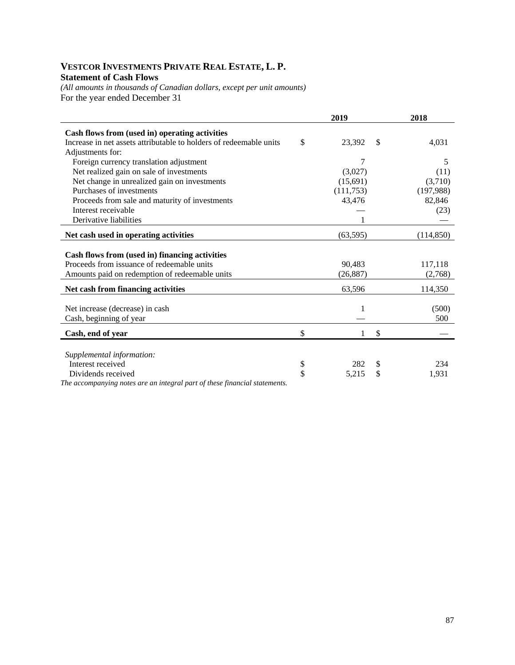## **VESTCOR INVESTMENTS PRIVATE REAL ESTATE, L. P. Statement of Cash Flows**

*(All amounts in thousands of Canadian dollars, except per unit amounts)*  For the year ended December 31

|                                                                            | 2019         |               | 2018       |
|----------------------------------------------------------------------------|--------------|---------------|------------|
| Cash flows from (used in) operating activities                             |              |               |            |
| Increase in net assets attributable to holders of redeemable units         | \$<br>23,392 | $\mathcal{S}$ | 4,031      |
| Adjustments for:                                                           |              |               |            |
| Foreign currency translation adjustment                                    | 7            |               | 5          |
| Net realized gain on sale of investments                                   | (3,027)      |               | (11)       |
| Net change in unrealized gain on investments                               | (15,691)     |               | (3,710)    |
| Purchases of investments                                                   | (111, 753)   |               | (197,988)  |
| Proceeds from sale and maturity of investments                             | 43,476       |               | 82,846     |
| Interest receivable                                                        |              |               | (23)       |
| Derivative liabilities                                                     |              |               |            |
| Net cash used in operating activities                                      | (63, 595)    |               | (114, 850) |
|                                                                            |              |               |            |
| Cash flows from (used in) financing activities                             |              |               |            |
| Proceeds from issuance of redeemable units                                 | 90,483       |               | 117,118    |
| Amounts paid on redemption of redeemable units                             | (26, 887)    |               | (2,768)    |
| Net cash from financing activities                                         | 63,596       |               | 114,350    |
|                                                                            |              |               |            |
| Net increase (decrease) in cash                                            | 1            |               | (500)      |
| Cash, beginning of year                                                    |              |               | 500        |
| Cash, end of year                                                          | \$<br>1      | \$            |            |
|                                                                            |              |               |            |
| Supplemental information:                                                  |              |               |            |
| Interest received                                                          | \$<br>282    | \$            | 234        |
| Dividends received                                                         | \$<br>5,215  | \$            | 1,931      |
| The accompanying notes are an integral part of these financial statements. |              |               |            |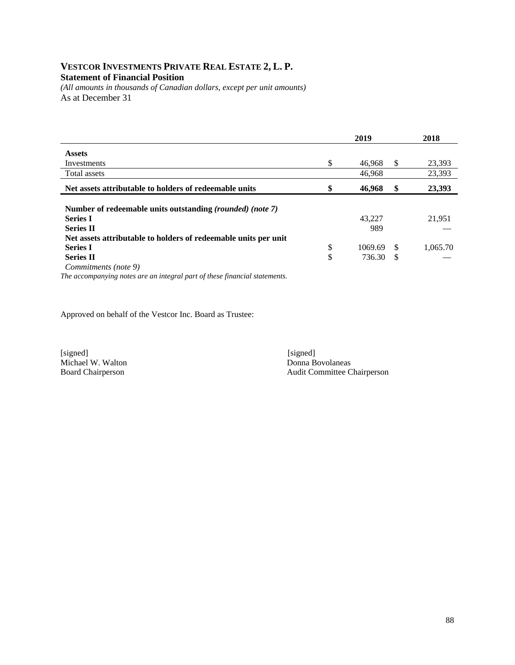## **VESTCOR INVESTMENTS PRIVATE REAL ESTATE 2, L. P. Statement of Financial Position**

*(All amounts in thousands of Canadian dollars, except per unit amounts)*  As at December 31

|                                                                            | 2019          |     | 2018     |
|----------------------------------------------------------------------------|---------------|-----|----------|
| <b>Assets</b>                                                              |               |     |          |
| Investments                                                                | \$<br>46,968  | S   | 23,393   |
| Total assets                                                               | 46,968        |     | 23,393   |
| Net assets attributable to holders of redeemable units                     | \$<br>46,968  | \$  | 23,393   |
|                                                                            |               |     |          |
| Number of redeemable units outstanding (rounded) (note 7)                  |               |     |          |
| <b>Series I</b>                                                            | 43.227        |     | 21,951   |
| <b>Series II</b>                                                           | 989           |     |          |
| Net assets attributable to holders of redeemable units per unit            |               |     |          |
| <b>Series I</b>                                                            | \$<br>1069.69 | \$. | 1,065.70 |
| <b>Series II</b>                                                           | \$<br>736.30  | S   |          |
| Commitments (note 9)                                                       |               |     |          |
| The accompanying notes are an integral part of these financial statements. |               |     |          |

Approved on behalf of the Vestcor Inc. Board as Trustee:

Michael W. Walton<br>Board Chairperson

[signed] [signed] [signed] [signed] [signed] [signed] [signed] [signed] [signed] [signed] [signed] [Signed] [Signed] [Signed] [Signed] [Signed] [Signed] [Signed] [Signed] [Signed] [Signed] [Signed] [Signed] [Signed] [Signe Audit Committee Chairperson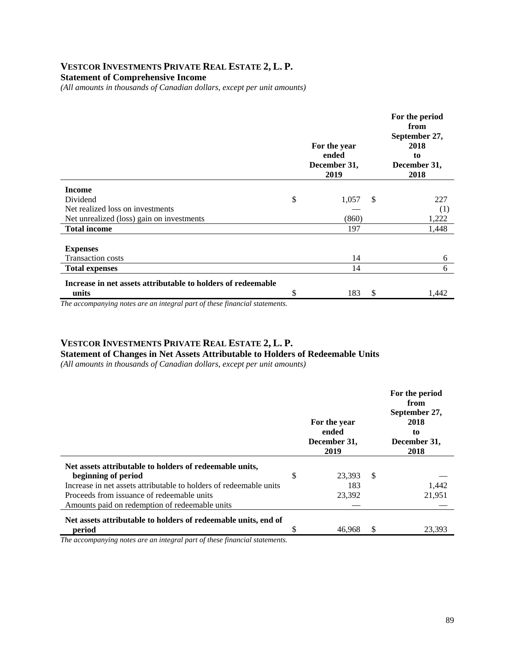### **VESTCOR INVESTMENTS PRIVATE REAL ESTATE 2, L. P. Statement of Comprehensive Income**

*(All amounts in thousands of Canadian dollars, except per unit amounts)* 

|                                                              | For the year<br>ended<br>December 31,<br>2019 |               | For the period<br>from<br>September 27,<br>2018<br>to<br>December 31,<br>2018 |
|--------------------------------------------------------------|-----------------------------------------------|---------------|-------------------------------------------------------------------------------|
| <b>Income</b>                                                |                                               |               |                                                                               |
| Dividend                                                     | \$<br>1,057                                   | <sup>\$</sup> | 227                                                                           |
| Net realized loss on investments                             |                                               |               | (1)                                                                           |
| Net unrealized (loss) gain on investments                    | (860)                                         |               | 1,222                                                                         |
| <b>Total income</b>                                          | 197                                           |               | 1,448                                                                         |
|                                                              |                                               |               |                                                                               |
| <b>Expenses</b>                                              |                                               |               |                                                                               |
| <b>Transaction costs</b>                                     | 14                                            |               | 6                                                                             |
| <b>Total expenses</b>                                        | 14                                            |               | 6                                                                             |
| Increase in net assets attributable to holders of redeemable |                                               |               |                                                                               |
| units                                                        | \$<br>183                                     | <sup>\$</sup> | 1,442                                                                         |

*The accompanying notes are an integral part of these financial statements.*

## **VESTCOR INVESTMENTS PRIVATE REAL ESTATE 2, L. P.**

**Statement of Changes in Net Assets Attributable to Holders of Redeemable Units** 

*(All amounts in thousands of Canadian dollars, except per unit amounts)* 

|                                                                    | For the year<br>ended<br>December 31,<br>2019 |    | For the period<br>from<br>September 27,<br>2018<br>to<br>December 31,<br>2018 |
|--------------------------------------------------------------------|-----------------------------------------------|----|-------------------------------------------------------------------------------|
| Net assets attributable to holders of redeemable units,            |                                               |    |                                                                               |
| beginning of period                                                | \$<br>23.393                                  | -S |                                                                               |
| Increase in net assets attributable to holders of redeemable units | 183                                           |    | 1.442                                                                         |
| Proceeds from issuance of redeemable units                         | 23,392                                        |    | 21,951                                                                        |
| Amounts paid on redemption of redeemable units                     |                                               |    |                                                                               |
| Net assets attributable to holders of redeemable units, end of     |                                               |    |                                                                               |
| period                                                             | \$<br>46.968                                  | S. | 23.393                                                                        |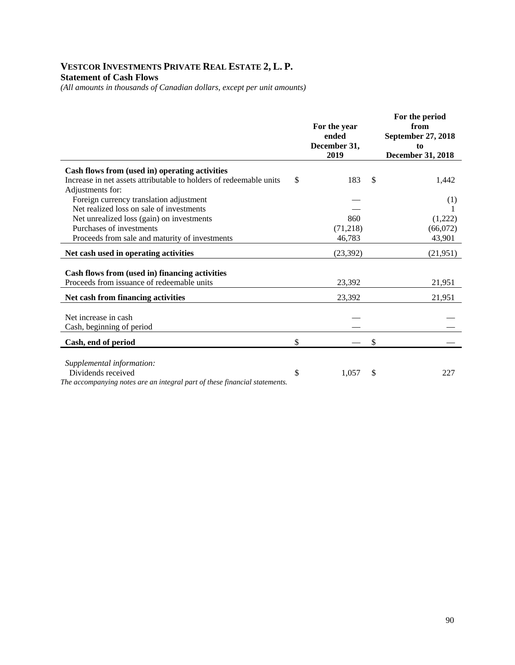## **VESTCOR INVESTMENTS PRIVATE REAL ESTATE 2, L. P. Statement of Cash Flows**

*(All amounts in thousands of Canadian dollars, except per unit amounts)* 

|                                                                                        | For the year<br>ended<br>December 31,<br>2019 |     | For the period<br>from<br>September 27, 2018<br>to<br>December 31, 2018 |
|----------------------------------------------------------------------------------------|-----------------------------------------------|-----|-------------------------------------------------------------------------|
| Cash flows from (used in) operating activities                                         |                                               |     |                                                                         |
| Increase in net assets attributable to holders of redeemable units<br>Adjustments for: | \$<br>183                                     | \$. | 1,442                                                                   |
| Foreign currency translation adjustment                                                |                                               |     | (1)                                                                     |
| Net realized loss on sale of investments                                               |                                               |     |                                                                         |
| Net unrealized loss (gain) on investments                                              | 860                                           |     | (1,222)                                                                 |
| Purchases of investments                                                               | (71, 218)                                     |     | (66,072)                                                                |
| Proceeds from sale and maturity of investments                                         | 46,783                                        |     | 43,901                                                                  |
| Net cash used in operating activities                                                  | (23, 392)                                     |     | (21, 951)                                                               |
| Cash flows from (used in) financing activities                                         |                                               |     |                                                                         |
| Proceeds from issuance of redeemable units                                             | 23,392                                        |     | 21,951                                                                  |
| Net cash from financing activities                                                     | 23,392                                        |     | 21,951                                                                  |
| Net increase in cash                                                                   |                                               |     |                                                                         |
| Cash, beginning of period                                                              |                                               |     |                                                                         |
| Cash, end of period                                                                    | \$                                            | \$  |                                                                         |
| Supplemental information:                                                              |                                               |     |                                                                         |
| Dividends received                                                                     | \$<br>1,057                                   | \$  | 227                                                                     |
| The accompanying notes are an integral part of these financial statements.             |                                               |     |                                                                         |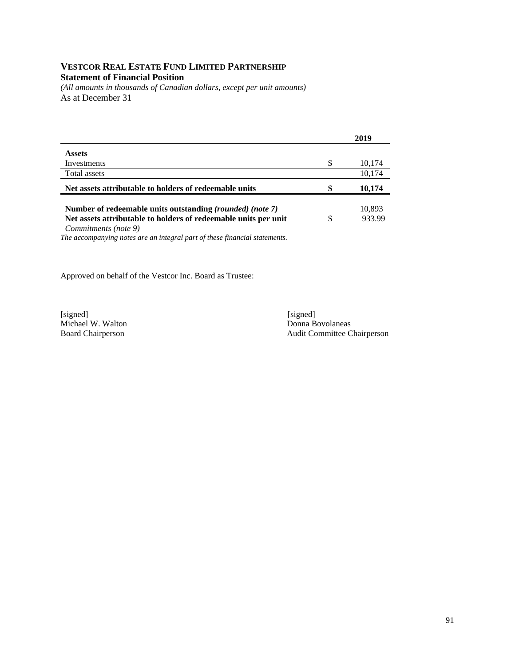## **VESTCOR REAL ESTATE FUND LIMITED PARTNERSHIP Statement of Financial Position**

*(All amounts in thousands of Canadian dollars, except per unit amounts)*  As at December 31

|                                                                 |   | 2019   |
|-----------------------------------------------------------------|---|--------|
| <b>Assets</b>                                                   |   |        |
| Investments                                                     | S | 10,174 |
| Total assets                                                    |   | 10,174 |
| Net assets attributable to holders of redeemable units          |   | 10,174 |
|                                                                 |   |        |
| Number of redeemable units outstanding (rounded) (note 7)       |   | 10,893 |
| Net assets attributable to holders of redeemable units per unit |   | 933.99 |

*Commitments (note 9)*

*The accompanying notes are an integral part of these financial statements.* 

Approved on behalf of the Vestcor Inc. Board as Trustee:

[signed] [signed] [signed] [signed] [signed] [signed] [signed] [signed] [signed] [signed] [signed] [Signed] [Signed] [Signed] [Signed] [Signed] [Signed] [Signed] [Signed] [Signed] [Signed] [Signed] [Signed] [Signed] [Signe Michael W. Walton<br>Board Chairperson

Audit Committee Chairperson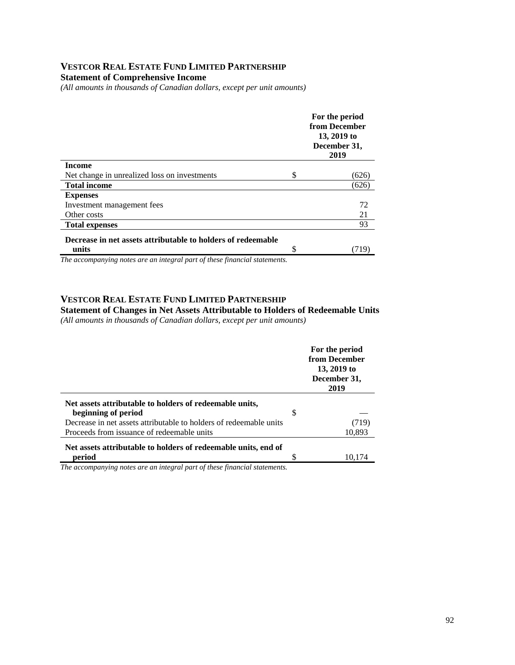### **VESTCOR REAL ESTATE FUND LIMITED PARTNERSHIP Statement of Comprehensive Income**

*(All amounts in thousands of Canadian dollars, except per unit amounts)* 

|    | For the period<br>from December<br>13, 2019 to<br>December 31,<br>2019 |
|----|------------------------------------------------------------------------|
|    |                                                                        |
| S  | (626)                                                                  |
|    | (626)                                                                  |
|    |                                                                        |
|    | 72                                                                     |
|    | 21                                                                     |
|    | 93                                                                     |
|    |                                                                        |
| \$ | (719`                                                                  |
|    |                                                                        |

*The accompanying notes are an integral part of these financial statements.*

#### **VESTCOR REAL ESTATE FUND LIMITED PARTNERSHIP**

**Statement of Changes in Net Assets Attributable to Holders of Redeemable Units**  *(All amounts in thousands of Canadian dollars, except per unit amounts)* 

|                                                                    |   | For the period<br>from December<br>13, 2019 to<br>December 31,<br>2019 |
|--------------------------------------------------------------------|---|------------------------------------------------------------------------|
| Net assets attributable to holders of redeemable units,            |   |                                                                        |
| beginning of period                                                | S |                                                                        |
| Decrease in net assets attributable to holders of redeemable units |   | (719)                                                                  |
| Proceeds from issuance of redeemable units                         |   | 10,893                                                                 |
| Net assets attributable to holders of redeemable units, end of     |   |                                                                        |
| period                                                             |   | 10,174                                                                 |
| $\sim$<br>$\cdots$ $\cdots$<br>$\sim$                              |   |                                                                        |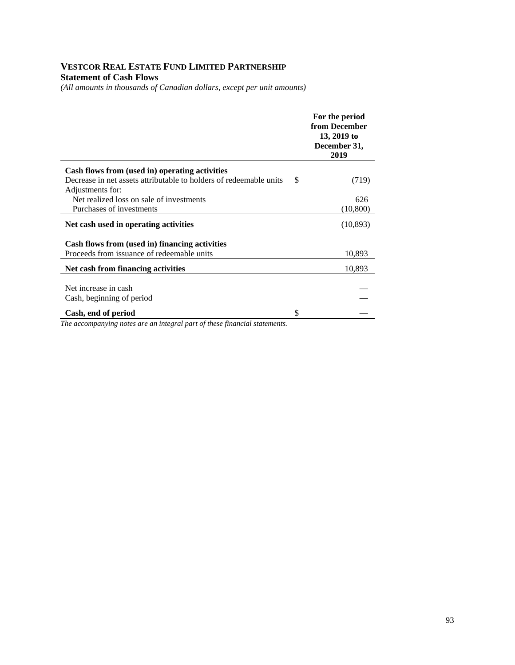## **VESTCOR REAL ESTATE FUND LIMITED PARTNERSHIP Statement of Cash Flows**

*(All amounts in thousands of Canadian dollars, except per unit amounts)* 

|                                                                    | For the period<br>from December<br>13, 2019 to<br>December 31,<br>2019 |
|--------------------------------------------------------------------|------------------------------------------------------------------------|
| Cash flows from (used in) operating activities                     |                                                                        |
| Decrease in net assets attributable to holders of redeemable units | \$<br>(719)                                                            |
| Adjustments for:                                                   |                                                                        |
| Net realized loss on sale of investments                           | 626                                                                    |
| Purchases of investments                                           | (10, 800)                                                              |
| Net cash used in operating activities                              | (10, 893)                                                              |
|                                                                    |                                                                        |
| Cash flows from (used in) financing activities                     |                                                                        |
| Proceeds from issuance of redeemable units                         | 10,893                                                                 |
| Net cash from financing activities                                 | 10,893                                                                 |
|                                                                    |                                                                        |
| Net increase in cash                                               |                                                                        |
| Cash, beginning of period                                          |                                                                        |
| Cash, end of period                                                | \$                                                                     |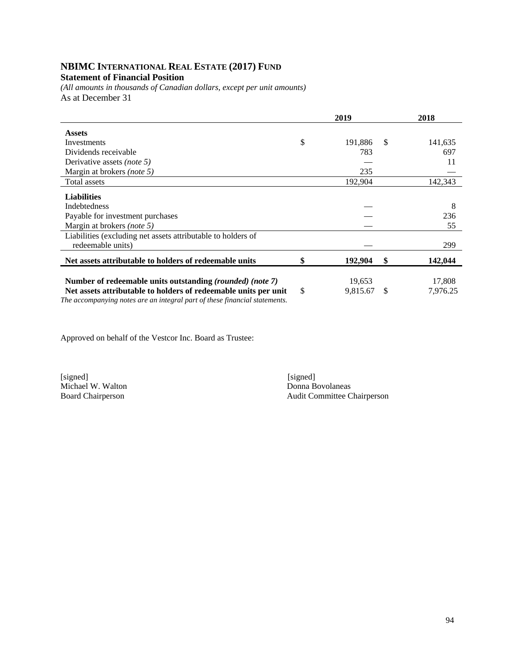# **NBIMC INTERNATIONAL REAL ESTATE (2017) FUND**

### **Statement of Financial Position**

*(All amounts in thousands of Canadian dollars, except per unit amounts)*  As at December 31

|                                                                                                                                               | 2019           |    | 2018     |
|-----------------------------------------------------------------------------------------------------------------------------------------------|----------------|----|----------|
| <b>Assets</b>                                                                                                                                 |                |    |          |
| Investments                                                                                                                                   | \$<br>191,886  | -S | 141,635  |
| Dividends receivable                                                                                                                          | 783            |    | 697      |
| Derivative assets <i>(note 5)</i>                                                                                                             |                |    | 11       |
| Margin at brokers (note 5)                                                                                                                    | 235            |    |          |
| Total assets                                                                                                                                  | 192,904        |    | 142,343  |
| <b>Liabilities</b>                                                                                                                            |                |    |          |
| Indebtedness                                                                                                                                  |                |    | 8        |
| Payable for investment purchases                                                                                                              |                |    | 236      |
| Margin at brokers (note 5)                                                                                                                    |                |    | 55       |
| Liabilities (excluding net assets attributable to holders of                                                                                  |                |    |          |
| redeemable units)                                                                                                                             |                |    | 299      |
| Net assets attributable to holders of redeemable units                                                                                        | \$<br>192,904  | \$ | 142,044  |
|                                                                                                                                               |                |    |          |
| Number of redeemable units outstanding (rounded) (note 7)                                                                                     | 19,653         |    | 17,808   |
| Net assets attributable to holders of redeemable units per unit<br>The accompanying notes are an integral part of these financial statements. | \$<br>9,815.67 | -S | 7,976.25 |

Approved on behalf of the Vestcor Inc. Board as Trustee:

[signed] [signed]

Michael W. Walton Donna Bovolaneas<br>Board Chairperson Audit Committee C Audit Committee Chairperson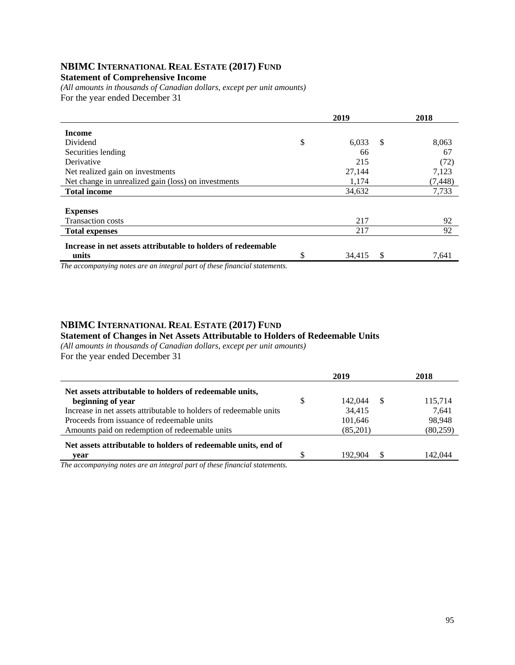## **NBIMC INTERNATIONAL REAL ESTATE (2017) FUND**

#### **Statement of Comprehensive Income**

*(All amounts in thousands of Canadian dollars, except per unit amounts)*  For the year ended December 31

|                                                                                                       | 2019 |        |    | 2018     |
|-------------------------------------------------------------------------------------------------------|------|--------|----|----------|
| <b>Income</b>                                                                                         |      |        |    |          |
| Dividend                                                                                              | \$   | 6,033  | S. | 8,063    |
| Securities lending                                                                                    |      | 66     |    | 67       |
| Derivative                                                                                            |      | 215    |    | (72)     |
| Net realized gain on investments                                                                      |      | 27,144 |    | 7,123    |
| Net change in unrealized gain (loss) on investments                                                   |      | 1,174  |    | (7, 448) |
| <b>Total income</b>                                                                                   |      | 34,632 |    | 7,733    |
|                                                                                                       |      |        |    |          |
| <b>Expenses</b>                                                                                       |      |        |    |          |
| <b>Transaction costs</b>                                                                              |      | 217    |    | 92       |
| <b>Total expenses</b>                                                                                 |      | 217    |    | 92       |
| Increase in net assets attributable to holders of redeemable                                          |      |        |    |          |
| units<br>$\sim$<br>$\cdot$ $\cdot$ $\cdot$ $\cdot$ $\cdot$ $\cdot$ $\cdot$ $\cdot$<br>$\cdot$ $\cdot$ | \$   | 34,415 | \$ | 7,641    |

*The accompanying notes are an integral part of these financial statements.*

#### **NBIMC INTERNATIONAL REAL ESTATE (2017) FUND**

#### **Statement of Changes in Net Assets Attributable to Holders of Redeemable Units**

*(All amounts in thousands of Canadian dollars, except per unit amounts)*  For the year ended December 31

|                                                                    |   | 2019     |     | 2018      |
|--------------------------------------------------------------------|---|----------|-----|-----------|
| Net assets attributable to holders of redeemable units,            |   |          |     |           |
| beginning of year                                                  | S | 142,044  | - S | 115,714   |
| Increase in net assets attributable to holders of redeemable units |   | 34,415   |     | 7.641     |
| Proceeds from issuance of redeemable units                         |   | 101,646  |     | 98.948    |
| Amounts paid on redemption of redeemable units                     |   | (85,201) |     | (80, 259) |
| Net assets attributable to holders of redeemable units, end of     |   |          |     |           |
| vear                                                               |   | 192,904  | -S  | 142,044   |
|                                                                    |   |          |     |           |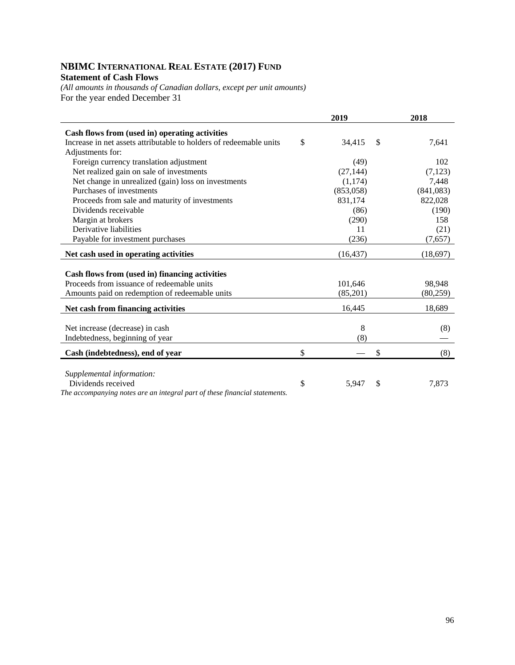## **NBIMC INTERNATIONAL REAL ESTATE (2017) FUND Statement of Cash Flows**

*(All amounts in thousands of Canadian dollars, except per unit amounts)*  For the year ended December 31

|                                                                            | 2019         |               | 2018      |
|----------------------------------------------------------------------------|--------------|---------------|-----------|
| Cash flows from (used in) operating activities                             |              |               |           |
| Increase in net assets attributable to holders of redeemable units         | \$<br>34,415 | $\mathcal{S}$ | 7,641     |
| Adjustments for:                                                           |              |               |           |
| Foreign currency translation adjustment                                    | (49)         |               | 102       |
| Net realized gain on sale of investments                                   | (27, 144)    |               | (7, 123)  |
| Net change in unrealized (gain) loss on investments                        | (1,174)      |               | 7,448     |
| Purchases of investments                                                   | (853,058)    |               | (841,083) |
| Proceeds from sale and maturity of investments                             | 831,174      |               | 822,028   |
| Dividends receivable                                                       | (86)         |               | (190)     |
| Margin at brokers                                                          | (290)        |               | 158       |
| Derivative liabilities                                                     | 11           |               | (21)      |
| Payable for investment purchases                                           | (236)        |               | (7,657)   |
| Net cash used in operating activities                                      | (16, 437)    |               | (18,697)  |
|                                                                            |              |               |           |
| Cash flows from (used in) financing activities                             |              |               |           |
| Proceeds from issuance of redeemable units                                 | 101,646      |               | 98,948    |
| Amounts paid on redemption of redeemable units                             | (85,201)     |               | (80,259)  |
| Net cash from financing activities                                         | 16,445       |               | 18,689    |
| Net increase (decrease) in cash                                            | 8            |               | (8)       |
| Indebtedness, beginning of year                                            | (8)          |               |           |
|                                                                            |              |               |           |
| Cash (indebtedness), end of year                                           | \$           | \$            | (8)       |
| Supplemental information:                                                  |              |               |           |
| Dividends received                                                         | \$<br>5,947  | \$            | 7,873     |
| The accompanying notes are an integral part of these financial statements. |              |               |           |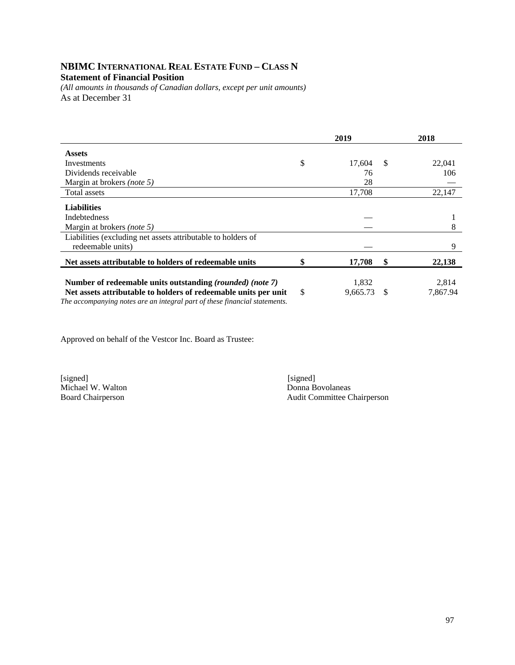## **NBIMC INTERNATIONAL REAL ESTATE FUND – CLASS N Statement of Financial Position**

*(All amounts in thousands of Canadian dollars, except per unit amounts)*  As at December 31

|                                                                            | 2019           |               | 2018     |
|----------------------------------------------------------------------------|----------------|---------------|----------|
| <b>Assets</b>                                                              |                |               |          |
| Investments                                                                | \$<br>17.604   | <sup>\$</sup> | 22,041   |
| Dividends receivable                                                       | 76             |               | 106      |
| Margin at brokers <i>(note 5)</i>                                          | 28             |               |          |
| Total assets                                                               | 17,708         |               | 22,147   |
| <b>Liabilities</b>                                                         |                |               |          |
| <b>Indebtedness</b>                                                        |                |               |          |
| Margin at brokers (note 5)                                                 |                |               | 8        |
| Liabilities (excluding net assets attributable to holders of               |                |               |          |
| redeemable units)                                                          |                |               | 9        |
| Net assets attributable to holders of redeemable units                     | 17,708         | \$            | 22,138   |
|                                                                            |                |               |          |
| Number of redeemable units outstanding (rounded) (note 7)                  | 1,832          |               | 2,814    |
| Net assets attributable to holders of redeemable units per unit            | \$<br>9,665.73 | <sup>\$</sup> | 7,867.94 |
| The accompanying notes are an integral part of these financial statements. |                |               |          |

Approved on behalf of the Vestcor Inc. Board as Trustee:

[signed] [signed] [signed] [signed] [signed] [signed] [signed] [signed] [signed] [signed] [Signed] [Signed] [Signed] [Signed] [Signed] [Signed] [Signed] [Signed] [Signed] [Signed] [Signed] [Signed] [Signed] [Signed] [Signe Michael W. Walton<br>Board Chairperson

Audit Committee Chairperson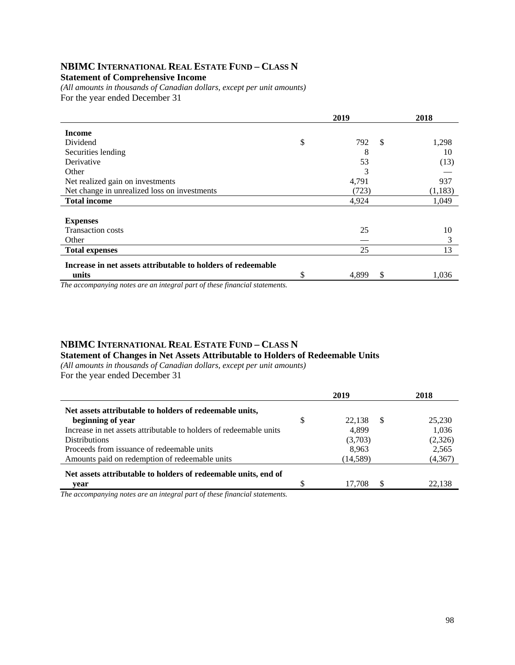## **NBIMC INTERNATIONAL REAL ESTATE FUND – CLASS N**

**Statement of Comprehensive Income** 

*(All amounts in thousands of Canadian dollars, except per unit amounts)*  For the year ended December 31

|                                                              |    | 2018        |          |
|--------------------------------------------------------------|----|-------------|----------|
| <b>Income</b>                                                |    |             |          |
| Dividend                                                     | \$ | \$<br>792   | 1,298    |
| Securities lending                                           |    | 8           | 10       |
| Derivative                                                   |    | 53          | (13)     |
| Other                                                        |    | 3           |          |
| Net realized gain on investments                             |    | 4,791       | 937      |
| Net change in unrealized loss on investments                 |    | (723)       | (1, 183) |
| <b>Total income</b>                                          |    | 4,924       | 1,049    |
|                                                              |    |             |          |
| <b>Expenses</b>                                              |    |             |          |
| <b>Transaction costs</b>                                     |    | 25          | 10       |
| Other                                                        |    |             | 3        |
| <b>Total expenses</b>                                        |    | 25          | 13       |
| Increase in net assets attributable to holders of redeemable |    |             |          |
| units                                                        | \$ | 4,899<br>\$ | 1,036    |

*The accompanying notes are an integral part of these financial statements.*

### **NBIMC INTERNATIONAL REAL ESTATE FUND – CLASS N Statement of Changes in Net Assets Attributable to Holders of Redeemable Units**

*(All amounts in thousands of Canadian dollars, except per unit amounts)*  For the year ended December 31

|                                                                    | 2019               | 2018    |
|--------------------------------------------------------------------|--------------------|---------|
| Net assets attributable to holders of redeemable units,            |                    |         |
| beginning of year                                                  | \$<br>22.138<br>-S | 25,230  |
| Increase in net assets attributable to holders of redeemable units | 4.899              | 1,036   |
| <b>Distributions</b>                                               | (3,703)            | (2,326) |
| Proceeds from issuance of redeemable units                         | 8,963              | 2,565   |
| Amounts paid on redemption of redeemable units                     | (14, 589)          | (4,367) |
| Net assets attributable to holders of redeemable units, end of     |                    |         |
| vear                                                               | -S<br>17.708       | 22.138  |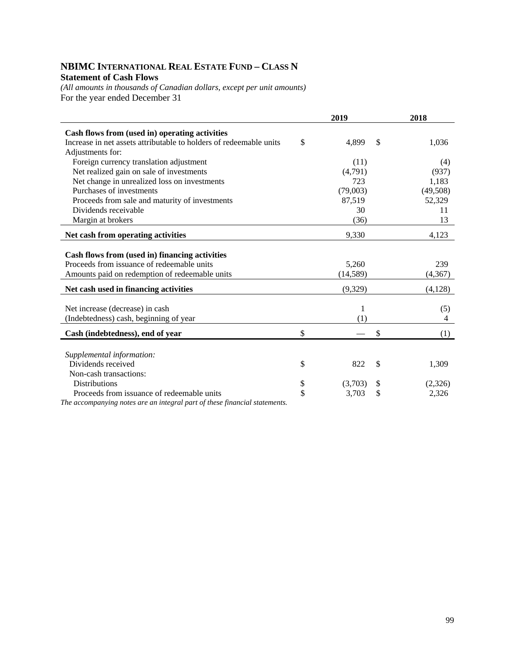## **NBIMC INTERNATIONAL REAL ESTATE FUND – CLASS N Statement of Cash Flows**

*(All amounts in thousands of Canadian dollars, except per unit amounts)*  For the year ended December 31

|                                                                           | 2019          | 2018          |
|---------------------------------------------------------------------------|---------------|---------------|
| Cash flows from (used in) operating activities                            |               |               |
| Increase in net assets attributable to holders of redeemable units        | \$<br>4,899   | \$<br>1,036   |
| Adjustments for:                                                          |               |               |
| Foreign currency translation adjustment                                   | (11)          | (4)           |
| Net realized gain on sale of investments                                  | (4,791)       | (937)         |
| Net change in unrealized loss on investments                              | 723           | 1,183         |
| Purchases of investments                                                  | (79,003)      | (49,508)      |
| Proceeds from sale and maturity of investments                            | 87,519        | 52,329        |
| Dividends receivable                                                      | 30            | 11            |
| Margin at brokers                                                         | (36)          | 13            |
| Net cash from operating activities                                        | 9,330         | 4,123         |
|                                                                           |               |               |
| Cash flows from (used in) financing activities                            |               |               |
| Proceeds from issuance of redeemable units                                | 5,260         | 239           |
| Amounts paid on redemption of redeemable units                            | (14, 589)     | (4, 367)      |
| Net cash used in financing activities                                     | (9,329)       | (4,128)       |
|                                                                           |               |               |
| Net increase (decrease) in cash                                           | 1             | (5)           |
| (Indebtedness) cash, beginning of year                                    | (1)           | 4             |
| Cash (indebtedness), end of year                                          | \$            | \$<br>(1)     |
|                                                                           |               |               |
| Supplemental information:                                                 |               |               |
| Dividends received                                                        | \$<br>822     | \$<br>1,309   |
| Non-cash transactions:                                                    |               |               |
| Distributions                                                             | \$<br>(3,703) | \$<br>(2,326) |
| Proceeds from issuance of redeemable units                                | \$<br>3,703   | \$<br>2,326   |
| The accompanying notes are an integral part of these financial statements |               |               |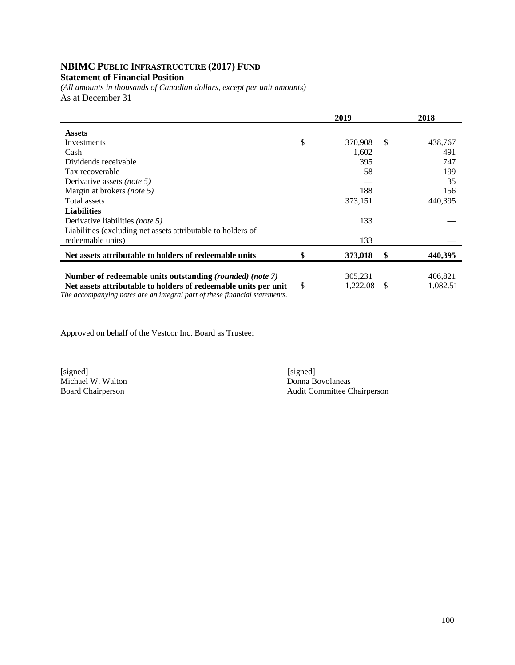## **NBIMC PUBLIC INFRASTRUCTURE (2017) FUND**

## **Statement of Financial Position**

*(All amounts in thousands of Canadian dollars, except per unit amounts)*  As at December 31

|                                                                                                                                               | 2019         |          |               | 2018     |
|-----------------------------------------------------------------------------------------------------------------------------------------------|--------------|----------|---------------|----------|
| <b>Assets</b>                                                                                                                                 |              |          |               |          |
| Investments                                                                                                                                   | \$           | 370,908  | <sup>\$</sup> | 438,767  |
| Cash                                                                                                                                          |              | 1,602    |               | 491      |
| Dividends receivable                                                                                                                          |              | 395      |               | 747      |
| Tax recoverable                                                                                                                               |              | 58       |               | 199      |
| Derivative assets (note 5)                                                                                                                    |              |          |               | 35       |
| Margin at brokers (note 5)                                                                                                                    |              | 188      |               | 156      |
| Total assets                                                                                                                                  |              | 373,151  |               | 440.395  |
| <b>Liabilities</b>                                                                                                                            |              |          |               |          |
| Derivative liabilities <i>(note 5)</i>                                                                                                        |              | 133      |               |          |
| Liabilities (excluding net assets attributable to holders of                                                                                  |              |          |               |          |
| redeemable units)                                                                                                                             |              | 133      |               |          |
| Net assets attributable to holders of redeemable units                                                                                        | \$           | 373,018  | \$            | 440,395  |
|                                                                                                                                               |              |          |               |          |
| Number of redeemable units outstanding (rounded) (note 7)                                                                                     |              | 305,231  |               | 406,821  |
| Net assets attributable to holders of redeemable units per unit<br>The accompanying notes are an integral part of these financial statements. | $\mathbb{S}$ | 1,222.08 | \$.           | 1,082.51 |

Approved on behalf of the Vestcor Inc. Board as Trustee:

[signed] [signed] [signed] [signed] [signed] [signed] [signed] [signed] [signed] [signed] [signed] [Signed] [Signed] [Signed] [Signed] [Signed] [Signed] [Signed] [Signed] [Signed] [Signed] [Signed] [Signed] [Signed] [Signe Michael W. Walton

Board Chairperson Audit Committee Chairperson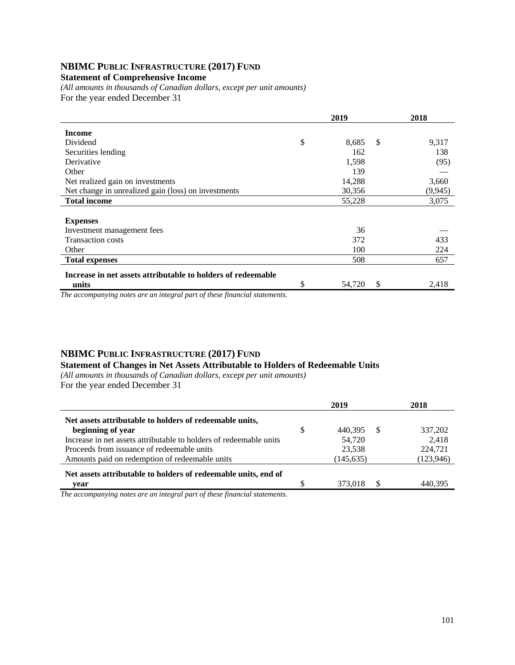## **NBIMC PUBLIC INFRASTRUCTURE (2017) FUND**

#### **Statement of Comprehensive Income**

*(All amounts in thousands of Canadian dollars, except per unit amounts)*  For the year ended December 31

|                                                              | 2019 |        |               | 2018     |
|--------------------------------------------------------------|------|--------|---------------|----------|
| <b>Income</b>                                                |      |        |               |          |
| Dividend                                                     | \$   | 8,685  | <sup>\$</sup> | 9,317    |
| Securities lending                                           |      | 162    |               | 138      |
| Derivative                                                   |      | 1,598  |               | (95)     |
| Other                                                        |      | 139    |               |          |
| Net realized gain on investments                             |      | 14,288 |               | 3,660    |
| Net change in unrealized gain (loss) on investments          |      | 30,356 |               | (9, 945) |
| <b>Total income</b>                                          |      | 55,228 |               | 3,075    |
|                                                              |      |        |               |          |
| <b>Expenses</b>                                              |      |        |               |          |
| Investment management fees                                   |      | 36     |               |          |
| <b>Transaction costs</b>                                     |      | 372    |               | 433      |
| Other                                                        |      | 100    |               | 224      |
| <b>Total expenses</b>                                        |      | 508    |               | 657      |
| Increase in net assets attributable to holders of redeemable |      |        |               |          |
| units<br>$\sim$ $\sim$<br>$\sim$                             | \$   | 54,720 | \$            | 2,418    |

*The accompanying notes are an integral part of these financial statements.*

## **NBIMC PUBLIC INFRASTRUCTURE (2017) FUND**

## **Statement of Changes in Net Assets Attributable to Holders of Redeemable Units**

*(All amounts in thousands of Canadian dollars, except per unit amounts)*  For the year ended December 31

|                                                                    |   | 2019       |    | 2018       |
|--------------------------------------------------------------------|---|------------|----|------------|
| Net assets attributable to holders of redeemable units,            |   |            |    |            |
| beginning of year                                                  | S | 440.395    | -S | 337,202    |
| Increase in net assets attributable to holders of redeemable units |   | 54,720     |    | 2.418      |
| Proceeds from issuance of redeemable units                         |   | 23,538     |    | 224,721    |
| Amounts paid on redemption of redeemable units                     |   | (145, 635) |    | (123, 946) |
| Net assets attributable to holders of redeemable units, end of     |   |            |    |            |
| vear                                                               |   | 373,018    | £. | 440.395    |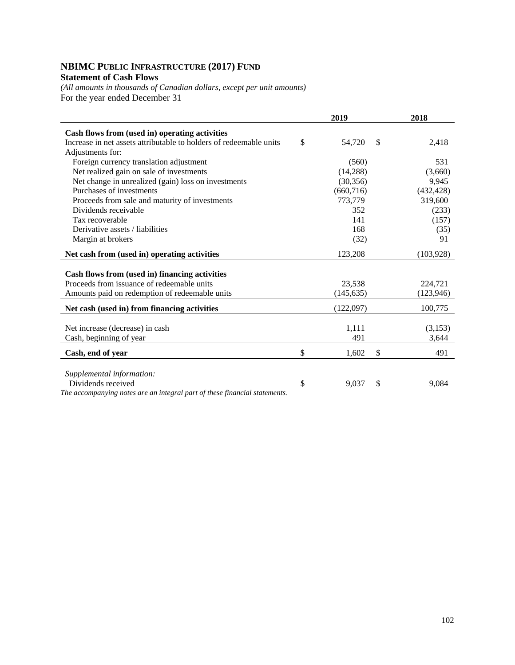# **NBIMC PUBLIC INFRASTRUCTURE (2017) FUND**

## **Statement of Cash Flows**

*(All amounts in thousands of Canadian dollars, except per unit amounts)*  For the year ended December 31

|                                                                            | 2019                                     | 2018       |
|----------------------------------------------------------------------------|------------------------------------------|------------|
| Cash flows from (used in) operating activities                             |                                          |            |
| Increase in net assets attributable to holders of redeemable units         | \$<br>54,720<br>\$                       | 2,418      |
| Adjustments for:                                                           |                                          |            |
| Foreign currency translation adjustment                                    | (560)                                    | 531        |
| Net realized gain on sale of investments                                   | (14,288)                                 | (3,660)    |
| Net change in unrealized (gain) loss on investments                        | (30, 356)                                | 9,945      |
| Purchases of investments                                                   | (660, 716)                               | (432, 428) |
| Proceeds from sale and maturity of investments                             | 773,779                                  | 319,600    |
| Dividends receivable                                                       | 352                                      | (233)      |
| Tax recoverable                                                            | 141                                      | (157)      |
| Derivative assets / liabilities                                            | 168                                      | (35)       |
| Margin at brokers                                                          | (32)                                     | 91         |
| Net cash from (used in) operating activities                               | 123,208                                  | (103, 928) |
|                                                                            |                                          |            |
| Cash flows from (used in) financing activities                             |                                          |            |
| Proceeds from issuance of redeemable units                                 | 23,538                                   | 224,721    |
| Amounts paid on redemption of redeemable units                             | (145, 635)                               | (123, 946) |
| Net cash (used in) from financing activities                               | (122,097)                                | 100,775    |
|                                                                            |                                          |            |
| Net increase (decrease) in cash                                            | 1,111                                    | (3,153)    |
| Cash, beginning of year                                                    | 491                                      | 3,644      |
| Cash, end of year                                                          | \$<br>$\boldsymbol{\mathsf{S}}$<br>1,602 | 491        |
|                                                                            |                                          |            |
| Supplemental information:                                                  |                                          |            |
| Dividends received                                                         | \$<br>$\mathcal{S}$<br>9,037             | 9,084      |
| The accompanying notes are an integral part of these financial statements. |                                          |            |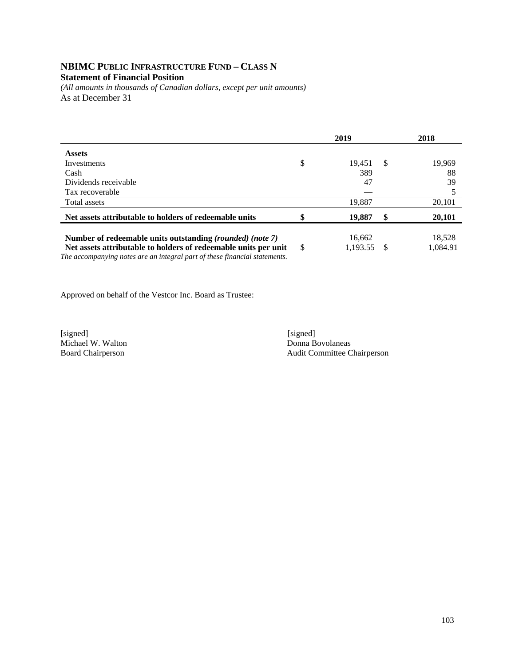### **NBIMC PUBLIC INFRASTRUCTURE FUND – CLASS N Statement of Financial Position**

*(All amounts in thousands of Canadian dollars, except per unit amounts)*  As at December 31

|                                                                                                                                               |    | 2019     |     | 2018     |
|-----------------------------------------------------------------------------------------------------------------------------------------------|----|----------|-----|----------|
| <b>Assets</b>                                                                                                                                 |    |          |     |          |
| Investments                                                                                                                                   | \$ | 19.451   | -\$ | 19,969   |
| Cash                                                                                                                                          |    | 389      |     | 88       |
| Dividends receivable                                                                                                                          |    | 47       |     | 39       |
| Tax recoverable                                                                                                                               |    |          |     |          |
| Total assets                                                                                                                                  |    | 19,887   |     | 20,101   |
| Net assets attributable to holders of redeemable units                                                                                        |    | 19,887   | S   | 20,101   |
| Number of redeemable units outstanding (rounded) (note 7)                                                                                     |    | 16,662   |     | 18,528   |
| Net assets attributable to holders of redeemable units per unit<br>The accompanying notes are an integral part of these financial statements. | S  | 1,193.55 |     | 1,084.91 |

Approved on behalf of the Vestcor Inc. Board as Trustee:

[signed] [signed] [signed] [signed] [signed] [signed] [signed] [signed] [signed] [signed] [Signed] [Signed] [Signed] [Signed] [Signed] [Signed] [Signed] [Signed] [Signed] [Signed] [Signed] [Signed] [Signed] [Signed] [Signe Michael W. Walton

Board Chairperson Audit Committee Chairperson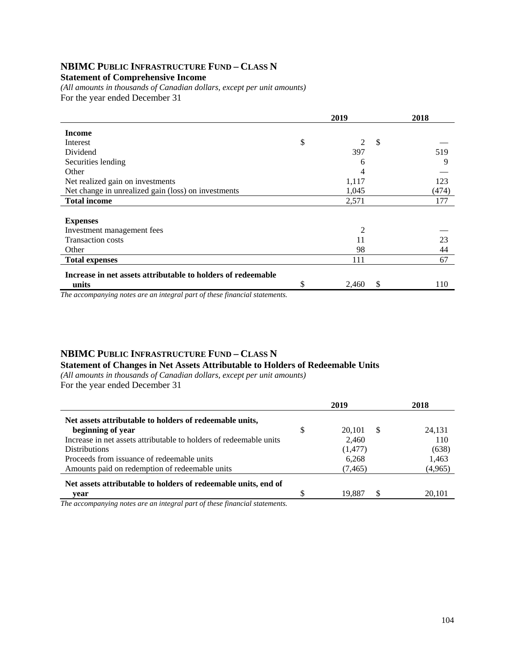# **NBIMC PUBLIC INFRASTRUCTURE FUND – CLASS N**

#### **Statement of Comprehensive Income**

*(All amounts in thousands of Canadian dollars, except per unit amounts)*  For the year ended December 31

|                                                              |    | 2018        |       |
|--------------------------------------------------------------|----|-------------|-------|
| <b>Income</b>                                                |    |             |       |
| Interest                                                     | \$ | \$<br>2     |       |
| Dividend                                                     |    | 397         | 519   |
| Securities lending                                           |    | 6           | 9     |
| Other                                                        |    | 4           |       |
| Net realized gain on investments                             |    | 1,117       | 123   |
| Net change in unrealized gain (loss) on investments          |    | 1,045       | (474) |
| <b>Total income</b>                                          |    | 2,571       | 177   |
|                                                              |    |             |       |
| <b>Expenses</b>                                              |    |             |       |
| Investment management fees                                   |    | 2           |       |
| <b>Transaction costs</b>                                     |    | 11          | 23    |
| Other                                                        |    | 98          | 44    |
| <b>Total expenses</b>                                        |    | 111         | 67    |
| Increase in net assets attributable to holders of redeemable |    |             |       |
| units                                                        | \$ | \$<br>2,460 | 110   |

*The accompanying notes are an integral part of these financial statements.*

#### **NBIMC PUBLIC INFRASTRUCTURE FUND – CLASS N Statement of Changes in Net Assets Attributable to Holders of Redeemable Units**

*(All amounts in thousands of Canadian dollars, except per unit amounts)*  For the year ended December 31

|                                                                    | 2019               | 2018    |
|--------------------------------------------------------------------|--------------------|---------|
| Net assets attributable to holders of redeemable units,            |                    |         |
| beginning of year                                                  | \$<br>20.101<br>-S | 24.131  |
| Increase in net assets attributable to holders of redeemable units | 2,460              | 110     |
| <b>Distributions</b>                                               | (1, 477)           | (638)   |
| Proceeds from issuance of redeemable units                         | 6,268              | 1,463   |
| Amounts paid on redemption of redeemable units                     | (7, 465)           | (4,965) |
| Net assets attributable to holders of redeemable units, end of     |                    |         |
| vear                                                               | S<br>19.887        | 20.101  |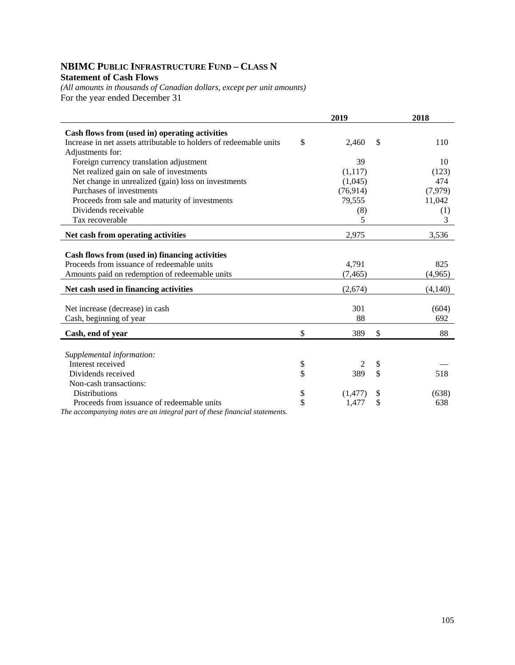## **NBIMC PUBLIC INFRASTRUCTURE FUND – CLASS N Statement of Cash Flows**

*(All amounts in thousands of Canadian dollars, except per unit amounts)*  For the year ended December 31

|                                                                           | 2019           |               | 2018    |
|---------------------------------------------------------------------------|----------------|---------------|---------|
| Cash flows from (used in) operating activities                            |                |               |         |
| Increase in net assets attributable to holders of redeemable units        | \$<br>2,460    | <sup>\$</sup> | 110     |
| Adjustments for:                                                          |                |               |         |
| Foreign currency translation adjustment                                   | 39             |               | 10      |
| Net realized gain on sale of investments                                  | (1,117)        |               | (123)   |
| Net change in unrealized (gain) loss on investments                       | (1,045)        |               | 474     |
| Purchases of investments                                                  | (76, 914)      |               | (7,979) |
| Proceeds from sale and maturity of investments                            | 79,555         |               | 11,042  |
| Dividends receivable                                                      | (8)            |               | (1)     |
| Tax recoverable                                                           | 5              |               | 3       |
| Net cash from operating activities                                        | 2,975          |               | 3,536   |
|                                                                           |                |               |         |
| Cash flows from (used in) financing activities                            |                |               |         |
| Proceeds from issuance of redeemable units                                | 4,791          |               | 825     |
| Amounts paid on redemption of redeemable units                            | (7, 465)       |               | (4,965) |
| Net cash used in financing activities                                     | (2,674)        |               | (4,140) |
|                                                                           |                |               |         |
| Net increase (decrease) in cash                                           | 301            |               | (604)   |
| Cash, beginning of year                                                   | 88             |               | 692     |
| Cash, end of year                                                         | \$<br>389      | \$            | 88      |
|                                                                           |                |               |         |
| Supplemental information:                                                 |                |               |         |
| Interest received                                                         | \$<br>2        | \$            |         |
| Dividends received                                                        | \$<br>389      | \$            | 518     |
| Non-cash transactions:                                                    |                |               |         |
| <b>Distributions</b>                                                      | \$<br>(1, 477) | \$            | (638)   |
| Proceeds from issuance of redeemable units                                | \$<br>1,477    | \$            | 638     |
| The accompanying notes are an integral part of these financial statements |                |               |         |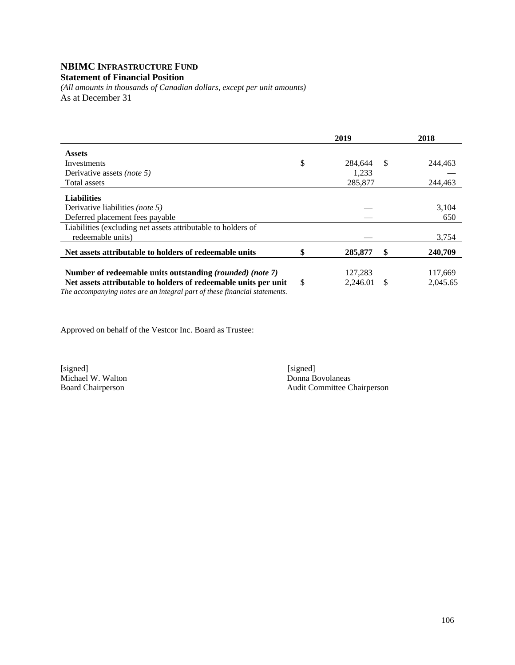#### **NBIMC INFRASTRUCTURE FUND Statement of Financial Position**

*(All amounts in thousands of Canadian dollars, except per unit amounts)*  As at December 31

|                                                                            | 2019           |    | 2018     |
|----------------------------------------------------------------------------|----------------|----|----------|
| <b>Assets</b>                                                              |                |    |          |
| Investments                                                                | \$<br>284.644  | -S | 244,463  |
| Derivative assets <i>(note 5)</i>                                          | 1,233          |    |          |
| Total assets                                                               | 285,877        |    | 244.463  |
| <b>Liabilities</b>                                                         |                |    |          |
| Derivative liabilities (note 5)                                            |                |    | 3,104    |
| Deferred placement fees payable                                            |                |    | 650      |
| Liabilities (excluding net assets attributable to holders of               |                |    |          |
| redeemable units)                                                          |                |    | 3,754    |
| Net assets attributable to holders of redeemable units                     | 285,877        | \$ | 240,709  |
|                                                                            |                |    |          |
| Number of redeemable units outstanding (rounded) (note 7)                  | 127,283        |    | 117,669  |
| Net assets attributable to holders of redeemable units per unit            | \$<br>2,246.01 | -S | 2.045.65 |
| The accompanying notes are an integral part of these financial statements. |                |    |          |

Approved on behalf of the Vestcor Inc. Board as Trustee:

Michael W. Walton<br>Board Chairperson

[signed] [signed] [signed] [signed] [signed] [signed] [signed] [signed] [signed] [signed] [Signed] [Signed] [Signed] [Signed] [Signed] [Signed] [Signed] [Signed] [Signed] [Signed] [Signed] [Signed] [Signed] [Signed] [Signe Audit Committee Chairperson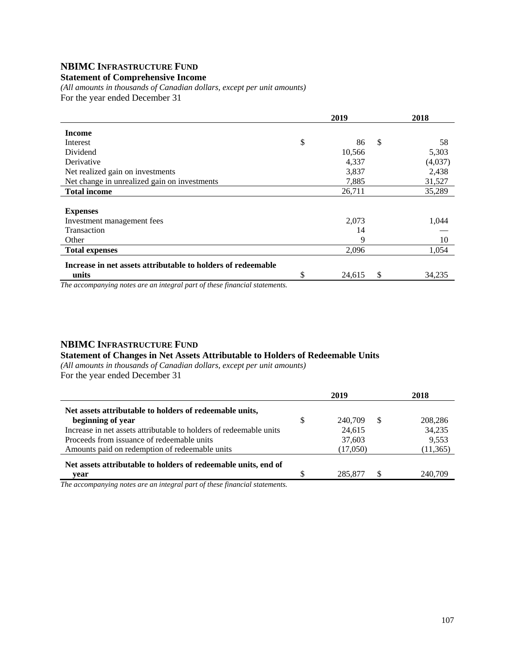# **NBIMC INFRASTRUCTURE FUND**

#### **Statement of Comprehensive Income**

*(All amounts in thousands of Canadian dollars, except per unit amounts)*  For the year ended December 31

|                                                              | 2019 |        |    | 2018    |
|--------------------------------------------------------------|------|--------|----|---------|
| <b>Income</b>                                                |      |        |    |         |
| Interest                                                     | \$   | 86     | \$ | 58      |
| Dividend                                                     |      | 10,566 |    | 5,303   |
| Derivative                                                   |      | 4,337  |    | (4,037) |
| Net realized gain on investments                             |      | 3,837  |    | 2,438   |
| Net change in unrealized gain on investments                 |      | 7,885  |    | 31,527  |
| <b>Total income</b>                                          |      | 26,711 |    | 35,289  |
|                                                              |      |        |    |         |
| <b>Expenses</b>                                              |      |        |    |         |
| Investment management fees                                   |      | 2,073  |    | 1,044   |
| <b>Transaction</b>                                           |      | 14     |    |         |
| Other                                                        |      | 9      |    | 10      |
| <b>Total expenses</b>                                        |      | 2,096  |    | 1,054   |
| Increase in net assets attributable to holders of redeemable |      |        |    |         |
| units                                                        | \$   | 24,615 | \$ | 34,235  |

*The accompanying notes are an integral part of these financial statements.*

#### **NBIMC INFRASTRUCTURE FUND**

#### **Statement of Changes in Net Assets Attributable to Holders of Redeemable Units**

*(All amounts in thousands of Canadian dollars, except per unit amounts)*  For the year ended December 31

|                                                                    |     | 2019     |    | 2018      |
|--------------------------------------------------------------------|-----|----------|----|-----------|
| Net assets attributable to holders of redeemable units,            |     |          |    |           |
| beginning of year                                                  | \$. | 240,709  | -S | 208,286   |
| Increase in net assets attributable to holders of redeemable units |     | 24,615   |    | 34.235    |
| Proceeds from issuance of redeemable units                         |     | 37,603   |    | 9,553     |
| Amounts paid on redemption of redeemable units                     |     | (17,050) |    | (11, 365) |
| Net assets attributable to holders of redeemable units, end of     |     |          |    |           |
| vear                                                               |     | 285,877  | -S | 240.709   |
| $\alpha$ $\alpha$ $\alpha$                                         |     |          |    |           |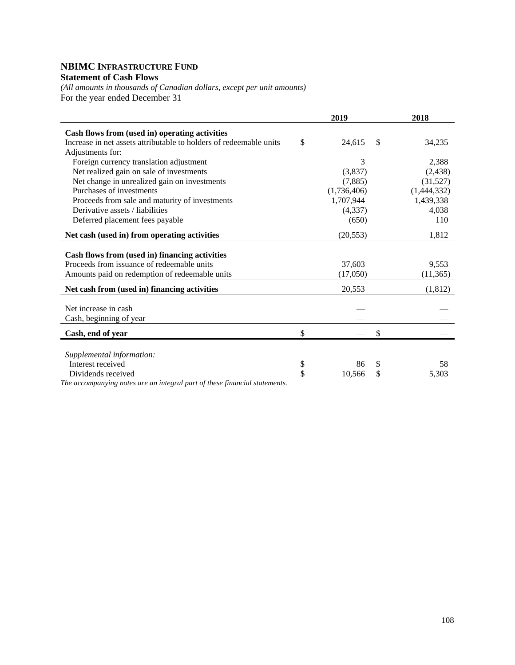## **NBIMC INFRASTRUCTURE FUND Statement of Cash Flows**

*(All amounts in thousands of Canadian dollars, except per unit amounts)*  For the year ended December 31

|                                                                            |              | 2019        | 2018         |
|----------------------------------------------------------------------------|--------------|-------------|--------------|
| Cash flows from (used in) operating activities                             |              |             |              |
| Increase in net assets attributable to holders of redeemable units         | $\mathbb{S}$ | 24,615      | \$<br>34,235 |
| Adjustments for:                                                           |              |             |              |
| Foreign currency translation adjustment                                    |              | 3           | 2,388        |
| Net realized gain on sale of investments                                   |              | (3,837)     | (2, 438)     |
| Net change in unrealized gain on investments                               |              | (7,885)     | (31,527)     |
| Purchases of investments                                                   |              | (1,736,406) | (1,444,332)  |
| Proceeds from sale and maturity of investments                             |              | 1,707,944   | 1,439,338    |
| Derivative assets / liabilities                                            |              | (4,337)     | 4,038        |
| Deferred placement fees payable                                            |              | (650)       | 110          |
| Net cash (used in) from operating activities                               |              | (20, 553)   | 1,812        |
| Cash flows from (used in) financing activities                             |              |             |              |
| Proceeds from issuance of redeemable units                                 |              | 37,603      | 9,553        |
| Amounts paid on redemption of redeemable units                             |              | (17,050)    | (11,365)     |
| Net cash from (used in) financing activities                               |              | 20,553      | (1,812)      |
|                                                                            |              |             |              |
| Net increase in cash                                                       |              |             |              |
| Cash, beginning of year                                                    |              |             |              |
| Cash, end of year                                                          | \$           |             | \$           |
|                                                                            |              |             |              |
| Supplemental information:                                                  |              |             |              |
| Interest received                                                          | \$           | 86          | \$<br>58     |
| Dividends received                                                         | \$           | 10,566      | \$<br>5,303  |
| The accompanying notes are an integral part of these financial statements. |              |             |              |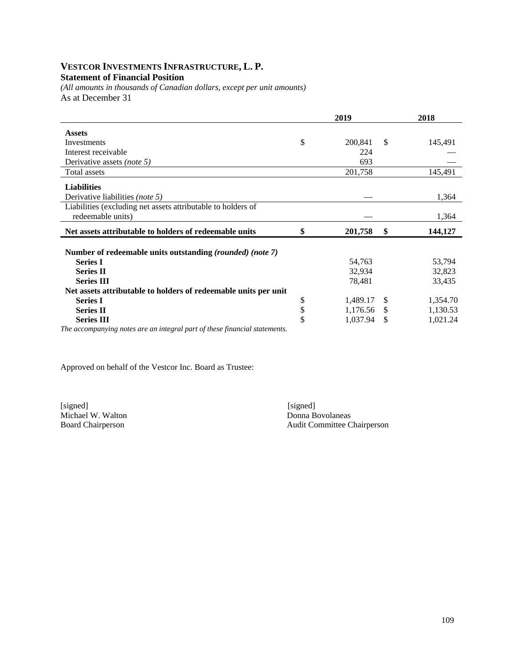# **VESTCOR INVESTMENTS INFRASTRUCTURE, L. P.**

# **Statement of Financial Position**

*(All amounts in thousands of Canadian dollars, except per unit amounts)*  As at December 31

|                                                                                   | 2019           |               | 2018     |
|-----------------------------------------------------------------------------------|----------------|---------------|----------|
| <b>Assets</b>                                                                     |                |               |          |
| Investments                                                                       | \$<br>200,841  | \$            | 145,491  |
| Interest receivable                                                               | 224            |               |          |
| Derivative assets (note 5)                                                        | 693            |               |          |
| Total assets                                                                      | 201,758        |               | 145,491  |
| <b>Liabilities</b>                                                                |                |               |          |
| Derivative liabilities (note 5)                                                   |                |               | 1,364    |
| Liabilities (excluding net assets attributable to holders of<br>redeemable units) |                |               | 1,364    |
| Net assets attributable to holders of redeemable units                            | \$<br>201,758  | \$            | 144,127  |
| Number of redeemable units outstanding (rounded) (note 7)                         |                |               |          |
| <b>Series I</b>                                                                   | 54,763         |               | 53,794   |
| <b>Series II</b>                                                                  | 32,934         |               | 32,823   |
| <b>Series III</b>                                                                 | 78,481         |               | 33,435   |
| Net assets attributable to holders of redeemable units per unit                   |                |               |          |
| <b>Series I</b>                                                                   | \$<br>1,489.17 | <sup>\$</sup> | 1,354.70 |
| <b>Series II</b>                                                                  | \$<br>1,176.56 | \$            | 1,130.53 |
| <b>Series III</b>                                                                 | \$<br>1,037.94 | S             | 1,021.24 |
| The accompanying notes are an integral part of these financial statements.        |                |               |          |

Approved on behalf of the Vestcor Inc. Board as Trustee:

Michael W. Walton<br>Board Chairperson

[signed] [signed] [signed] [signed] [signed] [signed] [signed] [signed] [signed] [signed] [signed] [Signed] [Signed] [Signed] [Signed] [Signed] [Signed] [Signed] [Signed] [Signed] [Signed] [Signed] [Signed] [Signed] [Signe Audit Committee Chairperson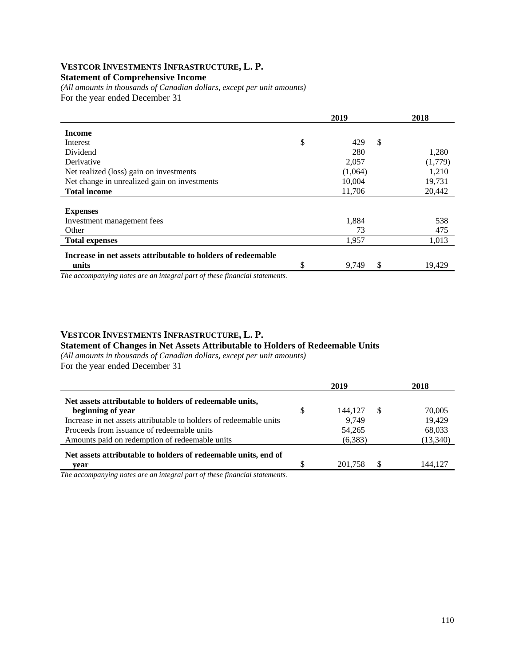#### **VESTCOR INVESTMENTS INFRASTRUCTURE, L. P. Statement of Comprehensive Income**

*(All amounts in thousands of Canadian dollars, except per unit amounts)*  For the year ended December 31

|                                                              | 2019              | 2018    |
|--------------------------------------------------------------|-------------------|---------|
| <b>Income</b>                                                |                   |         |
| Interest                                                     | \$<br>\$<br>429   |         |
| Dividend                                                     | 280               | 1,280   |
| Derivative                                                   | 2,057             | (1,779) |
| Net realized (loss) gain on investments                      | (1,064)           | 1,210   |
| Net change in unrealized gain on investments                 | 10,004            | 19,731  |
| <b>Total income</b>                                          | 11,706            | 20,442  |
|                                                              |                   |         |
| <b>Expenses</b>                                              |                   |         |
| Investment management fees                                   | 1,884             | 538     |
| Other                                                        | 73                | 475     |
| <b>Total expenses</b>                                        | 1,957             | 1,013   |
| Increase in net assets attributable to holders of redeemable |                   |         |
| units                                                        | \$<br>\$<br>9,749 | 19,429  |

*The accompanying notes are an integral part of these financial statements.*

# **VESTCOR INVESTMENTS INFRASTRUCTURE, L. P.**

#### **Statement of Changes in Net Assets Attributable to Holders of Redeemable Units**

*(All amounts in thousands of Canadian dollars, except per unit amounts)* 

For the year ended December 31

|                                                                    | 2019          |    | 2018      |
|--------------------------------------------------------------------|---------------|----|-----------|
| Net assets attributable to holders of redeemable units,            |               |    |           |
| beginning of year                                                  | \$<br>144,127 | -S | 70,005    |
| Increase in net assets attributable to holders of redeemable units | 9.749         |    | 19,429    |
| Proceeds from issuance of redeemable units                         | 54,265        |    | 68,033    |
| Amounts paid on redemption of redeemable units                     | (6,383)       |    | (13, 340) |
| Net assets attributable to holders of redeemable units, end of     |               |    |           |
| vear                                                               | 201.758       |    | 144.127   |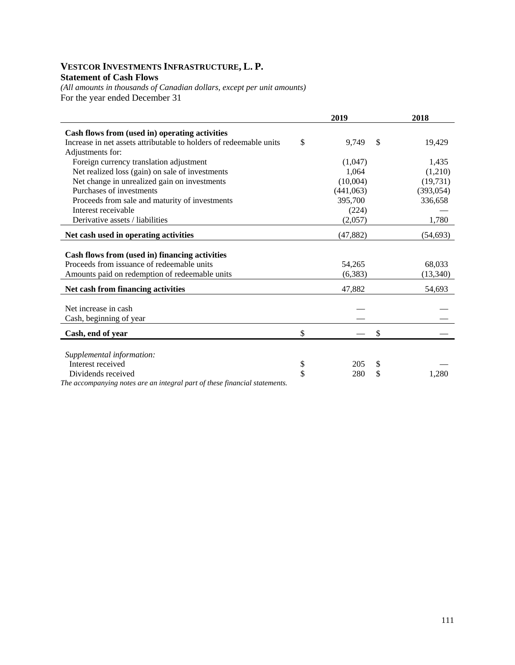## **VESTCOR INVESTMENTS INFRASTRUCTURE, L. P. Statement of Cash Flows**

*(All amounts in thousands of Canadian dollars, except per unit amounts)*  For the year ended December 31

|                                                                            | 2019        |               | 2018       |
|----------------------------------------------------------------------------|-------------|---------------|------------|
| Cash flows from (used in) operating activities                             |             |               |            |
| Increase in net assets attributable to holders of redeemable units         | \$<br>9.749 | <sup>\$</sup> | 19,429     |
| Adjustments for:                                                           |             |               |            |
| Foreign currency translation adjustment                                    | (1,047)     |               | 1,435      |
| Net realized loss (gain) on sale of investments                            | 1,064       |               | (1,210)    |
| Net change in unrealized gain on investments                               | (10,004)    |               | (19,731)   |
| Purchases of investments                                                   | (441,063)   |               | (393, 054) |
| Proceeds from sale and maturity of investments                             | 395,700     |               | 336,658    |
| Interest receivable                                                        | (224)       |               |            |
| Derivative assets / liabilities                                            | (2,057)     |               | 1,780      |
| Net cash used in operating activities                                      | (47, 882)   |               | (54, 693)  |
|                                                                            |             |               |            |
| Cash flows from (used in) financing activities                             |             |               |            |
| Proceeds from issuance of redeemable units                                 | 54,265      |               | 68,033     |
| Amounts paid on redemption of redeemable units                             | (6,383)     |               | (13, 340)  |
| Net cash from financing activities                                         | 47,882      |               | 54,693     |
|                                                                            |             |               |            |
| Net increase in cash                                                       |             |               |            |
| Cash, beginning of year                                                    |             |               |            |
| Cash, end of year                                                          | \$          | \$            |            |
|                                                                            |             |               |            |
| Supplemental information:                                                  |             |               |            |
| Interest received                                                          | \$<br>205   | \$            |            |
| Dividends received                                                         | \$<br>280   | \$            | 1,280      |
| The accompanying notes are an integral part of these financial statements. |             |               |            |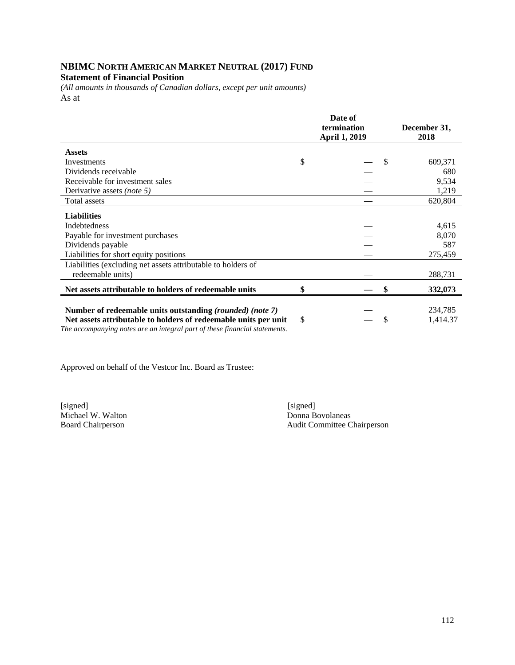#### **NBIMC NORTH AMERICAN MARKET NEUTRAL (2017) FUND Statement of Financial Position**

*(All amounts in thousands of Canadian dollars, except per unit amounts)*  As at

|                                                                                                                                                                                                            | Date of<br>termination<br><b>April 1, 2019</b> |  |    | December 31,<br>2018 |  |  |
|------------------------------------------------------------------------------------------------------------------------------------------------------------------------------------------------------------|------------------------------------------------|--|----|----------------------|--|--|
| <b>Assets</b>                                                                                                                                                                                              |                                                |  |    |                      |  |  |
| Investments                                                                                                                                                                                                | \$                                             |  | \$ | 609,371              |  |  |
| Dividends receivable                                                                                                                                                                                       |                                                |  |    | 680                  |  |  |
| Receivable for investment sales                                                                                                                                                                            |                                                |  |    | 9,534                |  |  |
| Derivative assets <i>(note 5)</i>                                                                                                                                                                          |                                                |  |    | 1,219                |  |  |
| Total assets                                                                                                                                                                                               |                                                |  |    | 620,804              |  |  |
| <b>Liabilities</b><br>Indebtedness<br>Payable for investment purchases                                                                                                                                     |                                                |  |    | 4,615<br>8,070       |  |  |
| Dividends payable                                                                                                                                                                                          |                                                |  |    | 587                  |  |  |
| Liabilities for short equity positions                                                                                                                                                                     |                                                |  |    | 275,459              |  |  |
| Liabilities (excluding net assets attributable to holders of<br>redeemable units)                                                                                                                          |                                                |  |    | 288,731              |  |  |
| Net assets attributable to holders of redeemable units                                                                                                                                                     | \$                                             |  | \$ | 332,073              |  |  |
| Number of redeemable units outstanding (rounded) (note 7)<br>Net assets attributable to holders of redeemable units per unit<br>The accompanying notes are an integral part of these financial statements. | \$                                             |  | \$ | 234,785<br>1,414.37  |  |  |

Approved on behalf of the Vestcor Inc. Board as Trustee:

Michael W. Walton<br>Board Chairperson

[signed] [signed] [signed] [signed] [signed] [signed] [signed] [signed] [signed] [signed] [signed] [Signed] [Signed] [Signed] [Signed] [Signed] [Signed] [Signed] [Signed] [Signed] [Signed] [Signed] [Signed] [Signed] [Signe Audit Committee Chairperson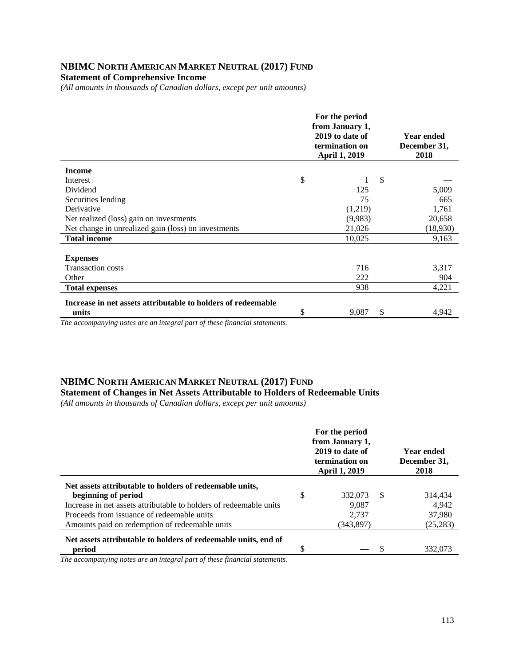#### **NBIMC NORTH AMERICAN MARKET NEUTRAL (2017) FUND Statement of Comprehensive Income**

*(All amounts in thousands of Canadian dollars, except per unit amounts)* 

|                                                                                                                                                                                                                                                                                                                 | For the period<br>from January 1,<br>2019 to date of<br>termination on<br><b>April 1, 2019</b> |               | <b>Year ended</b><br>December 31,<br>2018 |
|-----------------------------------------------------------------------------------------------------------------------------------------------------------------------------------------------------------------------------------------------------------------------------------------------------------------|------------------------------------------------------------------------------------------------|---------------|-------------------------------------------|
| <b>Income</b>                                                                                                                                                                                                                                                                                                   |                                                                                                |               |                                           |
| Interest                                                                                                                                                                                                                                                                                                        | \$                                                                                             | \$            |                                           |
| Dividend                                                                                                                                                                                                                                                                                                        | 125                                                                                            |               | 5,009                                     |
| Securities lending                                                                                                                                                                                                                                                                                              | 75                                                                                             |               | 665                                       |
| Derivative                                                                                                                                                                                                                                                                                                      | (1,219)                                                                                        |               | 1,761                                     |
| Net realized (loss) gain on investments                                                                                                                                                                                                                                                                         | (9,983)                                                                                        |               | 20,658                                    |
| Net change in unrealized gain (loss) on investments                                                                                                                                                                                                                                                             | 21,026                                                                                         |               | (18,930)                                  |
| <b>Total income</b>                                                                                                                                                                                                                                                                                             | 10,025                                                                                         |               | 9,163                                     |
| <b>Expenses</b><br><b>Transaction costs</b>                                                                                                                                                                                                                                                                     | 716                                                                                            |               | 3,317                                     |
| Other                                                                                                                                                                                                                                                                                                           | 222                                                                                            |               | 904                                       |
| <b>Total expenses</b>                                                                                                                                                                                                                                                                                           | 938                                                                                            |               | 4,221                                     |
| Increase in net assets attributable to holders of redeemable                                                                                                                                                                                                                                                    |                                                                                                |               |                                           |
| units                                                                                                                                                                                                                                                                                                           | \$<br>9,087                                                                                    | $\mathcal{S}$ | 4,942                                     |
| $\cdot$ , $\cdot$ , $\cdot$ , $\cdot$ , $\cdot$ , $\cdot$ , $\cdot$<br>T1<br>$\bullet$ and the set of the set of the set of the set of the set of the set of the set of the set of the set of the set of the set of the set of the set of the set of the set of the set of the set of the set of the set of the |                                                                                                |               |                                           |

*The accompanying notes are an integral part of these financial statements.*

#### **NBIMC NORTH AMERICAN MARKET NEUTRAL (2017) FUND**

#### **Statement of Changes in Net Assets Attributable to Holders of Redeemable Units**

*(All amounts in thousands of Canadian dollars, except per unit amounts)* 

|                                                                                                                                                                                                                                                      |    | For the period<br>from January 1,<br>2019 to date of<br>termination on<br><b>April 1, 2019</b> |      | <b>Year ended</b><br>December 31,<br>2018 |
|------------------------------------------------------------------------------------------------------------------------------------------------------------------------------------------------------------------------------------------------------|----|------------------------------------------------------------------------------------------------|------|-------------------------------------------|
| Net assets attributable to holders of redeemable units,<br>beginning of period<br>Increase in net assets attributable to holders of redeemable units<br>Proceeds from issuance of redeemable units<br>Amounts paid on redemption of redeemable units | \$ | 332,073<br>9,087<br>2.737<br>(343,897)                                                         | - \$ | 314,434<br>4,942<br>37,980<br>(25, 283)   |
| Net assets attributable to holders of redeemable units, end of<br>period                                                                                                                                                                             | S  |                                                                                                |      | 332,073                                   |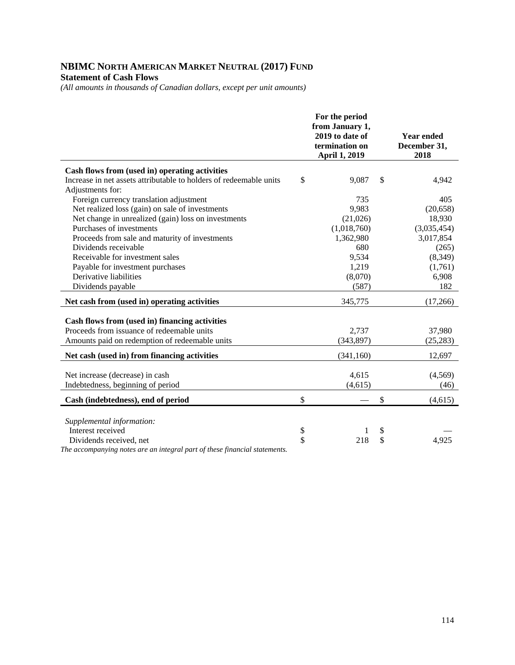## **NBIMC NORTH AMERICAN MARKET NEUTRAL (2017) FUND Statement of Cash Flows**

*(All amounts in thousands of Canadian dollars, except per unit amounts)* 

|                                                                                                  | For the period<br>from January 1,<br>2019 to date of<br>termination on<br><b>April 1, 2019</b> | <b>Year ended</b><br>December 31,<br>2018 |
|--------------------------------------------------------------------------------------------------|------------------------------------------------------------------------------------------------|-------------------------------------------|
| Cash flows from (used in) operating activities                                                   |                                                                                                |                                           |
| Increase in net assets attributable to holders of redeemable units                               | \$<br>9,087                                                                                    | \$<br>4,942                               |
| Adjustments for:                                                                                 |                                                                                                |                                           |
| Foreign currency translation adjustment                                                          | 735                                                                                            | 405                                       |
| Net realized loss (gain) on sale of investments                                                  | 9,983                                                                                          | (20, 658)                                 |
| Net change in unrealized (gain) loss on investments                                              | (21,026)                                                                                       | 18,930                                    |
| Purchases of investments                                                                         | (1,018,760)                                                                                    | (3,035,454)                               |
| Proceeds from sale and maturity of investments                                                   | 1,362,980                                                                                      | 3,017,854                                 |
| Dividends receivable                                                                             | 680                                                                                            | (265)                                     |
| Receivable for investment sales                                                                  | 9,534                                                                                          | (8,349)                                   |
| Payable for investment purchases                                                                 | 1,219                                                                                          | (1,761)                                   |
| Derivative liabilities                                                                           | (8,070)                                                                                        | 6,908                                     |
| Dividends payable                                                                                | (587)                                                                                          | 182                                       |
| Net cash from (used in) operating activities                                                     | 345,775                                                                                        | (17,266)                                  |
| Cash flows from (used in) financing activities                                                   |                                                                                                |                                           |
| Proceeds from issuance of redeemable units                                                       | 2,737                                                                                          | 37,980                                    |
| Amounts paid on redemption of redeemable units                                                   | (343, 897)                                                                                     | (25, 283)                                 |
| Net cash (used in) from financing activities                                                     | (341, 160)                                                                                     | 12,697                                    |
|                                                                                                  |                                                                                                |                                           |
| Net increase (decrease) in cash                                                                  | 4,615                                                                                          | (4,569)                                   |
| Indebtedness, beginning of period                                                                | (4, 615)                                                                                       | (46)                                      |
| Cash (indebtedness), end of period                                                               | \$                                                                                             | \$<br>(4,615)                             |
|                                                                                                  |                                                                                                |                                           |
| Supplemental information:                                                                        |                                                                                                |                                           |
| Interest received                                                                                | \$                                                                                             | \$                                        |
| Dividends received, net<br>The generative matrix and one internal work of these financial states | \$<br>218                                                                                      | \$<br>4,925                               |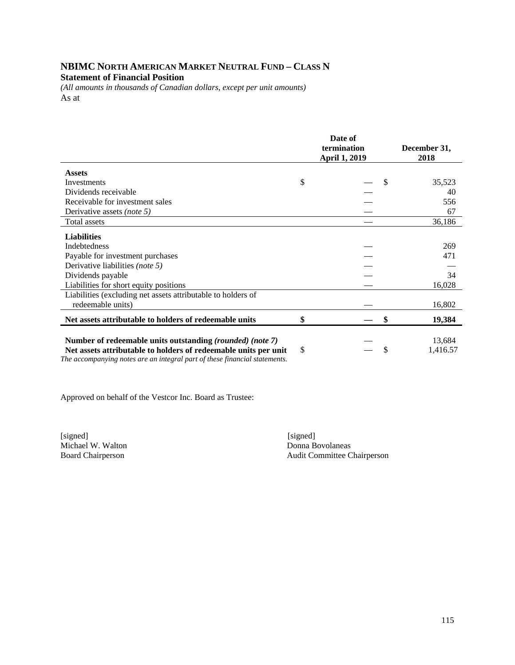# **NBIMC NORTH AMERICAN MARKET NEUTRAL FUND – CLASS N Statement of Financial Position**

*(All amounts in thousands of Canadian dollars, except per unit amounts)*  As at

|                                                                                                                                                                                                            | Date of<br>termination<br>April 1, 2019 | December 31,<br>2018 |
|------------------------------------------------------------------------------------------------------------------------------------------------------------------------------------------------------------|-----------------------------------------|----------------------|
| <b>Assets</b>                                                                                                                                                                                              |                                         |                      |
| Investments                                                                                                                                                                                                | \$<br>\$                                | 35,523               |
| Dividends receivable                                                                                                                                                                                       |                                         | 40                   |
| Receivable for investment sales                                                                                                                                                                            |                                         | 556                  |
| Derivative assets (note 5)                                                                                                                                                                                 |                                         | 67                   |
| <b>Total assets</b>                                                                                                                                                                                        |                                         | 36,186               |
| <b>Liabilities</b>                                                                                                                                                                                         |                                         |                      |
| <b>Indebtedness</b>                                                                                                                                                                                        |                                         | 269                  |
| Payable for investment purchases                                                                                                                                                                           |                                         | 471                  |
| Derivative liabilities (note 5)                                                                                                                                                                            |                                         |                      |
| Dividends payable                                                                                                                                                                                          |                                         | 34                   |
| Liabilities for short equity positions                                                                                                                                                                     |                                         | 16,028               |
| Liabilities (excluding net assets attributable to holders of                                                                                                                                               |                                         |                      |
| redeemable units)                                                                                                                                                                                          |                                         | 16,802               |
| Net assets attributable to holders of redeemable units                                                                                                                                                     | \$<br>\$                                | 19,384               |
| Number of redeemable units outstanding (rounded) (note 7)<br>Net assets attributable to holders of redeemable units per unit<br>The accompanying notes are an integral part of these financial statements. | \$<br>\$                                | 13,684<br>1,416.57   |

Approved on behalf of the Vestcor Inc. Board as Trustee:

[signed] [signed] [signed] [signed] [signed] [signed] [signed] [signed] [signed] [signed] [Signed] [Signed] [Signed] [Signed] [Signed] [Signed] [Signed] [Signed] [Signed] [Signed] [Signed] [Signed] [Signed] [Signed] [Signe Michael W. Walton<br>Board Chairperson

Audit Committee Chairperson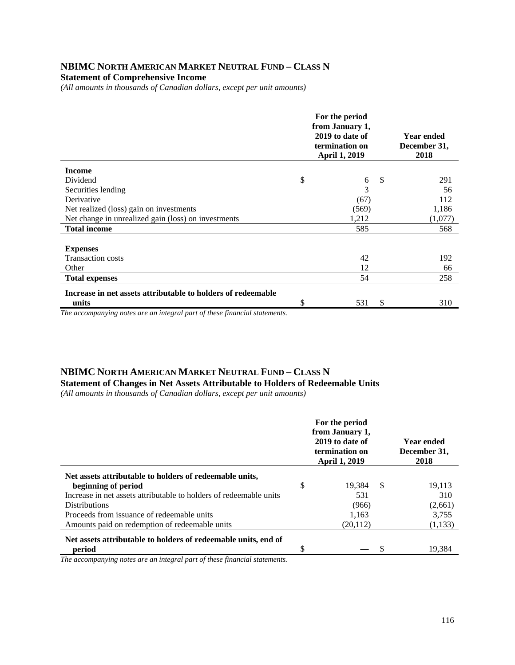#### **NBIMC NORTH AMERICAN MARKET NEUTRAL FUND – CLASS N Statement of Comprehensive Income**

*(All amounts in thousands of Canadian dollars, except per unit amounts)* 

|                                                              | For the period<br>from January 1,<br>2019 to date of<br>termination on<br><b>April 1, 2019</b> |     | <b>Year ended</b><br>December 31,<br>2018 |
|--------------------------------------------------------------|------------------------------------------------------------------------------------------------|-----|-------------------------------------------|
| <b>Income</b>                                                |                                                                                                |     |                                           |
| Dividend                                                     | \$<br>6                                                                                        | -\$ | 291                                       |
| Securities lending                                           | 3                                                                                              |     | 56                                        |
| Derivative                                                   | (67)                                                                                           |     | 112                                       |
| Net realized (loss) gain on investments                      | (569)                                                                                          |     | 1,186                                     |
| Net change in unrealized gain (loss) on investments          | 1,212                                                                                          |     | (1,077)                                   |
| <b>Total income</b>                                          | 585                                                                                            |     | 568                                       |
|                                                              |                                                                                                |     |                                           |
| <b>Expenses</b>                                              |                                                                                                |     |                                           |
| <b>Transaction costs</b>                                     | 42                                                                                             |     | 192                                       |
| Other                                                        | 12                                                                                             |     | 66                                        |
| <b>Total expenses</b>                                        | 54                                                                                             |     | 258                                       |
| Increase in net assets attributable to holders of redeemable |                                                                                                |     |                                           |
| units                                                        | \$<br>531                                                                                      | \$  | 310                                       |

*The accompanying notes are an integral part of these financial statements.*

# **NBIMC NORTH AMERICAN MARKET NEUTRAL FUND – CLASS N**

**Statement of Changes in Net Assets Attributable to Holders of Redeemable Units** 

*(All amounts in thousands of Canadian dollars, except per unit amounts)* 

|                                                                    |    | For the period<br>from January 1,<br>2019 to date of<br>termination on<br><b>April 1, 2019</b> |      | <b>Year ended</b><br>December 31,<br>2018 |
|--------------------------------------------------------------------|----|------------------------------------------------------------------------------------------------|------|-------------------------------------------|
| Net assets attributable to holders of redeemable units,            |    |                                                                                                |      |                                           |
| beginning of period                                                | \$ | 19.384                                                                                         | - \$ | 19,113                                    |
| Increase in net assets attributable to holders of redeemable units |    | 531                                                                                            |      | 310                                       |
| <b>Distributions</b>                                               |    | (966)                                                                                          |      | (2,661)                                   |
| Proceeds from issuance of redeemable units                         |    | 1.163                                                                                          |      | 3.755                                     |
| Amounts paid on redemption of redeemable units                     |    | (20, 112)                                                                                      |      | (1,133)                                   |
| Net assets attributable to holders of redeemable units, end of     |    |                                                                                                |      |                                           |
| period                                                             | S  |                                                                                                |      | 19,384                                    |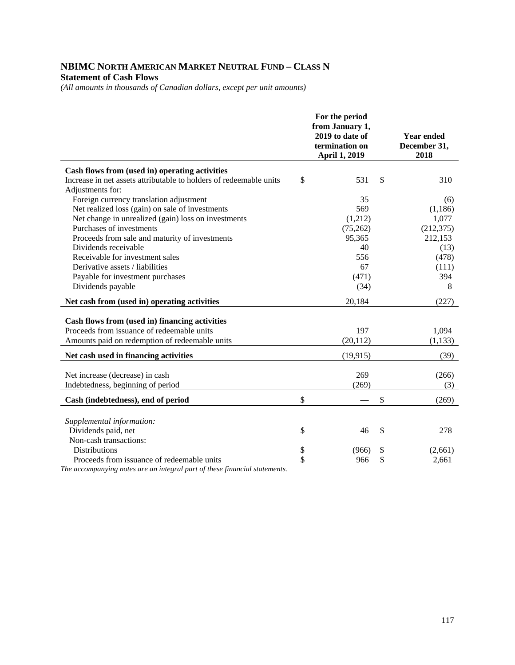# **NBIMC NORTH AMERICAN MARKET NEUTRAL FUND – CLASS N Statement of Cash Flows**

*(All amounts in thousands of Canadian dollars, except per unit amounts)* 

|                                                                    | For the period<br>from January 1,<br>2019 to date of<br>termination on<br><b>April 1, 2019</b> | <b>Year ended</b><br>December 31,<br>2018 |
|--------------------------------------------------------------------|------------------------------------------------------------------------------------------------|-------------------------------------------|
| Cash flows from (used in) operating activities                     |                                                                                                |                                           |
| Increase in net assets attributable to holders of redeemable units | \$<br>531                                                                                      | \$<br>310                                 |
| Adjustments for:                                                   |                                                                                                |                                           |
| Foreign currency translation adjustment                            | 35                                                                                             | (6)                                       |
| Net realized loss (gain) on sale of investments                    | 569                                                                                            | (1, 186)                                  |
| Net change in unrealized (gain) loss on investments                | (1,212)                                                                                        | 1,077                                     |
| Purchases of investments                                           | (75,262)                                                                                       | (212, 375)                                |
| Proceeds from sale and maturity of investments                     | 95,365                                                                                         | 212,153                                   |
| Dividends receivable                                               | 40                                                                                             | (13)                                      |
| Receivable for investment sales                                    | 556                                                                                            | (478)                                     |
| Derivative assets / liabilities                                    | 67                                                                                             | (111)                                     |
| Payable for investment purchases                                   | (471)                                                                                          | 394                                       |
| Dividends payable                                                  | (34)                                                                                           | 8                                         |
| Net cash from (used in) operating activities                       | 20,184                                                                                         | (227)                                     |
|                                                                    |                                                                                                |                                           |
| Cash flows from (used in) financing activities                     |                                                                                                |                                           |
| Proceeds from issuance of redeemable units                         | 197                                                                                            | 1,094                                     |
| Amounts paid on redemption of redeemable units                     | (20, 112)                                                                                      | (1, 133)                                  |
| Net cash used in financing activities                              | (19, 915)                                                                                      | (39)                                      |
|                                                                    |                                                                                                |                                           |
| Net increase (decrease) in cash                                    | 269                                                                                            | (266)                                     |
| Indebtedness, beginning of period                                  | (269)                                                                                          | (3)                                       |
| Cash (indebtedness), end of period                                 | \$                                                                                             | \$<br>(269)                               |
|                                                                    |                                                                                                |                                           |
| Supplemental information:                                          |                                                                                                |                                           |
| Dividends paid, net                                                | \$<br>46                                                                                       | \$<br>278                                 |
| Non-cash transactions:                                             |                                                                                                |                                           |
| <b>Distributions</b>                                               | \$<br>(966)                                                                                    | \$<br>(2,661)                             |
| Proceeds from issuance of redeemable units                         | \$<br>966                                                                                      | \$<br>2,661                               |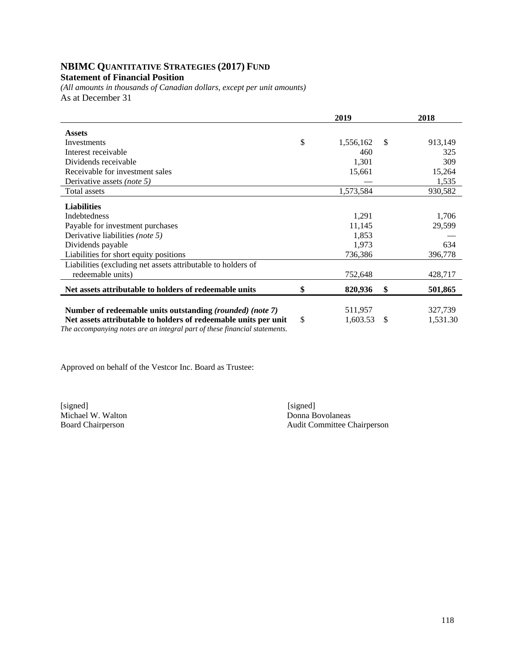# **NBIMC QUANTITATIVE STRATEGIES (2017) FUND**

# **Statement of Financial Position**

*(All amounts in thousands of Canadian dollars, except per unit amounts)*  As at December 31

|                                                                 | 2019         |           |    | 2018     |
|-----------------------------------------------------------------|--------------|-----------|----|----------|
| <b>Assets</b>                                                   |              |           |    |          |
| Investments                                                     | \$           | 1,556,162 | S  | 913,149  |
| Interest receivable                                             |              | 460       |    | 325      |
| Dividends receivable                                            |              | 1,301     |    | 309      |
| Receivable for investment sales                                 |              | 15,661    |    | 15,264   |
| Derivative assets (note 5)                                      |              |           |    | 1,535    |
| Total assets                                                    |              | 1,573,584 |    | 930,582  |
| <b>Liabilities</b>                                              |              |           |    |          |
| <b>Indebtedness</b>                                             |              | 1,291     |    | 1,706    |
| Payable for investment purchases                                |              | 11,145    |    | 29,599   |
| Derivative liabilities (note 5)                                 |              | 1,853     |    |          |
| Dividends payable                                               |              | 1,973     |    | 634      |
| Liabilities for short equity positions                          |              | 736,386   |    | 396,778  |
| Liabilities (excluding net assets attributable to holders of    |              |           |    |          |
| redeemable units)                                               |              | 752,648   |    | 428,717  |
| Net assets attributable to holders of redeemable units          | \$           | 820,936   | \$ | 501,865  |
|                                                                 |              |           |    |          |
| Number of redeemable units outstanding (rounded) (note 7)       |              | 511,957   |    | 327,739  |
| Net assets attributable to holders of redeemable units per unit | $\mathbb{S}$ | 1,603.53  | S  | 1,531.30 |

*The accompanying notes are an integral part of these financial statements.* 

Approved on behalf of the Vestcor Inc. Board as Trustee:

Michael W. Walton<br>Board Chairperson

[signed] [signed] [signed] [signed] [signed] [signed] [signed] [signed] [signed] [signed] [signed] [Signed] [Signed] [Signed] [Signed] [Signed] [Signed] [Signed] [Signed] [Signed] [Signed] [Signed] [Signed] [Signed] [Signe Audit Committee Chairperson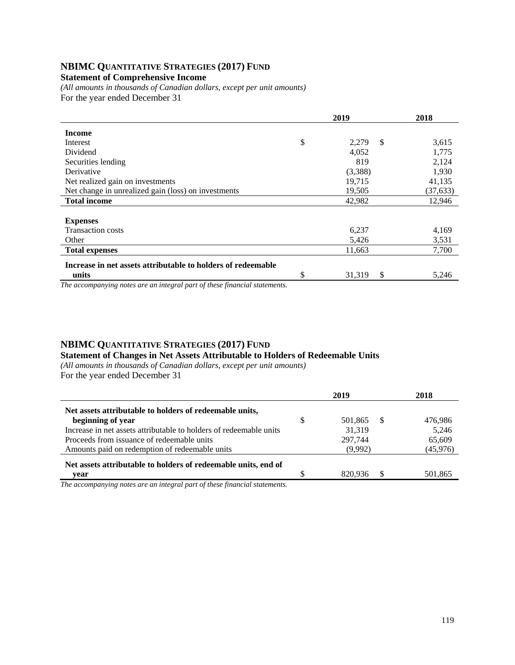# **NBIMC QUANTITATIVE STRATEGIES (2017) FUND**

## **Statement of Comprehensive Income**

*(All amounts in thousands of Canadian dollars, except per unit amounts)*  For the year ended December 31

|                                                              | 2019 |              | 2018      |
|--------------------------------------------------------------|------|--------------|-----------|
| <b>Income</b>                                                |      |              |           |
| Interest                                                     | \$   | \$<br>2,279  | 3,615     |
| Dividend                                                     |      | 4,052        | 1,775     |
| Securities lending                                           |      | 819          | 2,124     |
| Derivative                                                   |      | (3,388)      | 1,930     |
| Net realized gain on investments                             |      | 19,715       | 41,135    |
| Net change in unrealized gain (loss) on investments          |      | 19,505       | (37, 633) |
| <b>Total income</b>                                          |      | 42,982       | 12,946    |
|                                                              |      |              |           |
| <b>Expenses</b>                                              |      |              |           |
| <b>Transaction costs</b>                                     |      | 6,237        | 4,169     |
| Other                                                        |      | 5,426        | 3,531     |
| <b>Total expenses</b>                                        |      | 11,663       | 7,700     |
| Increase in net assets attributable to holders of redeemable |      |              |           |
| units                                                        | \$   | \$<br>31,319 | 5,246     |

*The accompanying notes are an integral part of these financial statements.*

# **NBIMC QUANTITATIVE STRATEGIES (2017) FUND**

**Statement of Changes in Net Assets Attributable to Holders of Redeemable Units** 

*(All amounts in thousands of Canadian dollars, except per unit amounts)*  For the year ended December 31

| 2019          |      | 2018      |
|---------------|------|-----------|
| \$<br>501,865 | - \$ | 476.986   |
| 31.319        |      | 5.246     |
| 297.744       |      | 65,609    |
| (9,992)       |      | (45, 976) |
|               |      |           |
| 820.936       | S.   | 501.865   |
|               |      |           |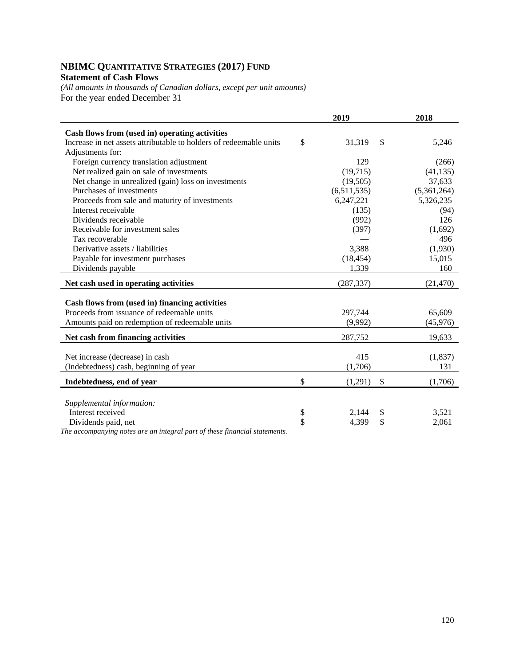# **NBIMC QUANTITATIVE STRATEGIES (2017) FUND Statement of Cash Flows**

*(All amounts in thousands of Canadian dollars, except per unit amounts)*  For the year ended December 31

|                                                                    | 2019          | 2018          |
|--------------------------------------------------------------------|---------------|---------------|
| Cash flows from (used in) operating activities                     |               |               |
| Increase in net assets attributable to holders of redeemable units | \$<br>31,319  | \$<br>5,246   |
| Adjustments for:                                                   |               |               |
| Foreign currency translation adjustment                            | 129           | (266)         |
| Net realized gain on sale of investments                           | (19,715)      | (41, 135)     |
| Net change in unrealized (gain) loss on investments                | (19,505)      | 37,633        |
| Purchases of investments                                           | (6,511,535)   | (5,361,264)   |
| Proceeds from sale and maturity of investments                     | 6,247,221     | 5,326,235     |
| Interest receivable                                                | (135)         | (94)          |
| Dividends receivable                                               | (992)         | 126           |
| Receivable for investment sales                                    | (397)         | (1,692)       |
| Tax recoverable                                                    |               | 496           |
| Derivative assets / liabilities                                    | 3,388         | (1,930)       |
| Payable for investment purchases                                   | (18, 454)     | 15,015        |
| Dividends payable                                                  | 1,339         | 160           |
| Net cash used in operating activities                              | (287, 337)    | (21, 470)     |
|                                                                    |               |               |
| Cash flows from (used in) financing activities                     |               |               |
| Proceeds from issuance of redeemable units                         | 297,744       | 65,609        |
| Amounts paid on redemption of redeemable units                     | (9,992)       | (45,976)      |
| Net cash from financing activities                                 | 287,752       | 19,633        |
|                                                                    |               |               |
| Net increase (decrease) in cash                                    | 415           | (1,837)       |
| (Indebtedness) cash, beginning of year                             | (1,706)       | 131           |
|                                                                    |               |               |
| Indebtedness, end of year                                          | \$<br>(1,291) | \$<br>(1,706) |
|                                                                    |               |               |
| Supplemental information:                                          |               |               |
| Interest received                                                  | \$<br>2,144   | \$<br>3,521   |
| Dividends paid, net                                                | \$<br>4,399   | \$<br>2,061   |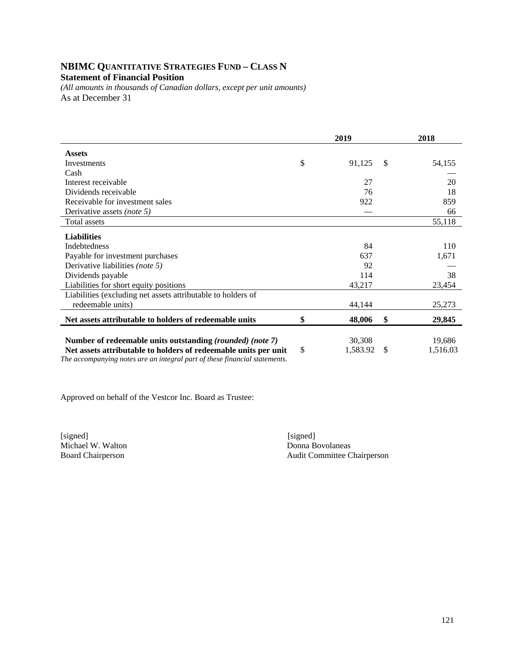# **NBIMC QUANTITATIVE STRATEGIES FUND – CLASS N Statement of Financial Position**

*(All amounts in thousands of Canadian dollars, except per unit amounts)*  As at December 31

|                                                                 | 2019 |          |    | 2018     |
|-----------------------------------------------------------------|------|----------|----|----------|
| <b>Assets</b>                                                   |      |          |    |          |
| Investments                                                     | \$   | 91,125   | S  | 54,155   |
| Cash                                                            |      |          |    |          |
| Interest receivable                                             |      | 27       |    | 20       |
| Dividends receivable                                            |      | 76       |    | 18       |
| Receivable for investment sales                                 |      | 922      |    | 859      |
| Derivative assets (note 5)                                      |      |          |    | 66       |
| Total assets                                                    |      |          |    | 55,118   |
| <b>Liabilities</b>                                              |      |          |    |          |
| <b>Indebtedness</b>                                             |      | 84       |    | 110      |
| Payable for investment purchases                                |      | 637      |    | 1,671    |
| Derivative liabilities (note 5)                                 |      | 92       |    |          |
| Dividends payable                                               |      | 114      |    | 38       |
| Liabilities for short equity positions                          |      | 43,217   |    | 23,454   |
| Liabilities (excluding net assets attributable to holders of    |      |          |    |          |
| redeemable units)                                               |      | 44,144   |    | 25,273   |
| Net assets attributable to holders of redeemable units          | \$   | 48,006   | \$ | 29,845   |
|                                                                 |      |          |    |          |
| Number of redeemable units outstanding (rounded) (note 7)       |      | 30,308   |    | 19,686   |
| Net assets attributable to holders of redeemable units per unit | \$   | 1,583.92 | S  | 1,516.03 |

*The accompanying notes are an integral part of these financial statements.* 

Approved on behalf of the Vestcor Inc. Board as Trustee:

[signed] [signed] [signed] [signed] [signed] [signed] [signed] [signed] [signed] [signed] [Signed] [Signed] [Signed] [Signed] [Signed] [Signed] [Signed] [Signed] [Signed] [Signed] [Signed] [Signed] [Signed] [Signed] [Signe Michael W. Walton

Board Chairperson Audit Committee Chairperson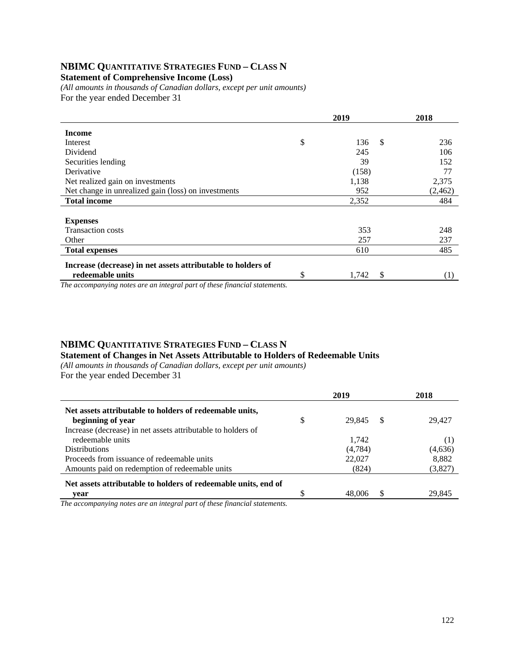# **NBIMC QUANTITATIVE STRATEGIES FUND – CLASS N**

**Statement of Comprehensive Income (Loss)** 

*(All amounts in thousands of Canadian dollars, except per unit amounts)*  For the year ended December 31

|                                                              |    | 2018                 |          |
|--------------------------------------------------------------|----|----------------------|----------|
| <b>Income</b>                                                |    |                      |          |
| Interest                                                     | \$ | <sup>\$</sup><br>136 | 236      |
| Dividend                                                     |    | 245                  | 106      |
| Securities lending                                           |    | 39                   | 152      |
| Derivative                                                   |    | (158)                | 77       |
| Net realized gain on investments                             |    | 1,138                | 2,375    |
| Net change in unrealized gain (loss) on investments          |    | 952                  | (2, 462) |
| <b>Total income</b>                                          |    | 2,352                | 484      |
|                                                              |    |                      |          |
| <b>Expenses</b>                                              |    |                      |          |
| <b>Transaction costs</b>                                     |    | 353                  | 248      |
| Other                                                        |    | 257                  | 237      |
| <b>Total expenses</b>                                        |    | 610                  | 485      |
| Increase (decrease) in net assets attributable to holders of |    |                      |          |
| redeemable units                                             | \$ | \$<br>1,742          | (1)      |

*The accompanying notes are an integral part of these financial statements.*

#### **NBIMC QUANTITATIVE STRATEGIES FUND – CLASS N Statement of Changes in Net Assets Attributable to Holders of Redeemable Units**

*(All amounts in thousands of Canadian dollars, except per unit amounts)*  For the year ended December 31

|                                                                | 2019               | 2018    |
|----------------------------------------------------------------|--------------------|---------|
| Net assets attributable to holders of redeemable units,        |                    |         |
| beginning of year                                              | \$<br>-S<br>29.845 | 29.427  |
| Increase (decrease) in net assets attributable to holders of   |                    |         |
| redeemable units                                               | 1,742              | (1      |
| <b>Distributions</b>                                           | (4,784)            | (4,636) |
| Proceeds from issuance of redeemable units                     | 22,027             | 8,882   |
| Amounts paid on redemption of redeemable units                 | (824)              | (3,827) |
| Net assets attributable to holders of redeemable units, end of |                    |         |
| vear                                                           | S<br>48,006        | 29.845  |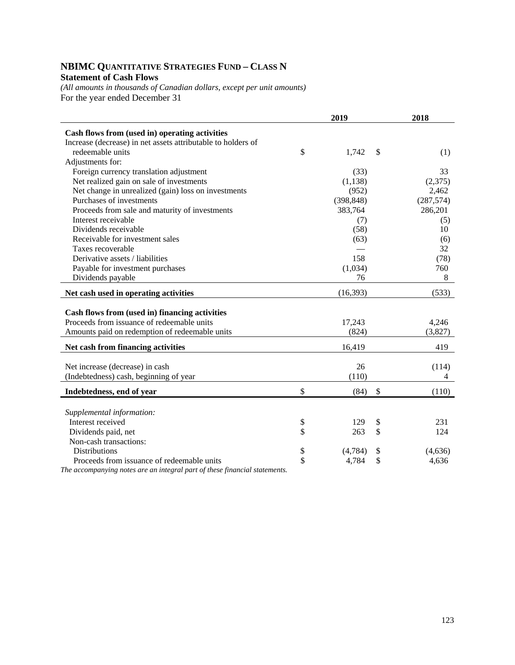# **NBIMC QUANTITATIVE STRATEGIES FUND – CLASS N Statement of Cash Flows**

*(All amounts in thousands of Canadian dollars, except per unit amounts)*  For the year ended December 31

|                                                              | 2019 |            |    | 2018       |  |
|--------------------------------------------------------------|------|------------|----|------------|--|
| Cash flows from (used in) operating activities               |      |            |    |            |  |
| Increase (decrease) in net assets attributable to holders of |      |            |    |            |  |
| redeemable units                                             | \$   | 1,742      | \$ | (1)        |  |
| Adjustments for:                                             |      |            |    |            |  |
| Foreign currency translation adjustment                      |      | (33)       |    | 33         |  |
| Net realized gain on sale of investments                     |      | (1,138)    |    | (2,375)    |  |
| Net change in unrealized (gain) loss on investments          |      | (952)      |    | 2,462      |  |
| Purchases of investments                                     |      | (398, 848) |    | (287, 574) |  |
| Proceeds from sale and maturity of investments               |      | 383,764    |    | 286,201    |  |
| Interest receivable                                          |      | (7)        |    | (5)        |  |
| Dividends receivable                                         |      | (58)       |    | 10         |  |
| Receivable for investment sales                              |      | (63)       |    | (6)        |  |
| Taxes recoverable                                            |      |            |    | 32         |  |
| Derivative assets / liabilities                              |      | 158        |    | (78)       |  |
| Payable for investment purchases                             |      | (1,034)    |    | 760        |  |
| Dividends payable                                            |      | 76         |    | 8          |  |
| Net cash used in operating activities                        |      | (16, 393)  |    | (533)      |  |
|                                                              |      |            |    |            |  |
| Cash flows from (used in) financing activities               |      |            |    |            |  |
| Proceeds from issuance of redeemable units                   |      | 17,243     |    | 4,246      |  |
| Amounts paid on redemption of redeemable units               |      | (824)      |    | (3,827)    |  |
| Net cash from financing activities                           |      | 16,419     |    | 419        |  |
|                                                              |      |            |    |            |  |
| Net increase (decrease) in cash                              |      | 26         |    | (114)      |  |
| (Indebtedness) cash, beginning of year                       |      | (110)      |    | 4          |  |
| Indebtedness, end of year                                    | \$   | (84)       | \$ | (110)      |  |
|                                                              |      |            |    |            |  |
| Supplemental information:                                    |      |            |    |            |  |
| Interest received                                            | \$   | 129        | \$ | 231        |  |
| Dividends paid, net                                          | \$   | 263        | \$ | 124        |  |
| Non-cash transactions:                                       |      |            |    |            |  |
| Distributions                                                | \$   | (4,784)    | \$ | (4,636)    |  |
| Proceeds from issuance of redeemable units                   | \$   | 4,784      | \$ | 4,636      |  |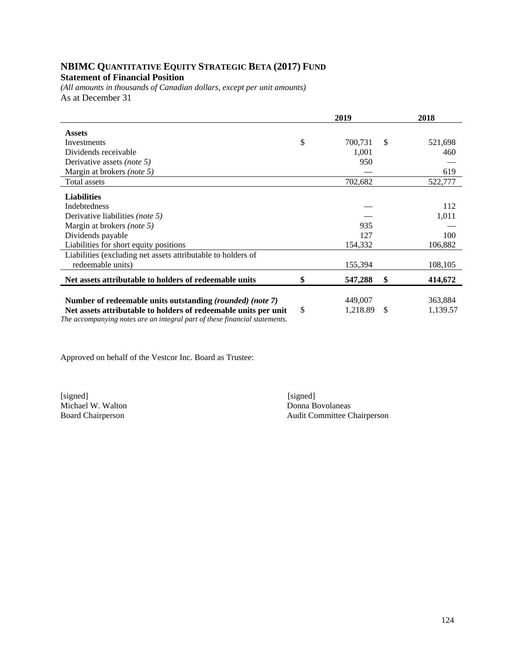## **NBIMC QUANTITATIVE EQUITY STRATEGIC BETA (2017) FUND Statement of Financial Position**

*(All amounts in thousands of Canadian dollars, except per unit amounts)*  As at December 31

|                                                                            | 2019 |          |    | 2018     |  |
|----------------------------------------------------------------------------|------|----------|----|----------|--|
| <b>Assets</b>                                                              |      |          |    |          |  |
| Investments                                                                | \$   | 700,731  | -S | 521,698  |  |
| Dividends receivable                                                       |      | 1,001    |    | 460      |  |
| Derivative assets <i>(note 5)</i>                                          |      | 950      |    |          |  |
| Margin at brokers (note 5)                                                 |      |          |    | 619      |  |
| Total assets                                                               |      | 702,682  |    | 522,777  |  |
| <b>Liabilities</b>                                                         |      |          |    |          |  |
| Indebtedness                                                               |      |          |    | 112      |  |
| Derivative liabilities (note 5)                                            |      |          |    | 1,011    |  |
| Margin at brokers (note 5)                                                 |      | 935      |    |          |  |
| Dividends payable                                                          |      | 127      |    | 100      |  |
| Liabilities for short equity positions                                     |      | 154,332  |    | 106,882  |  |
| Liabilities (excluding net assets attributable to holders of               |      |          |    |          |  |
| redeemable units)                                                          |      | 155,394  |    | 108,105  |  |
| Net assets attributable to holders of redeemable units                     | \$   | 547,288  | \$ | 414,672  |  |
|                                                                            |      |          |    |          |  |
| Number of redeemable units outstanding (rounded) (note 7)                  |      | 449,007  |    | 363,884  |  |
| Net assets attributable to holders of redeemable units per unit            | \$   | 1,218.89 | S  | 1,139.57 |  |
| The accompanying notes are an integral part of these financial statements. |      |          |    |          |  |

Approved on behalf of the Vestcor Inc. Board as Trustee:

[signed] [signed] Michael W. Walton Donna Bovolaneas<br>Board Chairperson Audit Committee C

Audit Committee Chairperson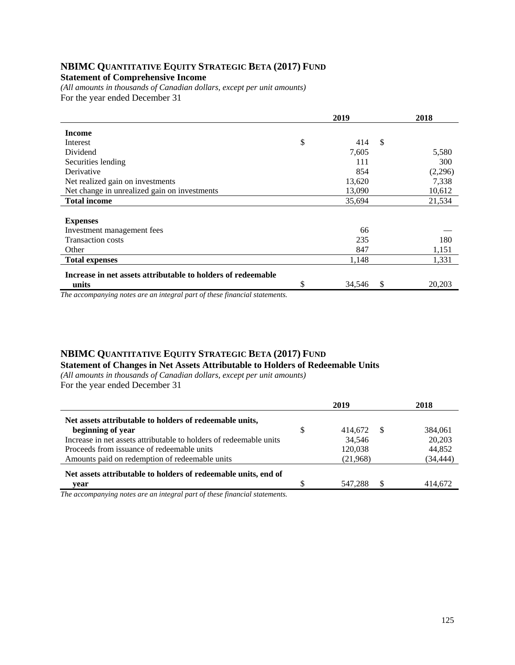# **NBIMC QUANTITATIVE EQUITY STRATEGIC BETA (2017) FUND**

# **Statement of Comprehensive Income**

*(All amounts in thousands of Canadian dollars, except per unit amounts)*  For the year ended December 31

|                                                              | 2019 |        |    | 2018    |
|--------------------------------------------------------------|------|--------|----|---------|
| <b>Income</b>                                                |      |        |    |         |
| Interest                                                     | \$   | 414    | \$ |         |
| Dividend                                                     |      | 7,605  |    | 5,580   |
| Securities lending                                           |      | 111    |    | 300     |
| Derivative                                                   |      | 854    |    | (2,296) |
| Net realized gain on investments                             |      | 13,620 |    | 7,338   |
| Net change in unrealized gain on investments                 |      | 13,090 |    | 10,612  |
| <b>Total income</b>                                          |      | 35,694 |    | 21,534  |
|                                                              |      |        |    |         |
| <b>Expenses</b>                                              |      |        |    |         |
| Investment management fees                                   |      | 66     |    |         |
| <b>Transaction costs</b>                                     |      | 235    |    | 180     |
| Other                                                        |      | 847    |    | 1,151   |
| <b>Total expenses</b>                                        |      | 1,148  |    | 1,331   |
| Increase in net assets attributable to holders of redeemable |      |        |    |         |
| units                                                        | \$   | 34,546 | \$ | 20,203  |

*The accompanying notes are an integral part of these financial statements.*

#### **NBIMC QUANTITATIVE EQUITY STRATEGIC BETA (2017) FUND Statement of Changes in Net Assets Attributable to Holders of Redeemable Units**

*(All amounts in thousands of Canadian dollars, except per unit amounts)*  For the year ended December 31

|                                                                    | 2019 |          |    | 2018     |
|--------------------------------------------------------------------|------|----------|----|----------|
| Net assets attributable to holders of redeemable units,            |      |          |    |          |
| beginning of year                                                  | S    | 414.672  | -8 | 384,061  |
| Increase in net assets attributable to holders of redeemable units |      | 34,546   |    | 20,203   |
| Proceeds from issuance of redeemable units                         |      | 120,038  |    | 44,852   |
| Amounts paid on redemption of redeemable units                     |      | (21,968) |    | (34,444) |
| Net assets attributable to holders of redeemable units, end of     |      |          |    |          |
| vear                                                               |      | 547.288  | \$ | 414.672  |
|                                                                    |      |          |    |          |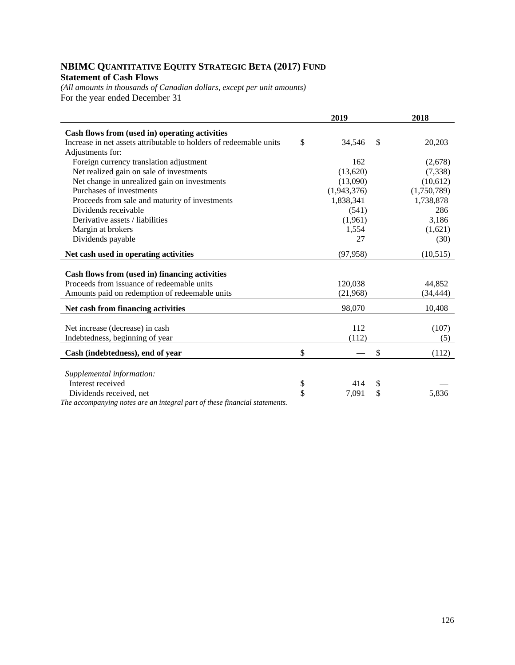# **NBIMC QUANTITATIVE EQUITY STRATEGIC BETA (2017) FUND Statement of Cash Flows**

*(All amounts in thousands of Canadian dollars, except per unit amounts)*  For the year ended December 31

|                                                                                              | 2019         | 2018         |
|----------------------------------------------------------------------------------------------|--------------|--------------|
| Cash flows from (used in) operating activities                                               |              |              |
| Increase in net assets attributable to holders of redeemable units                           | \$<br>34,546 | \$<br>20,203 |
| Adjustments for:                                                                             |              |              |
| Foreign currency translation adjustment                                                      | 162          | (2,678)      |
| Net realized gain on sale of investments                                                     | (13,620)     | (7,338)      |
| Net change in unrealized gain on investments                                                 | (13,090)     | (10,612)     |
| Purchases of investments                                                                     | (1,943,376)  | (1,750,789)  |
| Proceeds from sale and maturity of investments                                               | 1,838,341    | 1,738,878    |
| Dividends receivable                                                                         | (541)        | 286          |
| Derivative assets / liabilities                                                              | (1,961)      | 3,186        |
| Margin at brokers                                                                            | 1,554        | (1,621)      |
| Dividends payable                                                                            | 27           | (30)         |
| Net cash used in operating activities                                                        | (97, 958)    | (10,515)     |
|                                                                                              |              |              |
| Cash flows from (used in) financing activities<br>Proceeds from issuance of redeemable units | 120.038      | 44.852       |
|                                                                                              |              |              |
| Amounts paid on redemption of redeemable units                                               | (21,968)     | (34, 444)    |
| Net cash from financing activities                                                           | 98,070       | 10,408       |
|                                                                                              | 112          |              |
| Net increase (decrease) in cash                                                              |              | (107)        |
| Indebtedness, beginning of year                                                              | (112)        | (5)          |
| Cash (indebtedness), end of year                                                             | \$           | \$<br>(112)  |
|                                                                                              |              |              |
| Supplemental information:                                                                    |              |              |
| Interest received                                                                            | \$<br>414    | \$           |
| Dividends received, net                                                                      | \$<br>7,091  | \$<br>5,836  |
| The accompanying notes are an integral part of these financial statements.                   |              |              |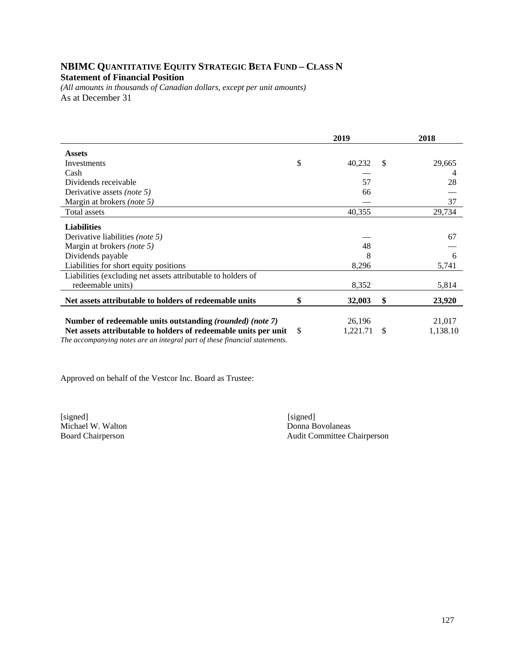# **NBIMC QUANTITATIVE EQUITY STRATEGIC BETA FUND – CLASS N Statement of Financial Position**

*(All amounts in thousands of Canadian dollars, except per unit amounts)*  As at December 31

|                                                                                                                                               | 2019 |          |               | 2018     |
|-----------------------------------------------------------------------------------------------------------------------------------------------|------|----------|---------------|----------|
| <b>Assets</b>                                                                                                                                 |      |          |               |          |
| Investments                                                                                                                                   | \$   | 40,232   | <sup>\$</sup> | 29,665   |
| Cash                                                                                                                                          |      |          |               | 4        |
| Dividends receivable                                                                                                                          |      | 57       |               | 28       |
| Derivative assets <i>(note 5)</i>                                                                                                             |      | 66       |               |          |
| Margin at brokers (note 5)                                                                                                                    |      |          |               | 37       |
| Total assets                                                                                                                                  |      | 40,355   |               | 29,734   |
| <b>Liabilities</b>                                                                                                                            |      |          |               |          |
| Derivative liabilities <i>(note 5)</i>                                                                                                        |      |          |               | 67       |
| Margin at brokers (note 5)                                                                                                                    |      | 48       |               |          |
| Dividends payable                                                                                                                             |      | 8        |               | 6        |
| Liabilities for short equity positions                                                                                                        |      | 8,296    |               | 5,741    |
| Liabilities (excluding net assets attributable to holders of                                                                                  |      |          |               |          |
| redeemable units)                                                                                                                             |      | 8,352    |               | 5,814    |
| Net assets attributable to holders of redeemable units                                                                                        | \$   | 32,003   | \$            | 23,920   |
|                                                                                                                                               |      |          |               |          |
| Number of redeemable units outstanding (rounded) (note 7)                                                                                     |      | 26,196   |               | 21,017   |
| Net assets attributable to holders of redeemable units per unit<br>The accompanying notes are an integral part of these financial statements. | \$   | 1,221.71 | <sup>\$</sup> | 1,138.10 |

Approved on behalf of the Vestcor Inc. Board as Trustee:

[signed] [signed] Michael W. Walton Donna Bovolaneas<br>Board Chairperson Audit Committee C

Audit Committee Chairperson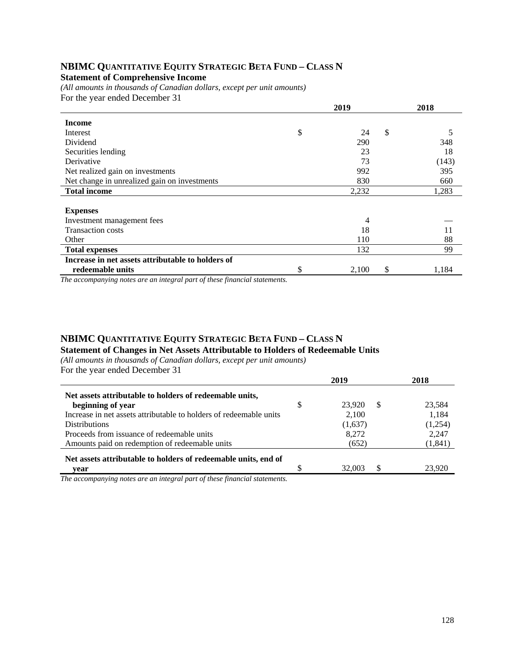## **NBIMC QUANTITATIVE EQUITY STRATEGIC BETA FUND – CLASS N Statement of Comprehensive Income**

*(All amounts in thousands of Canadian dollars, except per unit amounts)*  For the year ended December 31

|                                                   | 2019 |       |               | 2018  |
|---------------------------------------------------|------|-------|---------------|-------|
| <b>Income</b>                                     |      |       |               |       |
| Interest                                          | \$   | 24    | <sup>\$</sup> | 5     |
| Dividend                                          |      | 290   |               | 348   |
| Securities lending                                |      | 23    |               | 18    |
| Derivative                                        |      | 73    |               | (143) |
| Net realized gain on investments                  |      | 992   |               | 395   |
| Net change in unrealized gain on investments      |      | 830   |               | 660   |
| <b>Total income</b>                               |      | 2,232 |               | 1,283 |
|                                                   |      |       |               |       |
| <b>Expenses</b>                                   |      |       |               |       |
| Investment management fees                        |      | 4     |               |       |
| <b>Transaction costs</b>                          |      | 18    |               | 11    |
| Other                                             |      | 110   |               | 88    |
| <b>Total expenses</b>                             |      | 132   |               | 99    |
| Increase in net assets attributable to holders of |      |       |               |       |
| redeemable units                                  | \$   | 2,100 | \$            | 1,184 |

*The accompanying notes are an integral part of these financial statements.*

# **NBIMC QUANTITATIVE EQUITY STRATEGIC BETA FUND – CLASS N**

**Statement of Changes in Net Assets Attributable to Holders of Redeemable Units** 

*(All amounts in thousands of Canadian dollars, except per unit amounts)*  For the year ended December 31

|                                                                    |   | 2019    |    | 2018     |
|--------------------------------------------------------------------|---|---------|----|----------|
| Net assets attributable to holders of redeemable units,            |   |         |    |          |
| beginning of year                                                  | S | 23.920  | -S | 23,584   |
| Increase in net assets attributable to holders of redeemable units |   | 2,100   |    | 1,184    |
| <b>Distributions</b>                                               |   | (1,637) |    | (1,254)  |
| Proceeds from issuance of redeemable units                         |   | 8,272   |    | 2,247    |
| Amounts paid on redemption of redeemable units                     |   | (652)   |    | (1, 841) |
| Net assets attributable to holders of redeemable units, end of     |   |         |    |          |
| vear                                                               |   | 32,003  | -S | 23.920   |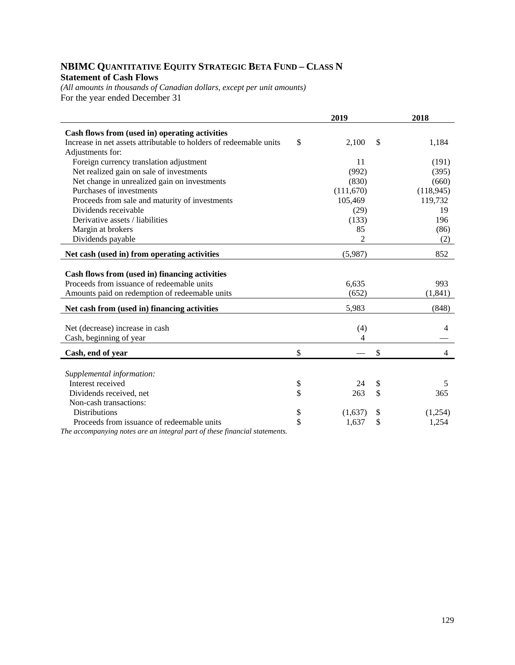# **NBIMC QUANTITATIVE EQUITY STRATEGIC BETA FUND – CLASS N Statement of Cash Flows**

*(All amounts in thousands of Canadian dollars, except per unit amounts)*  For the year ended December 31

|                                                                    | 2019          | 2018                 |
|--------------------------------------------------------------------|---------------|----------------------|
| Cash flows from (used in) operating activities                     |               |                      |
| Increase in net assets attributable to holders of redeemable units | \$<br>2,100   | \$<br>1,184          |
| Adjustments for:                                                   |               |                      |
| Foreign currency translation adjustment                            | 11            | (191)                |
| Net realized gain on sale of investments                           | (992)         | (395)                |
| Net change in unrealized gain on investments                       | (830)         | (660)                |
| Purchases of investments                                           | (111,670)     | (118, 945)           |
| Proceeds from sale and maturity of investments                     | 105,469       | 119,732              |
| Dividends receivable                                               | (29)          | 19                   |
| Derivative assets / liabilities                                    | (133)         | 196                  |
| Margin at brokers                                                  | 85            | (86)                 |
| Dividends payable                                                  | 2             | (2)                  |
| Net cash (used in) from operating activities                       | (5,987)       | 852                  |
|                                                                    |               |                      |
| Cash flows from (used in) financing activities                     |               |                      |
| Proceeds from issuance of redeemable units                         | 6,635         | 993                  |
| Amounts paid on redemption of redeemable units                     | (652)         | (1, 841)             |
| Net cash from (used in) financing activities                       | 5,983         | (848)                |
|                                                                    |               |                      |
| Net (decrease) increase in cash                                    | (4)           | 4                    |
| Cash, beginning of year                                            | 4             |                      |
| Cash, end of year                                                  | \$            | \$<br>$\overline{4}$ |
|                                                                    |               |                      |
| Supplemental information:                                          |               |                      |
| Interest received                                                  | \$<br>24      | \$<br>5              |
| Dividends received, net                                            | \$<br>263     | \$<br>365            |
| Non-cash transactions:                                             |               |                      |
| <b>Distributions</b>                                               | \$<br>(1,637) | \$<br>(1,254)        |
| Proceeds from issuance of redeemable units                         | \$<br>1,637   | \$<br>1,254          |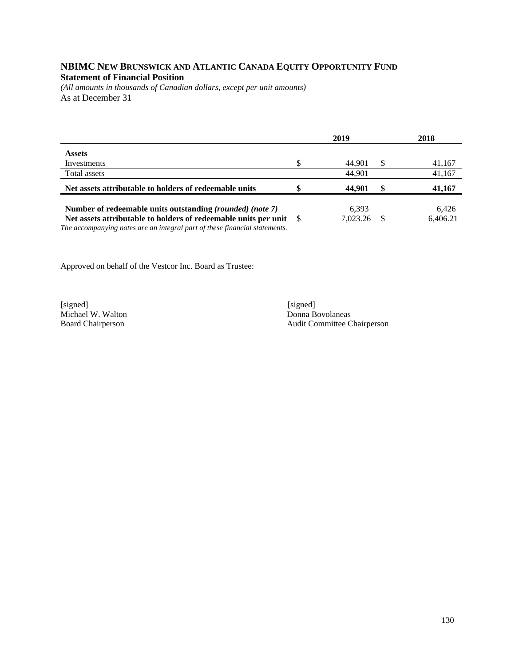## **NBIMC NEW BRUNSWICK AND ATLANTIC CANADA EQUITY OPPORTUNITY FUND Statement of Financial Position**

*(All amounts in thousands of Canadian dollars, except per unit amounts)*  As at December 31

|                                                                                                                                                  | 2019 |          |          | 2018     |  |
|--------------------------------------------------------------------------------------------------------------------------------------------------|------|----------|----------|----------|--|
| <b>Assets</b>                                                                                                                                    |      |          |          |          |  |
| Investments                                                                                                                                      | \$   | 44.901   | <b>S</b> | 41,167   |  |
| Total assets                                                                                                                                     |      | 44.901   |          | 41,167   |  |
| Net assets attributable to holders of redeemable units                                                                                           | \$   | 44,901   | \$       | 41,167   |  |
| Number of redeemable units outstanding (rounded) (note 7)                                                                                        |      | 6.393    |          | 6.426    |  |
| Net assets attributable to holders of redeemable units per unit \$<br>The accompanying notes are an integral part of these financial statements. |      | 7.023.26 | -S       | 6,406.21 |  |

Approved on behalf of the Vestcor Inc. Board as Trustee:

[signed] [signed] [signed] [signed] [signed] [signed] [signed] [signed] [signed] [signed] [Signed] [Signed] [Signed] [Signed] [Signed] [Signed] [Signed] [Signed] [Signed] [Signed] [Signed] [Signed] [Signed] [Signed] [Signe Michael W. Walton

Board Chairperson Audit Committee Chairperson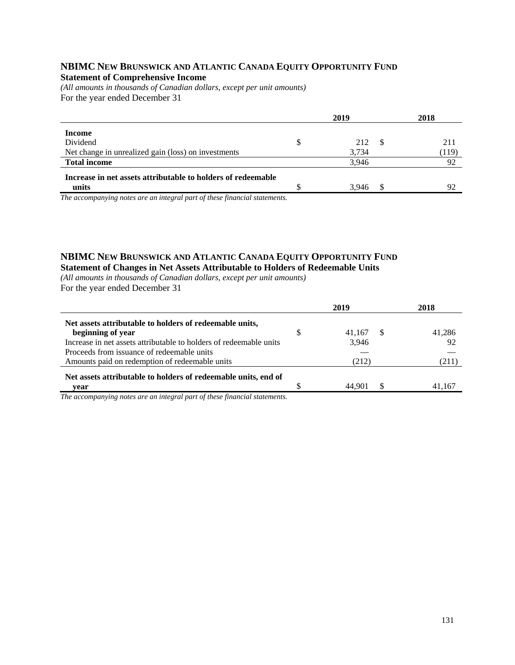#### **NBIMC NEW BRUNSWICK AND ATLANTIC CANADA EQUITY OPPORTUNITY FUND Statement of Comprehensive Income**

*(All amounts in thousands of Canadian dollars, except per unit amounts)*  For the year ended December 31

|                                                              | 2019      |      | 2018  |
|--------------------------------------------------------------|-----------|------|-------|
| Income                                                       |           |      |       |
| Dividend                                                     | \$<br>212 | - \$ | 211   |
| Net change in unrealized gain (loss) on investments          | 3,734     |      | (119) |
| <b>Total income</b>                                          | 3.946     |      | 92    |
| Increase in net assets attributable to holders of redeemable |           |      |       |
| units                                                        | 3.946     |      | 92    |

*The accompanying notes are an integral part of these financial statements.*

#### **NBIMC NEW BRUNSWICK AND ATLANTIC CANADA EQUITY OPPORTUNITY FUND Statement of Changes in Net Assets Attributable to Holders of Redeemable Units**

*(All amounts in thousands of Canadian dollars, except per unit amounts)*  For the year ended December 31

|   | 2019   | 2018   |
|---|--------|--------|
|   |        |        |
| S |        | 41,286 |
|   | 3.946  | 92     |
|   |        |        |
|   | (212)  | (211)  |
|   |        |        |
|   | 44.901 | 41,167 |
|   |        | 41.167 |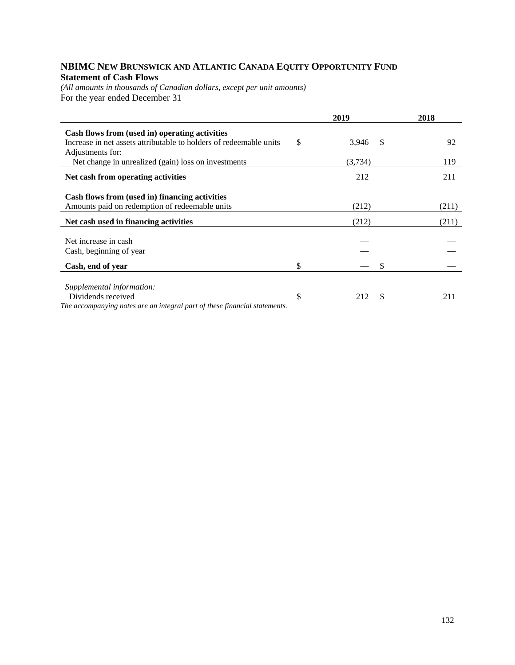# **NBIMC NEW BRUNSWICK AND ATLANTIC CANADA EQUITY OPPORTUNITY FUND Statement of Cash Flows**

*(All amounts in thousands of Canadian dollars, except per unit amounts)*  For the year ended December 31

|                                                                                        | 2019             | 2018  |
|----------------------------------------------------------------------------------------|------------------|-------|
| Cash flows from (used in) operating activities                                         |                  |       |
| Increase in net assets attributable to holders of redeemable units<br>Adjustments for: | \$<br>3,946<br>S | 92    |
| Net change in unrealized (gain) loss on investments                                    | (3,734)          | 119   |
| Net cash from operating activities                                                     | 212              | 211   |
|                                                                                        |                  |       |
| Cash flows from (used in) financing activities                                         |                  |       |
| Amounts paid on redemption of redeemable units                                         | (212)            | (211) |
| Net cash used in financing activities                                                  | (212)            | (211) |
|                                                                                        |                  |       |
| Net increase in cash                                                                   |                  |       |
| Cash, beginning of year                                                                |                  |       |
| Cash, end of year                                                                      | \$<br>S          |       |
|                                                                                        |                  |       |
| Supplemental information:                                                              |                  |       |
| Dividends received                                                                     | \$<br>212<br>\$. | 211   |
| The accompanying notes are an integral part of these financial statements.             |                  |       |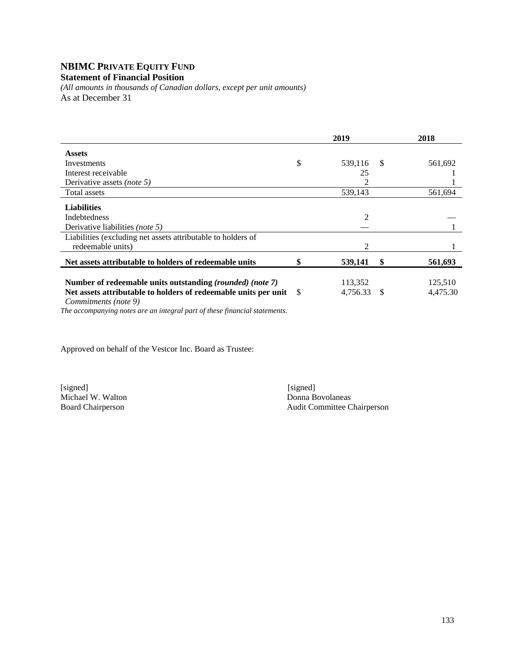#### **NBIMC PRIVATE EQUITY FUND Statement of Financial Position**

*(All amounts in thousands of Canadian dollars, except per unit amounts)*  As at December 31

|                                                                    | 2019           |               | 2018     |
|--------------------------------------------------------------------|----------------|---------------|----------|
| <b>Assets</b>                                                      |                |               |          |
| Investments                                                        | \$<br>539,116  | <sup>\$</sup> | 561,692  |
| Interest receivable                                                | 25             |               |          |
| Derivative assets <i>(note 5)</i>                                  | 2              |               |          |
| Total assets                                                       | 539,143        |               | 561,694  |
| <b>Liabilities</b>                                                 |                |               |          |
| <b>Indebtedness</b>                                                | $\overline{2}$ |               |          |
| Derivative liabilities <i>(note 5)</i>                             |                |               |          |
| Liabilities (excluding net assets attributable to holders of       |                |               |          |
| redeemable units)                                                  | 2              |               |          |
| Net assets attributable to holders of redeemable units             | 539,141        | \$            | 561,693  |
| Number of redeemable units outstanding (rounded) (note 7)          | 113,352        |               | 125,510  |
| Net assets attributable to holders of redeemable units per unit \$ | 4,756.33       | -S            | 4,475.30 |
| Commitments (note 9)                                               |                |               |          |

*The accompanying notes are an integral part of these financial statements.* 

Approved on behalf of the Vestcor Inc. Board as Trustee:

[signed] [signed] [signed] [signed] [signed] [signed] [signed] [signed] [signed] [signed] [signed] [ Michael W. Walton<br>Board Chairperson

Audit Committee Chairperson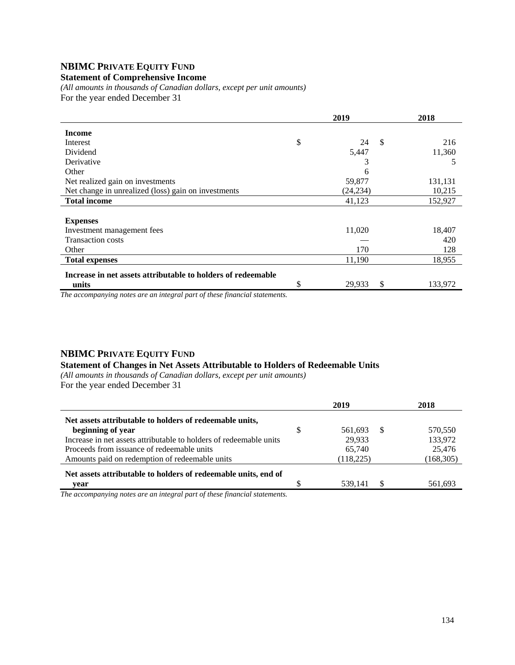# **NBIMC PRIVATE EQUITY FUND**

#### **Statement of Comprehensive Income**

*(All amounts in thousands of Canadian dollars, except per unit amounts)*  For the year ended December 31

|                                                              | 2019               | 2018    |
|--------------------------------------------------------------|--------------------|---------|
| <b>Income</b>                                                |                    |         |
| Interest                                                     | \$<br>-S<br>24     | 216     |
| Dividend                                                     | 5,447              | 11,360  |
| Derivative                                                   | 3                  |         |
| Other                                                        | 6                  |         |
| Net realized gain on investments                             | 59,877             | 131,131 |
| Net change in unrealized (loss) gain on investments          | (24, 234)          | 10,215  |
| <b>Total income</b>                                          | 41,123             | 152,927 |
|                                                              |                    |         |
| <b>Expenses</b>                                              |                    |         |
| Investment management fees                                   | 11,020             | 18,407  |
| <b>Transaction costs</b>                                     |                    | 420     |
| Other                                                        | 170                | 128     |
| <b>Total expenses</b>                                        | 11,190             | 18,955  |
| Increase in net assets attributable to holders of redeemable |                    |         |
| units                                                        | \$<br>\$<br>29,933 | 133,972 |

*The accompanying notes are an integral part of these financial statements.*

#### **NBIMC PRIVATE EQUITY FUND**

#### **Statement of Changes in Net Assets Attributable to Holders of Redeemable Units**

*(All amounts in thousands of Canadian dollars, except per unit amounts)*  For the year ended December 31

|                                                                    | 2019          |    | 2018       |
|--------------------------------------------------------------------|---------------|----|------------|
| Net assets attributable to holders of redeemable units,            |               |    |            |
| beginning of year                                                  | \$<br>561.693 | -S | 570,550    |
| Increase in net assets attributable to holders of redeemable units | 29.933        |    | 133,972    |
| Proceeds from issuance of redeemable units                         | 65.740        |    | 25,476     |
| Amounts paid on redemption of redeemable units                     | (118, 225)    |    | (168, 305) |
| Net assets attributable to holders of redeemable units, end of     |               |    |            |
| vear                                                               | 539.141       |    | 561,693    |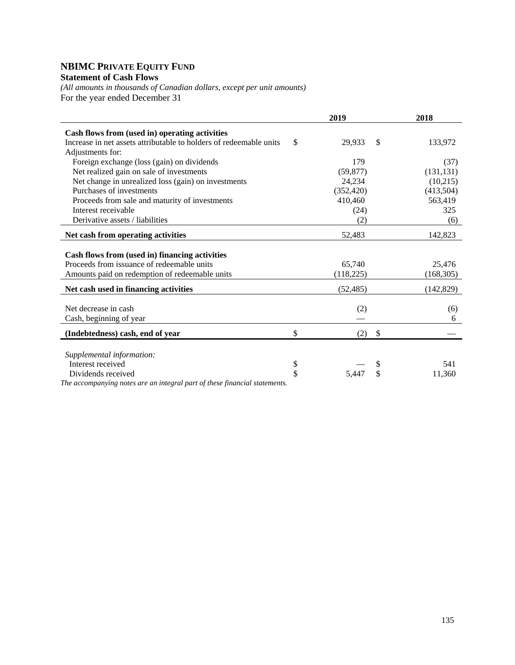# **NBIMC PRIVATE EQUITY FUND Statement of Cash Flows**

*(All amounts in thousands of Canadian dollars, except per unit amounts)*  For the year ended December 31

|                                                                            | 2019         | 2018          |
|----------------------------------------------------------------------------|--------------|---------------|
| Cash flows from (used in) operating activities                             |              |               |
| Increase in net assets attributable to holders of redeemable units         | \$<br>29,933 | \$<br>133,972 |
| Adjustments for:                                                           |              |               |
| Foreign exchange (loss (gain) on dividends                                 | 179          | (37)          |
| Net realized gain on sale of investments                                   | (59, 877)    | (131, 131)    |
| Net change in unrealized loss (gain) on investments                        | 24,234       | (10,215)      |
| Purchases of investments                                                   | (352, 420)   | (413,504)     |
| Proceeds from sale and maturity of investments                             | 410,460      | 563,419       |
| Interest receivable                                                        | (24)         | 325           |
| Derivative assets / liabilities                                            | (2)          | (6)           |
| Net cash from operating activities                                         | 52,483       | 142,823       |
|                                                                            |              |               |
| Cash flows from (used in) financing activities                             |              |               |
| Proceeds from issuance of redeemable units                                 | 65,740       | 25,476        |
| Amounts paid on redemption of redeemable units                             | (118,225)    | (168, 305)    |
| Net cash used in financing activities                                      | (52, 485)    | (142, 829)    |
|                                                                            |              |               |
| Net decrease in cash                                                       | (2)          | (6)           |
| Cash, beginning of year                                                    |              | 6             |
| (Indebtedness) cash, end of year                                           | \$<br>(2)    | \$            |
|                                                                            |              |               |
| Supplemental information:                                                  |              |               |
| Interest received                                                          | \$           | 541           |
| Dividends received                                                         | \$<br>5.447  | \$<br>11,360  |
| The accompanying notes are an integral part of these financial statements. |              |               |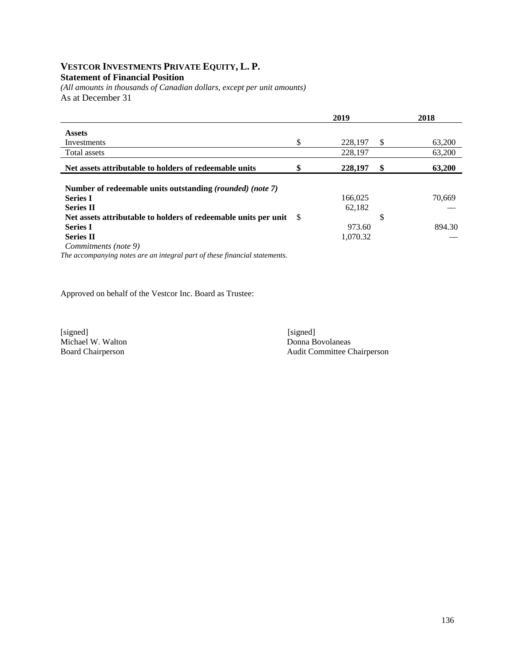#### **VESTCOR INVESTMENTS PRIVATE EQUITY, L. P. Statement of Financial Position**

*(All amounts in thousands of Canadian dollars, except per unit amounts)*  As at December 31

|                                                                              | 2019          | 2018         |
|------------------------------------------------------------------------------|---------------|--------------|
| <b>Assets</b>                                                                |               |              |
| Investments                                                                  | \$<br>228,197 | \$<br>63,200 |
| Total assets                                                                 | 228,197       | 63,200       |
| Net assets attributable to holders of redeemable units                       | \$<br>228,197 | \$<br>63,200 |
| Number of redeemable units outstanding (rounded) (note 7)<br><b>Series I</b> | 166,025       | 70,669       |
| <b>Series II</b>                                                             | 62.182        |              |
| Net assets attributable to holders of redeemable units per unit \, \, \,     |               | \$           |
| <b>Series I</b>                                                              | 973.60        | 894.30       |
| <b>Series II</b>                                                             | 1,070.32      |              |
| Commitments (note 9)                                                         |               |              |
| The generative notes are an integral part of these financial statements      |               |              |

*The accompanying notes are an integral part of these financial statements.* 

Approved on behalf of the Vestcor Inc. Board as Trustee:

[signed] [signed] [signed] [signed] [signed] [signed] [signed] [signed] [signed] [signed] [Signed] [Signed] [Signed] [Signed] [Signed] [Signed] [Signed] [Signed] [Signed] [Signed] [Signed] [Signed] [Signed] [Signed] [Signe Michael W. Walton

Board Chairperson Audit Committee Chairperson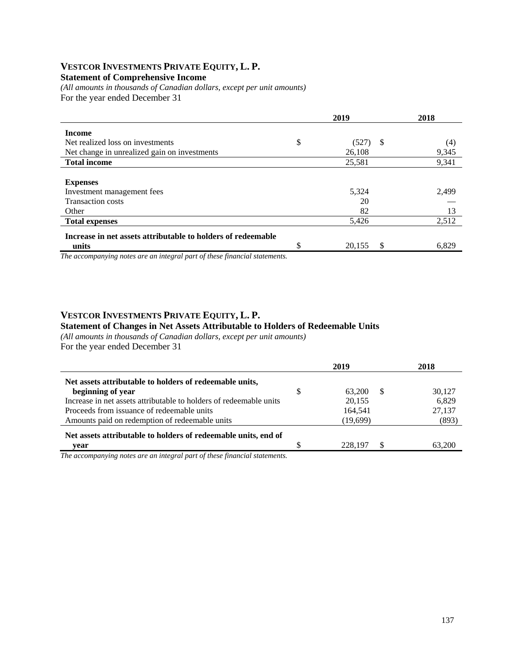#### **VESTCOR INVESTMENTS PRIVATE EQUITY, L. P. Statement of Comprehensive Income**

*(All amounts in thousands of Canadian dollars, except per unit amounts)*  For the year ended December 31

|                                                              | 2019              | 2018  |
|--------------------------------------------------------------|-------------------|-------|
| <b>Income</b>                                                |                   |       |
| Net realized loss on investments                             | \$<br>(527)<br>-S | (4)   |
| Net change in unrealized gain on investments                 | 26,108            | 9,345 |
| <b>Total income</b>                                          | 25,581            | 9,341 |
|                                                              |                   |       |
| <b>Expenses</b>                                              |                   |       |
| Investment management fees                                   | 5,324             | 2,499 |
| <b>Transaction costs</b>                                     | 20                |       |
| Other                                                        | 82                | 13    |
| <b>Total expenses</b>                                        | 5,426             | 2,512 |
| Increase in net assets attributable to holders of redeemable |                   |       |
| units                                                        | \$<br>20,155      | 6,829 |

*The accompanying notes are an integral part of these financial statements.*

#### **VESTCOR INVESTMENTS PRIVATE EQUITY, L. P.**

#### **Statement of Changes in Net Assets Attributable to Holders of Redeemable Units**

*(All amounts in thousands of Canadian dollars, except per unit amounts)*  For the year ended December 31

|                                                                    | 2019         |    | 2018   |
|--------------------------------------------------------------------|--------------|----|--------|
| Net assets attributable to holders of redeemable units,            |              |    |        |
| beginning of year                                                  | \$<br>63,200 | -S | 30,127 |
| Increase in net assets attributable to holders of redeemable units | 20,155       |    | 6,829  |
| Proceeds from issuance of redeemable units                         | 164,541      |    | 27,137 |
| Amounts paid on redemption of redeemable units                     | (19,699)     |    | (893)  |
| Net assets attributable to holders of redeemable units, end of     |              |    |        |
| vear                                                               | 228,197      |    | 63.200 |
| $\sim$                                                             |              |    |        |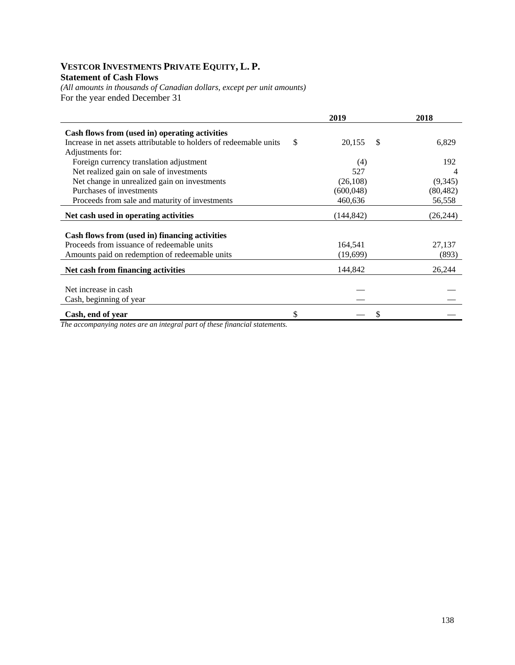## **VESTCOR INVESTMENTS PRIVATE EQUITY, L. P. Statement of Cash Flows**

*(All amounts in thousands of Canadian dollars, except per unit amounts)*  For the year ended December 31

|                                                                    |     | 2019       |    | 2018      |
|--------------------------------------------------------------------|-----|------------|----|-----------|
| Cash flows from (used in) operating activities                     |     |            |    |           |
| Increase in net assets attributable to holders of redeemable units | \$. | 20,155     | \$ | 6,829     |
| Adjustments for:                                                   |     |            |    |           |
| Foreign currency translation adjustment                            |     | (4)        |    | 192       |
| Net realized gain on sale of investments                           |     | 527        |    | 4         |
| Net change in unrealized gain on investments                       |     | (26,108)   |    | (9,345)   |
| Purchases of investments                                           |     | (600,048)  |    | (80, 482) |
| Proceeds from sale and maturity of investments                     |     | 460,636    |    | 56,558    |
| Net cash used in operating activities                              |     | (144, 842) |    | (26, 244) |
|                                                                    |     |            |    |           |
| Cash flows from (used in) financing activities                     |     |            |    |           |
| Proceeds from issuance of redeemable units                         |     | 164,541    |    | 27,137    |
| Amounts paid on redemption of redeemable units                     |     | (19,699)   |    | (893)     |
| Net cash from financing activities                                 |     | 144,842    |    | 26,244    |
|                                                                    |     |            |    |           |
| Net increase in cash                                               |     |            |    |           |
| Cash, beginning of year                                            |     |            |    |           |
| Cash, end of year                                                  | \$  |            | S  |           |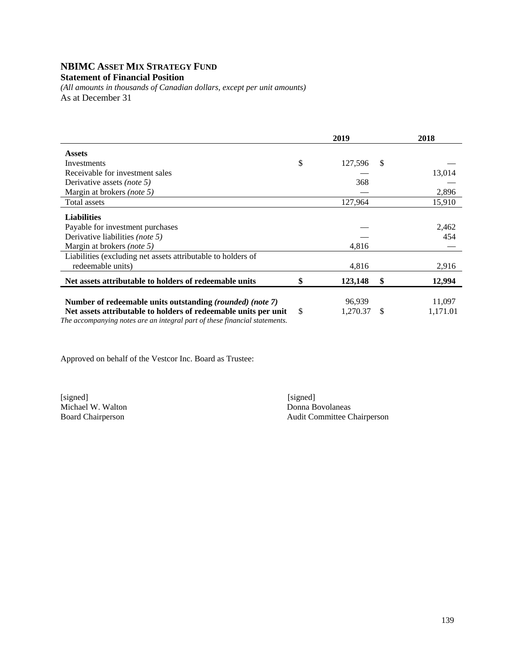# **NBIMC ASSET MIX STRATEGY FUND**

#### **Statement of Financial Position**

*(All amounts in thousands of Canadian dollars, except per unit amounts)*  As at December 31

|                                                                                                                                               |               | 2019     |    | 2018     |
|-----------------------------------------------------------------------------------------------------------------------------------------------|---------------|----------|----|----------|
| <b>Assets</b>                                                                                                                                 |               |          |    |          |
| Investments                                                                                                                                   | \$            | 127,596  | -S |          |
| Receivable for investment sales                                                                                                               |               |          |    | 13,014   |
| Derivative assets <i>(note 5)</i>                                                                                                             |               | 368      |    |          |
| Margin at brokers (note 5)                                                                                                                    |               |          |    | 2,896    |
| Total assets                                                                                                                                  |               | 127,964  |    | 15,910   |
| <b>Liabilities</b>                                                                                                                            |               |          |    |          |
| Payable for investment purchases                                                                                                              |               |          |    | 2,462    |
| Derivative liabilities (note 5)                                                                                                               |               |          |    | 454      |
| Margin at brokers (note 5)                                                                                                                    |               | 4,816    |    |          |
| Liabilities (excluding net assets attributable to holders of                                                                                  |               |          |    |          |
| redeemable units)                                                                                                                             |               | 4,816    |    | 2,916    |
| Net assets attributable to holders of redeemable units                                                                                        | \$            | 123,148  | \$ | 12,994   |
|                                                                                                                                               |               |          |    |          |
| Number of redeemable units outstanding (rounded) (note 7)                                                                                     |               | 96.939   |    | 11,097   |
| Net assets attributable to holders of redeemable units per unit<br>The accompanying notes are an integral part of these financial statements. | <sup>\$</sup> | 1,270.37 | -S | 1,171.01 |

Approved on behalf of the Vestcor Inc. Board as Trustee:

Michael W. Walton<br>Board Chairperson

[signed] [signed] Audit Committee Chairperson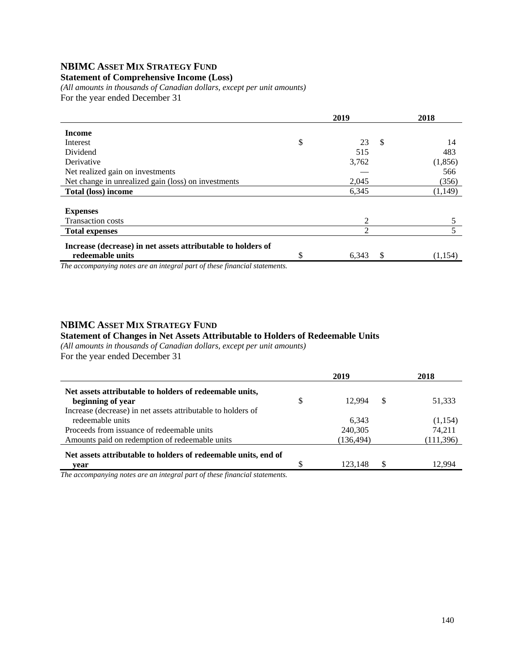# **NBIMC ASSET MIX STRATEGY FUND**

# **Statement of Comprehensive Income (Loss)**

*(All amounts in thousands of Canadian dollars, except per unit amounts)*  For the year ended December 31

|                                                              | 2019                      | 2018     |
|--------------------------------------------------------------|---------------------------|----------|
| <b>Income</b>                                                |                           |          |
| Interest                                                     | \$<br>23<br>$\mathcal{S}$ | 14       |
| Dividend                                                     | 515                       | 483      |
| Derivative                                                   | 3,762                     | (1, 856) |
| Net realized gain on investments                             |                           | 566      |
| Net change in unrealized gain (loss) on investments          | 2,045                     | (356)    |
| Total (loss) income                                          | 6,345                     | (1,149)  |
|                                                              |                           |          |
| <b>Expenses</b>                                              |                           |          |
| <b>Transaction costs</b>                                     | 2                         |          |
| <b>Total expenses</b>                                        | 2                         |          |
| Increase (decrease) in net assets attributable to holders of |                           |          |
| redeemable units                                             | \$<br>\$<br>6,343         | (1,154)  |

*The accompanying notes are an integral part of these financial statements.*

# **NBIMC ASSET MIX STRATEGY FUND**

# **Statement of Changes in Net Assets Attributable to Holders of Redeemable Units**

*(All amounts in thousands of Canadian dollars, except per unit amounts)*  For the year ended December 31

|                                                                | 2019 |            |    | 2018       |
|----------------------------------------------------------------|------|------------|----|------------|
| Net assets attributable to holders of redeemable units,        |      |            |    |            |
| beginning of year                                              | \$   | 12.994     | \$ | 51,333     |
| Increase (decrease) in net assets attributable to holders of   |      |            |    |            |
| redeemable units                                               |      | 6.343      |    | (1,154)    |
| Proceeds from issuance of redeemable units                     |      | 240,305    |    | 74.211     |
| Amounts paid on redemption of redeemable units                 |      | (136, 494) |    | (111, 396) |
| Net assets attributable to holders of redeemable units, end of |      |            |    |            |
| vear                                                           |      | 123.148    | S  | 994 ن      |

*The accompanying notes are an integral part of these financial statements.*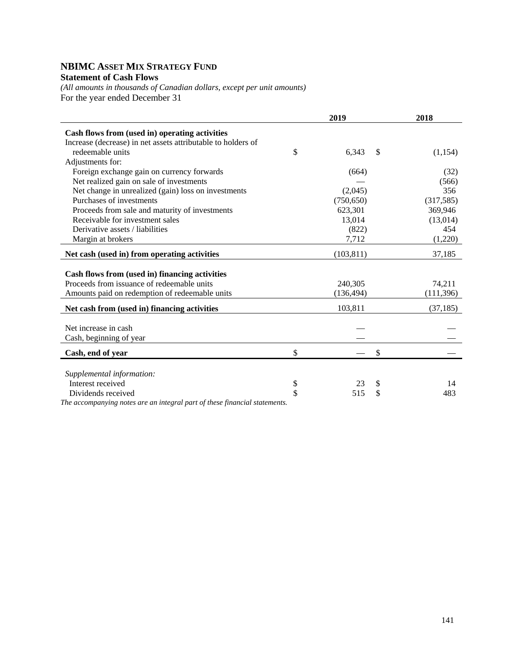# **NBIMC ASSET MIX STRATEGY FUND Statement of Cash Flows**

*(All amounts in thousands of Canadian dollars, except per unit amounts)*  For the year ended December 31

|                                                                            |    | 2018        |            |
|----------------------------------------------------------------------------|----|-------------|------------|
| Cash flows from (used in) operating activities                             |    |             |            |
| Increase (decrease) in net assets attributable to holders of               |    |             |            |
| redeemable units                                                           | \$ | 6,343<br>\$ | (1,154)    |
| Adjustments for:                                                           |    |             |            |
| Foreign exchange gain on currency forwards                                 |    | (664)       | (32)       |
| Net realized gain on sale of investments                                   |    |             | (566)      |
| Net change in unrealized (gain) loss on investments                        |    | (2,045)     | 356        |
| Purchases of investments                                                   |    | (750, 650)  | (317, 585) |
| Proceeds from sale and maturity of investments                             |    | 623,301     | 369,946    |
| Receivable for investment sales                                            |    | 13,014      | (13,014)   |
| Derivative assets / liabilities                                            |    | (822)       | 454        |
| Margin at brokers                                                          |    | 7,712       | (1,220)    |
| Net cash (used in) from operating activities                               |    | (103, 811)  | 37,185     |
| Cash flows from (used in) financing activities                             |    |             |            |
| Proceeds from issuance of redeemable units                                 |    | 240,305     | 74,211     |
| Amounts paid on redemption of redeemable units                             |    | (136, 494)  | (111, 396) |
|                                                                            |    |             |            |
| Net cash from (used in) financing activities                               |    | 103,811     | (37, 185)  |
|                                                                            |    |             |            |
| Net increase in cash                                                       |    |             |            |
| Cash, beginning of year                                                    |    |             |            |
| Cash, end of year                                                          | \$ | \$          |            |
|                                                                            |    |             |            |
| Supplemental information:                                                  |    |             |            |
| Interest received                                                          | \$ | 23<br>\$    | 14         |
| Dividends received                                                         | \$ | \$<br>515   | 483        |
| The accompanying notes are an integral part of these financial statements. |    |             |            |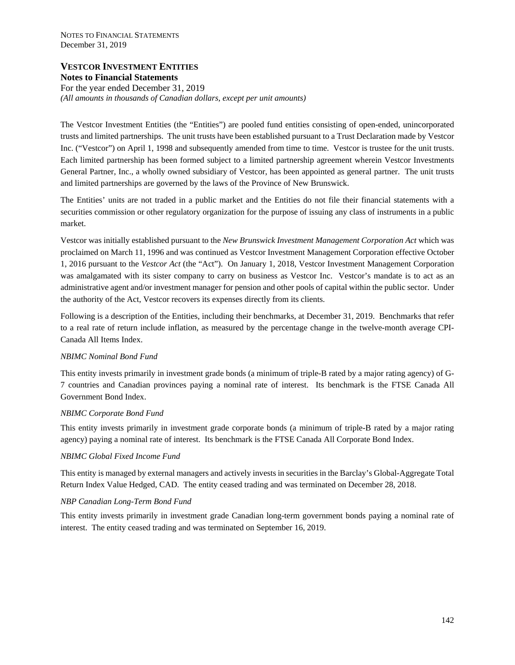NOTES TO FINANCIAL STATEMENTS December 31, 2019

# **VESTCOR INVESTMENT ENTITIES Notes to Financial Statements**

For the year ended December 31, 2019 *(All amounts in thousands of Canadian dollars, except per unit amounts)* 

The Vestcor Investment Entities (the "Entities") are pooled fund entities consisting of open-ended, unincorporated trusts and limited partnerships. The unit trusts have been established pursuant to a Trust Declaration made by Vestcor Inc. ("Vestcor") on April 1, 1998 and subsequently amended from time to time. Vestcor is trustee for the unit trusts. Each limited partnership has been formed subject to a limited partnership agreement wherein Vestcor Investments General Partner, Inc., a wholly owned subsidiary of Vestcor, has been appointed as general partner. The unit trusts and limited partnerships are governed by the laws of the Province of New Brunswick.

The Entities' units are not traded in a public market and the Entities do not file their financial statements with a securities commission or other regulatory organization for the purpose of issuing any class of instruments in a public market.

Vestcor was initially established pursuant to the *New Brunswick Investment Management Corporation Act* which was proclaimed on March 11, 1996 and was continued as Vestcor Investment Management Corporation effective October 1, 2016 pursuant to the *Vestcor Act* (the "Act"). On January 1, 2018, Vestcor Investment Management Corporation was amalgamated with its sister company to carry on business as Vestcor Inc. Vestcor's mandate is to act as an administrative agent and/or investment manager for pension and other pools of capital within the public sector. Under the authority of the Act, Vestcor recovers its expenses directly from its clients.

Following is a description of the Entities, including their benchmarks, at December 31, 2019. Benchmarks that refer to a real rate of return include inflation, as measured by the percentage change in the twelve-month average CPI-Canada All Items Index.

## *NBIMC Nominal Bond Fund*

This entity invests primarily in investment grade bonds (a minimum of triple-B rated by a major rating agency) of G-7 countries and Canadian provinces paying a nominal rate of interest. Its benchmark is the FTSE Canada All Government Bond Index.

## *NBIMC Corporate Bond Fund*

This entity invests primarily in investment grade corporate bonds (a minimum of triple-B rated by a major rating agency) paying a nominal rate of interest. Its benchmark is the FTSE Canada All Corporate Bond Index.

## *NBIMC Global Fixed Income Fund*

This entity is managed by external managers and actively invests in securities in the Barclay's Global-Aggregate Total Return Index Value Hedged, CAD. The entity ceased trading and was terminated on December 28, 2018.

## *NBP Canadian Long-Term Bond Fund*

This entity invests primarily in investment grade Canadian long-term government bonds paying a nominal rate of interest. The entity ceased trading and was terminated on September 16, 2019.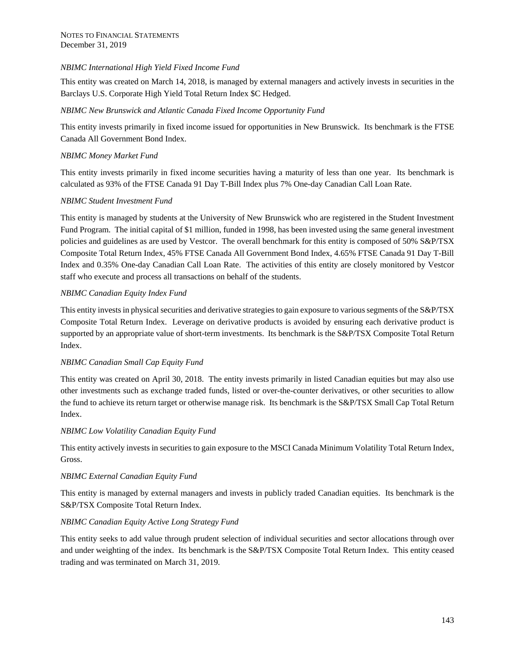# *NBIMC International High Yield Fixed Income Fund*

This entity was created on March 14, 2018, is managed by external managers and actively invests in securities in the Barclays U.S. Corporate High Yield Total Return Index \$C Hedged.

# *NBIMC New Brunswick and Atlantic Canada Fixed Income Opportunity Fund*

This entity invests primarily in fixed income issued for opportunities in New Brunswick. Its benchmark is the FTSE Canada All Government Bond Index.

# *NBIMC Money Market Fund*

This entity invests primarily in fixed income securities having a maturity of less than one year. Its benchmark is calculated as 93% of the FTSE Canada 91 Day T-Bill Index plus 7% One-day Canadian Call Loan Rate.

# *NBIMC Student Investment Fund*

This entity is managed by students at the University of New Brunswick who are registered in the Student Investment Fund Program. The initial capital of \$1 million, funded in 1998, has been invested using the same general investment policies and guidelines as are used by Vestcor. The overall benchmark for this entity is composed of 50% S&P/TSX Composite Total Return Index, 45% FTSE Canada All Government Bond Index, 4.65% FTSE Canada 91 Day T-Bill Index and 0.35% One-day Canadian Call Loan Rate. The activities of this entity are closely monitored by Vestcor staff who execute and process all transactions on behalf of the students.

# *NBIMC Canadian Equity Index Fund*

This entity invests in physical securities and derivative strategies to gain exposure to various segments of the S&P/TSX Composite Total Return Index. Leverage on derivative products is avoided by ensuring each derivative product is supported by an appropriate value of short-term investments. Its benchmark is the S&P/TSX Composite Total Return Index.

## *NBIMC Canadian Small Cap Equity Fund*

This entity was created on April 30, 2018. The entity invests primarily in listed Canadian equities but may also use other investments such as exchange traded funds, listed or over-the-counter derivatives, or other securities to allow the fund to achieve its return target or otherwise manage risk. Its benchmark is the S&P/TSX Small Cap Total Return Index.

## *NBIMC Low Volatility Canadian Equity Fund*

This entity actively invests in securities to gain exposure to the MSCI Canada Minimum Volatility Total Return Index, Gross.

## *NBIMC External Canadian Equity Fund*

This entity is managed by external managers and invests in publicly traded Canadian equities. Its benchmark is the S&P/TSX Composite Total Return Index.

## *NBIMC Canadian Equity Active Long Strategy Fund*

This entity seeks to add value through prudent selection of individual securities and sector allocations through over and under weighting of the index. Its benchmark is the S&P/TSX Composite Total Return Index. This entity ceased trading and was terminated on March 31, 2019.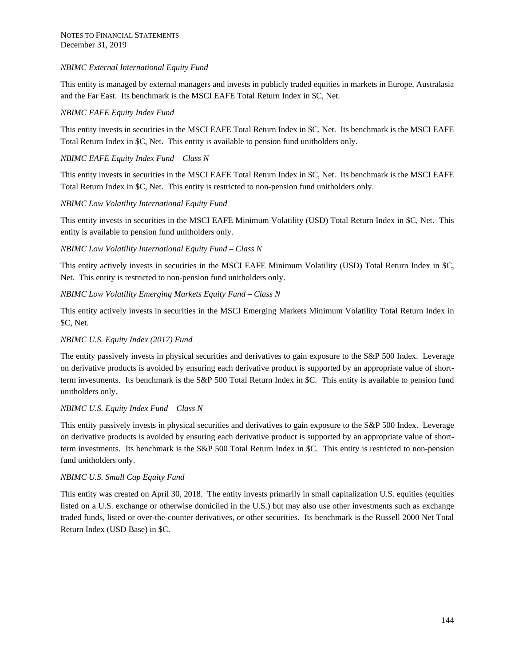# *NBIMC External International Equity Fund*

This entity is managed by external managers and invests in publicly traded equities in markets in Europe, Australasia and the Far East. Its benchmark is the MSCI EAFE Total Return Index in \$C, Net.

## *NBIMC EAFE Equity Index Fund*

This entity invests in securities in the MSCI EAFE Total Return Index in \$C, Net. Its benchmark is the MSCI EAFE Total Return Index in \$C, Net. This entity is available to pension fund unitholders only.

# *NBIMC EAFE Equity Index Fund – Class N*

This entity invests in securities in the MSCI EAFE Total Return Index in \$C, Net. Its benchmark is the MSCI EAFE Total Return Index in \$C, Net. This entity is restricted to non-pension fund unitholders only.

# *NBIMC Low Volatility International Equity Fund*

This entity invests in securities in the MSCI EAFE Minimum Volatility (USD) Total Return Index in \$C, Net. This entity is available to pension fund unitholders only.

# *NBIMC Low Volatility International Equity Fund – Class N*

This entity actively invests in securities in the MSCI EAFE Minimum Volatility (USD) Total Return Index in \$C, Net. This entity is restricted to non-pension fund unitholders only.

# *NBIMC Low Volatility Emerging Markets Equity Fund – Class N*

This entity actively invests in securities in the MSCI Emerging Markets Minimum Volatility Total Return Index in \$C, Net.

## *NBIMC U.S. Equity Index (2017) Fund*

The entity passively invests in physical securities and derivatives to gain exposure to the S&P 500 Index. Leverage on derivative products is avoided by ensuring each derivative product is supported by an appropriate value of shortterm investments. Its benchmark is the S&P 500 Total Return Index in \$C. This entity is available to pension fund unitholders only.

## *NBIMC U.S. Equity Index Fund – Class N*

This entity passively invests in physical securities and derivatives to gain exposure to the S&P 500 Index. Leverage on derivative products is avoided by ensuring each derivative product is supported by an appropriate value of shortterm investments. Its benchmark is the S&P 500 Total Return Index in \$C. This entity is restricted to non-pension fund unitholders only.

## *NBIMC U.S. Small Cap Equity Fund*

This entity was created on April 30, 2018. The entity invests primarily in small capitalization U.S. equities (equities listed on a U.S. exchange or otherwise domiciled in the U.S.) but may also use other investments such as exchange traded funds, listed or over-the-counter derivatives, or other securities. Its benchmark is the Russell 2000 Net Total Return Index (USD Base) in \$C.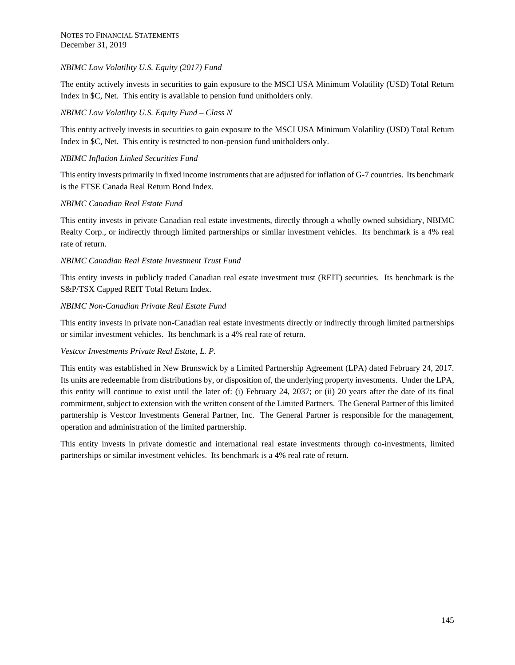# *NBIMC Low Volatility U.S. Equity (2017) Fund*

The entity actively invests in securities to gain exposure to the MSCI USA Minimum Volatility (USD) Total Return Index in \$C, Net. This entity is available to pension fund unitholders only.

## *NBIMC Low Volatility U.S. Equity Fund – Class N*

This entity actively invests in securities to gain exposure to the MSCI USA Minimum Volatility (USD) Total Return Index in \$C, Net. This entity is restricted to non-pension fund unitholders only.

# *NBIMC Inflation Linked Securities Fund*

This entity invests primarily in fixed income instruments that are adjusted for inflation of G-7 countries. Its benchmark is the FTSE Canada Real Return Bond Index.

## *NBIMC Canadian Real Estate Fund*

This entity invests in private Canadian real estate investments, directly through a wholly owned subsidiary, NBIMC Realty Corp., or indirectly through limited partnerships or similar investment vehicles. Its benchmark is a 4% real rate of return.

# *NBIMC Canadian Real Estate Investment Trust Fund*

This entity invests in publicly traded Canadian real estate investment trust (REIT) securities. Its benchmark is the S&P/TSX Capped REIT Total Return Index.

## *NBIMC Non-Canadian Private Real Estate Fund*

This entity invests in private non-Canadian real estate investments directly or indirectly through limited partnerships or similar investment vehicles. Its benchmark is a 4% real rate of return.

# *Vestcor Investments Private Real Estate, L. P.*

This entity was established in New Brunswick by a Limited Partnership Agreement (LPA) dated February 24, 2017. Its units are redeemable from distributions by, or disposition of, the underlying property investments. Under the LPA, this entity will continue to exist until the later of: (i) February 24, 2037; or (ii) 20 years after the date of its final commitment, subject to extension with the written consent of the Limited Partners. The General Partner of this limited partnership is Vestcor Investments General Partner, Inc. The General Partner is responsible for the management, operation and administration of the limited partnership.

This entity invests in private domestic and international real estate investments through co-investments, limited partnerships or similar investment vehicles. Its benchmark is a 4% real rate of return.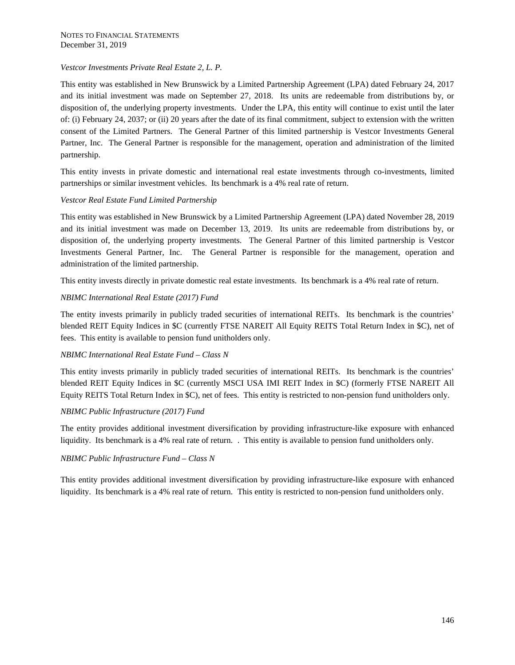# *Vestcor Investments Private Real Estate 2, L. P.*

This entity was established in New Brunswick by a Limited Partnership Agreement (LPA) dated February 24, 2017 and its initial investment was made on September 27, 2018. Its units are redeemable from distributions by, or disposition of, the underlying property investments. Under the LPA, this entity will continue to exist until the later of: (i) February 24, 2037; or (ii) 20 years after the date of its final commitment, subject to extension with the written consent of the Limited Partners. The General Partner of this limited partnership is Vestcor Investments General Partner, Inc. The General Partner is responsible for the management, operation and administration of the limited partnership.

This entity invests in private domestic and international real estate investments through co-investments, limited partnerships or similar investment vehicles. Its benchmark is a 4% real rate of return.

# *Vestcor Real Estate Fund Limited Partnership*

This entity was established in New Brunswick by a Limited Partnership Agreement (LPA) dated November 28, 2019 and its initial investment was made on December 13, 2019. Its units are redeemable from distributions by, or disposition of, the underlying property investments. The General Partner of this limited partnership is Vestcor Investments General Partner, Inc. The General Partner is responsible for the management, operation and administration of the limited partnership.

This entity invests directly in private domestic real estate investments. Its benchmark is a 4% real rate of return.

# *NBIMC International Real Estate (2017) Fund*

The entity invests primarily in publicly traded securities of international REITs. Its benchmark is the countries' blended REIT Equity Indices in \$C (currently FTSE NAREIT All Equity REITS Total Return Index in \$C), net of fees. This entity is available to pension fund unitholders only.

## *NBIMC International Real Estate Fund – Class N*

This entity invests primarily in publicly traded securities of international REITs. Its benchmark is the countries' blended REIT Equity Indices in \$C (currently MSCI USA IMI REIT Index in \$C) (formerly FTSE NAREIT All Equity REITS Total Return Index in \$C), net of fees. This entity is restricted to non-pension fund unitholders only.

## *NBIMC Public Infrastructure (2017) Fund*

The entity provides additional investment diversification by providing infrastructure-like exposure with enhanced liquidity. Its benchmark is a 4% real rate of return. . This entity is available to pension fund unitholders only.

## *NBIMC Public Infrastructure Fund – Class N*

This entity provides additional investment diversification by providing infrastructure-like exposure with enhanced liquidity. Its benchmark is a 4% real rate of return. This entity is restricted to non-pension fund unitholders only.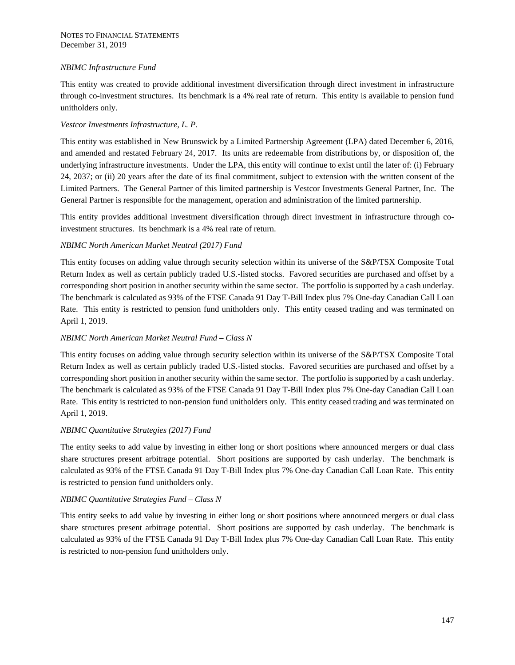# *NBIMC Infrastructure Fund*

This entity was created to provide additional investment diversification through direct investment in infrastructure through co-investment structures. Its benchmark is a 4% real rate of return. This entity is available to pension fund unitholders only.

# *Vestcor Investments Infrastructure, L. P.*

This entity was established in New Brunswick by a Limited Partnership Agreement (LPA) dated December 6, 2016, and amended and restated February 24, 2017. Its units are redeemable from distributions by, or disposition of, the underlying infrastructure investments. Under the LPA, this entity will continue to exist until the later of: (i) February 24, 2037; or (ii) 20 years after the date of its final commitment, subject to extension with the written consent of the Limited Partners. The General Partner of this limited partnership is Vestcor Investments General Partner, Inc. The General Partner is responsible for the management, operation and administration of the limited partnership.

This entity provides additional investment diversification through direct investment in infrastructure through coinvestment structures. Its benchmark is a 4% real rate of return.

# *NBIMC North American Market Neutral (2017) Fund*

This entity focuses on adding value through security selection within its universe of the S&P/TSX Composite Total Return Index as well as certain publicly traded U.S.-listed stocks. Favored securities are purchased and offset by a corresponding short position in another security within the same sector. The portfolio is supported by a cash underlay. The benchmark is calculated as 93% of the FTSE Canada 91 Day T-Bill Index plus 7% One-day Canadian Call Loan Rate. This entity is restricted to pension fund unitholders only. This entity ceased trading and was terminated on April 1, 2019.

## *NBIMC North American Market Neutral Fund – Class N*

This entity focuses on adding value through security selection within its universe of the S&P/TSX Composite Total Return Index as well as certain publicly traded U.S.-listed stocks. Favored securities are purchased and offset by a corresponding short position in another security within the same sector. The portfolio is supported by a cash underlay. The benchmark is calculated as 93% of the FTSE Canada 91 Day T-Bill Index plus 7% One-day Canadian Call Loan Rate. This entity is restricted to non-pension fund unitholders only. This entity ceased trading and was terminated on April 1, 2019.

## *NBIMC Quantitative Strategies (2017) Fund*

The entity seeks to add value by investing in either long or short positions where announced mergers or dual class share structures present arbitrage potential. Short positions are supported by cash underlay. The benchmark is calculated as 93% of the FTSE Canada 91 Day T-Bill Index plus 7% One-day Canadian Call Loan Rate. This entity is restricted to pension fund unitholders only.

## *NBIMC Quantitative Strategies Fund – Class N*

This entity seeks to add value by investing in either long or short positions where announced mergers or dual class share structures present arbitrage potential. Short positions are supported by cash underlay. The benchmark is calculated as 93% of the FTSE Canada 91 Day T-Bill Index plus 7% One-day Canadian Call Loan Rate. This entity is restricted to non-pension fund unitholders only.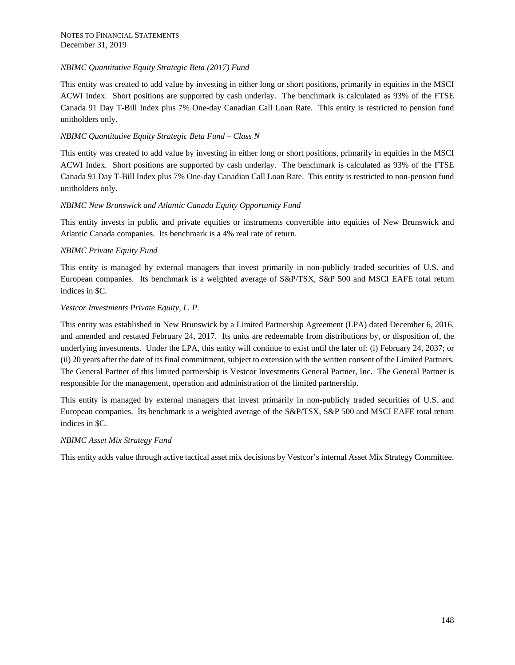# *NBIMC Quantitative Equity Strategic Beta (2017) Fund*

This entity was created to add value by investing in either long or short positions, primarily in equities in the MSCI ACWI Index. Short positions are supported by cash underlay. The benchmark is calculated as 93% of the FTSE Canada 91 Day T-Bill Index plus 7% One-day Canadian Call Loan Rate. This entity is restricted to pension fund unitholders only.

# *NBIMC Quantitative Equity Strategic Beta Fund – Class N*

This entity was created to add value by investing in either long or short positions, primarily in equities in the MSCI ACWI Index. Short positions are supported by cash underlay. The benchmark is calculated as 93% of the FTSE Canada 91 Day T-Bill Index plus 7% One-day Canadian Call Loan Rate. This entity is restricted to non-pension fund unitholders only.

# *NBIMC New Brunswick and Atlantic Canada Equity Opportunity Fund*

This entity invests in public and private equities or instruments convertible into equities of New Brunswick and Atlantic Canada companies. Its benchmark is a 4% real rate of return.

# *NBIMC Private Equity Fund*

This entity is managed by external managers that invest primarily in non-publicly traded securities of U.S. and European companies. Its benchmark is a weighted average of S&P/TSX, S&P 500 and MSCI EAFE total return indices in \$C.

## *Vestcor Investments Private Equity, L. P.*

This entity was established in New Brunswick by a Limited Partnership Agreement (LPA) dated December 6, 2016, and amended and restated February 24, 2017. Its units are redeemable from distributions by, or disposition of, the underlying investments. Under the LPA, this entity will continue to exist until the later of: (i) February 24, 2037; or (ii) 20 years after the date of its final commitment, subject to extension with the written consent of the Limited Partners. The General Partner of this limited partnership is Vestcor Investments General Partner, Inc. The General Partner is responsible for the management, operation and administration of the limited partnership.

This entity is managed by external managers that invest primarily in non-publicly traded securities of U.S. and European companies. Its benchmark is a weighted average of the S&P/TSX, S&P 500 and MSCI EAFE total return indices in \$C.

## *NBIMC Asset Mix Strategy Fund*

This entity adds value through active tactical asset mix decisions by Vestcor's internal Asset Mix Strategy Committee.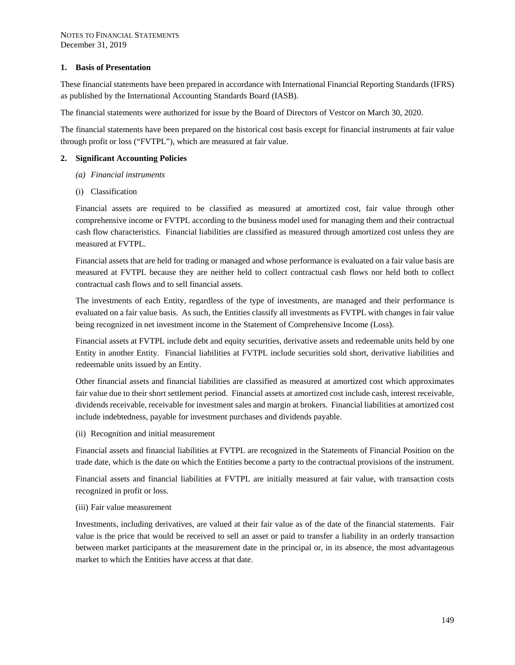### **1. Basis of Presentation**

These financial statements have been prepared in accordance with International Financial Reporting Standards (IFRS) as published by the International Accounting Standards Board (IASB).

The financial statements were authorized for issue by the Board of Directors of Vestcor on March 30, 2020.

The financial statements have been prepared on the historical cost basis except for financial instruments at fair value through profit or loss ("FVTPL"), which are measured at fair value.

#### **2. Significant Accounting Policies**

- *(a) Financial instruments*
- (i) Classification

Financial assets are required to be classified as measured at amortized cost, fair value through other comprehensive income or FVTPL according to the business model used for managing them and their contractual cash flow characteristics. Financial liabilities are classified as measured through amortized cost unless they are measured at FVTPL.

Financial assets that are held for trading or managed and whose performance is evaluated on a fair value basis are measured at FVTPL because they are neither held to collect contractual cash flows nor held both to collect contractual cash flows and to sell financial assets.

The investments of each Entity, regardless of the type of investments, are managed and their performance is evaluated on a fair value basis. As such, the Entities classify all investments as FVTPL with changes in fair value being recognized in net investment income in the Statement of Comprehensive Income (Loss).

Financial assets at FVTPL include debt and equity securities, derivative assets and redeemable units held by one Entity in another Entity. Financial liabilities at FVTPL include securities sold short, derivative liabilities and redeemable units issued by an Entity.

Other financial assets and financial liabilities are classified as measured at amortized cost which approximates fair value due to their short settlement period. Financial assets at amortized cost include cash, interest receivable, dividends receivable, receivable for investment sales and margin at brokers. Financial liabilities at amortized cost include indebtedness, payable for investment purchases and dividends payable.

(ii) Recognition and initial measurement

Financial assets and financial liabilities at FVTPL are recognized in the Statements of Financial Position on the trade date, which is the date on which the Entities become a party to the contractual provisions of the instrument.

Financial assets and financial liabilities at FVTPL are initially measured at fair value, with transaction costs recognized in profit or loss.

#### (iii) Fair value measurement

Investments, including derivatives, are valued at their fair value as of the date of the financial statements. Fair value is the price that would be received to sell an asset or paid to transfer a liability in an orderly transaction between market participants at the measurement date in the principal or, in its absence, the most advantageous market to which the Entities have access at that date.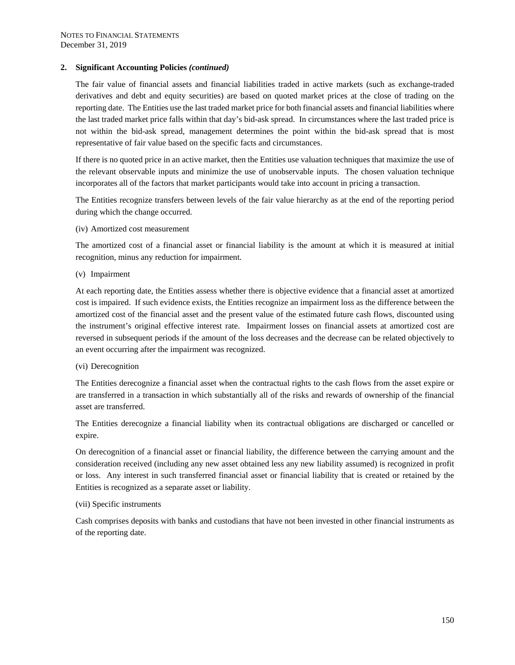The fair value of financial assets and financial liabilities traded in active markets (such as exchange-traded derivatives and debt and equity securities) are based on quoted market prices at the close of trading on the reporting date. The Entities use the last traded market price for both financial assets and financial liabilities where the last traded market price falls within that day's bid-ask spread. In circumstances where the last traded price is not within the bid-ask spread, management determines the point within the bid-ask spread that is most representative of fair value based on the specific facts and circumstances.

If there is no quoted price in an active market, then the Entities use valuation techniques that maximize the use of the relevant observable inputs and minimize the use of unobservable inputs. The chosen valuation technique incorporates all of the factors that market participants would take into account in pricing a transaction.

The Entities recognize transfers between levels of the fair value hierarchy as at the end of the reporting period during which the change occurred.

(iv) Amortized cost measurement

The amortized cost of a financial asset or financial liability is the amount at which it is measured at initial recognition, minus any reduction for impairment.

(v) Impairment

At each reporting date, the Entities assess whether there is objective evidence that a financial asset at amortized cost is impaired. If such evidence exists, the Entities recognize an impairment loss as the difference between the amortized cost of the financial asset and the present value of the estimated future cash flows, discounted using the instrument's original effective interest rate. Impairment losses on financial assets at amortized cost are reversed in subsequent periods if the amount of the loss decreases and the decrease can be related objectively to an event occurring after the impairment was recognized.

#### (vi) Derecognition

The Entities derecognize a financial asset when the contractual rights to the cash flows from the asset expire or are transferred in a transaction in which substantially all of the risks and rewards of ownership of the financial asset are transferred.

The Entities derecognize a financial liability when its contractual obligations are discharged or cancelled or expire.

On derecognition of a financial asset or financial liability, the difference between the carrying amount and the consideration received (including any new asset obtained less any new liability assumed) is recognized in profit or loss. Any interest in such transferred financial asset or financial liability that is created or retained by the Entities is recognized as a separate asset or liability.

#### (vii) Specific instruments

Cash comprises deposits with banks and custodians that have not been invested in other financial instruments as of the reporting date.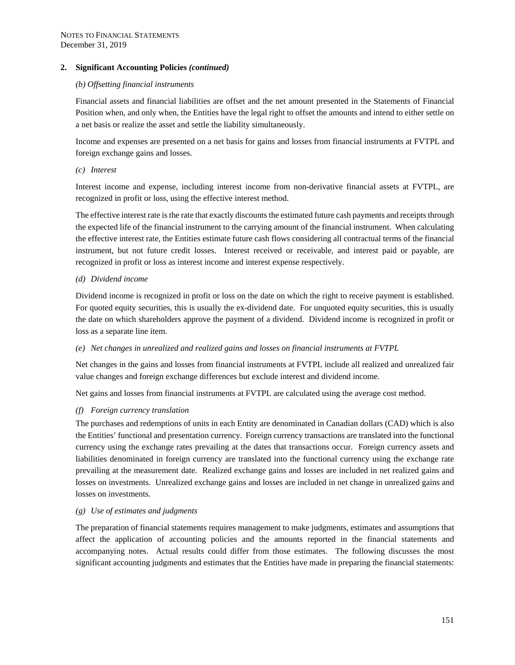#### *(b) Offsetting financial instruments*

Financial assets and financial liabilities are offset and the net amount presented in the Statements of Financial Position when, and only when, the Entities have the legal right to offset the amounts and intend to either settle on a net basis or realize the asset and settle the liability simultaneously.

Income and expenses are presented on a net basis for gains and losses from financial instruments at FVTPL and foreign exchange gains and losses.

*(c) Interest* 

Interest income and expense, including interest income from non-derivative financial assets at FVTPL, are recognized in profit or loss, using the effective interest method.

The effective interest rate is the rate that exactly discounts the estimated future cash payments and receipts through the expected life of the financial instrument to the carrying amount of the financial instrument. When calculating the effective interest rate, the Entities estimate future cash flows considering all contractual terms of the financial instrument, but not future credit losses. Interest received or receivable, and interest paid or payable, are recognized in profit or loss as interest income and interest expense respectively.

## *(d) Dividend income*

Dividend income is recognized in profit or loss on the date on which the right to receive payment is established. For quoted equity securities, this is usually the ex-dividend date. For unquoted equity securities, this is usually the date on which shareholders approve the payment of a dividend. Dividend income is recognized in profit or loss as a separate line item.

## *(e) Net changes in unrealized and realized gains and losses on financial instruments at FVTPL*

Net changes in the gains and losses from financial instruments at FVTPL include all realized and unrealized fair value changes and foreign exchange differences but exclude interest and dividend income.

Net gains and losses from financial instruments at FVTPL are calculated using the average cost method.

## *(f) Foreign currency translation*

The purchases and redemptions of units in each Entity are denominated in Canadian dollars (CAD) which is also the Entities' functional and presentation currency. Foreign currency transactions are translated into the functional currency using the exchange rates prevailing at the dates that transactions occur. Foreign currency assets and liabilities denominated in foreign currency are translated into the functional currency using the exchange rate prevailing at the measurement date. Realized exchange gains and losses are included in net realized gains and losses on investments. Unrealized exchange gains and losses are included in net change in unrealized gains and losses on investments.

## *(g) Use of estimates and judgments*

The preparation of financial statements requires management to make judgments, estimates and assumptions that affect the application of accounting policies and the amounts reported in the financial statements and accompanying notes. Actual results could differ from those estimates. The following discusses the most significant accounting judgments and estimates that the Entities have made in preparing the financial statements: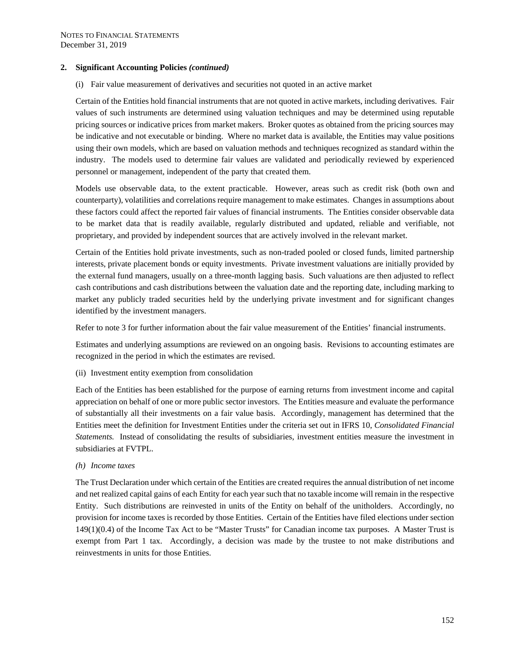(i) Fair value measurement of derivatives and securities not quoted in an active market

Certain of the Entities hold financial instruments that are not quoted in active markets, including derivatives. Fair values of such instruments are determined using valuation techniques and may be determined using reputable pricing sources or indicative prices from market makers. Broker quotes as obtained from the pricing sources may be indicative and not executable or binding. Where no market data is available, the Entities may value positions using their own models, which are based on valuation methods and techniques recognized as standard within the industry. The models used to determine fair values are validated and periodically reviewed by experienced personnel or management, independent of the party that created them.

Models use observable data, to the extent practicable. However, areas such as credit risk (both own and counterparty), volatilities and correlations require management to make estimates. Changes in assumptions about these factors could affect the reported fair values of financial instruments. The Entities consider observable data to be market data that is readily available, regularly distributed and updated, reliable and verifiable, not proprietary, and provided by independent sources that are actively involved in the relevant market.

Certain of the Entities hold private investments, such as non-traded pooled or closed funds, limited partnership interests, private placement bonds or equity investments. Private investment valuations are initially provided by the external fund managers, usually on a three-month lagging basis. Such valuations are then adjusted to reflect cash contributions and cash distributions between the valuation date and the reporting date, including marking to market any publicly traded securities held by the underlying private investment and for significant changes identified by the investment managers.

Refer to note 3 for further information about the fair value measurement of the Entities' financial instruments.

Estimates and underlying assumptions are reviewed on an ongoing basis. Revisions to accounting estimates are recognized in the period in which the estimates are revised.

(ii) Investment entity exemption from consolidation

Each of the Entities has been established for the purpose of earning returns from investment income and capital appreciation on behalf of one or more public sector investors. The Entities measure and evaluate the performance of substantially all their investments on a fair value basis. Accordingly, management has determined that the Entities meet the definition for Investment Entities under the criteria set out in IFRS 10, *Consolidated Financial Statements.* Instead of consolidating the results of subsidiaries, investment entities measure the investment in subsidiaries at FVTPL.

*(h) Income taxes* 

The Trust Declaration under which certain of the Entities are created requires the annual distribution of net income and net realized capital gains of each Entity for each year such that no taxable income will remain in the respective Entity. Such distributions are reinvested in units of the Entity on behalf of the unitholders. Accordingly, no provision for income taxes is recorded by those Entities. Certain of the Entities have filed elections under section 149(1)(0.4) of the Income Tax Act to be "Master Trusts" for Canadian income tax purposes. A Master Trust is exempt from Part 1 tax. Accordingly, a decision was made by the trustee to not make distributions and reinvestments in units for those Entities.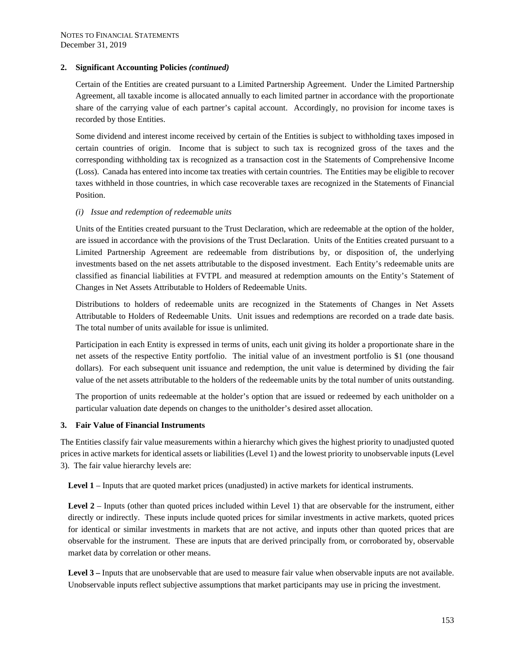Certain of the Entities are created pursuant to a Limited Partnership Agreement. Under the Limited Partnership Agreement, all taxable income is allocated annually to each limited partner in accordance with the proportionate share of the carrying value of each partner's capital account. Accordingly, no provision for income taxes is recorded by those Entities.

Some dividend and interest income received by certain of the Entities is subject to withholding taxes imposed in certain countries of origin. Income that is subject to such tax is recognized gross of the taxes and the corresponding withholding tax is recognized as a transaction cost in the Statements of Comprehensive Income (Loss). Canada has entered into income tax treaties with certain countries. The Entities may be eligible to recover taxes withheld in those countries, in which case recoverable taxes are recognized in the Statements of Financial Position.

#### *(i) Issue and redemption of redeemable units*

Units of the Entities created pursuant to the Trust Declaration, which are redeemable at the option of the holder, are issued in accordance with the provisions of the Trust Declaration. Units of the Entities created pursuant to a Limited Partnership Agreement are redeemable from distributions by, or disposition of, the underlying investments based on the net assets attributable to the disposed investment. Each Entity's redeemable units are classified as financial liabilities at FVTPL and measured at redemption amounts on the Entity's Statement of Changes in Net Assets Attributable to Holders of Redeemable Units.

Distributions to holders of redeemable units are recognized in the Statements of Changes in Net Assets Attributable to Holders of Redeemable Units. Unit issues and redemptions are recorded on a trade date basis. The total number of units available for issue is unlimited.

Participation in each Entity is expressed in terms of units, each unit giving its holder a proportionate share in the net assets of the respective Entity portfolio. The initial value of an investment portfolio is \$1 (one thousand dollars). For each subsequent unit issuance and redemption, the unit value is determined by dividing the fair value of the net assets attributable to the holders of the redeemable units by the total number of units outstanding.

The proportion of units redeemable at the holder's option that are issued or redeemed by each unitholder on a particular valuation date depends on changes to the unitholder's desired asset allocation.

## **3. Fair Value of Financial Instruments**

The Entities classify fair value measurements within a hierarchy which gives the highest priority to unadjusted quoted prices in active markets for identical assets or liabilities (Level 1) and the lowest priority to unobservable inputs (Level 3). The fair value hierarchy levels are:

Level 1 – Inputs that are quoted market prices (unadjusted) in active markets for identical instruments.

**Level 2** – Inputs (other than quoted prices included within Level 1) that are observable for the instrument, either directly or indirectly. These inputs include quoted prices for similar investments in active markets, quoted prices for identical or similar investments in markets that are not active, and inputs other than quoted prices that are observable for the instrument. These are inputs that are derived principally from, or corroborated by, observable market data by correlation or other means.

**Level 3 –** Inputs that are unobservable that are used to measure fair value when observable inputs are not available. Unobservable inputs reflect subjective assumptions that market participants may use in pricing the investment.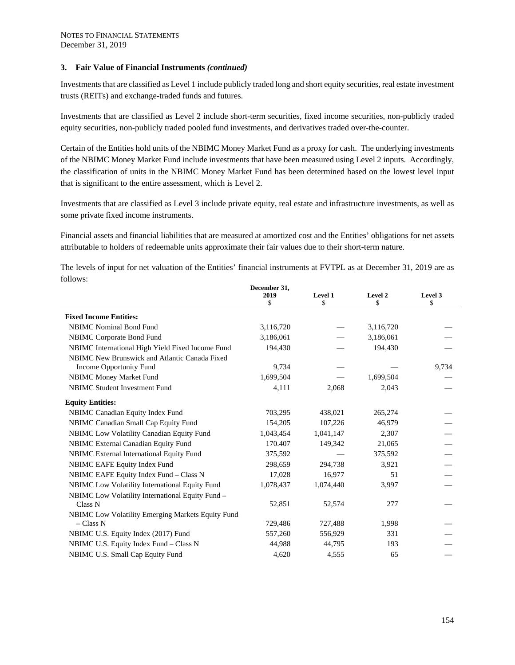Investments that are classified as Level 1 include publicly traded long and short equity securities, real estate investment trusts (REITs) and exchange-traded funds and futures.

Investments that are classified as Level 2 include short-term securities, fixed income securities, non-publicly traded equity securities, non-publicly traded pooled fund investments, and derivatives traded over-the-counter.

Certain of the Entities hold units of the NBIMC Money Market Fund as a proxy for cash. The underlying investments of the NBIMC Money Market Fund include investments that have been measured using Level 2 inputs. Accordingly, the classification of units in the NBIMC Money Market Fund has been determined based on the lowest level input that is significant to the entire assessment, which is Level 2.

Investments that are classified as Level 3 include private equity, real estate and infrastructure investments, as well as some private fixed income instruments.

Financial assets and financial liabilities that are measured at amortized cost and the Entities' obligations for net assets attributable to holders of redeemable units approximate their fair values due to their short-term nature.

The levels of input for net valuation of the Entities' financial instruments at FVTPL as at December 31, 2019 are as follows:

|                                                   | December 31, |           |           |         |
|---------------------------------------------------|--------------|-----------|-----------|---------|
|                                                   | 2019         | Level 1   | Level 2   | Level 3 |
|                                                   | \$           | \$        | \$        | \$      |
| <b>Fixed Income Entities:</b>                     |              |           |           |         |
| <b>NBIMC</b> Nominal Bond Fund                    | 3,116,720    |           | 3,116,720 |         |
| <b>NBIMC</b> Corporate Bond Fund                  | 3,186,061    |           | 3,186,061 |         |
| NBIMC International High Yield Fixed Income Fund  | 194,430      |           | 194,430   |         |
| NBIMC New Brunswick and Atlantic Canada Fixed     |              |           |           |         |
| Income Opportunity Fund                           | 9,734        |           |           | 9,734   |
| NBIMC Money Market Fund                           | 1,699,504    |           | 1,699,504 |         |
| <b>NBIMC Student Investment Fund</b>              | 4,111        | 2,068     | 2,043     |         |
| <b>Equity Entities:</b>                           |              |           |           |         |
| NBIMC Canadian Equity Index Fund                  | 703,295      | 438,021   | 265,274   |         |
| NBIMC Canadian Small Cap Equity Fund              | 154,205      | 107,226   | 46,979    |         |
| NBIMC Low Volatility Canadian Equity Fund         | 1,043,454    | 1,041,147 | 2,307     |         |
| NBIMC External Canadian Equity Fund               | 170.407      | 149,342   | 21,065    |         |
| NBIMC External International Equity Fund          | 375,592      |           | 375,592   |         |
| NBIMC EAFE Equity Index Fund                      | 298,659      | 294,738   | 3,921     |         |
| NBIMC EAFE Equity Index Fund - Class N            | 17,028       | 16,977    | 51        |         |
| NBIMC Low Volatility International Equity Fund    | 1,078,437    | 1,074,440 | 3,997     |         |
| NBIMC Low Volatility International Equity Fund -  |              |           |           |         |
| Class N                                           | 52,851       | 52,574    | 277       |         |
| NBIMC Low Volatility Emerging Markets Equity Fund |              |           |           |         |
| $- Class N$                                       | 729,486      | 727,488   | 1,998     |         |
| NBIMC U.S. Equity Index (2017) Fund               | 557,260      | 556,929   | 331       |         |
| NBIMC U.S. Equity Index Fund - Class N            | 44.988       | 44,795    | 193       |         |
| NBIMC U.S. Small Cap Equity Fund                  | 4,620        | 4,555     | 65        |         |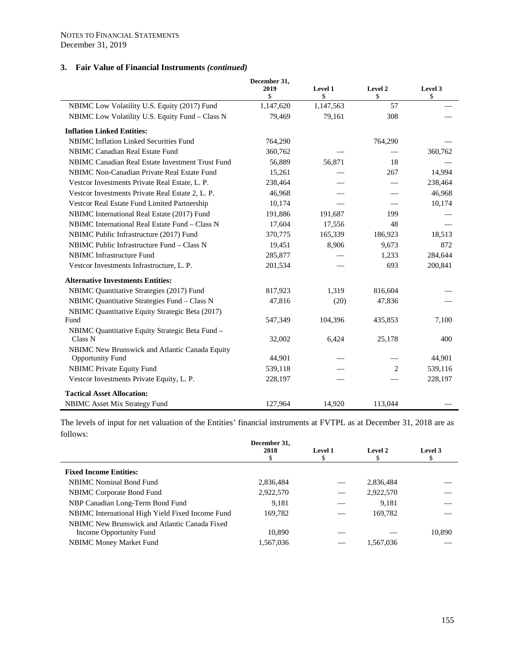|                                                  | December 31, |           |         |         |  |  |
|--------------------------------------------------|--------------|-----------|---------|---------|--|--|
|                                                  | 2019         | Level 1   | Level 2 | Level 3 |  |  |
|                                                  | \$           | \$        | \$      | \$      |  |  |
| NBIMC Low Volatility U.S. Equity (2017) Fund     | 1,147,620    | 1,147,563 | 57      |         |  |  |
| NBIMC Low Volatility U.S. Equity Fund - Class N  | 79,469       | 79,161    | 308     |         |  |  |
| <b>Inflation Linked Entities:</b>                |              |           |         |         |  |  |
| <b>NBIMC Inflation Linked Securities Fund</b>    | 764,290      |           | 764,290 |         |  |  |
| <b>NBIMC Canadian Real Estate Fund</b>           | 360,762      |           |         | 360,762 |  |  |
| NBIMC Canadian Real Estate Investment Trust Fund | 56,889       | 56,871    | 18      |         |  |  |
| NBIMC Non-Canadian Private Real Estate Fund      | 15,261       |           | 267     | 14,994  |  |  |
| Vestcor Investments Private Real Estate, L. P.   | 238,464      |           |         | 238,464 |  |  |
| Vestcor Investments Private Real Estate 2, L. P. | 46,968       |           |         | 46,968  |  |  |
| Vestcor Real Estate Fund Limited Partnership     | 10,174       |           |         | 10,174  |  |  |
| NBIMC International Real Estate (2017) Fund      | 191,886      | 191,687   | 199     |         |  |  |
| NBIMC International Real Estate Fund - Class N   | 17,604       | 17,556    | 48      |         |  |  |
| NBIMC Public Infrastructure (2017) Fund          | 370,775      | 165,339   | 186,923 | 18,513  |  |  |
| NBIMC Public Infrastructure Fund - Class N       | 19,451       | 8,906     | 9,673   | 872     |  |  |
| <b>NBIMC</b> Infrastructure Fund                 | 285,877      |           | 1,233   | 284,644 |  |  |
| Vestcor Investments Infrastructure, L. P.        | 201,534      |           | 693     | 200,841 |  |  |
| <b>Alternative Investments Entities:</b>         |              |           |         |         |  |  |
| NBIMC Quantitative Strategies (2017) Fund        | 817,923      | 1,319     | 816,604 |         |  |  |
| NBIMC Quantitative Strategies Fund - Class N     | 47,816       | (20)      | 47,836  |         |  |  |
| NBIMC Quantitative Equity Strategic Beta (2017)  |              |           |         |         |  |  |
| Fund                                             | 547,349      | 104,396   | 435,853 | 7,100   |  |  |
| NBIMC Quantitative Equity Strategic Beta Fund -  |              |           |         |         |  |  |
| Class <sub>N</sub>                               | 32,002       | 6,424     | 25,178  | 400     |  |  |
| NBIMC New Brunswick and Atlantic Canada Equity   |              |           |         |         |  |  |
| <b>Opportunity Fund</b>                          | 44,901       |           |         | 44,901  |  |  |
| <b>NBIMC Private Equity Fund</b>                 | 539,118      |           | 2       | 539,116 |  |  |
| Vestcor Investments Private Equity, L. P.        | 228,197      |           |         | 228,197 |  |  |
| <b>Tactical Asset Allocation:</b>                |              |           |         |         |  |  |
| NBIMC Asset Mix Strategy Fund                    | 127,964      | 14,920    | 113,044 |         |  |  |

The levels of input for net valuation of the Entities' financial instruments at FVTPL as at December 31, 2018 are as follows:

|                                                  | December 31,<br>2018 | Level 1 | Level 2   | Level 3 |
|--------------------------------------------------|----------------------|---------|-----------|---------|
| <b>Fixed Income Entities:</b>                    |                      |         |           |         |
| <b>NBIMC</b> Nominal Bond Fund                   | 2,836,484            |         | 2,836,484 |         |
| NBIMC Corporate Bond Fund                        | 2,922,570            |         | 2,922,570 |         |
| NBP Canadian Long-Term Bond Fund                 | 9.181                |         | 9,181     |         |
| NBIMC International High Yield Fixed Income Fund | 169.782              |         | 169.782   |         |
| NBIMC New Brunswick and Atlantic Canada Fixed    |                      |         |           |         |
| Income Opportunity Fund                          | 10.890               |         |           | 10,890  |
| <b>NBIMC Money Market Fund</b>                   | 1,567,036            |         | 1,567,036 |         |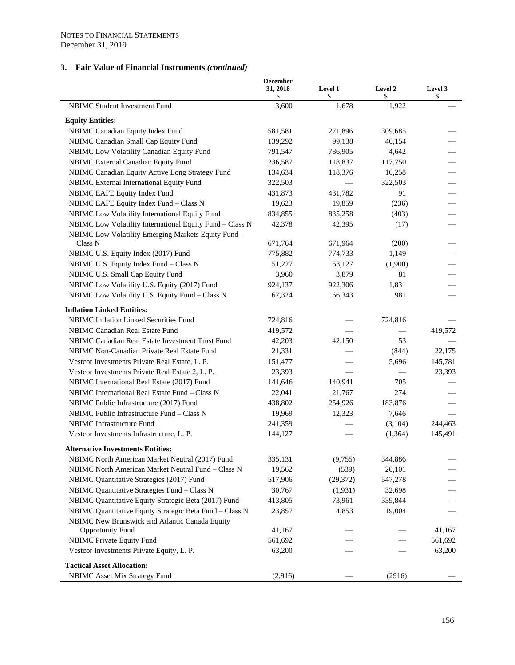|                                                                           | <b>December</b><br>31, 2018<br>\$ | Level 1<br>\$ | Level 2<br>\$ | Level 3<br>\$ |
|---------------------------------------------------------------------------|-----------------------------------|---------------|---------------|---------------|
| <b>NBIMC Student Investment Fund</b>                                      | 3,600                             | 1,678         | 1,922         |               |
| <b>Equity Entities:</b>                                                   |                                   |               |               |               |
| NBIMC Canadian Equity Index Fund                                          | 581,581                           | 271,896       | 309,685       |               |
| NBIMC Canadian Small Cap Equity Fund                                      | 139,292                           | 99,138        | 40,154        |               |
| NBIMC Low Volatility Canadian Equity Fund                                 | 791,547                           | 786,905       | 4,642         |               |
| NBIMC External Canadian Equity Fund                                       | 236,587                           | 118,837       | 117,750       |               |
| NBIMC Canadian Equity Active Long Strategy Fund                           | 134,634                           | 118,376       | 16,258        |               |
| NBIMC External International Equity Fund                                  | 322,503                           |               | 322,503       |               |
| NBIMC EAFE Equity Index Fund                                              | 431,873                           | 431,782       | 91            |               |
| NBIMC EAFE Equity Index Fund - Class N                                    | 19,623                            | 19,859        | (236)         |               |
| NBIMC Low Volatility International Equity Fund                            | 834,855                           | 835,258       | (403)         |               |
| NBIMC Low Volatility International Equity Fund - Class N                  | 42,378                            | 42,395        | (17)          |               |
| NBIMC Low Volatility Emerging Markets Equity Fund -                       |                                   |               |               |               |
| Class N                                                                   | 671,764                           | 671,964       | (200)         |               |
| NBIMC U.S. Equity Index (2017) Fund                                       | 775,882                           | 774,733       | 1,149         |               |
| NBIMC U.S. Equity Index Fund - Class N                                    | 51,227                            | 53,127        | (1,900)       |               |
| NBIMC U.S. Small Cap Equity Fund                                          | 3,960                             | 3,879         | 81            |               |
| NBIMC Low Volatility U.S. Equity (2017) Fund                              | 924,137                           | 922,306       | 1,831         |               |
| NBIMC Low Volatility U.S. Equity Fund - Class N                           | 67,324                            | 66,343        | 981           |               |
| <b>Inflation Linked Entities:</b>                                         |                                   |               |               |               |
| NBIMC Inflation Linked Securities Fund                                    | 724,816                           |               | 724,816       |               |
| NBIMC Canadian Real Estate Fund                                           | 419,572                           |               |               | 419,572       |
| NBIMC Canadian Real Estate Investment Trust Fund                          | 42,203                            | 42,150        | 53            |               |
| NBIMC Non-Canadian Private Real Estate Fund                               | 21,331                            |               | (844)         | 22,175        |
| Vestcor Investments Private Real Estate, L. P.                            | 151,477                           |               | 5,696         | 145,781       |
| Vestcor Investments Private Real Estate 2, L. P.                          | 23,393                            |               |               | 23,393        |
| NBIMC International Real Estate (2017) Fund                               | 141,646                           | 140,941       | 705           |               |
| NBIMC International Real Estate Fund - Class N                            | 22,041                            | 21,767        | 274           |               |
| NBIMC Public Infrastructure (2017) Fund                                   | 438,802                           | 254,926       | 183,876       |               |
| NBIMC Public Infrastructure Fund - Class N                                | 19,969                            | 12,323        | 7,646         |               |
| NBIMC Infrastructure Fund                                                 | 241,359                           |               | (3,104)       | 244,463       |
| Vestcor Investments Infrastructure, L. P.                                 | 144,127                           |               | (1, 364)      | 145,491       |
| <b>Alternative Investments Entities:</b>                                  |                                   |               |               |               |
| NBIMC North American Market Neutral (2017) Fund                           | 335,131                           | (9,755)       | 344,886       |               |
| NBIMC North American Market Neutral Fund - Class N                        | 19,562                            | (539)         | 20,101        |               |
| NBIMC Quantitative Strategies (2017) Fund                                 | 517,906                           | (29, 372)     | 547,278       |               |
| NBIMC Quantitative Strategies Fund - Class N                              | 30,767                            | (1,931)       | 32,698        |               |
| NBIMC Quantitative Equity Strategic Beta (2017) Fund                      | 413,805                           | 73,961        | 339,844       |               |
| NBIMC Quantitative Equity Strategic Beta Fund - Class N                   | 23,857                            | 4,853         | 19,004        |               |
| NBIMC New Brunswick and Atlantic Canada Equity<br><b>Opportunity Fund</b> | 41,167                            |               |               | 41,167        |
| NBIMC Private Equity Fund                                                 | 561,692                           |               |               | 561,692       |
| Vestcor Investments Private Equity, L. P.                                 | 63,200                            |               |               | 63,200        |
| <b>Tactical Asset Allocation:</b>                                         |                                   |               |               |               |
| <b>NBIMC</b> Asset Mix Strategy Fund                                      | (2,916)                           |               | (2916)        |               |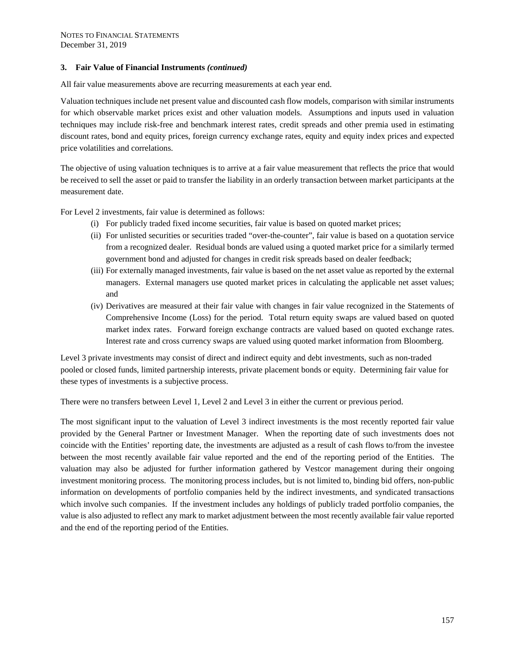All fair value measurements above are recurring measurements at each year end.

Valuation techniques include net present value and discounted cash flow models, comparison with similar instruments for which observable market prices exist and other valuation models. Assumptions and inputs used in valuation techniques may include risk-free and benchmark interest rates, credit spreads and other premia used in estimating discount rates, bond and equity prices, foreign currency exchange rates, equity and equity index prices and expected price volatilities and correlations.

The objective of using valuation techniques is to arrive at a fair value measurement that reflects the price that would be received to sell the asset or paid to transfer the liability in an orderly transaction between market participants at the measurement date.

For Level 2 investments, fair value is determined as follows:

- (i) For publicly traded fixed income securities, fair value is based on quoted market prices;
- (ii) For unlisted securities or securities traded "over-the-counter", fair value is based on a quotation service from a recognized dealer. Residual bonds are valued using a quoted market price for a similarly termed government bond and adjusted for changes in credit risk spreads based on dealer feedback;
- (iii) For externally managed investments, fair value is based on the net asset value as reported by the external managers. External managers use quoted market prices in calculating the applicable net asset values; and
- (iv) Derivatives are measured at their fair value with changes in fair value recognized in the Statements of Comprehensive Income (Loss) for the period. Total return equity swaps are valued based on quoted market index rates. Forward foreign exchange contracts are valued based on quoted exchange rates. Interest rate and cross currency swaps are valued using quoted market information from Bloomberg.

Level 3 private investments may consist of direct and indirect equity and debt investments, such as non-traded pooled or closed funds, limited partnership interests, private placement bonds or equity. Determining fair value for these types of investments is a subjective process.

There were no transfers between Level 1, Level 2 and Level 3 in either the current or previous period.

The most significant input to the valuation of Level 3 indirect investments is the most recently reported fair value provided by the General Partner or Investment Manager. When the reporting date of such investments does not coincide with the Entities' reporting date, the investments are adjusted as a result of cash flows to/from the investee between the most recently available fair value reported and the end of the reporting period of the Entities. The valuation may also be adjusted for further information gathered by Vestcor management during their ongoing investment monitoring process. The monitoring process includes, but is not limited to, binding bid offers, non-public information on developments of portfolio companies held by the indirect investments, and syndicated transactions which involve such companies. If the investment includes any holdings of publicly traded portfolio companies, the value is also adjusted to reflect any mark to market adjustment between the most recently available fair value reported and the end of the reporting period of the Entities.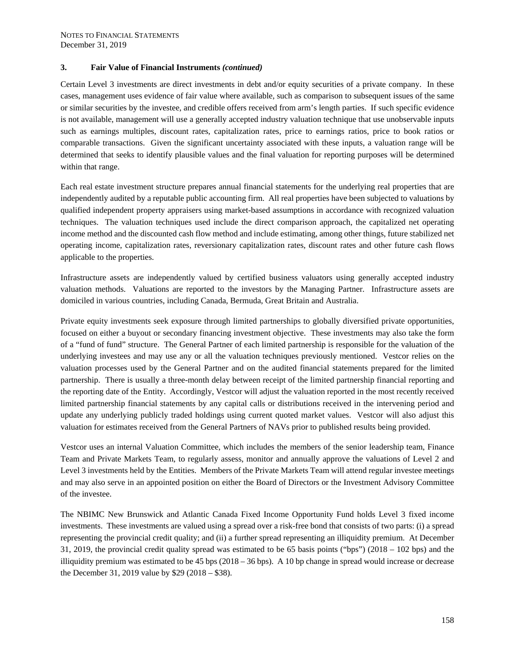Certain Level 3 investments are direct investments in debt and/or equity securities of a private company. In these cases, management uses evidence of fair value where available, such as comparison to subsequent issues of the same or similar securities by the investee, and credible offers received from arm's length parties. If such specific evidence is not available, management will use a generally accepted industry valuation technique that use unobservable inputs such as earnings multiples, discount rates, capitalization rates, price to earnings ratios, price to book ratios or comparable transactions. Given the significant uncertainty associated with these inputs, a valuation range will be determined that seeks to identify plausible values and the final valuation for reporting purposes will be determined within that range.

Each real estate investment structure prepares annual financial statements for the underlying real properties that are independently audited by a reputable public accounting firm. All real properties have been subjected to valuations by qualified independent property appraisers using market-based assumptions in accordance with recognized valuation techniques. The valuation techniques used include the direct comparison approach, the capitalized net operating income method and the discounted cash flow method and include estimating, among other things, future stabilized net operating income, capitalization rates, reversionary capitalization rates, discount rates and other future cash flows applicable to the properties.

Infrastructure assets are independently valued by certified business valuators using generally accepted industry valuation methods. Valuations are reported to the investors by the Managing Partner. Infrastructure assets are domiciled in various countries, including Canada, Bermuda, Great Britain and Australia.

Private equity investments seek exposure through limited partnerships to globally diversified private opportunities, focused on either a buyout or secondary financing investment objective. These investments may also take the form of a "fund of fund" structure. The General Partner of each limited partnership is responsible for the valuation of the underlying investees and may use any or all the valuation techniques previously mentioned. Vestcor relies on the valuation processes used by the General Partner and on the audited financial statements prepared for the limited partnership. There is usually a three-month delay between receipt of the limited partnership financial reporting and the reporting date of the Entity. Accordingly, Vestcor will adjust the valuation reported in the most recently received limited partnership financial statements by any capital calls or distributions received in the intervening period and update any underlying publicly traded holdings using current quoted market values. Vestcor will also adjust this valuation for estimates received from the General Partners of NAVs prior to published results being provided.

Vestcor uses an internal Valuation Committee, which includes the members of the senior leadership team, Finance Team and Private Markets Team, to regularly assess, monitor and annually approve the valuations of Level 2 and Level 3 investments held by the Entities. Members of the Private Markets Team will attend regular investee meetings and may also serve in an appointed position on either the Board of Directors or the Investment Advisory Committee of the investee.

The NBIMC New Brunswick and Atlantic Canada Fixed Income Opportunity Fund holds Level 3 fixed income investments. These investments are valued using a spread over a risk-free bond that consists of two parts: (i) a spread representing the provincial credit quality; and (ii) a further spread representing an illiquidity premium. At December 31, 2019, the provincial credit quality spread was estimated to be 65 basis points ("bps") (2018 – 102 bps) and the illiquidity premium was estimated to be 45 bps (2018 – 36 bps). A 10 bp change in spread would increase or decrease the December 31, 2019 value by \$29 (2018 – \$38).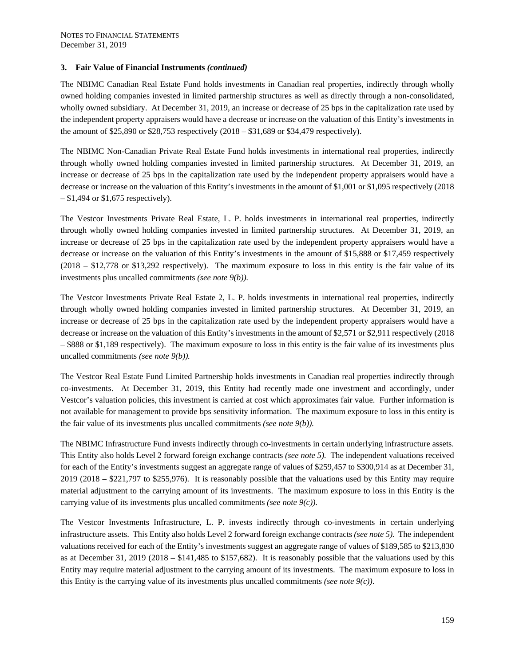The NBIMC Canadian Real Estate Fund holds investments in Canadian real properties, indirectly through wholly owned holding companies invested in limited partnership structures as well as directly through a non-consolidated, wholly owned subsidiary. At December 31, 2019, an increase or decrease of 25 bps in the capitalization rate used by the independent property appraisers would have a decrease or increase on the valuation of this Entity's investments in the amount of \$25,890 or \$28,753 respectively (2018 – \$31,689 or \$34,479 respectively).

The NBIMC Non-Canadian Private Real Estate Fund holds investments in international real properties, indirectly through wholly owned holding companies invested in limited partnership structures. At December 31, 2019, an increase or decrease of 25 bps in the capitalization rate used by the independent property appraisers would have a decrease or increase on the valuation of this Entity's investments in the amount of \$1,001 or \$1,095 respectively (2018 – \$1,494 or \$1,675 respectively).

The Vestcor Investments Private Real Estate, L. P. holds investments in international real properties, indirectly through wholly owned holding companies invested in limited partnership structures. At December 31, 2019, an increase or decrease of 25 bps in the capitalization rate used by the independent property appraisers would have a decrease or increase on the valuation of this Entity's investments in the amount of \$15,888 or \$17,459 respectively (2018 – \$12,778 or \$13,292 respectively). The maximum exposure to loss in this entity is the fair value of its investments plus uncalled commitments *(see note 9(b)).* 

The Vestcor Investments Private Real Estate 2, L. P. holds investments in international real properties, indirectly through wholly owned holding companies invested in limited partnership structures. At December 31, 2019, an increase or decrease of 25 bps in the capitalization rate used by the independent property appraisers would have a decrease or increase on the valuation of this Entity's investments in the amount of \$2,571 or \$2,911 respectively (2018 – \$888 or \$1,189 respectively). The maximum exposure to loss in this entity is the fair value of its investments plus uncalled commitments *(see note 9(b)).* 

The Vestcor Real Estate Fund Limited Partnership holds investments in Canadian real properties indirectly through co-investments. At December 31, 2019, this Entity had recently made one investment and accordingly, under Vestcor's valuation policies, this investment is carried at cost which approximates fair value. Further information is not available for management to provide bps sensitivity information. The maximum exposure to loss in this entity is the fair value of its investments plus uncalled commitments *(see note 9(b)).* 

The NBIMC Infrastructure Fund invests indirectly through co-investments in certain underlying infrastructure assets. This Entity also holds Level 2 forward foreign exchange contracts *(see note 5).* The independent valuations received for each of the Entity's investments suggest an aggregate range of values of \$259,457 to \$300,914 as at December 31, 2019 (2018 – \$221,797 to \$255,976). It is reasonably possible that the valuations used by this Entity may require material adjustment to the carrying amount of its investments. The maximum exposure to loss in this Entity is the carrying value of its investments plus uncalled commitments *(see note 9(c))*.

The Vestcor Investments Infrastructure, L. P. invests indirectly through co-investments in certain underlying infrastructure assets. This Entity also holds Level 2 forward foreign exchange contracts *(see note 5).* The independent valuations received for each of the Entity's investments suggest an aggregate range of values of \$189,585 to \$213,830 as at December 31, 2019 (2018 – \$141,485 to \$157,682). It is reasonably possible that the valuations used by this Entity may require material adjustment to the carrying amount of its investments. The maximum exposure to loss in this Entity is the carrying value of its investments plus uncalled commitments *(see note*  $9(c)$ *)*.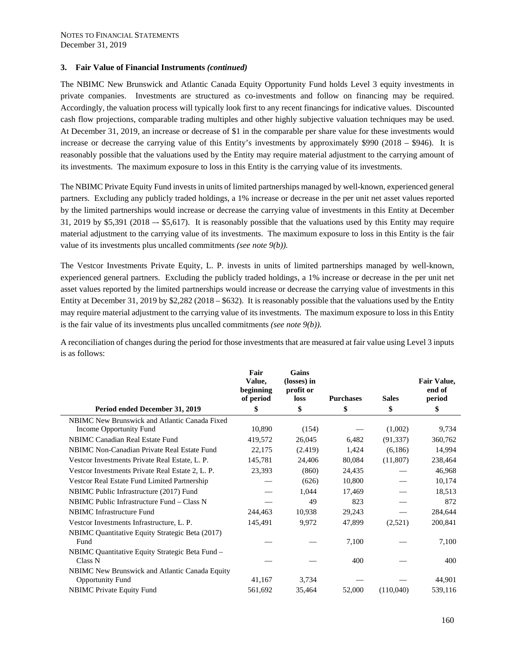The NBIMC New Brunswick and Atlantic Canada Equity Opportunity Fund holds Level 3 equity investments in private companies. Investments are structured as co-investments and follow on financing may be required. Accordingly, the valuation process will typically look first to any recent financings for indicative values. Discounted cash flow projections, comparable trading multiples and other highly subjective valuation techniques may be used. At December 31, 2019, an increase or decrease of \$1 in the comparable per share value for these investments would increase or decrease the carrying value of this Entity's investments by approximately \$990 (2018 – \$946). It is reasonably possible that the valuations used by the Entity may require material adjustment to the carrying amount of its investments. The maximum exposure to loss in this Entity is the carrying value of its investments.

The NBIMC Private Equity Fund invests in units of limited partnerships managed by well-known, experienced general partners. Excluding any publicly traded holdings, a 1% increase or decrease in the per unit net asset values reported by the limited partnerships would increase or decrease the carrying value of investments in this Entity at December  $31, 2019$  by \$5,391 (2018 – \$5,617). It is reasonably possible that the valuations used by this Entity may require material adjustment to the carrying value of its investments. The maximum exposure to loss in this Entity is the fair value of its investments plus uncalled commitments *(see note 9(b)).* 

The Vestcor Investments Private Equity, L. P. invests in units of limited partnerships managed by well-known, experienced general partners. Excluding the publicly traded holdings, a 1% increase or decrease in the per unit net asset values reported by the limited partnerships would increase or decrease the carrying value of investments in this Entity at December 31, 2019 by \$2,282 (2018 – \$632). It is reasonably possible that the valuations used by the Entity may require material adjustment to the carrying value of its investments. The maximum exposure to loss in this Entity is the fair value of its investments plus uncalled commitments *(see note 9(b)).*

A reconciliation of changes during the period for those investments that are measured at fair value using Level 3 inputs is as follows:

|                                                                           | Fair<br>Value,<br>beginning<br>of period | Gains<br>(losses) in<br>profit or<br>loss | <b>Purchases</b> | <b>Sales</b> | Fair Value,<br>end of<br>period |
|---------------------------------------------------------------------------|------------------------------------------|-------------------------------------------|------------------|--------------|---------------------------------|
| Period ended December 31, 2019                                            | \$                                       | \$                                        | \$               | \$           | \$                              |
| NBIMC New Brunswick and Atlantic Canada Fixed<br>Income Opportunity Fund  | 10,890                                   | (154)                                     |                  | (1,002)      | 9,734                           |
| NBIMC Canadian Real Estate Fund                                           | 419,572                                  | 26,045                                    | 6,482            | (91, 337)    | 360,762                         |
| NBIMC Non-Canadian Private Real Estate Fund                               | 22,175                                   | (2.419)                                   | 1,424            | (6,186)      | 14,994                          |
| Vestcor Investments Private Real Estate, L. P.                            | 145,781                                  | 24,406                                    | 80,084           | (11,807)     | 238,464                         |
| Vestcor Investments Private Real Estate 2, L. P.                          | 23,393                                   | (860)                                     | 24,435           |              | 46,968                          |
| Vestcor Real Estate Fund Limited Partnership                              |                                          | (626)                                     | 10,800           |              | 10,174                          |
| NBIMC Public Infrastructure (2017) Fund                                   |                                          | 1,044                                     | 17,469           |              | 18,513                          |
| NBIMC Public Infrastructure Fund – Class N                                |                                          | 49                                        | 823              |              | 872                             |
| <b>NBIMC</b> Infrastructure Fund                                          | 244,463                                  | 10,938                                    | 29,243           |              | 284,644                         |
| Vestcor Investments Infrastructure, L. P.                                 | 145,491                                  | 9,972                                     | 47,899           | (2,521)      | 200,841                         |
| NBIMC Quantitative Equity Strategic Beta (2017)<br>Fund                   |                                          |                                           | 7,100            |              | 7,100                           |
| NBIMC Quantitative Equity Strategic Beta Fund -<br>Class N                |                                          |                                           | 400              |              | 400                             |
| NBIMC New Brunswick and Atlantic Canada Equity<br><b>Opportunity Fund</b> | 41,167                                   | 3,734                                     |                  |              | 44,901                          |
| <b>NBIMC</b> Private Equity Fund                                          | 561,692                                  | 35,464                                    | 52,000           | (110,040)    | 539,116                         |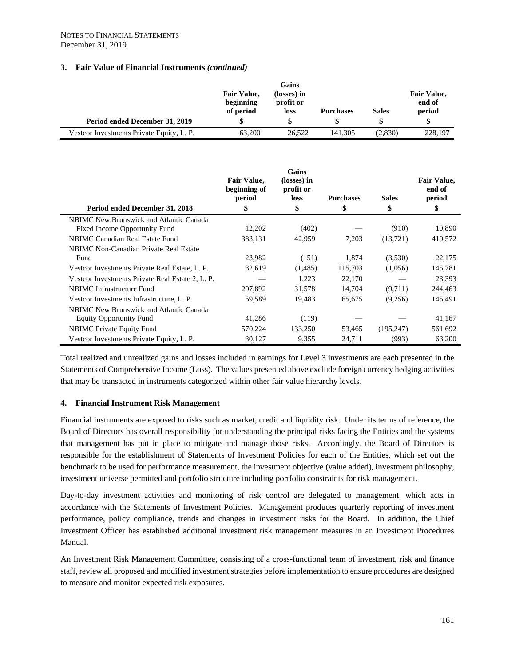|                                           |                                              | Gains                                   |                  |              |                                        |
|-------------------------------------------|----------------------------------------------|-----------------------------------------|------------------|--------------|----------------------------------------|
|                                           | <b>Fair Value,</b><br>beginning<br>of period | (losses) in<br>profit or<br><b>loss</b> | <b>Purchases</b> | <b>Sales</b> | <b>Fair Value,</b><br>end of<br>period |
| Period ended December 31, 2019            | \$                                           |                                         |                  |              |                                        |
| Vestcor Investments Private Equity, L. P. | 63,200                                       | 26.522                                  | 141.305          | (2,830)      | 228,197                                |

|                                                                           | <b>Fair Value,</b><br>beginning of<br>period | Gains<br>(losses) in<br>profit or<br>loss | <b>Purchases</b> | <b>Sales</b> | <b>Fair Value,</b><br>end of<br>period |
|---------------------------------------------------------------------------|----------------------------------------------|-------------------------------------------|------------------|--------------|----------------------------------------|
| Period ended December 31, 2018                                            | \$                                           | \$                                        | \$               | \$           | \$                                     |
| NBIMC New Brunswick and Atlantic Canada<br>Fixed Income Opportunity Fund  | 12,202                                       | (402)                                     |                  | (910)        | 10,890                                 |
| <b>NBIMC Canadian Real Estate Fund</b>                                    | 383,131                                      | 42,959                                    | 7,203            | (13,721)     | 419,572                                |
| NBIMC Non-Canadian Private Real Estate<br>Fund                            | 23,982                                       | (151)                                     | 1,874            | (3,530)      | 22,175                                 |
| Vestcor Investments Private Real Estate, L. P.                            | 32,619                                       | (1,485)                                   | 115,703          | (1,056)      | 145,781                                |
| Vestcor Investments Private Real Estate 2, L. P.                          |                                              | 1.223                                     | 22,170           |              | 23,393                                 |
| NBIMC Infrastructure Fund                                                 | 207,892                                      | 31,578                                    | 14,704           | (9,711)      | 244,463                                |
| Vestcor Investments Infrastructure, L. P.                                 | 69,589                                       | 19,483                                    | 65,675           | (9,256)      | 145,491                                |
| NBIMC New Brunswick and Atlantic Canada<br><b>Equity Opportunity Fund</b> | 41,286                                       | (119)                                     |                  |              | 41,167                                 |
| NBIMC Private Equity Fund                                                 | 570,224                                      | 133,250                                   | 53,465           | (195, 247)   | 561,692                                |
| Vestcor Investments Private Equity, L. P.                                 | 30,127                                       | 9,355                                     | 24,711           | (993)        | 63,200                                 |

Total realized and unrealized gains and losses included in earnings for Level 3 investments are each presented in the Statements of Comprehensive Income (Loss). The values presented above exclude foreign currency hedging activities that may be transacted in instruments categorized within other fair value hierarchy levels.

# **4. Financial Instrument Risk Management**

Financial instruments are exposed to risks such as market, credit and liquidity risk. Under its terms of reference, the Board of Directors has overall responsibility for understanding the principal risks facing the Entities and the systems that management has put in place to mitigate and manage those risks. Accordingly, the Board of Directors is responsible for the establishment of Statements of Investment Policies for each of the Entities, which set out the benchmark to be used for performance measurement, the investment objective (value added), investment philosophy, investment universe permitted and portfolio structure including portfolio constraints for risk management.

Day-to-day investment activities and monitoring of risk control are delegated to management, which acts in accordance with the Statements of Investment Policies. Management produces quarterly reporting of investment performance, policy compliance, trends and changes in investment risks for the Board. In addition, the Chief Investment Officer has established additional investment risk management measures in an Investment Procedures Manual.

An Investment Risk Management Committee, consisting of a cross-functional team of investment, risk and finance staff, review all proposed and modified investment strategies before implementation to ensure procedures are designed to measure and monitor expected risk exposures.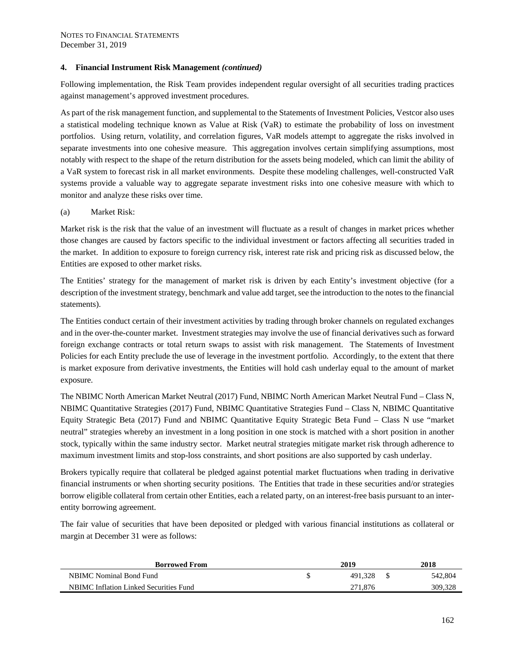Following implementation, the Risk Team provides independent regular oversight of all securities trading practices against management's approved investment procedures.

As part of the risk management function, and supplemental to the Statements of Investment Policies, Vestcor also uses a statistical modeling technique known as Value at Risk (VaR) to estimate the probability of loss on investment portfolios. Using return, volatility, and correlation figures, VaR models attempt to aggregate the risks involved in separate investments into one cohesive measure. This aggregation involves certain simplifying assumptions, most notably with respect to the shape of the return distribution for the assets being modeled, which can limit the ability of a VaR system to forecast risk in all market environments. Despite these modeling challenges, well-constructed VaR systems provide a valuable way to aggregate separate investment risks into one cohesive measure with which to monitor and analyze these risks over time.

#### (a) Market Risk:

Market risk is the risk that the value of an investment will fluctuate as a result of changes in market prices whether those changes are caused by factors specific to the individual investment or factors affecting all securities traded in the market. In addition to exposure to foreign currency risk, interest rate risk and pricing risk as discussed below, the Entities are exposed to other market risks.

The Entities' strategy for the management of market risk is driven by each Entity's investment objective (for a description of the investment strategy, benchmark and value add target, see the introduction to the notes to the financial statements).

The Entities conduct certain of their investment activities by trading through broker channels on regulated exchanges and in the over-the-counter market. Investment strategies may involve the use of financial derivatives such as forward foreign exchange contracts or total return swaps to assist with risk management. The Statements of Investment Policies for each Entity preclude the use of leverage in the investment portfolio. Accordingly, to the extent that there is market exposure from derivative investments, the Entities will hold cash underlay equal to the amount of market exposure.

The NBIMC North American Market Neutral (2017) Fund, NBIMC North American Market Neutral Fund – Class N, NBIMC Quantitative Strategies (2017) Fund, NBIMC Quantitative Strategies Fund – Class N, NBIMC Quantitative Equity Strategic Beta (2017) Fund and NBIMC Quantitative Equity Strategic Beta Fund – Class N use "market neutral" strategies whereby an investment in a long position in one stock is matched with a short position in another stock, typically within the same industry sector. Market neutral strategies mitigate market risk through adherence to maximum investment limits and stop-loss constraints, and short positions are also supported by cash underlay.

Brokers typically require that collateral be pledged against potential market fluctuations when trading in derivative financial instruments or when shorting security positions. The Entities that trade in these securities and/or strategies borrow eligible collateral from certain other Entities, each a related party, on an interest-free basis pursuant to an interentity borrowing agreement.

The fair value of securities that have been deposited or pledged with various financial institutions as collateral or margin at December 31 were as follows:

| <b>Borrowed From</b>                   |  | 2018    |         |
|----------------------------------------|--|---------|---------|
| NBIMC Nominal Bond Fund                |  | 491.328 | 542,804 |
| NBIMC Inflation Linked Securities Fund |  | 271,876 | 309,328 |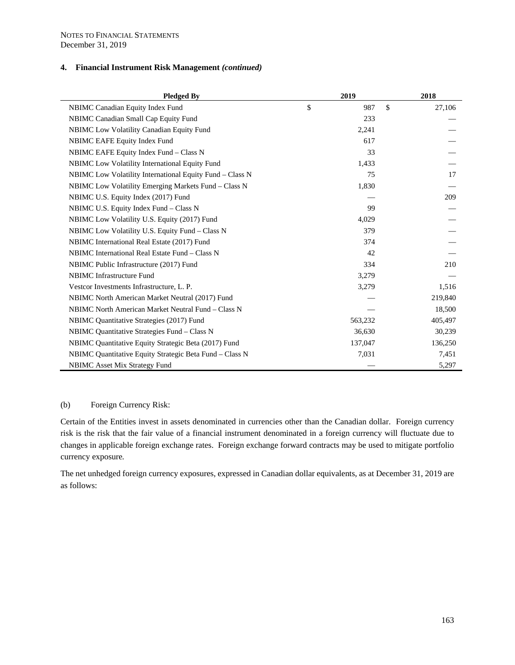| <b>Pledged By</b>                                        | 2019         |         |               | 2018    |
|----------------------------------------------------------|--------------|---------|---------------|---------|
| NBIMC Canadian Equity Index Fund                         | $\mathbb{S}$ | 987     | $\mathsf{\$}$ | 27,106  |
| NBIMC Canadian Small Cap Equity Fund                     |              | 233     |               |         |
| NBIMC Low Volatility Canadian Equity Fund                |              | 2,241   |               |         |
| <b>NBIMC EAFE Equity Index Fund</b>                      |              | 617     |               |         |
| NBIMC EAFE Equity Index Fund – Class N                   |              | 33      |               |         |
| NBIMC Low Volatility International Equity Fund           |              | 1,433   |               |         |
| NBIMC Low Volatility International Equity Fund - Class N |              | 75      |               | 17      |
| NBIMC Low Volatility Emerging Markets Fund - Class N     |              | 1,830   |               |         |
| NBIMC U.S. Equity Index (2017) Fund                      |              |         |               | 209     |
| NBIMC U.S. Equity Index Fund – Class N                   |              | 99      |               |         |
| NBIMC Low Volatility U.S. Equity (2017) Fund             |              | 4,029   |               |         |
| NBIMC Low Volatility U.S. Equity Fund – Class N          |              | 379     |               |         |
| NBIMC International Real Estate (2017) Fund              |              | 374     |               |         |
| NBIMC International Real Estate Fund – Class N           |              | 42      |               |         |
| NBIMC Public Infrastructure (2017) Fund                  |              | 334     |               | 210     |
| <b>NBIMC</b> Infrastructure Fund                         |              | 3,279   |               |         |
| Vestcor Investments Infrastructure, L. P.                |              | 3,279   |               | 1,516   |
| NBIMC North American Market Neutral (2017) Fund          |              |         |               | 219,840 |
| NBIMC North American Market Neutral Fund – Class N       |              |         |               | 18,500  |
| NBIMC Quantitative Strategies (2017) Fund                |              | 563,232 |               | 405,497 |
| NBIMC Quantitative Strategies Fund – Class N             |              | 36,630  |               | 30,239  |
| NBIMC Quantitative Equity Strategic Beta (2017) Fund     |              | 137,047 |               | 136,250 |
| NBIMC Quantitative Equity Strategic Beta Fund - Class N  |              | 7,031   |               | 7,451   |
| <b>NBIMC</b> Asset Mix Strategy Fund                     |              |         |               | 5,297   |

# (b) Foreign Currency Risk:

Certain of the Entities invest in assets denominated in currencies other than the Canadian dollar. Foreign currency risk is the risk that the fair value of a financial instrument denominated in a foreign currency will fluctuate due to changes in applicable foreign exchange rates. Foreign exchange forward contracts may be used to mitigate portfolio currency exposure*.* 

The net unhedged foreign currency exposures, expressed in Canadian dollar equivalents, as at December 31, 2019 are as follows: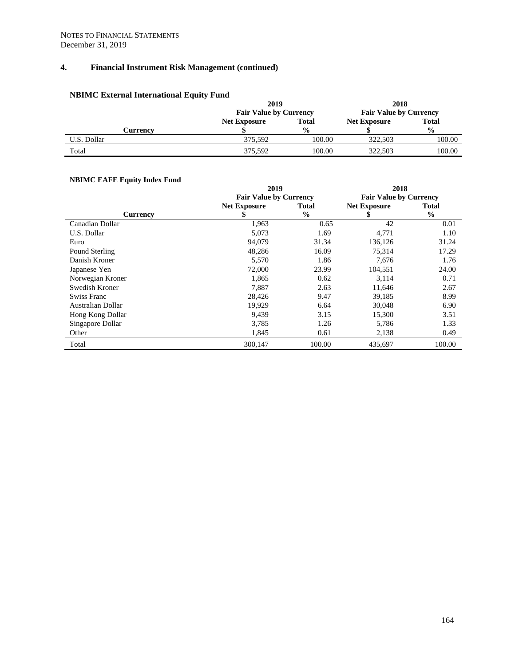# **NBIMC External International Equity Fund**

|             | 2019                          |               | 2018<br><b>Fair Value by Currency</b> |               |
|-------------|-------------------------------|---------------|---------------------------------------|---------------|
|             | <b>Fair Value by Currency</b> |               |                                       |               |
|             | <b>Net Exposure</b>           | Total         | <b>Net Exposure</b>                   | <b>Total</b>  |
| Currencv    |                               | $\frac{0}{0}$ |                                       | $\frac{0}{0}$ |
| U.S. Dollar | 375.592                       | 100.00        | 322.503                               | 100.00        |
| Total       | 375.592                       | 100.00        | 322.503                               | 100.00        |

# **NBIMC EAFE Equity Index Fund**

| INDIIVIU EAFE EQUILY HIUCX FUIIU |                               |               |                               |               |
|----------------------------------|-------------------------------|---------------|-------------------------------|---------------|
|                                  | 2019                          |               | 2018                          |               |
|                                  | <b>Fair Value by Currency</b> |               | <b>Fair Value by Currency</b> |               |
|                                  | <b>Net Exposure</b>           | <b>Total</b>  | <b>Net Exposure</b>           | <b>Total</b>  |
| <b>Currency</b>                  |                               | $\frac{0}{0}$ |                               | $\frac{6}{6}$ |
| Canadian Dollar                  | 1,963                         | 0.65          | 42                            | 0.01          |
| U.S. Dollar                      | 5,073                         | 1.69          | 4,771                         | 1.10          |
| Euro                             | 94,079                        | 31.34         | 136,126                       | 31.24         |
| Pound Sterling                   | 48,286                        | 16.09         | 75,314                        | 17.29         |
| Danish Kroner                    | 5,570                         | 1.86          | 7,676                         | 1.76          |
| Japanese Yen                     | 72,000                        | 23.99         | 104,551                       | 24.00         |
| Norwegian Kroner                 | 1,865                         | 0.62          | 3,114                         | 0.71          |
| Swedish Kroner                   | 7,887                         | 2.63          | 11,646                        | 2.67          |
| Swiss Franc                      | 28,426                        | 9.47          | 39,185                        | 8.99          |
| Australian Dollar                | 19,929                        | 6.64          | 30,048                        | 6.90          |
| Hong Kong Dollar                 | 9,439                         | 3.15          | 15,300                        | 3.51          |
| Singapore Dollar                 | 3,785                         | 1.26          | 5,786                         | 1.33          |
| Other                            | 1,845                         | 0.61          | 2,138                         | 0.49          |
| Total                            | 300,147                       | 100.00        | 435,697                       | 100.00        |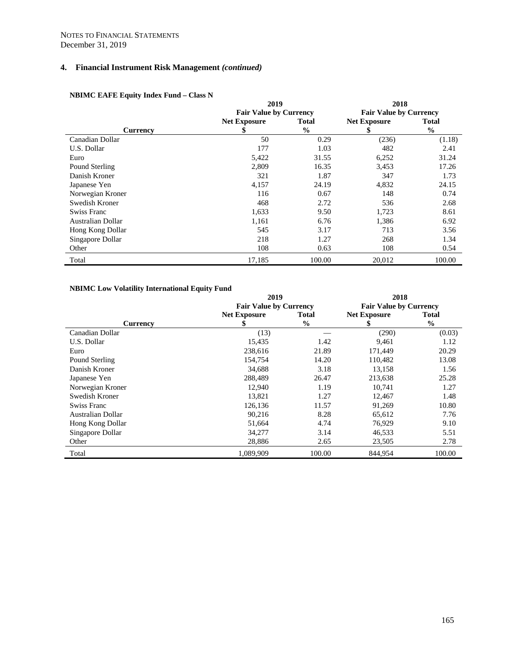|                   | 2019                          |               | 2018                          |               |
|-------------------|-------------------------------|---------------|-------------------------------|---------------|
|                   | <b>Fair Value by Currency</b> |               | <b>Fair Value by Currency</b> |               |
|                   | <b>Net Exposure</b>           | <b>Total</b>  | <b>Net Exposure</b>           | <b>Total</b>  |
| <b>Currency</b>   |                               | $\frac{6}{6}$ |                               | $\frac{0}{0}$ |
| Canadian Dollar   | 50                            | 0.29          | (236)                         | (1.18)        |
| U.S. Dollar       | 177                           | 1.03          | 482                           | 2.41          |
| Euro              | 5,422                         | 31.55         | 6,252                         | 31.24         |
| Pound Sterling    | 2,809                         | 16.35         | 3,453                         | 17.26         |
| Danish Kroner     | 321                           | 1.87          | 347                           | 1.73          |
| Japanese Yen      | 4,157                         | 24.19         | 4,832                         | 24.15         |
| Norwegian Kroner  | 116                           | 0.67          | 148                           | 0.74          |
| Swedish Kroner    | 468                           | 2.72          | 536                           | 2.68          |
| Swiss Franc       | 1,633                         | 9.50          | 1,723                         | 8.61          |
| Australian Dollar | 1,161                         | 6.76          | 1,386                         | 6.92          |
| Hong Kong Dollar  | 545                           | 3.17          | 713                           | 3.56          |
| Singapore Dollar  | 218                           | 1.27          | 268                           | 1.34          |
| Other             | 108                           | 0.63          | 108                           | 0.54          |
| Total             | 17,185                        | 100.00        | 20,012                        | 100.00        |

# **NBIMC EAFE Equity Index Fund – Class N**

# **NBIMC Low Volatility International Equity Fund**

|                    | 2019                          |               | 2018                          |               |
|--------------------|-------------------------------|---------------|-------------------------------|---------------|
|                    | <b>Fair Value by Currency</b> |               | <b>Fair Value by Currency</b> |               |
|                    | <b>Net Exposure</b>           | Total         | <b>Net Exposure</b>           | Total         |
| <b>Currency</b>    |                               | $\frac{0}{0}$ |                               | $\frac{0}{0}$ |
| Canadian Dollar    | (13)                          |               | (290)                         | (0.03)        |
| U.S. Dollar        | 15,435                        | 1.42          | 9,461                         | 1.12          |
| Euro               | 238,616                       | 21.89         | 171,449                       | 20.29         |
| Pound Sterling     | 154,754                       | 14.20         | 110,482                       | 13.08         |
| Danish Kroner      | 34,688                        | 3.18          | 13,158                        | 1.56          |
| Japanese Yen       | 288,489                       | 26.47         | 213,638                       | 25.28         |
| Norwegian Kroner   | 12,940                        | 1.19          | 10,741                        | 1.27          |
| Swedish Kroner     | 13,821                        | 1.27          | 12,467                        | 1.48          |
| <b>Swiss Franc</b> | 126,136                       | 11.57         | 91,269                        | 10.80         |
| Australian Dollar  | 90,216                        | 8.28          | 65,612                        | 7.76          |
| Hong Kong Dollar   | 51,664                        | 4.74          | 76,929                        | 9.10          |
| Singapore Dollar   | 34,277                        | 3.14          | 46,533                        | 5.51          |
| Other              | 28,886                        | 2.65          | 23,505                        | 2.78          |
| Total              | 1,089,909                     | 100.00        | 844,954                       | 100.00        |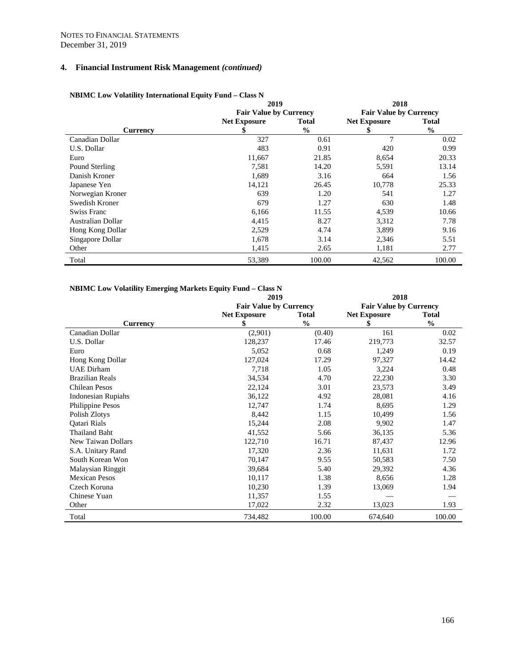|                   | 2019                          |               | 2018                          |               |
|-------------------|-------------------------------|---------------|-------------------------------|---------------|
|                   | <b>Fair Value by Currency</b> |               | <b>Fair Value by Currency</b> |               |
|                   | <b>Net Exposure</b>           | <b>Total</b>  | <b>Net Exposure</b>           | <b>Total</b>  |
| Currency          | S                             | $\frac{6}{6}$ | 5                             | $\frac{0}{0}$ |
| Canadian Dollar   | 327                           | 0.61          | 7                             | 0.02          |
| U.S. Dollar       | 483                           | 0.91          | 420                           | 0.99          |
| Euro              | 11,667                        | 21.85         | 8,654                         | 20.33         |
| Pound Sterling    | 7,581                         | 14.20         | 5,591                         | 13.14         |
| Danish Kroner     | 1,689                         | 3.16          | 664                           | 1.56          |
| Japanese Yen      | 14,121                        | 26.45         | 10,778                        | 25.33         |
| Norwegian Kroner  | 639                           | 1.20          | 541                           | 1.27          |
| Swedish Kroner    | 679                           | 1.27          | 630                           | 1.48          |
| Swiss Franc       | 6,166                         | 11.55         | 4,539                         | 10.66         |
| Australian Dollar | 4,415                         | 8.27          | 3,312                         | 7.78          |
| Hong Kong Dollar  | 2,529                         | 4.74          | 3,899                         | 9.16          |
| Singapore Dollar  | 1,678                         | 3.14          | 2,346                         | 5.51          |
| Other             | 1,415                         | 2.65          | 1,181                         | 2.77          |
| Total             | 53,389                        | 100.00        | 42,562                        | 100.00        |

# **NBIMC Low Volatility International Equity Fund – Class N**

# **NBIMC Low Volatility Emerging Markets Equity Fund – Class N**

|                           | 2019                          |               | 2018                          |               |  |
|---------------------------|-------------------------------|---------------|-------------------------------|---------------|--|
|                           | <b>Fair Value by Currency</b> |               | <b>Fair Value by Currency</b> |               |  |
|                           | <b>Net Exposure</b>           | <b>Total</b>  | <b>Net Exposure</b>           | <b>Total</b>  |  |
| <b>Currency</b>           |                               | $\frac{0}{0}$ | \$                            | $\frac{0}{0}$ |  |
| Canadian Dollar           | (2,901)                       | (0.40)        | 161                           | 0.02          |  |
| U.S. Dollar               | 128,237                       | 17.46         | 219,773                       | 32.57         |  |
| Euro                      | 5,052                         | 0.68          | 1,249                         | 0.19          |  |
| Hong Kong Dollar          | 127,024                       | 17.29         | 97,327                        | 14.42         |  |
| <b>UAE</b> Dirham         | 7,718                         | 1.05          | 3,224                         | 0.48          |  |
| <b>Brazilian Reals</b>    | 34,534                        | 4.70          | 22,230                        | 3.30          |  |
| <b>Chilean Pesos</b>      | 22,124                        | 3.01          | 23,573                        | 3.49          |  |
| <b>Indonesian Rupiahs</b> | 36,122                        | 4.92          | 28,081                        | 4.16          |  |
| Philippine Pesos          | 12,747                        | 1.74          | 8,695                         | 1.29          |  |
| Polish Zlotys             | 8,442                         | 1.15          | 10,499                        | 1.56          |  |
| <b>Oatari Rials</b>       | 15,244                        | 2.08          | 9,902                         | 1.47          |  |
| <b>Thailand Baht</b>      | 41,552                        | 5.66          | 36,135                        | 5.36          |  |
| New Taiwan Dollars        | 122,710                       | 16.71         | 87,437                        | 12.96         |  |
| S.A. Unitary Rand         | 17,320                        | 2.36          | 11,631                        | 1.72          |  |
| South Korean Won          | 70,147                        | 9.55          | 50,583                        | 7.50          |  |
| <b>Malaysian Ringgit</b>  | 39,684                        | 5.40          | 29,392                        | 4.36          |  |
| <b>Mexican Pesos</b>      | 10,117                        | 1.38          | 8,656                         | 1.28          |  |
| Czech Koruna              | 10,230                        | 1.39          | 13,069                        | 1.94          |  |
| Chinese Yuan              | 11,357                        | 1.55          |                               |               |  |
| Other                     | 17,022                        | 2.32          | 13,023                        | 1.93          |  |
| Total                     | 734,482                       | 100.00        | 674,640                       | 100.00        |  |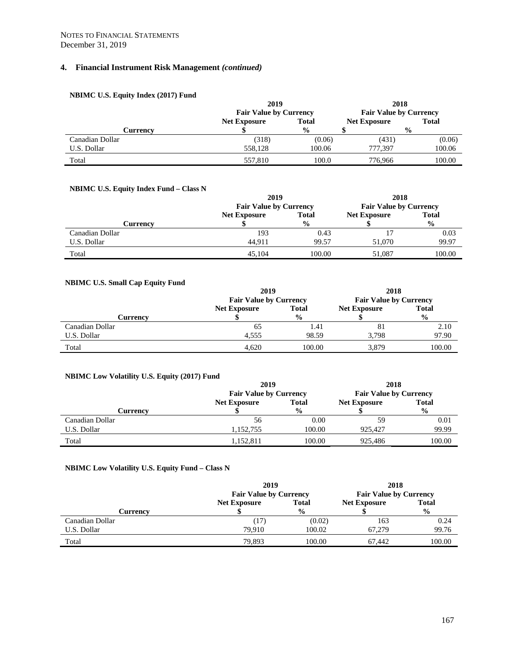# **NBIMC U.S. Equity Index (2017) Fund**

|                 | 2019                          |               | 2018                          |               |
|-----------------|-------------------------------|---------------|-------------------------------|---------------|
|                 | <b>Fair Value by Currency</b> |               | <b>Fair Value by Currency</b> |               |
|                 | <b>Net Exposure</b>           | <b>Total</b>  | <b>Net Exposure</b>           | <b>Total</b>  |
| Currencv        |                               | $\frac{6}{9}$ |                               | $\frac{0}{0}$ |
| Canadian Dollar | (318)                         | (0.06)        | (431)                         | (0.06)        |
| U.S. Dollar     | 558.128                       | 100.06        | 777.397                       | 100.06        |
| Total           | 557,810                       | 100.0         | 776.966                       | 100.00        |

# **NBIMC U.S. Equity Index Fund – Class N**

|                 | 2019                          |               | 2018                          |               |
|-----------------|-------------------------------|---------------|-------------------------------|---------------|
|                 | <b>Fair Value by Currency</b> |               | <b>Fair Value by Currency</b> |               |
|                 | <b>Net Exposure</b>           | <b>Total</b>  | <b>Net Exposure</b>           | <b>Total</b>  |
| Currencv        |                               | $\frac{0}{0}$ |                               | $\frac{0}{0}$ |
| Canadian Dollar | 193                           | 0.43          |                               | 0.03          |
| U.S. Dollar     | 44.911                        | 99.57         | 51,070                        | 99.97         |
| Total           | 45.104                        | 100.00        | 51,087                        | 100.00        |

# **NBIMC U.S. Small Cap Equity Fund**

|                 | 2019                          |               | 2018                          |               |
|-----------------|-------------------------------|---------------|-------------------------------|---------------|
|                 | <b>Fair Value by Currency</b> |               | <b>Fair Value by Currency</b> |               |
|                 | <b>Net Exposure</b>           | <b>Total</b>  | <b>Net Exposure</b>           | <b>Total</b>  |
| Currencv        |                               | $\frac{0}{0}$ |                               | $\frac{0}{0}$ |
| Canadian Dollar | 65                            | 1.41          | 81                            | 2.10          |
| U.S. Dollar     | 4.555                         | 98.59         | 3.798                         | 97.90         |
| Total           | 4,620                         | 100.00        | 3,879                         | 100.00        |

# **NBIMC Low Volatility U.S. Equity (2017) Fund**

|                 | 2019                |                               | 2018                |                               |
|-----------------|---------------------|-------------------------------|---------------------|-------------------------------|
|                 |                     | <b>Fair Value by Currency</b> |                     | <b>Fair Value by Currency</b> |
|                 | <b>Net Exposure</b> | <b>Total</b>                  | <b>Net Exposure</b> | <b>Total</b>                  |
| Currencv        |                     | $\frac{0}{0}$                 |                     | $\frac{0}{0}$                 |
| Canadian Dollar | 56                  | 0.00                          | 59                  | 0.01                          |
| U.S. Dollar     | 1,152,755           | 100.00                        | 925.427             | 99.99                         |
| Total           | 1,152,811           | 100.00                        | 925.486             | 100.00                        |

# **NBIMC Low Volatility U.S. Equity Fund – Class N**

|                 | 2019                          |               | 2018<br><b>Fair Value by Currency</b> |               |
|-----------------|-------------------------------|---------------|---------------------------------------|---------------|
|                 | <b>Fair Value by Currency</b> |               |                                       |               |
|                 | <b>Net Exposure</b>           | <b>Total</b>  | <b>Net Exposure</b>                   | <b>Total</b>  |
| Currencv        |                               | $\frac{0}{0}$ |                                       | $\frac{0}{0}$ |
| Canadian Dollar | (17)                          | (0.02)        | 163                                   | 0.24          |
| U.S. Dollar     | 79.910                        | 100.02        | 67.279                                | 99.76         |
| Total           | 79,893                        | 100.00        | 67.442                                | 100.00        |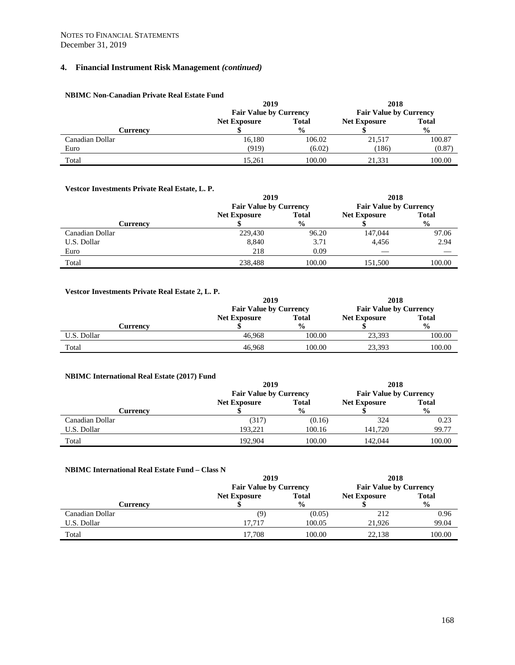#### **NBIMC Non-Canadian Private Real Estate Fund**

|                 | 2019                          |               | 2018<br><b>Fair Value by Currency</b> |               |
|-----------------|-------------------------------|---------------|---------------------------------------|---------------|
|                 | <b>Fair Value by Currency</b> |               |                                       |               |
|                 | <b>Net Exposure</b>           | <b>Total</b>  | <b>Net Exposure</b>                   | <b>Total</b>  |
| Currencv        |                               | $\frac{6}{9}$ |                                       | $\frac{0}{0}$ |
| Canadian Dollar | 16,180                        | 106.02        | 21,517                                | 100.87        |
| Euro            | (919)                         | (6.02)        | (186)                                 | (0.87)        |
| Total           | 15.261                        | 100.00        | 21,331                                | 100.00        |

#### **Vestcor Investments Private Real Estate, L. P.**

|                 | 2019                          |               | 2018                          |               |
|-----------------|-------------------------------|---------------|-------------------------------|---------------|
|                 | <b>Fair Value by Currency</b> |               | <b>Fair Value by Currency</b> |               |
|                 | <b>Net Exposure</b>           | <b>Total</b>  | <b>Net Exposure</b>           | <b>Total</b>  |
| Currency        |                               | $\frac{6}{9}$ |                               | $\frac{0}{0}$ |
| Canadian Dollar | 229,430                       | 96.20         | 147,044                       | 97.06         |
| U.S. Dollar     | 8,840                         | 3.71          | 4,456                         | 2.94          |
| Euro            | 218                           | 0.09          |                               |               |
| Total           | 238,488                       | 100.00        | 151,500                       | 100.00        |

#### **Vestcor Investments Private Real Estate 2, L. P. 2019 Fair Value by Currency 2018 Fair Value by Currency Currency Net Exposure \$ Total % Net Exposure \$ Total %** U.S. Dollar 100.00 100.00 100.00 100.00 100.00 100.00 100.00 100.00 100.00 100.00 100.00 100.00 100.00 100.00 1 Total 46,968 100.00 23,393 100.00

| <b>NBIMC International Real Estate (2017) Fund</b> |                               |               |                               |               |  |  |
|----------------------------------------------------|-------------------------------|---------------|-------------------------------|---------------|--|--|
|                                                    | 2019                          |               | 2018                          |               |  |  |
|                                                    | <b>Fair Value by Currency</b> |               | <b>Fair Value by Currency</b> |               |  |  |
|                                                    | <b>Net Exposure</b>           | <b>Total</b>  | <b>Net Exposure</b>           | <b>Total</b>  |  |  |
| Currency                                           |                               | $\frac{0}{0}$ |                               | $\frac{0}{0}$ |  |  |
| Canadian Dollar                                    | (317)                         | (0.16)        | 324                           | 0.23          |  |  |
| U.S. Dollar                                        | 193.221                       | 100.16        | 141.720                       | 99.77         |  |  |
| Total                                              | 192.904                       | 100.00        | 142,044                       | 100.00        |  |  |

#### **NBIMC International Real Estate Fund – Class N**

|                 | 2019                          |               | 2018                          |               |
|-----------------|-------------------------------|---------------|-------------------------------|---------------|
|                 | <b>Fair Value by Currency</b> |               | <b>Fair Value by Currency</b> |               |
|                 | <b>Net Exposure</b>           | <b>Total</b>  | <b>Net Exposure</b>           | <b>Total</b>  |
| Currencv        |                               | $\frac{6}{6}$ |                               | $\frac{0}{0}$ |
| Canadian Dollar | (9)                           | (0.05)        | 212                           | 0.96          |
| U.S. Dollar     | 17.717                        | 100.05        | 21.926                        | 99.04         |
| Total           | 17.708                        | 100.00        | 22,138                        | 100.00        |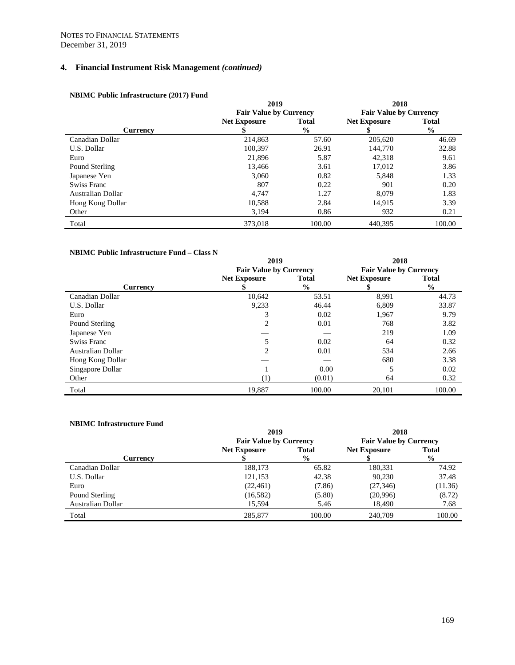|                   | 2019                          |               | 2018                          |               |
|-------------------|-------------------------------|---------------|-------------------------------|---------------|
|                   | <b>Fair Value by Currency</b> |               | <b>Fair Value by Currency</b> |               |
|                   | <b>Net Exposure</b>           | <b>Total</b>  | <b>Net Exposure</b>           | <b>Total</b>  |
| <b>Currency</b>   |                               | $\frac{6}{9}$ |                               | $\frac{0}{0}$ |
| Canadian Dollar   | 214,863                       | 57.60         | 205,620                       | 46.69         |
| U.S. Dollar       | 100.397                       | 26.91         | 144,770                       | 32.88         |
| Euro              | 21,896                        | 5.87          | 42,318                        | 9.61          |
| Pound Sterling    | 13,466                        | 3.61          | 17,012                        | 3.86          |
| Japanese Yen      | 3.060                         | 0.82          | 5,848                         | 1.33          |
| Swiss Franc       | 807                           | 0.22          | 901                           | 0.20          |
| Australian Dollar | 4,747                         | 1.27          | 8.079                         | 1.83          |
| Hong Kong Dollar  | 10.588                        | 2.84          | 14.915                        | 3.39          |
| Other             | 3,194                         | 0.86          | 932                           | 0.21          |
| Total             | 373,018                       | 100.00        | 440.395                       | 100.00        |

# **NBIMC Public Infrastructure (2017) Fund**

#### **NBIMC Public Infrastructure Fund – Class N**

|                   | 2019                          |               | 2018                          |               |
|-------------------|-------------------------------|---------------|-------------------------------|---------------|
|                   | <b>Fair Value by Currency</b> |               | <b>Fair Value by Currency</b> |               |
|                   | <b>Net Exposure</b>           | <b>Total</b>  | <b>Net Exposure</b>           | <b>Total</b>  |
| <b>Currency</b>   |                               | $\frac{0}{0}$ |                               | $\frac{6}{6}$ |
| Canadian Dollar   | 10,642                        | 53.51         | 8,991                         | 44.73         |
| U.S. Dollar       | 9,233                         | 46.44         | 6,809                         | 33.87         |
| Euro              | 3                             | 0.02          | 1,967                         | 9.79          |
| Pound Sterling    | 2                             | 0.01          | 768                           | 3.82          |
| Japanese Yen      |                               |               | 219                           | 1.09          |
| Swiss Franc       |                               | 0.02          | 64                            | 0.32          |
| Australian Dollar | $\mathfrak{D}_{\mathfrak{p}}$ | 0.01          | 534                           | 2.66          |
| Hong Kong Dollar  |                               |               | 680                           | 3.38          |
| Singapore Dollar  |                               | 0.00          |                               | 0.02          |
| Other             | (1)                           | (0.01)        | 64                            | 0.32          |
| Total             | 19,887                        | 100.00        | 20,101                        | 100.00        |

#### **NBIMC Infrastructure Fund**

|                   | 2019                          |              | 2018                          |               |
|-------------------|-------------------------------|--------------|-------------------------------|---------------|
|                   | <b>Fair Value by Currency</b> |              | <b>Fair Value by Currency</b> |               |
|                   | <b>Net Exposure</b>           | <b>Total</b> | <b>Net Exposure</b>           | <b>Total</b>  |
| <b>Currency</b>   |                               | $\%$         |                               | $\frac{6}{6}$ |
| Canadian Dollar   | 188,173                       | 65.82        | 180,331                       | 74.92         |
| U.S. Dollar       | 121,153                       | 42.38        | 90,230                        | 37.48         |
| Euro              | (22, 461)                     | (7.86)       | (27, 346)                     | (11.36)       |
| Pound Sterling    | (16, 582)                     | (5.80)       | (20,996)                      | (8.72)        |
| Australian Dollar | 15,594                        | 5.46         | 18,490                        | 7.68          |
| Total             | 285,877                       | 100.00       | 240,709                       | 100.00        |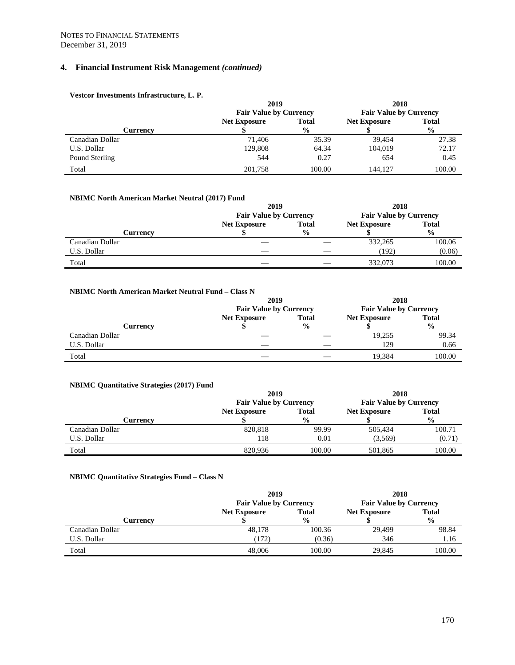| Vestcor Investments Infrastructure, L. P. |                               |               |                               |               |
|-------------------------------------------|-------------------------------|---------------|-------------------------------|---------------|
|                                           | 2019                          |               | 2018                          |               |
|                                           | <b>Fair Value by Currency</b> |               | <b>Fair Value by Currency</b> |               |
|                                           | <b>Net Exposure</b>           | <b>Total</b>  | <b>Net Exposure</b>           | <b>Total</b>  |
| <b>Currency</b>                           |                               | $\frac{0}{0}$ |                               | $\frac{0}{0}$ |
| Canadian Dollar                           | 71.406                        | 35.39         | 39.454                        | 27.38         |
| U.S. Dollar                               | 129,808                       | 64.34         | 104,019                       | 72.17         |
| Pound Sterling                            | 544                           | 0.27          | 654                           | 0.45          |
| Total                                     | 201.758                       | 100.00        | 144,127                       | 100.00        |

# **NBIMC North American Market Neutral (2017) Fund**

|                 | 2019                          |               | 2018                          |               |
|-----------------|-------------------------------|---------------|-------------------------------|---------------|
|                 | <b>Fair Value by Currency</b> |               | <b>Fair Value by Currency</b> |               |
|                 | <b>Net Exposure</b>           | <b>Total</b>  | <b>Net Exposure</b>           | <b>Total</b>  |
| Currency        |                               | $\frac{0}{0}$ |                               | $\frac{0}{0}$ |
| Canadian Dollar |                               |               | 332,265                       | 100.06        |
| U.S. Dollar     |                               |               | (192)                         | (0.06)        |
| Total           |                               |               | 332,073                       | 100.00        |

#### **NBIMC North American Market Neutral Fund – Class N**

|                 | 2019                          |               | 2018                          |               |
|-----------------|-------------------------------|---------------|-------------------------------|---------------|
|                 | <b>Fair Value by Currency</b> |               | <b>Fair Value by Currency</b> |               |
|                 | <b>Net Exposure</b>           | <b>Total</b>  | <b>Net Exposure</b>           | <b>Total</b>  |
| Currencv        |                               | $\frac{0}{0}$ |                               | $\frac{0}{0}$ |
| Canadian Dollar |                               |               | 19,255                        | 99.34         |
| U.S. Dollar     |                               |               | 129                           | 0.66          |
| Total           |                               |               | 19.384                        | 100.00        |

#### **NBIMC Quantitative Strategies (2017) Fund**

|                 | 2019                          |               | 2018                          |               |
|-----------------|-------------------------------|---------------|-------------------------------|---------------|
|                 | <b>Fair Value by Currency</b> |               | <b>Fair Value by Currency</b> |               |
|                 | <b>Net Exposure</b>           | <b>Total</b>  | <b>Net Exposure</b>           | <b>Total</b>  |
| Currencv        |                               | $\frac{0}{0}$ |                               | $\frac{0}{0}$ |
| Canadian Dollar | 820,818                       | 99.99         | 505,434                       | 100.71        |
| U.S. Dollar     | 118                           | 0.01          | (3,569)                       | (0.71)        |
| Total           | 820,936                       | 100.00        | 501,865                       | 100.00        |

#### **NBIMC Quantitative Strategies Fund – Class N**

|                 | 2019                          |               | 2018                          |               |
|-----------------|-------------------------------|---------------|-------------------------------|---------------|
|                 | <b>Fair Value by Currency</b> |               | <b>Fair Value by Currency</b> |               |
|                 | <b>Net Exposure</b>           | <b>Total</b>  | <b>Net Exposure</b>           | <b>Total</b>  |
| Currencv        |                               | $\frac{6}{9}$ |                               | $\frac{0}{0}$ |
| Canadian Dollar | 48.178                        | 100.36        | 29,499                        | 98.84         |
| U.S. Dollar     | 172)                          | (0.36)        | 346                           | 1.16          |
| Total           | 48,006                        | 100.00        | 29.845                        | 100.00        |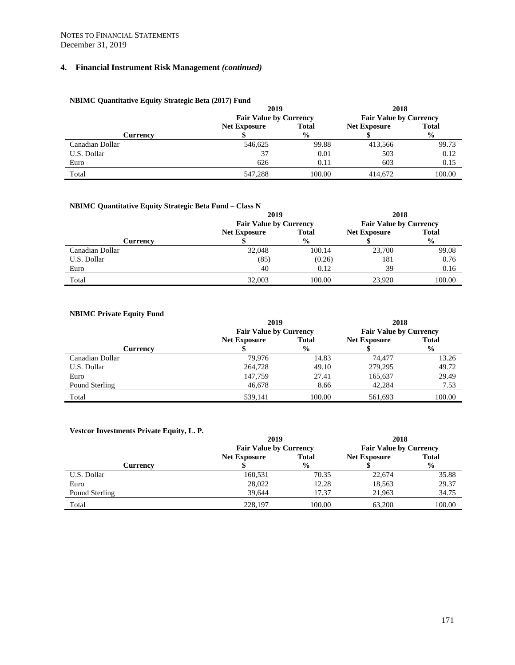#### **NBIMC Quantitative Equity Strategic Beta (2017) Fund**

|                 | 2019                          |               | 2018                          |               |
|-----------------|-------------------------------|---------------|-------------------------------|---------------|
|                 | <b>Fair Value by Currency</b> |               | <b>Fair Value by Currency</b> |               |
|                 | <b>Net Exposure</b>           | <b>Total</b>  | <b>Net Exposure</b>           | <b>Total</b>  |
| Currencv        |                               | $\frac{0}{0}$ |                               | $\frac{0}{0}$ |
| Canadian Dollar | 546,625                       | 99.88         | 413,566                       | 99.73         |
| U.S. Dollar     | 37                            | 0.01          | 503                           | 0.12          |
| Euro            | 626                           | 0.11          | 603                           | 0.15          |
| Total           | 547.288                       | 100.00        | 414,672                       | 100.00        |

#### **NBIMC Quantitative Equity Strategic Beta Fund – Class N**

|                 | 2019                          |               | 2018                          |               |  |
|-----------------|-------------------------------|---------------|-------------------------------|---------------|--|
|                 | <b>Fair Value by Currency</b> |               | <b>Fair Value by Currency</b> |               |  |
|                 | <b>Net Exposure</b>           | <b>Total</b>  | <b>Net Exposure</b>           | <b>Total</b>  |  |
| Currencv        |                               | $\frac{0}{0}$ |                               | $\frac{0}{0}$ |  |
| Canadian Dollar | 32,048                        | 100.14        | 23,700                        | 99.08         |  |
| U.S. Dollar     | (85)                          | (0.26)        | 181                           | 0.76          |  |
| Euro            | 40                            | 0.12          | 39                            | 0.16          |  |
| Total           | 32,003                        | 100.00        | 23,920                        | 100.00        |  |

# **NBIMC Private Equity Fund**

|                 | 2019                          |               | 2018                          |               |  |
|-----------------|-------------------------------|---------------|-------------------------------|---------------|--|
|                 | <b>Fair Value by Currency</b> |               | <b>Fair Value by Currency</b> |               |  |
|                 | <b>Net Exposure</b>           | <b>Total</b>  | <b>Net Exposure</b>           | <b>Total</b>  |  |
| Currency        |                               | $\frac{6}{9}$ |                               | $\frac{0}{0}$ |  |
| Canadian Dollar | 79.976                        | 14.83         | 74,477                        | 13.26         |  |
| U.S. Dollar     | 264,728                       | 49.10         | 279,295                       | 49.72         |  |
| Euro            | 147,759                       | 27.41         | 165,637                       | 29.49         |  |
| Pound Sterling  | 46,678                        | 8.66          | 42,284                        | 7.53          |  |
| Total           | 539.141                       | 100.00        | 561.693                       | 100.00        |  |

# **Vestcor Investments Private Equity, L. P.**

|                | 2019                          |                                     | 2018                          |               |  |
|----------------|-------------------------------|-------------------------------------|-------------------------------|---------------|--|
|                | <b>Fair Value by Currency</b> |                                     | <b>Fair Value by Currency</b> |               |  |
|                | <b>Net Exposure</b>           | <b>Total</b><br><b>Net Exposure</b> |                               | <b>Total</b>  |  |
| Currencv       |                               | $\frac{6}{9}$                       |                               | $\frac{0}{0}$ |  |
| U.S. Dollar    | 160,531                       | 70.35                               | 22,674                        | 35.88         |  |
| Euro           | 28,022                        | 12.28                               | 18,563                        | 29.37         |  |
| Pound Sterling | 39.644                        | 17.37                               | 21.963                        | 34.75         |  |
| Total          | 228,197                       | 100.00                              | 63,200                        | 100.00        |  |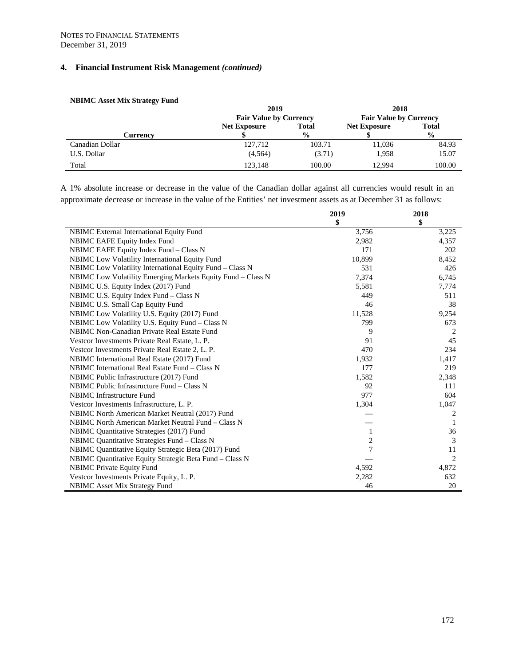|                 | 2019                          |               | 2018                          |               |  |
|-----------------|-------------------------------|---------------|-------------------------------|---------------|--|
|                 | <b>Fair Value by Currency</b> |               | <b>Fair Value by Currency</b> |               |  |
|                 | <b>Net Exposure</b>           | <b>Total</b>  | <b>Net Exposure</b>           | <b>Total</b>  |  |
| Currency        |                               | $\frac{0}{0}$ |                               | $\frac{0}{0}$ |  |
| Canadian Dollar | 127,712                       | 103.71        | 11,036                        | 84.93         |  |
| U.S. Dollar     | (4, 564)                      | (3.71)        | 1.958                         | 15.07         |  |
| Total           | 123.148                       | 100.00        | 12.994                        | 100.00        |  |

#### **NBIMC Asset Mix Strategy Fund**

A 1% absolute increase or decrease in the value of the Canadian dollar against all currencies would result in an approximate decrease or increase in the value of the Entities' net investment assets as at December 31 as follows:

|                                                             | 2019   | 2018  |
|-------------------------------------------------------------|--------|-------|
|                                                             | \$     | \$    |
| NBIMC External International Equity Fund                    | 3,756  | 3,225 |
| NBIMC EAFE Equity Index Fund                                | 2,982  | 4,357 |
| NBIMC EAFE Equity Index Fund – Class N                      | 171    | 202   |
| NBIMC Low Volatility International Equity Fund              | 10,899 | 8,452 |
| NBIMC Low Volatility International Equity Fund - Class N    | 531    | 426   |
| NBIMC Low Volatility Emerging Markets Equity Fund – Class N | 7,374  | 6,745 |
| NBIMC U.S. Equity Index (2017) Fund                         | 5,581  | 7,774 |
| NBIMC U.S. Equity Index Fund – Class N                      | 449    | 511   |
| NBIMC U.S. Small Cap Equity Fund                            | 46     | 38    |
| NBIMC Low Volatility U.S. Equity (2017) Fund                | 11,528 | 9,254 |
| NBIMC Low Volatility U.S. Equity Fund - Class N             | 799    | 673   |
| NBIMC Non-Canadian Private Real Estate Fund                 | 9      | 2     |
| Vestcor Investments Private Real Estate, L. P.              | 91     | 45    |
| Vestcor Investments Private Real Estate 2, L. P.            | 470    | 234   |
| NBIMC International Real Estate (2017) Fund                 | 1,932  | 1,417 |
| NBIMC International Real Estate Fund – Class N              | 177    | 219   |
| NBIMC Public Infrastructure (2017) Fund                     | 1,582  | 2,348 |
| NBIMC Public Infrastructure Fund – Class N                  | 92     | 111   |
| <b>NBIMC</b> Infrastructure Fund                            | 977    | 604   |
| Vestcor Investments Infrastructure, L. P.                   | 1,304  | 1,047 |
| NBIMC North American Market Neutral (2017) Fund             |        | 2     |
| NBIMC North American Market Neutral Fund – Class N          |        | 1     |
| NBIMC Quantitative Strategies (2017) Fund                   | 1      | 36    |
| NBIMC Quantitative Strategies Fund – Class N                | 2      | 3     |
| NBIMC Quantitative Equity Strategic Beta (2017) Fund        | 7      | 11    |
| NBIMC Quantitative Equity Strategic Beta Fund - Class N     |        | 2     |
| <b>NBIMC</b> Private Equity Fund                            | 4,592  | 4,872 |
| Vestcor Investments Private Equity, L. P.                   | 2,282  | 632   |
| <b>NBIMC</b> Asset Mix Strategy Fund                        | 46     | 20    |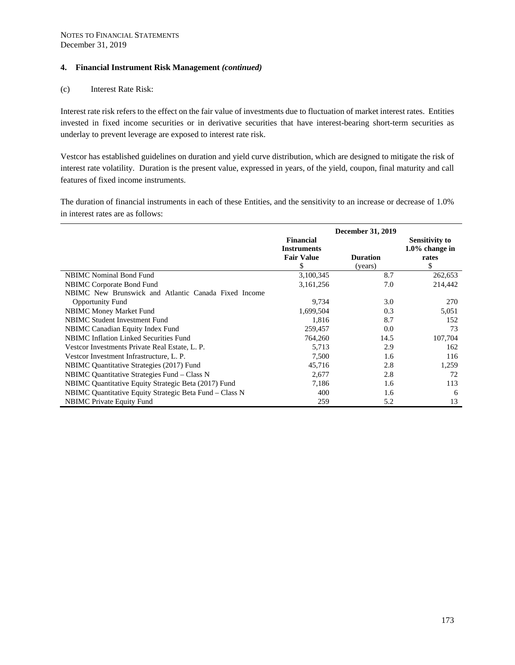#### (c) Interest Rate Risk:

Interest rate risk refers to the effect on the fair value of investments due to fluctuation of market interest rates. Entities invested in fixed income securities or in derivative securities that have interest-bearing short-term securities as underlay to prevent leverage are exposed to interest rate risk.

Vestcor has established guidelines on duration and yield curve distribution, which are designed to mitigate the risk of interest rate volatility. Duration is the present value, expressed in years, of the yield, coupon, final maturity and call features of fixed income instruments.

The duration of financial instruments in each of these Entities, and the sensitivity to an increase or decrease of 1.0% in interest rates are as follows:

|                                                         | <b>December 31, 2019</b>                                   |                            |                                                          |  |  |
|---------------------------------------------------------|------------------------------------------------------------|----------------------------|----------------------------------------------------------|--|--|
|                                                         | Financial<br><b>Instruments</b><br><b>Fair Value</b><br>\$ | <b>Duration</b><br>(years) | <b>Sensitivity to</b><br>$1.0\%$ change in<br>rates<br>S |  |  |
| <b>NBIMC</b> Nominal Bond Fund                          | 3,100,345                                                  | 8.7                        | 262,653                                                  |  |  |
| NBIMC Corporate Bond Fund                               | 3,161,256                                                  | 7.0                        | 214,442                                                  |  |  |
| NBIMC New Brunswick and Atlantic Canada Fixed Income    |                                                            |                            |                                                          |  |  |
| <b>Opportunity Fund</b>                                 | 9,734                                                      | 3.0                        | 270                                                      |  |  |
| <b>NBIMC Money Market Fund</b>                          | 1,699,504                                                  | 0.3                        | 5,051                                                    |  |  |
| <b>NBIMC Student Investment Fund</b>                    | 1,816                                                      | 8.7                        | 152                                                      |  |  |
| NBIMC Canadian Equity Index Fund                        | 259,457                                                    | 0.0                        | 73                                                       |  |  |
| <b>NBIMC</b> Inflation Linked Securities Fund           | 764,260                                                    | 14.5                       | 107,704                                                  |  |  |
| Vestcor Investments Private Real Estate, L. P.          | 5,713                                                      | 2.9                        | 162                                                      |  |  |
| Vestcor Investment Infrastructure, L. P.                | 7,500                                                      | 1.6                        | 116                                                      |  |  |
| NBIMC Quantitative Strategies (2017) Fund               | 45,716                                                     | 2.8                        | 1,259                                                    |  |  |
| NBIMC Quantitative Strategies Fund – Class N            | 2,677                                                      | 2.8                        | 72                                                       |  |  |
| NBIMC Quantitative Equity Strategic Beta (2017) Fund    | 7,186                                                      | 1.6                        | 113                                                      |  |  |
| NBIMC Quantitative Equity Strategic Beta Fund – Class N | 400                                                        | 1.6                        | 6                                                        |  |  |
| <b>NBIMC</b> Private Equity Fund                        | 259                                                        | 5.2                        | 13                                                       |  |  |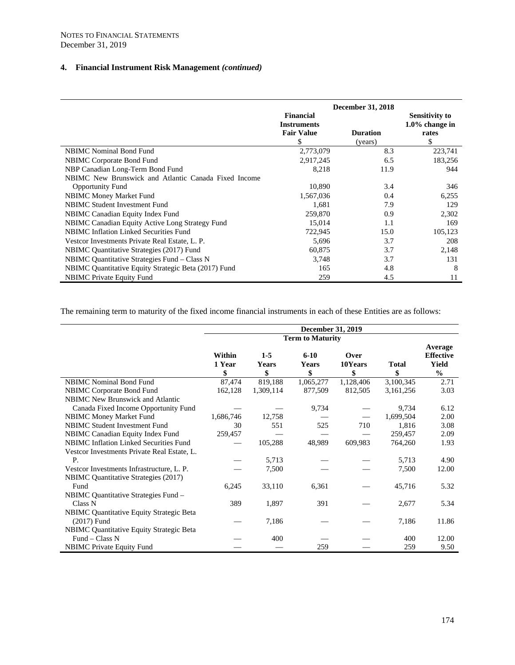|                                                      | December 31, 2018                      |                 |                                            |  |  |
|------------------------------------------------------|----------------------------------------|-----------------|--------------------------------------------|--|--|
|                                                      | <b>Financial</b><br><b>Instruments</b> |                 | <b>Sensitivity to</b><br>$1.0\%$ change in |  |  |
|                                                      | <b>Fair Value</b>                      | <b>Duration</b> | rates                                      |  |  |
|                                                      | \$                                     | (years)         | \$                                         |  |  |
| <b>NBIMC</b> Nominal Bond Fund                       | 2,773,079                              | 8.3             | 223,741                                    |  |  |
| <b>NBIMC</b> Corporate Bond Fund                     | 2,917,245                              | 6.5             | 183,256                                    |  |  |
| NBP Canadian Long-Term Bond Fund                     | 8,218                                  | 11.9            | 944                                        |  |  |
| NBIMC New Brunswick and Atlantic Canada Fixed Income |                                        |                 |                                            |  |  |
| <b>Opportunity Fund</b>                              | 10,890                                 | 3.4             | 346                                        |  |  |
| <b>NBIMC Money Market Fund</b>                       | 1,567,036                              | 0.4             | 6,255                                      |  |  |
| <b>NBIMC Student Investment Fund</b>                 | 1,681                                  | 7.9             | 129                                        |  |  |
| NBIMC Canadian Equity Index Fund                     | 259,870                                | 0.9             | 2,302                                      |  |  |
| NBIMC Canadian Equity Active Long Strategy Fund      | 15,014                                 | 1.1             | 169                                        |  |  |
| NBIMC Inflation Linked Securities Fund               | 722,945                                | 15.0            | 105,123                                    |  |  |
| Vestcor Investments Private Real Estate, L. P.       | 5,696                                  | 3.7             | 208                                        |  |  |
| NBIMC Quantitative Strategies (2017) Fund            | 60,875                                 | 3.7             | 2,148                                      |  |  |
| NBIMC Quantitative Strategies Fund – Class N         | 3,748                                  | 3.7             | 131                                        |  |  |
| NBIMC Quantitative Equity Strategic Beta (2017) Fund | 165                                    | 4.8             | 8                                          |  |  |
| <b>NBIMC</b> Private Equity Fund                     | 259                                    | 4.5             | 11                                         |  |  |

The remaining term to maturity of the fixed income financial instruments in each of these Entities are as follows:

|                                                 |                         |                      | <b>December 31, 2019</b> |                       |                    |                                                              |
|-------------------------------------------------|-------------------------|----------------------|--------------------------|-----------------------|--------------------|--------------------------------------------------------------|
|                                                 | <b>Term to Maturity</b> |                      |                          |                       |                    |                                                              |
|                                                 | Within<br>1 Year<br>\$  | $1-5$<br>Years<br>\$ | $6 - 10$<br>Years<br>\$  | Over<br>10Years<br>\$ | <b>Total</b><br>\$ | Average<br><b>Effective</b><br><b>Yield</b><br>$\frac{0}{0}$ |
| <b>NBIMC</b> Nominal Bond Fund                  | 87,474                  | 819,188              | 1,065,277                | 1,128,406             | 3,100,345          | 2.71                                                         |
| NBIMC Corporate Bond Fund                       | 162,128                 | 1,309,114            | 877,509                  | 812,505               | 3,161,256          | 3.03                                                         |
| <b>NBIMC</b> New Brunswick and Atlantic         |                         |                      |                          |                       |                    |                                                              |
| Canada Fixed Income Opportunity Fund            |                         |                      | 9,734                    |                       | 9,734              | 6.12                                                         |
| NBIMC Money Market Fund                         | 1,686,746               | 12,758               |                          |                       | 1,699,504          | 2.00                                                         |
| NBIMC Student Investment Fund                   | 30                      | 551                  | 525                      | 710                   | 1,816              | 3.08                                                         |
| NBIMC Canadian Equity Index Fund                | 259,457                 |                      |                          |                       | 259,457            | 2.09                                                         |
| <b>NBIMC</b> Inflation Linked Securities Fund   |                         | 105,288              | 48,989                   | 609,983               | 764,260            | 1.93                                                         |
| Vestcor Investments Private Real Estate, L.     |                         |                      |                          |                       |                    |                                                              |
| P.                                              |                         | 5,713                |                          |                       | 5,713              | 4.90                                                         |
| Vestcor Investments Infrastructure, L. P.       |                         | 7,500                |                          |                       | 7,500              | 12.00                                                        |
| <b>NBIMC</b> Quantitative Strategies (2017)     |                         |                      |                          |                       |                    |                                                              |
| Fund                                            | 6,245                   | 33,110               | 6,361                    |                       | 45,716             | 5.32                                                         |
| NBIMC Quantitative Strategies Fund -            |                         |                      |                          |                       |                    |                                                              |
| Class N                                         | 389                     | 1,897                | 391                      |                       | 2,677              | 5.34                                                         |
| <b>NBIMC</b> Quantitative Equity Strategic Beta |                         |                      |                          |                       |                    |                                                              |
| $(2017)$ Fund                                   |                         | 7,186                |                          |                       | 7,186              | 11.86                                                        |
| <b>NBIMC</b> Quantitative Equity Strategic Beta |                         |                      |                          |                       |                    |                                                              |
| Fund $-$ Class N                                |                         | 400                  |                          |                       | 400                | 12.00                                                        |
| <b>NBIMC</b> Private Equity Fund                |                         |                      | 259                      |                       | 259                | 9.50                                                         |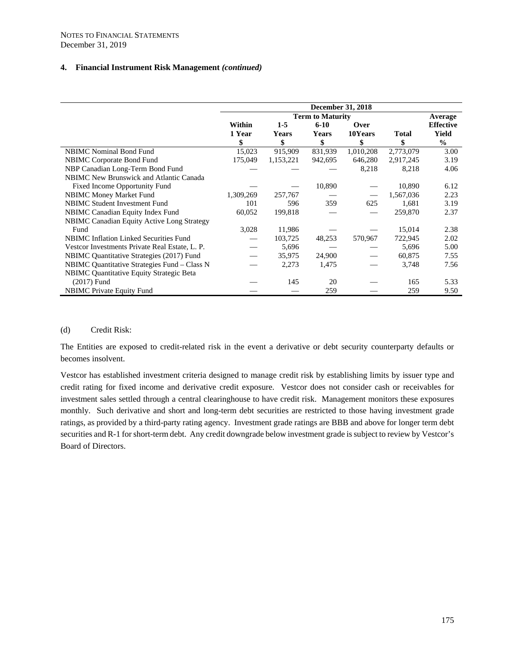|                                                   | <b>December 31, 2018</b> |              |          |           |           |                  |
|---------------------------------------------------|--------------------------|--------------|----------|-----------|-----------|------------------|
|                                                   | <b>Term to Maturity</b>  |              |          |           |           | Average          |
|                                                   | Within                   | $1-5$        | $6 - 10$ | Over      |           | <b>Effective</b> |
|                                                   | 1 Year                   | <b>Years</b> | Years    | 10Years   | Total     | Yield            |
|                                                   | \$                       | \$           | \$       | \$        | \$        | $\frac{0}{0}$    |
| <b>NBIMC</b> Nominal Bond Fund                    | 15,023                   | 915,909      | 831,939  | 1,010,208 | 2,773,079 | 3.00             |
| <b>NBIMC</b> Corporate Bond Fund                  | 175,049                  | 1,153,221    | 942,695  | 646,280   | 2,917,245 | 3.19             |
| NBP Canadian Long-Term Bond Fund                  |                          |              |          | 8,218     | 8,218     | 4.06             |
| <b>NBIMC</b> New Brunswick and Atlantic Canada    |                          |              |          |           |           |                  |
| <b>Fixed Income Opportunity Fund</b>              |                          |              | 10,890   |           | 10,890    | 6.12             |
| <b>NBIMC Money Market Fund</b>                    | 1,309,269                | 257,767      |          |           | 1,567,036 | 2.23             |
| NBIMC Student Investment Fund                     | 101                      | 596          | 359      | 625       | 1,681     | 3.19             |
| NBIMC Canadian Equity Index Fund                  | 60,052                   | 199,818      |          |           | 259,870   | 2.37             |
| <b>NBIMC Canadian Equity Active Long Strategy</b> |                          |              |          |           |           |                  |
| Fund                                              | 3,028                    | 11,986       |          |           | 15,014    | 2.38             |
| <b>NBIMC</b> Inflation Linked Securities Fund     |                          | 103,725      | 48,253   | 570,967   | 722,945   | 2.02             |
| Vestcor Investments Private Real Estate, L. P.    |                          | 5,696        |          |           | 5,696     | 5.00             |
| NBIMC Quantitative Strategies (2017) Fund         |                          | 35,975       | 24,900   |           | 60,875    | 7.55             |
| NBIMC Quantitative Strategies Fund – Class N      |                          | 2,273        | 1,475    |           | 3,748     | 7.56             |
| NBIMC Quantitative Equity Strategic Beta          |                          |              |          |           |           |                  |
| $(2017)$ Fund                                     |                          | 145          | 20       |           | 165       | 5.33             |
| <b>NBIMC</b> Private Equity Fund                  |                          |              | 259      |           | 259       | 9.50             |

#### (d) Credit Risk:

The Entities are exposed to credit-related risk in the event a derivative or debt security counterparty defaults or becomes insolvent.

Vestcor has established investment criteria designed to manage credit risk by establishing limits by issuer type and credit rating for fixed income and derivative credit exposure. Vestcor does not consider cash or receivables for investment sales settled through a central clearinghouse to have credit risk. Management monitors these exposures monthly. Such derivative and short and long-term debt securities are restricted to those having investment grade ratings, as provided by a third-party rating agency. Investment grade ratings are BBB and above for longer term debt securities and R-1 for short-term debt. Any credit downgrade below investment grade is subject to review by Vestcor's Board of Directors.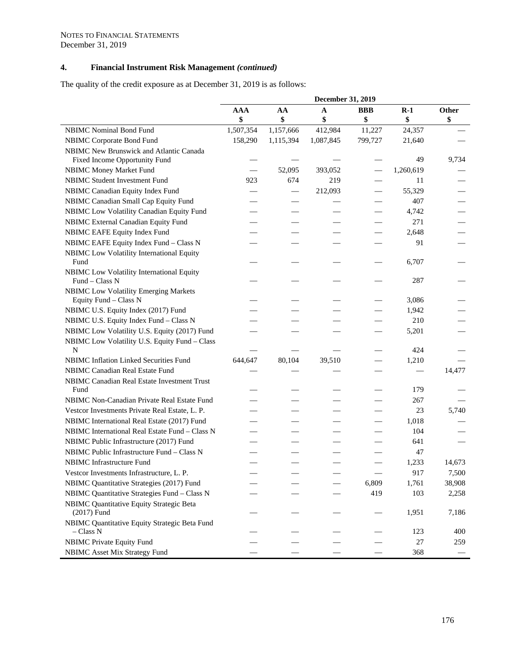The quality of the credit exposure as at December 31, 2019 is as follows:

|                                                                                  | December 31, 2019 |           |           |            |           |        |
|----------------------------------------------------------------------------------|-------------------|-----------|-----------|------------|-----------|--------|
|                                                                                  | <b>AAA</b>        | AA        | A         | <b>BBB</b> | $R-1$     | Other  |
|                                                                                  | \$                | \$        | \$        | \$         | \$        | \$     |
| <b>NBIMC</b> Nominal Bond Fund                                                   | 1,507,354         | 1,157,666 | 412,984   | 11,227     | 24,357    |        |
| NBIMC Corporate Bond Fund                                                        | 158,290           | 1,115,394 | 1,087,845 | 799,727    | 21,640    |        |
| NBIMC New Brunswick and Atlantic Canada                                          |                   |           |           |            |           |        |
| Fixed Income Opportunity Fund                                                    |                   |           |           |            | 49        | 9,734  |
| NBIMC Money Market Fund                                                          |                   | 52,095    | 393,052   |            | 1,260,619 |        |
| <b>NBIMC Student Investment Fund</b>                                             | 923               | 674       | 219       |            | 11        |        |
| NBIMC Canadian Equity Index Fund                                                 |                   |           | 212,093   |            | 55,329    |        |
| NBIMC Canadian Small Cap Equity Fund                                             |                   |           |           |            | 407       |        |
| NBIMC Low Volatility Canadian Equity Fund                                        |                   |           |           |            | 4,742     |        |
| NBIMC External Canadian Equity Fund                                              |                   |           |           |            | 271       |        |
| NBIMC EAFE Equity Index Fund                                                     |                   |           |           |            | 2,648     |        |
| NBIMC EAFE Equity Index Fund - Class N                                           |                   |           |           |            | 91        |        |
| NBIMC Low Volatility International Equity                                        |                   |           |           |            |           |        |
| Fund                                                                             |                   |           |           |            | 6,707     |        |
| NBIMC Low Volatility International Equity                                        |                   |           |           |            |           |        |
| Fund - Class N                                                                   |                   |           |           |            | 287       |        |
| <b>NBIMC Low Volatility Emerging Markets</b>                                     |                   |           |           |            |           |        |
| Equity Fund - Class N                                                            |                   |           |           |            | 3,086     |        |
| NBIMC U.S. Equity Index (2017) Fund                                              |                   |           |           |            | 1,942     |        |
| NBIMC U.S. Equity Index Fund - Class N                                           |                   |           |           |            | 210       |        |
| NBIMC Low Volatility U.S. Equity (2017) Fund                                     |                   |           |           |            | 5,201     |        |
| NBIMC Low Volatility U.S. Equity Fund - Class<br>N                               |                   |           |           |            | 424       |        |
|                                                                                  |                   | 80,104    |           |            |           |        |
| NBIMC Inflation Linked Securities Fund<br><b>NBIMC Canadian Real Estate Fund</b> | 644,647           |           | 39,510    |            | 1,210     |        |
|                                                                                  |                   |           |           |            |           | 14,477 |
| NBIMC Canadian Real Estate Investment Trust<br>Fund                              |                   |           |           |            | 179       |        |
| NBIMC Non-Canadian Private Real Estate Fund                                      |                   |           |           |            | 267       |        |
| Vestcor Investments Private Real Estate, L. P.                                   |                   |           |           |            | 23        | 5,740  |
| NBIMC International Real Estate (2017) Fund                                      |                   |           |           |            | 1,018     |        |
| NBIMC International Real Estate Fund - Class N                                   |                   |           |           |            | 104       |        |
| NBIMC Public Infrastructure (2017) Fund                                          |                   |           |           |            | 641       |        |
| NBIMC Public Infrastructure Fund - Class N                                       |                   |           |           |            |           |        |
| <b>NBIMC</b> Infrastructure Fund                                                 |                   |           |           |            | 47        |        |
|                                                                                  |                   |           |           |            | 1,233     | 14,673 |
| Vestcor Investments Infrastructure, L. P.                                        |                   |           |           |            | 917       | 7,500  |
| NBIMC Quantitative Strategies (2017) Fund                                        |                   |           |           | 6,809      | 1,761     | 38,908 |
| NBIMC Quantitative Strategies Fund - Class N                                     |                   |           |           | 419        | 103       | 2,258  |
| NBIMC Quantitative Equity Strategic Beta                                         |                   |           |           |            |           |        |
| $(2017)$ Fund                                                                    |                   |           |           |            | 1,951     | 7,186  |
| NBIMC Quantitative Equity Strategic Beta Fund<br>$-$ Class N                     |                   |           |           |            | 123       | 400    |
| <b>NBIMC Private Equity Fund</b>                                                 |                   |           |           |            | 27        | 259    |
| <b>NBIMC</b> Asset Mix Strategy Fund                                             |                   |           |           |            | 368       |        |
|                                                                                  |                   |           |           |            |           |        |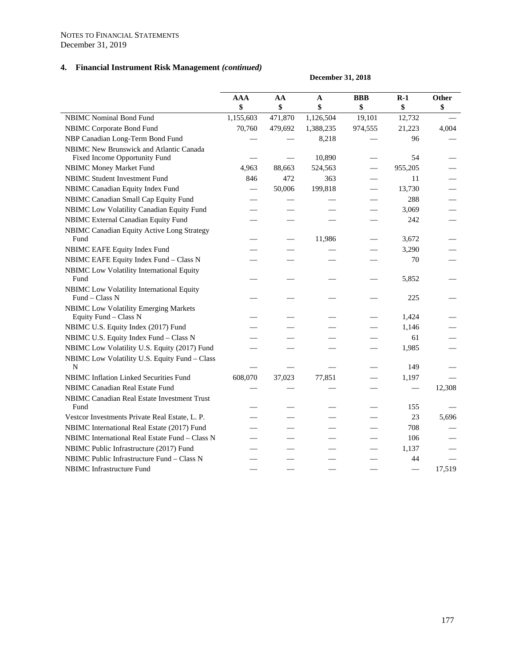|                                                                          | December 31, 2018 |         |           |         |         |              |
|--------------------------------------------------------------------------|-------------------|---------|-----------|---------|---------|--------------|
|                                                                          | <b>AAA</b>        | AA      | A         | BBB     | $R-1$   | <b>Other</b> |
|                                                                          | \$                | \$      | \$        | \$      | \$      | \$           |
| <b>NBIMC</b> Nominal Bond Fund                                           | 1,155,603         | 471,870 | 1,126,504 | 19,101  | 12,732  |              |
| <b>NBIMC Corporate Bond Fund</b>                                         | 70,760            | 479,692 | 1,388,235 | 974,555 | 21,223  | 4,004        |
| NBP Canadian Long-Term Bond Fund                                         |                   |         | 8,218     |         | 96      |              |
| NBIMC New Brunswick and Atlantic Canada<br>Fixed Income Opportunity Fund |                   |         | 10,890    |         | 54      |              |
| <b>NBIMC Money Market Fund</b>                                           | 4,963             | 88,663  | 524,563   |         | 955,205 |              |
| <b>NBIMC Student Investment Fund</b>                                     | 846               | 472     | 363       |         | 11      |              |
| NBIMC Canadian Equity Index Fund                                         |                   | 50,006  | 199,818   |         | 13,730  |              |
| NBIMC Canadian Small Cap Equity Fund                                     |                   |         |           |         | 288     |              |
| NBIMC Low Volatility Canadian Equity Fund                                |                   |         |           |         | 3,069   |              |
| NBIMC External Canadian Equity Fund                                      |                   |         |           |         | 242     |              |
| NBIMC Canadian Equity Active Long Strategy<br>Fund                       |                   |         | 11,986    |         | 3,672   |              |
| NBIMC EAFE Equity Index Fund                                             |                   |         |           |         | 3,290   |              |
| NBIMC EAFE Equity Index Fund - Class N                                   |                   |         |           |         | 70      |              |
| NBIMC Low Volatility International Equity<br>Fund                        |                   |         |           |         | 5,852   |              |
| <b>NBIMC</b> Low Volatility International Equity<br>Fund - Class N       |                   |         |           |         | 225     |              |
| <b>NBIMC Low Volatility Emerging Markets</b><br>Equity Fund - Class N    |                   |         |           |         | 1,424   |              |
| NBIMC U.S. Equity Index (2017) Fund                                      |                   |         |           |         | 1,146   |              |
| NBIMC U.S. Equity Index Fund - Class N                                   |                   |         |           |         | 61      |              |
| NBIMC Low Volatility U.S. Equity (2017) Fund                             |                   |         |           |         | 1,985   |              |
| NBIMC Low Volatility U.S. Equity Fund - Class<br>N                       |                   |         |           |         | 149     |              |
| <b>NBIMC Inflation Linked Securities Fund</b>                            | 608,070           | 37,023  | 77,851    |         | 1,197   |              |
| NBIMC Canadian Real Estate Fund                                          |                   |         |           |         |         | 12,308       |
| NBIMC Canadian Real Estate Investment Trust<br>Fund                      |                   |         |           |         | 155     |              |
| Vestcor Investments Private Real Estate, L. P.                           |                   |         |           |         | 23      | 5,696        |
| NBIMC International Real Estate (2017) Fund                              |                   |         |           |         | 708     |              |
| NBIMC International Real Estate Fund - Class N                           |                   |         |           |         | 106     |              |
| NBIMC Public Infrastructure (2017) Fund                                  |                   |         |           |         | 1,137   |              |
| NBIMC Public Infrastructure Fund - Class N                               |                   |         |           |         | 44      |              |
| NBIMC Infrastructure Fund                                                |                   |         |           |         |         | 17,519       |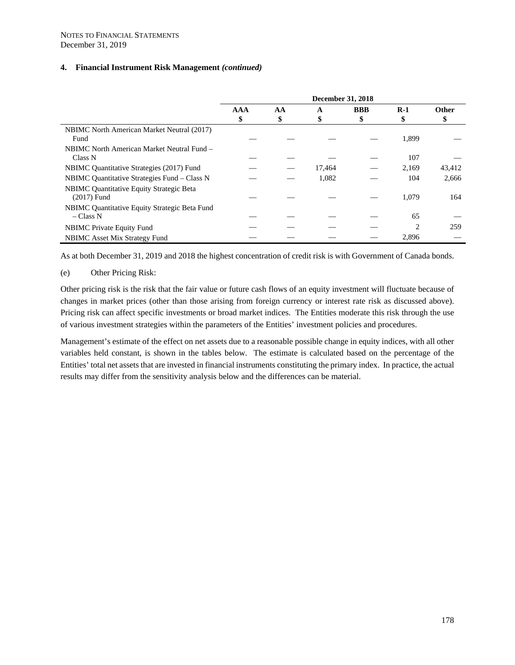|                                                   | December 31, 2018 |    |        |            |       |        |
|---------------------------------------------------|-------------------|----|--------|------------|-------|--------|
|                                                   | <b>AAA</b>        | AA | A      | <b>BBB</b> | $R-1$ | Other  |
|                                                   | \$                | \$ | \$     | \$         |       | \$     |
| <b>NBIMC</b> North American Market Neutral (2017) |                   |    |        |            |       |        |
| Fund                                              |                   |    |        |            | 1,899 |        |
| NBIMC North American Market Neutral Fund –        |                   |    |        |            |       |        |
| Class N                                           |                   |    |        |            | 107   |        |
| NBIMC Quantitative Strategies (2017) Fund         |                   |    | 17,464 |            | 2,169 | 43,412 |
| NBIMC Quantitative Strategies Fund – Class N      |                   |    | 1,082  |            | 104   | 2,666  |
| NBIMC Quantitative Equity Strategic Beta          |                   |    |        |            |       |        |
| $(2017)$ Fund                                     |                   |    |        |            | 1,079 | 164    |
| NBIMC Quantitative Equity Strategic Beta Fund     |                   |    |        |            |       |        |
| $- Class N$                                       |                   |    |        |            | 65    |        |
| <b>NBIMC</b> Private Equity Fund                  |                   |    |        |            | 2     | 259    |
| <b>NBIMC</b> Asset Mix Strategy Fund              |                   |    |        |            | 2,896 |        |

As at both December 31, 2019 and 2018 the highest concentration of credit risk is with Government of Canada bonds.

## (e) Other Pricing Risk:

Other pricing risk is the risk that the fair value or future cash flows of an equity investment will fluctuate because of changes in market prices (other than those arising from foreign currency or interest rate risk as discussed above). Pricing risk can affect specific investments or broad market indices. The Entities moderate this risk through the use of various investment strategies within the parameters of the Entities' investment policies and procedures.

Management's estimate of the effect on net assets due to a reasonable possible change in equity indices, with all other variables held constant, is shown in the tables below. The estimate is calculated based on the percentage of the Entities' total net assets that are invested in financial instruments constituting the primary index. In practice, the actual results may differ from the sensitivity analysis below and the differences can be material.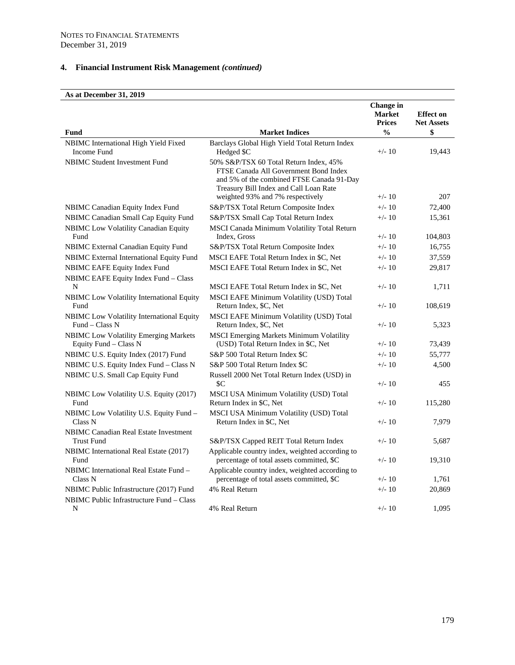#### **As at December 31, 2019**

|                                                                       |                                                                                                                                                                                                            | Change in<br><b>Market</b><br><b>Prices</b> | <b>Effect on</b><br><b>Net Assets</b> |
|-----------------------------------------------------------------------|------------------------------------------------------------------------------------------------------------------------------------------------------------------------------------------------------------|---------------------------------------------|---------------------------------------|
| Fund                                                                  | <b>Market Indices</b>                                                                                                                                                                                      | $\frac{0}{0}$                               | \$                                    |
| NBIMC International High Yield Fixed<br>Income Fund                   | Barclays Global High Yield Total Return Index<br>Hedged \$C                                                                                                                                                | $+/- 10$                                    | 19,443                                |
| <b>NBIMC Student Investment Fund</b>                                  | 50% S&P/TSX 60 Total Return Index, 45%<br>FTSE Canada All Government Bond Index<br>and 5% of the combined FTSE Canada 91-Day<br>Treasury Bill Index and Call Loan Rate<br>weighted 93% and 7% respectively | $+/- 10$                                    | 207                                   |
| NBIMC Canadian Equity Index Fund                                      | S&P/TSX Total Return Composite Index                                                                                                                                                                       | $+/- 10$                                    | 72,400                                |
| NBIMC Canadian Small Cap Equity Fund                                  | S&P/TSX Small Cap Total Return Index                                                                                                                                                                       | $+/- 10$                                    | 15,361                                |
| <b>NBIMC</b> Low Volatility Canadian Equity                           | MSCI Canada Minimum Volatility Total Return                                                                                                                                                                |                                             |                                       |
| Fund                                                                  | Index, Gross                                                                                                                                                                                               | $+/- 10$                                    | 104,803                               |
| NBIMC External Canadian Equity Fund                                   | S&P/TSX Total Return Composite Index                                                                                                                                                                       | $+/- 10$                                    | 16,755                                |
| NBIMC External International Equity Fund                              | MSCI EAFE Total Return Index in \$C, Net                                                                                                                                                                   | $+/- 10$                                    | 37,559                                |
| NBIMC EAFE Equity Index Fund                                          | MSCI EAFE Total Return Index in \$C, Net                                                                                                                                                                   | $+/- 10$                                    | 29,817                                |
| NBIMC EAFE Equity Index Fund - Class                                  |                                                                                                                                                                                                            |                                             |                                       |
| N                                                                     | MSCI EAFE Total Return Index in \$C, Net                                                                                                                                                                   | $+/- 10$                                    | 1,711                                 |
| NBIMC Low Volatility International Equity<br>Fund                     | <b>MSCI EAFE Minimum Volatility (USD) Total</b><br>Return Index, \$C, Net                                                                                                                                  | $+/- 10$                                    | 108,619                               |
| NBIMC Low Volatility International Equity<br>Fund – Class N           | MSCI EAFE Minimum Volatility (USD) Total<br>Return Index, \$C, Net                                                                                                                                         | $+/- 10$                                    | 5,323                                 |
| <b>NBIMC</b> Low Volatility Emerging Markets<br>Equity Fund - Class N | MSCI Emerging Markets Minimum Volatility<br>(USD) Total Return Index in \$C, Net                                                                                                                           | $+/- 10$                                    | 73,439                                |
| NBIMC U.S. Equity Index (2017) Fund                                   | S&P 500 Total Return Index \$C                                                                                                                                                                             | $+/- 10$                                    | 55,777                                |
| NBIMC U.S. Equity Index Fund - Class N                                | S&P 500 Total Return Index \$C                                                                                                                                                                             | $+/- 10$                                    | 4,500                                 |
| NBIMC U.S. Small Cap Equity Fund                                      | Russell 2000 Net Total Return Index (USD) in<br>\$C                                                                                                                                                        | $+/- 10$                                    | 455                                   |
| NBIMC Low Volatility U.S. Equity (2017)<br>Fund                       | MSCI USA Minimum Volatility (USD) Total<br>Return Index in \$C, Net                                                                                                                                        | $+/- 10$                                    | 115,280                               |
| NBIMC Low Volatility U.S. Equity Fund –<br>Class N                    | MSCI USA Minimum Volatility (USD) Total<br>Return Index in \$C, Net                                                                                                                                        | $+/- 10$                                    | 7,979                                 |
| <b>NBIMC</b> Canadian Real Estate Investment<br><b>Trust Fund</b>     | S&P/TSX Capped REIT Total Return Index                                                                                                                                                                     | $+/- 10$                                    | 5,687                                 |
| NBIMC International Real Estate (2017)<br>Fund                        | Applicable country index, weighted according to<br>percentage of total assets committed, \$C                                                                                                               | $+/- 10$                                    | 19,310                                |
| NBIMC International Real Estate Fund -<br>Class N                     | Applicable country index, weighted according to<br>percentage of total assets committed, \$C                                                                                                               | $+/- 10$                                    | 1,761                                 |
| NBIMC Public Infrastructure (2017) Fund                               | 4% Real Return                                                                                                                                                                                             | $+/- 10$                                    | 20,869                                |
| NBIMC Public Infrastructure Fund – Class                              |                                                                                                                                                                                                            |                                             |                                       |
| N                                                                     | 4% Real Return                                                                                                                                                                                             | $+/- 10$                                    | 1,095                                 |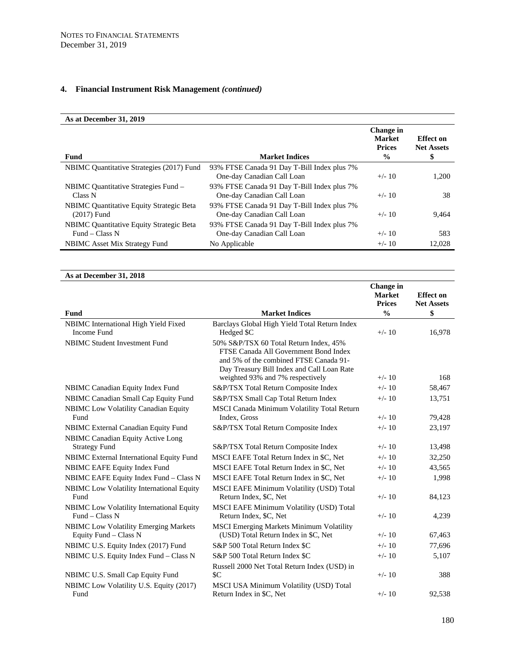# **As at December 31, 2019**

| <b>Fund</b>                                     | <b>Market Indices</b>                       | Change in<br><b>Market</b><br><b>Prices</b><br>$\frac{0}{0}$ | <b>Effect</b> on<br><b>Net Assets</b><br>\$ |
|-------------------------------------------------|---------------------------------------------|--------------------------------------------------------------|---------------------------------------------|
| NBIMC Quantitative Strategies (2017) Fund       | 93% FTSE Canada 91 Day T-Bill Index plus 7% |                                                              |                                             |
|                                                 | One-day Canadian Call Loan                  | $+/- 10$                                                     | 1,200                                       |
| NBIMC Quantitative Strategies Fund -            | 93% FTSE Canada 91 Day T-Bill Index plus 7% |                                                              |                                             |
| Class N                                         | One-day Canadian Call Loan                  | $+/- 10$                                                     | 38                                          |
| <b>NBIMC</b> Quantitative Equity Strategic Beta | 93% FTSE Canada 91 Day T-Bill Index plus 7% |                                                              |                                             |
| $(2017)$ Fund                                   | One-day Canadian Call Loan                  | $+/- 10$                                                     | 9,464                                       |
| NBIMC Quantitative Equity Strategic Beta        | 93% FTSE Canada 91 Day T-Bill Index plus 7% |                                                              |                                             |
| Fund – Class $N$                                | One-day Canadian Call Loan                  | $+/- 10$                                                     | 583                                         |
| NBIMC Asset Mix Strategy Fund                   | No Applicable                               | $+/- 10$                                                     | 12,028                                      |

## **As at December 31, 2018**

|                                                                       |                                                                                                                                                                                                             | Change in<br><b>Market</b> | <b>Effect on</b>  |
|-----------------------------------------------------------------------|-------------------------------------------------------------------------------------------------------------------------------------------------------------------------------------------------------------|----------------------------|-------------------|
|                                                                       |                                                                                                                                                                                                             | <b>Prices</b>              | <b>Net Assets</b> |
| Fund                                                                  | <b>Market Indices</b>                                                                                                                                                                                       | $\frac{0}{0}$              | \$                |
| NBIMC International High Yield Fixed<br><b>Income Fund</b>            | Barclays Global High Yield Total Return Index<br>Hedged \$C                                                                                                                                                 | $+/- 10$                   | 16,978            |
| <b>NBIMC Student Investment Fund</b>                                  | 50% S&P/TSX 60 Total Return Index, 45%<br>FTSE Canada All Government Bond Index<br>and 5% of the combined FTSE Canada 91-<br>Day Treasury Bill Index and Call Loan Rate<br>weighted 93% and 7% respectively | $+/- 10$                   | 168               |
| <b>NBIMC</b> Canadian Equity Index Fund                               | S&P/TSX Total Return Composite Index                                                                                                                                                                        | $+/- 10$                   | 58,467            |
| NBIMC Canadian Small Cap Equity Fund                                  | S&P/TSX Small Cap Total Return Index                                                                                                                                                                        | $+/- 10$                   | 13,751            |
| NBIMC Low Volatility Canadian Equity                                  | MSCI Canada Minimum Volatility Total Return                                                                                                                                                                 |                            |                   |
| Fund                                                                  | Index, Gross                                                                                                                                                                                                | $+/- 10$                   | 79,428            |
| NBIMC External Canadian Equity Fund                                   | S&P/TSX Total Return Composite Index                                                                                                                                                                        | $+/- 10$                   | 23,197            |
| NBIMC Canadian Equity Active Long                                     |                                                                                                                                                                                                             | $+/- 10$                   |                   |
| <b>Strategy Fund</b>                                                  | S&P/TSX Total Return Composite Index                                                                                                                                                                        |                            | 13,498            |
| NBIMC External International Equity Fund                              | MSCI EAFE Total Return Index in \$C, Net                                                                                                                                                                    | $+/- 10$                   | 32,250            |
| NBIMC EAFE Equity Index Fund                                          | MSCI EAFE Total Return Index in \$C, Net                                                                                                                                                                    | $+/- 10$                   | 43,565            |
| NBIMC EAFE Equity Index Fund - Class N                                | MSCI EAFE Total Return Index in \$C, Net                                                                                                                                                                    | $+/- 10$                   | 1,998             |
| NBIMC Low Volatility International Equity<br>Fund                     | MSCI EAFE Minimum Volatility (USD) Total<br>Return Index, \$C, Net                                                                                                                                          | $+/- 10$                   | 84,123            |
| NBIMC Low Volatility International Equity<br>$Fund - Class N$         | MSCI EAFE Minimum Volatility (USD) Total<br>Return Index, \$C, Net                                                                                                                                          | $+/- 10$                   | 4,239             |
| <b>NBIMC</b> Low Volatility Emerging Markets<br>Equity Fund - Class N | <b>MSCI Emerging Markets Minimum Volatility</b><br>(USD) Total Return Index in \$C, Net                                                                                                                     | $+/- 10$                   | 67,463            |
| NBIMC U.S. Equity Index (2017) Fund                                   | S&P 500 Total Return Index \$C                                                                                                                                                                              | $+/- 10$                   | 77,696            |
| NBIMC U.S. Equity Index Fund - Class N                                | S&P 500 Total Return Index \$C                                                                                                                                                                              | $+/- 10$                   | 5,107             |
|                                                                       | Russell 2000 Net Total Return Index (USD) in                                                                                                                                                                |                            |                   |
| NBIMC U.S. Small Cap Equity Fund                                      | \$C                                                                                                                                                                                                         | $+/- 10$                   | 388               |
| NBIMC Low Volatility U.S. Equity (2017)<br>Fund                       | MSCI USA Minimum Volatility (USD) Total<br>Return Index in SC, Net                                                                                                                                          | $+/- 10$                   | 92,538            |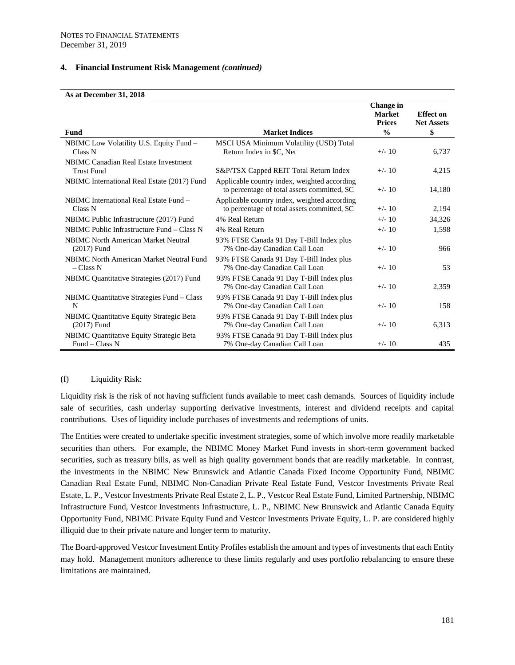#### **As at December 31, 2018**

| As at December 91, 2010                                           |                                                                                              |                                                    |                                       |
|-------------------------------------------------------------------|----------------------------------------------------------------------------------------------|----------------------------------------------------|---------------------------------------|
|                                                                   |                                                                                              | <b>Change</b> in<br><b>Market</b><br><b>Prices</b> | <b>Effect</b> on<br><b>Net Assets</b> |
| <b>Fund</b>                                                       | <b>Market Indices</b>                                                                        | $\frac{0}{0}$                                      | \$                                    |
| NBIMC Low Volatility U.S. Equity Fund -<br>Class N                | MSCI USA Minimum Volatility (USD) Total<br>Return Index in \$C, Net                          | $+/- 10$                                           | 6,737                                 |
| <b>NBIMC Canadian Real Estate Investment</b><br><b>Trust Fund</b> | S&P/TSX Capped REIT Total Return Index                                                       | $+/- 10$                                           | 4,215                                 |
| NBIMC International Real Estate (2017) Fund                       | Applicable country index, weighted according<br>to percentage of total assets committed, \$C | $+/- 10$                                           | 14,180                                |
| NBIMC International Real Estate Fund -<br>Class N                 | Applicable country index, weighted according<br>to percentage of total assets committed, \$C | $+/- 10$                                           | 2,194                                 |
| NBIMC Public Infrastructure (2017) Fund                           | 4% Real Return                                                                               | $+/- 10$                                           | 34,326                                |
| NBIMC Public Infrastructure Fund – Class N                        | 4% Real Return                                                                               | $+/- 10$                                           | 1,598                                 |
| <b>NBIMC</b> North American Market Neutral<br>$(2017)$ Fund       | 93% FTSE Canada 91 Day T-Bill Index plus<br>7% One-day Canadian Call Loan                    | $+/- 10$                                           | 966                                   |
| <b>NBIMC North American Market Neutral Fund</b><br>$-$ Class N    | 93% FTSE Canada 91 Day T-Bill Index plus<br>7% One-day Canadian Call Loan                    | $+/- 10$                                           | 53                                    |
| NBIMC Quantitative Strategies (2017) Fund                         | 93% FTSE Canada 91 Day T-Bill Index plus<br>7% One-day Canadian Call Loan                    | $+/- 10$                                           | 2,359                                 |
| NBIMC Quantitative Strategies Fund - Class<br>N                   | 93% FTSE Canada 91 Day T-Bill Index plus<br>7% One-day Canadian Call Loan                    | $+/- 10$                                           | 158                                   |
| NBIMC Quantitative Equity Strategic Beta<br>$(2017)$ Fund         | 93% FTSE Canada 91 Day T-Bill Index plus<br>7% One-day Canadian Call Loan                    | $+/- 10$                                           | 6,313                                 |
| NBIMC Quantitative Equity Strategic Beta<br>Fund – Class N        | 93% FTSE Canada 91 Day T-Bill Index plus<br>7% One-day Canadian Call Loan                    | $+/- 10$                                           | 435                                   |

#### (f) Liquidity Risk:

Liquidity risk is the risk of not having sufficient funds available to meet cash demands. Sources of liquidity include sale of securities, cash underlay supporting derivative investments, interest and dividend receipts and capital contributions. Uses of liquidity include purchases of investments and redemptions of units.

The Entities were created to undertake specific investment strategies, some of which involve more readily marketable securities than others. For example, the NBIMC Money Market Fund invests in short-term government backed securities, such as treasury bills, as well as high quality government bonds that are readily marketable. In contrast, the investments in the NBIMC New Brunswick and Atlantic Canada Fixed Income Opportunity Fund, NBIMC Canadian Real Estate Fund, NBIMC Non-Canadian Private Real Estate Fund, Vestcor Investments Private Real Estate, L. P., Vestcor Investments Private Real Estate 2, L. P., Vestcor Real Estate Fund, Limited Partnership, NBIMC Infrastructure Fund, Vestcor Investments Infrastructure, L. P., NBIMC New Brunswick and Atlantic Canada Equity Opportunity Fund, NBIMC Private Equity Fund and Vestcor Investments Private Equity, L. P. are considered highly illiquid due to their private nature and longer term to maturity.

The Board-approved Vestcor Investment Entity Profiles establish the amount and types of investments that each Entity may hold. Management monitors adherence to these limits regularly and uses portfolio rebalancing to ensure these limitations are maintained.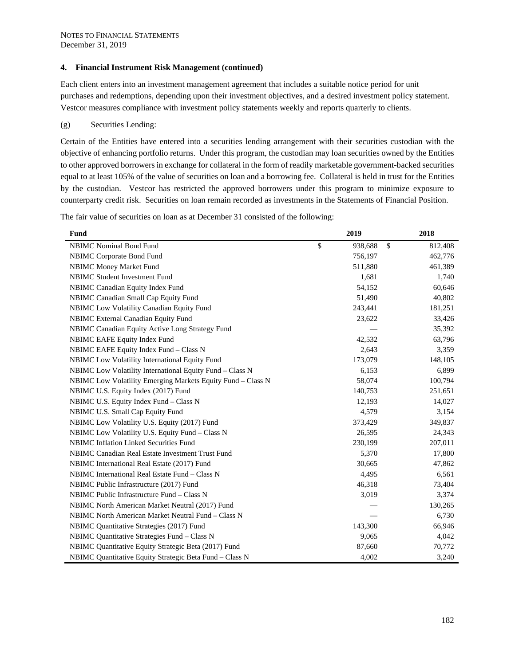Each client enters into an investment management agreement that includes a suitable notice period for unit purchases and redemptions, depending upon their investment objectives, and a desired investment policy statement. Vestcor measures compliance with investment policy statements weekly and reports quarterly to clients.

#### (g) Securities Lending:

Certain of the Entities have entered into a securities lending arrangement with their securities custodian with the objective of enhancing portfolio returns. Under this program, the custodian may loan securities owned by the Entities to other approved borrowers in exchange for collateral in the form of readily marketable government-backed securities equal to at least 105% of the value of securities on loan and a borrowing fee. Collateral is held in trust for the Entities by the custodian. Vestcor has restricted the approved borrowers under this program to minimize exposure to counterparty credit risk. Securities on loan remain recorded as investments in the Statements of Financial Position.

The fair value of securities on loan as at December 31 consisted of the following:

| Fund                                                        | 2019          |              | 2018    |
|-------------------------------------------------------------|---------------|--------------|---------|
| <b>NBIMC</b> Nominal Bond Fund                              | \$<br>938,688 | $\mathbb{S}$ | 812,408 |
| NBIMC Corporate Bond Fund                                   | 756,197       |              | 462,776 |
| <b>NBIMC Money Market Fund</b>                              | 511,880       |              | 461,389 |
| <b>NBIMC Student Investment Fund</b>                        | 1,681         |              | 1,740   |
| NBIMC Canadian Equity Index Fund                            | 54,152        |              | 60,646  |
| NBIMC Canadian Small Cap Equity Fund                        | 51,490        |              | 40,802  |
| NBIMC Low Volatility Canadian Equity Fund                   | 243,441       |              | 181,251 |
| NBIMC External Canadian Equity Fund                         | 23,622        |              | 33,426  |
| NBIMC Canadian Equity Active Long Strategy Fund             |               |              | 35,392  |
| NBIMC EAFE Equity Index Fund                                | 42,532        |              | 63,796  |
| NBIMC EAFE Equity Index Fund - Class N                      | 2,643         |              | 3,359   |
| NBIMC Low Volatility International Equity Fund              | 173,079       |              | 148,105 |
| NBIMC Low Volatility International Equity Fund - Class N    | 6,153         |              | 6,899   |
| NBIMC Low Volatility Emerging Markets Equity Fund - Class N | 58,074        |              | 100,794 |
| NBIMC U.S. Equity Index (2017) Fund                         | 140,753       |              | 251,651 |
| NBIMC U.S. Equity Index Fund - Class N                      | 12,193        |              | 14,027  |
| NBIMC U.S. Small Cap Equity Fund                            | 4,579         |              | 3,154   |
| NBIMC Low Volatility U.S. Equity (2017) Fund                | 373,429       |              | 349,837 |
| NBIMC Low Volatility U.S. Equity Fund - Class N             | 26,595        |              | 24,343  |
| <b>NBIMC</b> Inflation Linked Securities Fund               | 230,199       |              | 207,011 |
| NBIMC Canadian Real Estate Investment Trust Fund            | 5,370         |              | 17,800  |
| NBIMC International Real Estate (2017) Fund                 | 30,665        |              | 47,862  |
| NBIMC International Real Estate Fund - Class N              | 4,495         |              | 6,561   |
| NBIMC Public Infrastructure (2017) Fund                     | 46,318        |              | 73,404  |
| NBIMC Public Infrastructure Fund – Class N                  | 3,019         |              | 3,374   |
| NBIMC North American Market Neutral (2017) Fund             |               |              | 130,265 |
| NBIMC North American Market Neutral Fund - Class N          |               |              | 6,730   |
| NBIMC Quantitative Strategies (2017) Fund                   | 143,300       |              | 66,946  |
| NBIMC Quantitative Strategies Fund - Class N                | 9,065         |              | 4,042   |
| NBIMC Quantitative Equity Strategic Beta (2017) Fund        | 87,660        |              | 70,772  |
| NBIMC Quantitative Equity Strategic Beta Fund - Class N     | 4,002         |              | 3,240   |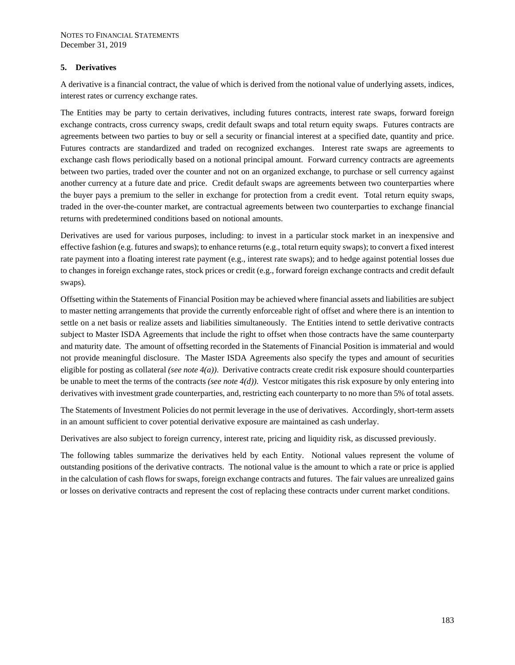#### **5. Derivatives**

A derivative is a financial contract, the value of which is derived from the notional value of underlying assets, indices, interest rates or currency exchange rates.

The Entities may be party to certain derivatives, including futures contracts, interest rate swaps, forward foreign exchange contracts, cross currency swaps, credit default swaps and total return equity swaps. Futures contracts are agreements between two parties to buy or sell a security or financial interest at a specified date, quantity and price. Futures contracts are standardized and traded on recognized exchanges. Interest rate swaps are agreements to exchange cash flows periodically based on a notional principal amount. Forward currency contracts are agreements between two parties, traded over the counter and not on an organized exchange, to purchase or sell currency against another currency at a future date and price. Credit default swaps are agreements between two counterparties where the buyer pays a premium to the seller in exchange for protection from a credit event. Total return equity swaps, traded in the over-the-counter market, are contractual agreements between two counterparties to exchange financial returns with predetermined conditions based on notional amounts.

Derivatives are used for various purposes, including: to invest in a particular stock market in an inexpensive and effective fashion (e.g. futures and swaps); to enhance returns (e.g., total return equity swaps); to convert a fixed interest rate payment into a floating interest rate payment (e.g., interest rate swaps); and to hedge against potential losses due to changes in foreign exchange rates, stock prices or credit (e.g., forward foreign exchange contracts and credit default swaps).

Offsetting within the Statements of Financial Position may be achieved where financial assets and liabilities are subject to master netting arrangements that provide the currently enforceable right of offset and where there is an intention to settle on a net basis or realize assets and liabilities simultaneously. The Entities intend to settle derivative contracts subject to Master ISDA Agreements that include the right to offset when those contracts have the same counterparty and maturity date. The amount of offsetting recorded in the Statements of Financial Position is immaterial and would not provide meaningful disclosure. The Master ISDA Agreements also specify the types and amount of securities eligible for posting as collateral *(see note 4(a))*. Derivative contracts create credit risk exposure should counterparties be unable to meet the terms of the contracts *(see note 4(d))*. Vestcor mitigates this risk exposure by only entering into derivatives with investment grade counterparties, and, restricting each counterparty to no more than 5% of total assets.

The Statements of Investment Policies do not permit leverage in the use of derivatives. Accordingly, short-term assets in an amount sufficient to cover potential derivative exposure are maintained as cash underlay.

Derivatives are also subject to foreign currency, interest rate, pricing and liquidity risk, as discussed previously.

The following tables summarize the derivatives held by each Entity. Notional values represent the volume of outstanding positions of the derivative contracts. The notional value is the amount to which a rate or price is applied in the calculation of cash flows for swaps, foreign exchange contracts and futures. The fair values are unrealized gains or losses on derivative contracts and represent the cost of replacing these contracts under current market conditions.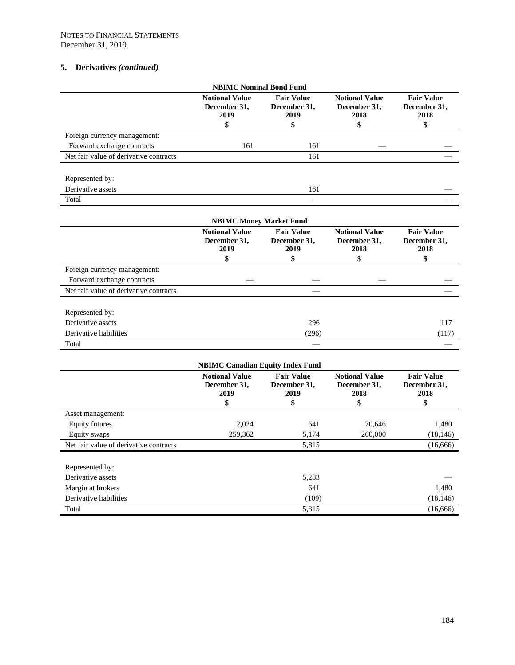|                                        | <b>NBIMC Nominal Bond Fund</b>                      |                                                 |                                                     |                                                 |
|----------------------------------------|-----------------------------------------------------|-------------------------------------------------|-----------------------------------------------------|-------------------------------------------------|
|                                        | <b>Notional Value</b><br>December 31,<br>2019       | <b>Fair Value</b><br>December 31,<br>2019       | <b>Notional Value</b><br>December 31,<br>2018       | <b>Fair Value</b><br>December 31,<br>2018       |
|                                        | \$                                                  | \$                                              | \$                                                  | \$                                              |
| Foreign currency management:           |                                                     |                                                 |                                                     |                                                 |
| Forward exchange contracts             | 161                                                 | 161                                             |                                                     |                                                 |
| Net fair value of derivative contracts |                                                     | 161                                             |                                                     |                                                 |
| Represented by:                        |                                                     |                                                 |                                                     |                                                 |
| Derivative assets                      |                                                     | 161                                             |                                                     |                                                 |
| Total                                  |                                                     |                                                 |                                                     |                                                 |
|                                        | <b>NBIMC Money Market Fund</b>                      |                                                 |                                                     |                                                 |
|                                        | <b>Notional Value</b><br>December 31,<br>2019<br>\$ | <b>Fair Value</b><br>December 31,<br>2019<br>\$ | <b>Notional Value</b><br>December 31,<br>2018<br>\$ | <b>Fair Value</b><br>December 31,<br>2018<br>\$ |
| Foreign currency management:           |                                                     |                                                 |                                                     |                                                 |
| Forward exchange contracts             |                                                     |                                                 |                                                     |                                                 |
| Net fair value of derivative contracts |                                                     |                                                 |                                                     |                                                 |
| Represented by:                        |                                                     |                                                 |                                                     |                                                 |
| Derivative assets                      |                                                     | 296                                             |                                                     | 117                                             |
|                                        |                                                     | (296)                                           |                                                     | (117)                                           |
| Derivative liabilities                 |                                                     |                                                 |                                                     |                                                 |

|                                        | <b>Notional Value</b><br>December 31,<br>2019 | <b>Fair Value</b><br>December 31,<br>2019 | <b>Notional Value</b><br>December 31,<br>2018 | <b>Fair Value</b><br>December 31,<br>2018 |
|----------------------------------------|-----------------------------------------------|-------------------------------------------|-----------------------------------------------|-------------------------------------------|
|                                        | \$                                            | \$                                        | \$                                            | \$                                        |
| Asset management:                      |                                               |                                           |                                               |                                           |
| Equity futures                         | 2,024                                         | 641                                       | 70,646                                        | 1,480                                     |
| Equity swaps                           | 259,362                                       | 5,174                                     | 260,000                                       | (18, 146)                                 |
| Net fair value of derivative contracts |                                               | 5,815                                     |                                               | (16,666)                                  |
| Represented by:                        |                                               |                                           |                                               |                                           |
| Derivative assets                      |                                               | 5,283                                     |                                               |                                           |
| Margin at brokers                      |                                               | 641                                       |                                               | 1,480                                     |
| Derivative liabilities                 |                                               | (109)                                     |                                               | (18, 146)                                 |
| Total                                  |                                               | 5,815                                     |                                               | (16,666)                                  |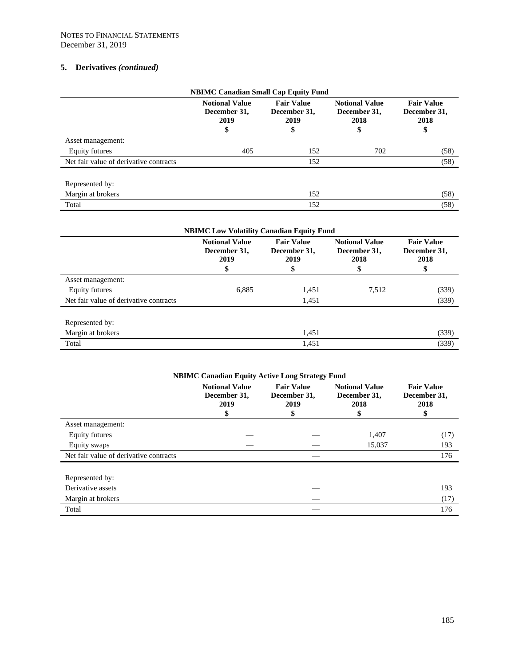| <b>NBIMC Canadian Small Cap Equity Fund</b> |                                               |                                           |                                               |                                           |  |  |  |
|---------------------------------------------|-----------------------------------------------|-------------------------------------------|-----------------------------------------------|-------------------------------------------|--|--|--|
|                                             | <b>Notional Value</b><br>December 31,<br>2019 | <b>Fair Value</b><br>December 31,<br>2019 | <b>Notional Value</b><br>December 31,<br>2018 | <b>Fair Value</b><br>December 31,<br>2018 |  |  |  |
|                                             |                                               | 5                                         | \$                                            | \$                                        |  |  |  |
| Asset management:                           |                                               |                                           |                                               |                                           |  |  |  |
| Equity futures                              | 405                                           | 152                                       | 702                                           | (58)                                      |  |  |  |
| Net fair value of derivative contracts      |                                               | 152                                       |                                               | (58)                                      |  |  |  |
| Represented by:                             |                                               |                                           |                                               |                                           |  |  |  |
| Margin at brokers                           |                                               | 152                                       |                                               | (58)                                      |  |  |  |
| Total                                       |                                               | 152                                       |                                               | (58)                                      |  |  |  |

| <b>NBIMC Low Volatility Canadian Equity Fund</b> |                                                    |                                                 |                                                     |                                                 |  |  |
|--------------------------------------------------|----------------------------------------------------|-------------------------------------------------|-----------------------------------------------------|-------------------------------------------------|--|--|
|                                                  | <b>Notional Value</b><br>December 31,<br>2019<br>ъ | <b>Fair Value</b><br>December 31,<br>2019<br>\$ | <b>Notional Value</b><br>December 31,<br>2018<br>\$ | <b>Fair Value</b><br>December 31,<br>2018<br>\$ |  |  |
| Asset management:                                |                                                    |                                                 |                                                     |                                                 |  |  |
| Equity futures                                   | 6,885                                              | 1,451                                           | 7,512                                               | (339)                                           |  |  |
| Net fair value of derivative contracts           |                                                    | 1,451                                           |                                                     | (339)                                           |  |  |
| Represented by:                                  |                                                    |                                                 |                                                     |                                                 |  |  |
| Margin at brokers                                |                                                    | 1,451                                           |                                                     | (339)                                           |  |  |
| Total                                            |                                                    | 1,451                                           |                                                     | (339)                                           |  |  |

| <b>NBIMC Canadian Equity Active Long Strategy Fund</b> |                                                     |                                                |                                                     |                                                 |
|--------------------------------------------------------|-----------------------------------------------------|------------------------------------------------|-----------------------------------------------------|-------------------------------------------------|
|                                                        | <b>Notional Value</b><br>December 31,<br>2019<br>\$ | <b>Fair Value</b><br>December 31,<br>2019<br>S | <b>Notional Value</b><br>December 31,<br>2018<br>\$ | <b>Fair Value</b><br>December 31,<br>2018<br>\$ |
| Asset management:                                      |                                                     |                                                |                                                     |                                                 |
| Equity futures                                         |                                                     |                                                | 1,407                                               | (17)                                            |
| Equity swaps                                           |                                                     |                                                | 15,037                                              | 193                                             |
| Net fair value of derivative contracts                 |                                                     |                                                |                                                     | 176                                             |
| Represented by:                                        |                                                     |                                                |                                                     |                                                 |
| Derivative assets                                      |                                                     |                                                |                                                     | 193                                             |
| Margin at brokers                                      |                                                     |                                                |                                                     | (17)                                            |
| Total                                                  |                                                     |                                                |                                                     | 176                                             |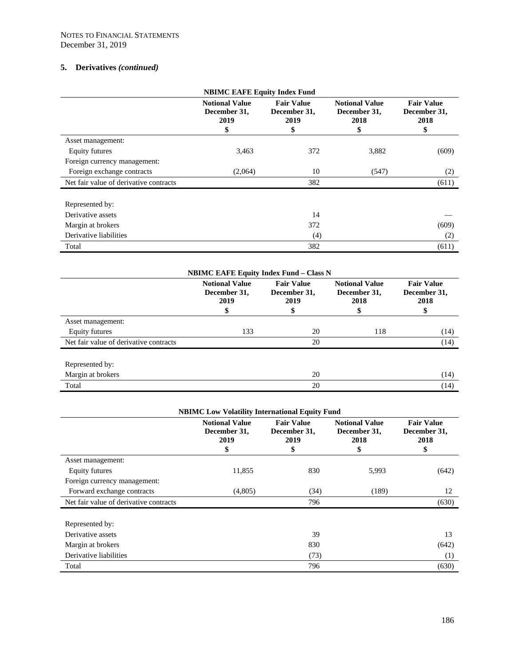| <b>NBIMC EAFE Equity Index Fund</b>    |                                                     |                                                 |                                                     |                                                 |
|----------------------------------------|-----------------------------------------------------|-------------------------------------------------|-----------------------------------------------------|-------------------------------------------------|
|                                        | <b>Notional Value</b><br>December 31,<br>2019<br>\$ | <b>Fair Value</b><br>December 31,<br>2019<br>\$ | <b>Notional Value</b><br>December 31,<br>2018<br>\$ | <b>Fair Value</b><br>December 31,<br>2018<br>\$ |
| Asset management:                      |                                                     |                                                 |                                                     |                                                 |
| Equity futures                         | 3,463                                               | 372                                             | 3,882                                               | (609)                                           |
| Foreign currency management:           |                                                     |                                                 |                                                     |                                                 |
| Foreign exchange contracts             | (2,064)                                             | 10                                              | (547)                                               | (2)                                             |
| Net fair value of derivative contracts |                                                     | 382                                             |                                                     | (611)                                           |
| Represented by:                        |                                                     |                                                 |                                                     |                                                 |
| Derivative assets                      |                                                     | 14                                              |                                                     |                                                 |
| Margin at brokers                      |                                                     | 372                                             |                                                     | (609)                                           |
| Derivative liabilities                 |                                                     | (4)                                             |                                                     | (2)                                             |
| Total                                  |                                                     | 382                                             |                                                     | (611)                                           |

| <b>NBIMC EAFE Equity Index Fund – Class N</b> |                                               |                                                 |                                                     |                                                 |
|-----------------------------------------------|-----------------------------------------------|-------------------------------------------------|-----------------------------------------------------|-------------------------------------------------|
|                                               | <b>Notional Value</b><br>December 31,<br>2019 | <b>Fair Value</b><br>December 31,<br>2019<br>\$ | <b>Notional Value</b><br>December 31,<br>2018<br>\$ | <b>Fair Value</b><br>December 31,<br>2018<br>\$ |
| Asset management:                             |                                               |                                                 |                                                     |                                                 |
| Equity futures                                | 133                                           | 20                                              | 118                                                 | (14)                                            |
| Net fair value of derivative contracts        |                                               | 20                                              |                                                     | (14)                                            |
| Represented by:                               |                                               |                                                 |                                                     |                                                 |
| Margin at brokers                             |                                               | 20                                              |                                                     | (14)                                            |
| Total                                         |                                               | 20                                              |                                                     | (14)                                            |

| <b>NBIMC Low Volatility International Equity Fund</b> |                                                     |                                                 |                                                     |                                                 |
|-------------------------------------------------------|-----------------------------------------------------|-------------------------------------------------|-----------------------------------------------------|-------------------------------------------------|
|                                                       | <b>Notional Value</b><br>December 31,<br>2019<br>\$ | <b>Fair Value</b><br>December 31,<br>2019<br>\$ | <b>Notional Value</b><br>December 31,<br>2018<br>\$ | <b>Fair Value</b><br>December 31,<br>2018<br>\$ |
| Asset management:                                     |                                                     |                                                 |                                                     |                                                 |
| Equity futures                                        | 11,855                                              | 830                                             | 5,993                                               | (642)                                           |
| Foreign currency management:                          |                                                     |                                                 |                                                     |                                                 |
| Forward exchange contracts                            | (4,805)                                             | (34)                                            | (189)                                               | 12                                              |
| Net fair value of derivative contracts                |                                                     | 796                                             |                                                     | (630)                                           |
| Represented by:                                       |                                                     |                                                 |                                                     |                                                 |
| Derivative assets                                     |                                                     | 39                                              |                                                     | 13                                              |
| Margin at brokers                                     |                                                     | 830                                             |                                                     | (642)                                           |
| Derivative liabilities                                |                                                     | (73)                                            |                                                     | (1)                                             |
| Total                                                 |                                                     | 796                                             |                                                     | (630)                                           |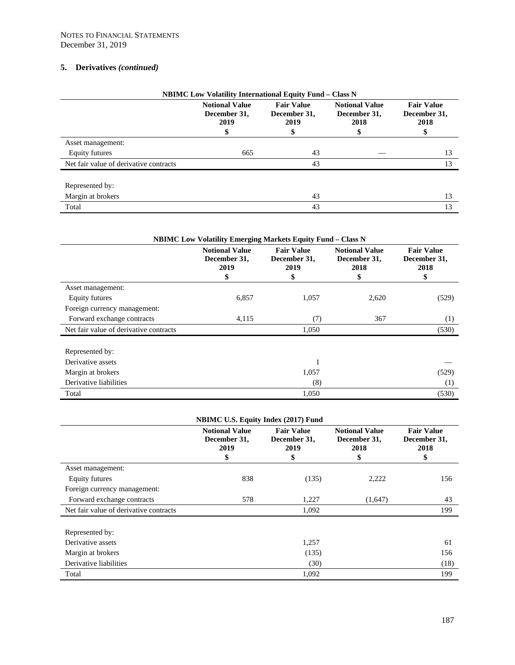| <b>NBIMC Low Volatility International Equity Fund - Class N</b> |                                               |                                                |                                               |                                                 |
|-----------------------------------------------------------------|-----------------------------------------------|------------------------------------------------|-----------------------------------------------|-------------------------------------------------|
|                                                                 | <b>Notional Value</b><br>December 31,<br>2019 | <b>Fair Value</b><br>December 31,<br>2019<br>Φ | <b>Notional Value</b><br>December 31,<br>2018 | <b>Fair Value</b><br>December 31,<br>2018<br>\$ |
| Asset management:                                               |                                               |                                                |                                               |                                                 |
| Equity futures                                                  | 665                                           | 43                                             |                                               | 13                                              |
| Net fair value of derivative contracts                          |                                               | 43                                             |                                               | 13                                              |
| Represented by:                                                 |                                               |                                                |                                               |                                                 |
| Margin at brokers                                               |                                               | 43                                             |                                               | 13                                              |
| Total                                                           |                                               | 43                                             |                                               | 13                                              |

| <b>NBIMC Low Volatility Emerging Markets Equity Fund - Class N</b> |                                                    |                                                 |                                                     |                                                 |  |
|--------------------------------------------------------------------|----------------------------------------------------|-------------------------------------------------|-----------------------------------------------------|-------------------------------------------------|--|
|                                                                    | <b>Notional Value</b><br>December 31,<br>2019<br>ъ | <b>Fair Value</b><br>December 31,<br>2019<br>\$ | <b>Notional Value</b><br>December 31,<br>2018<br>\$ | <b>Fair Value</b><br>December 31,<br>2018<br>\$ |  |
| Asset management:                                                  |                                                    |                                                 |                                                     |                                                 |  |
| Equity futures                                                     | 6,857                                              | 1,057                                           | 2,620                                               | (529)                                           |  |
| Foreign currency management:                                       |                                                    |                                                 |                                                     |                                                 |  |
| Forward exchange contracts                                         | 4,115                                              | (7)                                             | 367                                                 | (1)                                             |  |
| Net fair value of derivative contracts                             |                                                    | 1,050                                           |                                                     | (530)                                           |  |
| Represented by:                                                    |                                                    |                                                 |                                                     |                                                 |  |
| Derivative assets                                                  |                                                    | 1                                               |                                                     |                                                 |  |
| Margin at brokers                                                  |                                                    | 1,057                                           |                                                     | (529)                                           |  |
| Derivative liabilities                                             |                                                    | (8)                                             |                                                     | (1)                                             |  |
| Total                                                              |                                                    | 1,050                                           |                                                     | (530)                                           |  |

| <b>NBIMC U.S. Equity Index (2017) Fund</b> |                                                     |                                                 |                                                     |                                                 |
|--------------------------------------------|-----------------------------------------------------|-------------------------------------------------|-----------------------------------------------------|-------------------------------------------------|
|                                            | <b>Notional Value</b><br>December 31,<br>2019<br>\$ | <b>Fair Value</b><br>December 31,<br>2019<br>\$ | <b>Notional Value</b><br>December 31,<br>2018<br>\$ | <b>Fair Value</b><br>December 31,<br>2018<br>\$ |
| Asset management:                          |                                                     |                                                 |                                                     |                                                 |
| <b>Equity futures</b>                      | 838                                                 | (135)                                           | 2,222                                               | 156                                             |
| Foreign currency management:               |                                                     |                                                 |                                                     |                                                 |
| Forward exchange contracts                 | 578                                                 | 1,227                                           | (1,647)                                             | 43                                              |
| Net fair value of derivative contracts     |                                                     | 1,092                                           |                                                     | 199                                             |
| Represented by:                            |                                                     |                                                 |                                                     |                                                 |
| Derivative assets                          |                                                     | 1,257                                           |                                                     | 61                                              |
| Margin at brokers                          |                                                     | (135)                                           |                                                     | 156                                             |
| Derivative liabilities                     |                                                     | (30)                                            |                                                     | (18)                                            |
| Total                                      |                                                     | 1,092                                           |                                                     | 199                                             |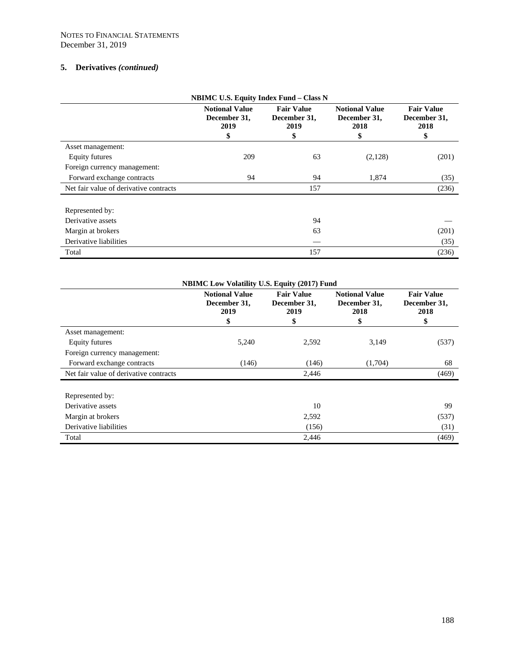| <b>NBIMC U.S. Equity Index Fund - Class N</b> |                                                     |                                                 |                                                     |                                                 |
|-----------------------------------------------|-----------------------------------------------------|-------------------------------------------------|-----------------------------------------------------|-------------------------------------------------|
|                                               | <b>Notional Value</b><br>December 31,<br>2019<br>\$ | <b>Fair Value</b><br>December 31,<br>2019<br>\$ | <b>Notional Value</b><br>December 31,<br>2018<br>\$ | <b>Fair Value</b><br>December 31,<br>2018<br>\$ |
| Asset management:                             |                                                     |                                                 |                                                     |                                                 |
| Equity futures                                | 209                                                 | 63                                              | (2,128)                                             | (201)                                           |
| Foreign currency management:                  |                                                     |                                                 |                                                     |                                                 |
| Forward exchange contracts                    | 94                                                  | 94                                              | 1,874                                               | (35)                                            |
| Net fair value of derivative contracts        |                                                     | 157                                             |                                                     | (236)                                           |
| Represented by:                               |                                                     |                                                 |                                                     |                                                 |
| Derivative assets                             |                                                     | 94                                              |                                                     |                                                 |
| Margin at brokers                             |                                                     | 63                                              |                                                     | (201)                                           |
| Derivative liabilities                        |                                                     |                                                 |                                                     | (35)                                            |
| Total                                         |                                                     | 157                                             |                                                     | (236)                                           |

| <b>NBIMC Low Volatility U.S. Equity (2017) Fund</b> |                                                     |                                                 |                                                     |                                                 |
|-----------------------------------------------------|-----------------------------------------------------|-------------------------------------------------|-----------------------------------------------------|-------------------------------------------------|
|                                                     | <b>Notional Value</b><br>December 31,<br>2019<br>\$ | <b>Fair Value</b><br>December 31,<br>2019<br>\$ | <b>Notional Value</b><br>December 31,<br>2018<br>\$ | <b>Fair Value</b><br>December 31,<br>2018<br>\$ |
| Asset management:                                   |                                                     |                                                 |                                                     |                                                 |
| Equity futures                                      | 5,240                                               | 2,592                                           | 3,149                                               | (537)                                           |
| Foreign currency management:                        |                                                     |                                                 |                                                     |                                                 |
| Forward exchange contracts                          | (146)                                               | (146)                                           | (1,704)                                             | 68                                              |
| Net fair value of derivative contracts              |                                                     | 2,446                                           |                                                     | (469)                                           |
| Represented by:                                     |                                                     |                                                 |                                                     |                                                 |
| Derivative assets                                   |                                                     | 10                                              |                                                     | 99                                              |
| Margin at brokers                                   |                                                     | 2,592                                           |                                                     | (537)                                           |
| Derivative liabilities                              |                                                     | (156)                                           |                                                     | (31)                                            |
| Total                                               |                                                     | 2,446                                           |                                                     | (469)                                           |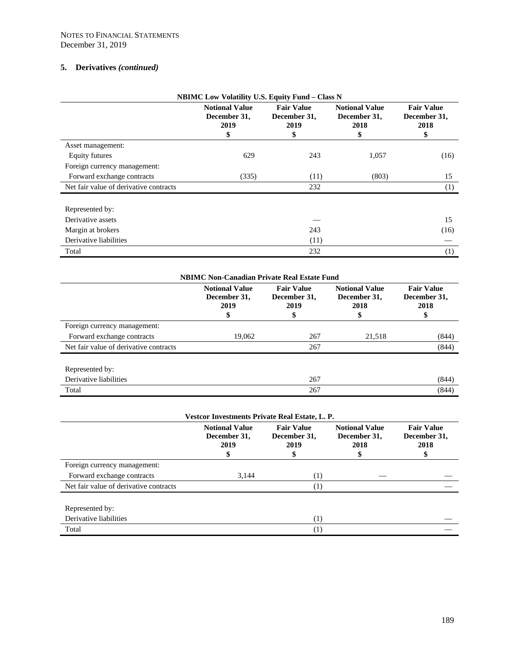| <b>NBIMC Low Volatility U.S. Equity Fund - Class N</b> |                                                     |                                                 |                                                     |                                                 |
|--------------------------------------------------------|-----------------------------------------------------|-------------------------------------------------|-----------------------------------------------------|-------------------------------------------------|
|                                                        | <b>Notional Value</b><br>December 31,<br>2019<br>\$ | <b>Fair Value</b><br>December 31,<br>2019<br>\$ | <b>Notional Value</b><br>December 31,<br>2018<br>\$ | <b>Fair Value</b><br>December 31,<br>2018<br>\$ |
| Asset management:                                      |                                                     |                                                 |                                                     |                                                 |
| <b>Equity futures</b>                                  | 629                                                 | 243                                             | 1,057                                               | (16)                                            |
| Foreign currency management:                           |                                                     |                                                 |                                                     |                                                 |
| Forward exchange contracts                             | (335)                                               | (11)                                            | (803)                                               | 15                                              |
| Net fair value of derivative contracts                 |                                                     | 232                                             |                                                     | (1)                                             |
| Represented by:                                        |                                                     |                                                 |                                                     |                                                 |
| Derivative assets                                      |                                                     |                                                 |                                                     | 15                                              |
| Margin at brokers                                      |                                                     | 243                                             |                                                     | (16)                                            |
| Derivative liabilities                                 |                                                     | (11)                                            |                                                     |                                                 |
| Total                                                  |                                                     | 232                                             |                                                     | (1)                                             |

| <b>NBIMC Non-Canadian Private Real Estate Fund</b> |                                                    |                                                |                                                    |                                                |
|----------------------------------------------------|----------------------------------------------------|------------------------------------------------|----------------------------------------------------|------------------------------------------------|
|                                                    | <b>Notional Value</b><br>December 31,<br>2019<br>J | <b>Fair Value</b><br>December 31,<br>2019<br>S | <b>Notional Value</b><br>December 31,<br>2018<br>5 | <b>Fair Value</b><br>December 31,<br>2018<br>Φ |
| Foreign currency management:                       |                                                    |                                                |                                                    |                                                |
| Forward exchange contracts                         | 19,062                                             | 267                                            | 21,518                                             | (844)                                          |
| Net fair value of derivative contracts             |                                                    | 267                                            |                                                    | (844)                                          |
| Represented by:                                    |                                                    |                                                |                                                    |                                                |
| Derivative liabilities                             |                                                    | 267                                            |                                                    | (844)                                          |
| Total                                              |                                                    | 267                                            |                                                    | (844)                                          |

| Vestcor Investments Private Real Estate, L. P. |                                               |                                           |                                               |                                           |
|------------------------------------------------|-----------------------------------------------|-------------------------------------------|-----------------------------------------------|-------------------------------------------|
|                                                | <b>Notional Value</b><br>December 31,<br>2019 | <b>Fair Value</b><br>December 31,<br>2019 | <b>Notional Value</b><br>December 31,<br>2018 | <b>Fair Value</b><br>December 31,<br>2018 |
| Foreign currency management:                   |                                               |                                           |                                               |                                           |
| Forward exchange contracts                     | 3,144                                         | (1)                                       |                                               |                                           |
| Net fair value of derivative contracts         |                                               | $\left(1\right)$                          |                                               |                                           |
| Represented by:                                |                                               |                                           |                                               |                                           |
| Derivative liabilities                         |                                               | $\left(1\right)$                          |                                               |                                           |
| Total                                          |                                               | $\scriptstyle{(1)}$                       |                                               |                                           |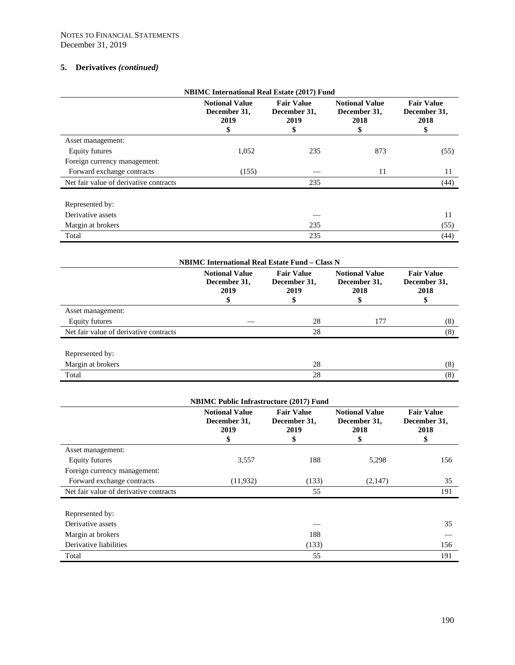| <b>NBIMC</b> International Real Estate (2017) Fund |                                                     |                                                 |                                                     |                                                 |
|----------------------------------------------------|-----------------------------------------------------|-------------------------------------------------|-----------------------------------------------------|-------------------------------------------------|
|                                                    | <b>Notional Value</b><br>December 31,<br>2019<br>\$ | <b>Fair Value</b><br>December 31,<br>2019<br>\$ | <b>Notional Value</b><br>December 31,<br>2018<br>\$ | <b>Fair Value</b><br>December 31,<br>2018<br>\$ |
| Asset management:                                  |                                                     |                                                 |                                                     |                                                 |
| Equity futures                                     | 1,052                                               | 235                                             | 873                                                 | (55)                                            |
| Foreign currency management:                       |                                                     |                                                 |                                                     |                                                 |
| Forward exchange contracts                         | (155)                                               |                                                 | 11                                                  | 11                                              |
| Net fair value of derivative contracts             |                                                     | 235                                             |                                                     | (44)                                            |
| Represented by:                                    |                                                     |                                                 |                                                     |                                                 |
| Derivative assets                                  |                                                     |                                                 |                                                     | 11                                              |
| Margin at brokers                                  |                                                     | 235                                             |                                                     | (55)                                            |
| Total                                              |                                                     | 235                                             |                                                     | (44)                                            |

| <b>NBIMC International Real Estate Fund – Class N</b> |                                                    |                                                  |                                                     |                                                 |
|-------------------------------------------------------|----------------------------------------------------|--------------------------------------------------|-----------------------------------------------------|-------------------------------------------------|
|                                                       | <b>Notional Value</b><br>December 31,<br>2019<br>Φ | <b>Fair Value</b><br>December 31,<br>2019<br>SS. | <b>Notional Value</b><br>December 31,<br>2018<br>\$ | <b>Fair Value</b><br>December 31,<br>2018<br>\$ |
| Asset management:                                     |                                                    |                                                  |                                                     |                                                 |
| Equity futures                                        |                                                    | 28                                               | 177                                                 | (8)                                             |
| Net fair value of derivative contracts                |                                                    | 28                                               |                                                     | (8)                                             |
| Represented by:                                       |                                                    |                                                  |                                                     |                                                 |
| Margin at brokers                                     |                                                    | 28                                               |                                                     | (8)                                             |
| Total                                                 |                                                    | 28                                               |                                                     | (8)                                             |

| <b>NBIMC Public Infrastructure (2017) Fund</b> |                                                     |                                                 |                                                     |                                                 |
|------------------------------------------------|-----------------------------------------------------|-------------------------------------------------|-----------------------------------------------------|-------------------------------------------------|
|                                                | <b>Notional Value</b><br>December 31,<br>2019<br>\$ | <b>Fair Value</b><br>December 31,<br>2019<br>\$ | <b>Notional Value</b><br>December 31,<br>2018<br>\$ | <b>Fair Value</b><br>December 31,<br>2018<br>\$ |
| Asset management:                              |                                                     |                                                 |                                                     |                                                 |
| Equity futures                                 | 3,557                                               | 188                                             | 5,298                                               | 156                                             |
| Foreign currency management:                   |                                                     |                                                 |                                                     |                                                 |
| Forward exchange contracts                     | (11,932)                                            | (133)                                           | (2,147)                                             | 35                                              |
| Net fair value of derivative contracts         |                                                     | 55                                              |                                                     | 191                                             |
| Represented by:                                |                                                     |                                                 |                                                     |                                                 |
| Derivative assets                              |                                                     |                                                 |                                                     | 35                                              |
| Margin at brokers                              |                                                     | 188                                             |                                                     |                                                 |
| Derivative liabilities                         |                                                     | (133)                                           |                                                     | 156                                             |
| Total                                          |                                                     | 55                                              |                                                     | 191                                             |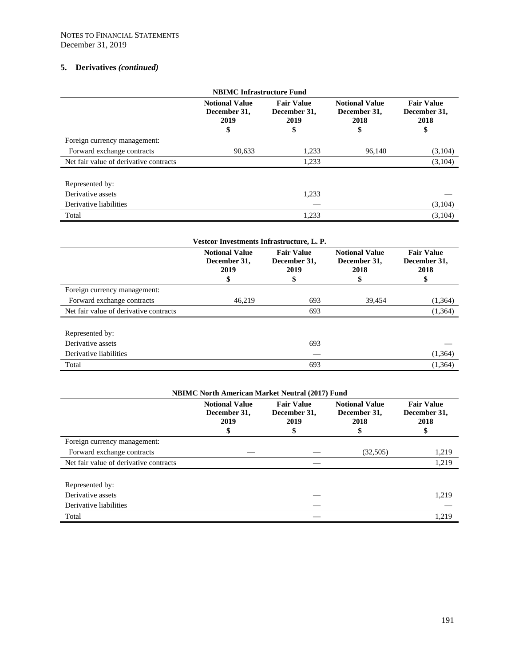| <b>NBIMC</b> Infrastructure Fund       |                                                    |                                                 |                                                     |                                                 |
|----------------------------------------|----------------------------------------------------|-------------------------------------------------|-----------------------------------------------------|-------------------------------------------------|
|                                        | <b>Notional Value</b><br>December 31,<br>2019<br>S | <b>Fair Value</b><br>December 31,<br>2019<br>\$ | <b>Notional Value</b><br>December 31,<br>2018<br>\$ | <b>Fair Value</b><br>December 31,<br>2018<br>\$ |
| Foreign currency management:           |                                                    |                                                 |                                                     |                                                 |
| Forward exchange contracts             | 90,633                                             | 1,233                                           | 96.140                                              | (3,104)                                         |
| Net fair value of derivative contracts |                                                    | 1,233                                           |                                                     | (3,104)                                         |
| Represented by:                        |                                                    |                                                 |                                                     |                                                 |
| Derivative assets                      |                                                    | 1,233                                           |                                                     |                                                 |
| Derivative liabilities                 |                                                    |                                                 |                                                     | (3,104)                                         |
| Total                                  |                                                    | 1,233                                           |                                                     | (3,104)                                         |

| Vestcor Investments Infrastructure, L. P. |                                               |                                                 |                                                     |                                                 |
|-------------------------------------------|-----------------------------------------------|-------------------------------------------------|-----------------------------------------------------|-------------------------------------------------|
|                                           | <b>Notional Value</b><br>December 31,<br>2019 | <b>Fair Value</b><br>December 31,<br>2019<br>\$ | <b>Notional Value</b><br>December 31,<br>2018<br>\$ | <b>Fair Value</b><br>December 31,<br>2018<br>\$ |
| Foreign currency management:              |                                               |                                                 |                                                     |                                                 |
| Forward exchange contracts                | 46,219                                        | 693                                             | 39,454                                              | (1,364)                                         |
| Net fair value of derivative contracts    |                                               | 693                                             |                                                     | (1,364)                                         |
| Represented by:                           |                                               |                                                 |                                                     |                                                 |
| Derivative assets                         |                                               | 693                                             |                                                     |                                                 |
| Derivative liabilities                    |                                               |                                                 |                                                     | (1, 364)                                        |
| Total                                     |                                               | 693                                             |                                                     | (1,364)                                         |

| <b>NBIMC North American Market Neutral (2017) Fund</b> |                                               |                                                 |                                                     |                                                |
|--------------------------------------------------------|-----------------------------------------------|-------------------------------------------------|-----------------------------------------------------|------------------------------------------------|
|                                                        | <b>Notional Value</b><br>December 31,<br>2019 | <b>Fair Value</b><br>December 31,<br>2019<br>\$ | <b>Notional Value</b><br>December 31,<br>2018<br>\$ | <b>Fair Value</b><br>December 31,<br>2018<br>Φ |
| Foreign currency management:                           |                                               |                                                 |                                                     |                                                |
| Forward exchange contracts                             |                                               |                                                 | (32,505)                                            | 1,219                                          |
| Net fair value of derivative contracts                 |                                               |                                                 |                                                     | 1,219                                          |
| Represented by:                                        |                                               |                                                 |                                                     |                                                |
| Derivative assets                                      |                                               |                                                 |                                                     | 1,219                                          |
| Derivative liabilities                                 |                                               |                                                 |                                                     |                                                |
| Total                                                  |                                               |                                                 |                                                     | 1,219                                          |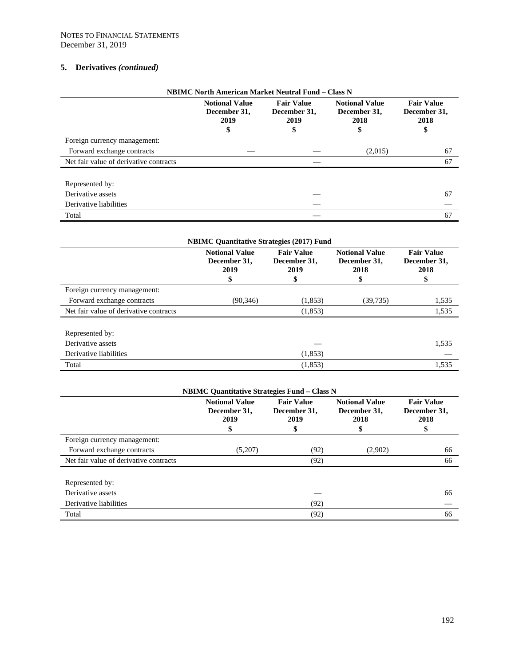| <b>NBIMC North American Market Neutral Fund - Class N</b> |                                               |                                           |                                                    |                                                 |
|-----------------------------------------------------------|-----------------------------------------------|-------------------------------------------|----------------------------------------------------|-------------------------------------------------|
|                                                           | <b>Notional Value</b><br>December 31.<br>2019 | <b>Fair Value</b><br>December 31,<br>2019 | <b>Notional Value</b><br>December 31,<br>2018<br>5 | <b>Fair Value</b><br>December 31,<br>2018<br>\$ |
| Foreign currency management:                              |                                               |                                           |                                                    |                                                 |
| Forward exchange contracts                                |                                               |                                           | (2,015)                                            | 67                                              |
| Net fair value of derivative contracts                    |                                               |                                           |                                                    | 67                                              |
| Represented by:                                           |                                               |                                           |                                                    |                                                 |
| Derivative assets                                         |                                               |                                           |                                                    | 67                                              |
| Derivative liabilities                                    |                                               |                                           |                                                    |                                                 |
| Total                                                     |                                               |                                           |                                                    | 67                                              |

| <b>NBIMC Quantitative Strategies (2017) Fund</b> |                                                     |                                                 |                                                     |                                                 |
|--------------------------------------------------|-----------------------------------------------------|-------------------------------------------------|-----------------------------------------------------|-------------------------------------------------|
|                                                  | <b>Notional Value</b><br>December 31,<br>2019<br>\$ | <b>Fair Value</b><br>December 31,<br>2019<br>\$ | <b>Notional Value</b><br>December 31,<br>2018<br>\$ | <b>Fair Value</b><br>December 31,<br>2018<br>\$ |
| Foreign currency management:                     |                                                     |                                                 |                                                     |                                                 |
| Forward exchange contracts                       | (90, 346)                                           | (1,853)                                         | (39, 735)                                           | 1,535                                           |
| Net fair value of derivative contracts           |                                                     | (1,853)                                         |                                                     | 1,535                                           |
| Represented by:                                  |                                                     |                                                 |                                                     |                                                 |
| Derivative assets                                |                                                     |                                                 |                                                     | 1,535                                           |
| Derivative liabilities                           |                                                     | (1,853)                                         |                                                     |                                                 |
| Total                                            |                                                     | (1,853)                                         |                                                     | 1,535                                           |

| <b>NBIMC Quantitative Strategies Fund - Class N</b> |                                                     |                                                |                                               |                                                 |
|-----------------------------------------------------|-----------------------------------------------------|------------------------------------------------|-----------------------------------------------|-------------------------------------------------|
|                                                     | <b>Notional Value</b><br>December 31.<br>2019<br>\$ | <b>Fair Value</b><br>December 31,<br>2019<br>P | <b>Notional Value</b><br>December 31,<br>2018 | <b>Fair Value</b><br>December 31,<br>2018<br>\$ |
| Foreign currency management:                        |                                                     |                                                |                                               |                                                 |
| Forward exchange contracts                          | (5,207)                                             | (92)                                           | (2,902)                                       | 66                                              |
| Net fair value of derivative contracts              |                                                     | (92)                                           |                                               | 66                                              |
| Represented by:                                     |                                                     |                                                |                                               |                                                 |
| Derivative assets                                   |                                                     |                                                |                                               | 66                                              |
| Derivative liabilities                              |                                                     | (92)                                           |                                               |                                                 |
| Total                                               |                                                     | (92)                                           |                                               | 66                                              |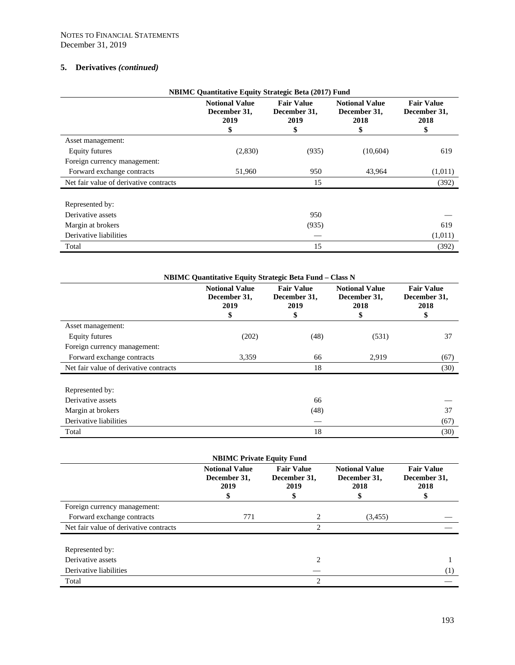| <b>NBIMC Quantitative Equity Strategic Beta (2017) Fund</b> |                                                     |                                                 |                                                     |                                                 |
|-------------------------------------------------------------|-----------------------------------------------------|-------------------------------------------------|-----------------------------------------------------|-------------------------------------------------|
|                                                             | <b>Notional Value</b><br>December 31,<br>2019<br>\$ | <b>Fair Value</b><br>December 31,<br>2019<br>\$ | <b>Notional Value</b><br>December 31,<br>2018<br>\$ | <b>Fair Value</b><br>December 31,<br>2018<br>\$ |
| Asset management:                                           |                                                     |                                                 |                                                     |                                                 |
| Equity futures                                              | (2,830)                                             | (935)                                           | (10,604)                                            | 619                                             |
| Foreign currency management:                                |                                                     |                                                 |                                                     |                                                 |
| Forward exchange contracts                                  | 51,960                                              | 950                                             | 43.964                                              | (1,011)                                         |
| Net fair value of derivative contracts                      |                                                     | 15                                              |                                                     | (392)                                           |
| Represented by:                                             |                                                     |                                                 |                                                     |                                                 |
| Derivative assets                                           |                                                     | 950                                             |                                                     |                                                 |
| Margin at brokers                                           |                                                     | (935)                                           |                                                     | 619                                             |
| Derivative liabilities                                      |                                                     |                                                 |                                                     | (1,011)                                         |
| Total                                                       |                                                     | 15                                              |                                                     | (392)                                           |

| <b>NBIMC Quantitative Equity Strategic Beta Fund – Class N</b> |                                                     |                                                 |                                                     |                                                 |
|----------------------------------------------------------------|-----------------------------------------------------|-------------------------------------------------|-----------------------------------------------------|-------------------------------------------------|
|                                                                | <b>Notional Value</b><br>December 31,<br>2019<br>\$ | <b>Fair Value</b><br>December 31.<br>2019<br>\$ | <b>Notional Value</b><br>December 31,<br>2018<br>\$ | <b>Fair Value</b><br>December 31,<br>2018<br>\$ |
| Asset management:                                              |                                                     |                                                 |                                                     |                                                 |
| Equity futures                                                 | (202)                                               | (48)                                            | (531)                                               | 37                                              |
| Foreign currency management:                                   |                                                     |                                                 |                                                     |                                                 |
| Forward exchange contracts                                     | 3,359                                               | 66                                              | 2,919                                               | (67)                                            |
| Net fair value of derivative contracts                         |                                                     | 18                                              |                                                     | (30)                                            |
| Represented by:                                                |                                                     |                                                 |                                                     |                                                 |
| Derivative assets                                              |                                                     | 66                                              |                                                     |                                                 |
| Margin at brokers                                              |                                                     | (48)                                            |                                                     | 37                                              |
| Derivative liabilities                                         |                                                     |                                                 |                                                     | (67)                                            |
| Total                                                          |                                                     | 18                                              |                                                     | (30)                                            |

| <b>NBIMC Private Equity Fund</b>       |                                                    |                                                |                                                     |                                                |  |
|----------------------------------------|----------------------------------------------------|------------------------------------------------|-----------------------------------------------------|------------------------------------------------|--|
|                                        | <b>Notional Value</b><br>December 31,<br>2019<br>S | <b>Fair Value</b><br>December 31,<br>2019<br>S | <b>Notional Value</b><br>December 31,<br>2018<br>\$ | <b>Fair Value</b><br>December 31,<br>2018<br>S |  |
| Foreign currency management:           |                                                    |                                                |                                                     |                                                |  |
| Forward exchange contracts             | 771                                                | 2                                              | (3,455)                                             |                                                |  |
| Net fair value of derivative contracts |                                                    | っ                                              |                                                     |                                                |  |
| Represented by:                        |                                                    |                                                |                                                     |                                                |  |
| Derivative assets                      |                                                    | 2                                              |                                                     |                                                |  |
| Derivative liabilities                 |                                                    |                                                |                                                     | (1)                                            |  |
| Total                                  |                                                    | $\mathfrak{D}$                                 |                                                     |                                                |  |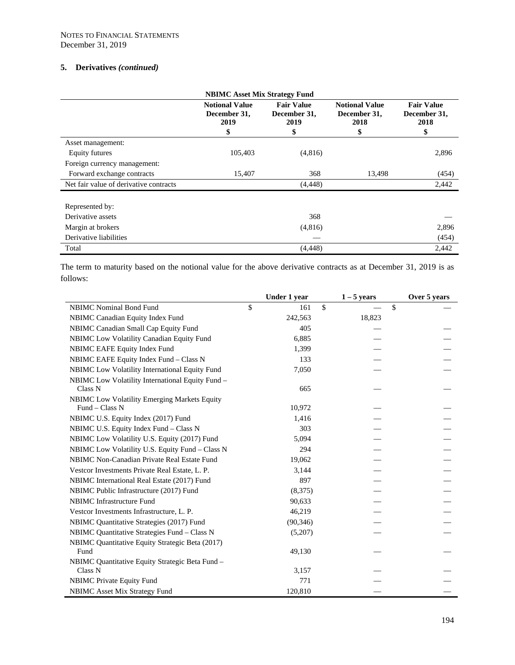| <b>NBIMC Asset Mix Strategy Fund</b>   |                                                     |                                                 |                                                     |                                                 |  |  |  |
|----------------------------------------|-----------------------------------------------------|-------------------------------------------------|-----------------------------------------------------|-------------------------------------------------|--|--|--|
|                                        | <b>Notional Value</b><br>December 31,<br>2019<br>\$ | <b>Fair Value</b><br>December 31,<br>2019<br>\$ | <b>Notional Value</b><br>December 31,<br>2018<br>\$ | <b>Fair Value</b><br>December 31,<br>2018<br>\$ |  |  |  |
| Asset management:                      |                                                     |                                                 |                                                     |                                                 |  |  |  |
| Equity futures                         | 105,403                                             | (4,816)                                         |                                                     | 2,896                                           |  |  |  |
| Foreign currency management:           |                                                     |                                                 |                                                     |                                                 |  |  |  |
| Forward exchange contracts             | 15,407                                              | 368                                             | 13,498                                              | (454)                                           |  |  |  |
| Net fair value of derivative contracts |                                                     | (4, 448)                                        |                                                     | 2,442                                           |  |  |  |
| Represented by:                        |                                                     |                                                 |                                                     |                                                 |  |  |  |
| Derivative assets                      |                                                     | 368                                             |                                                     |                                                 |  |  |  |
| Margin at brokers                      |                                                     | (4,816)                                         |                                                     | 2,896                                           |  |  |  |
| Derivative liabilities                 |                                                     |                                                 |                                                     | (454)                                           |  |  |  |
| Total                                  |                                                     | (4, 448)                                        |                                                     | 2,442                                           |  |  |  |

The term to maturity based on the notional value for the above derivative contracts as at December 31, 2019 is as follows:

|                                                  | Under 1 year | $1 - 5$ years       | Over 5 years |
|--------------------------------------------------|--------------|---------------------|--------------|
| <b>NBIMC</b> Nominal Bond Fund                   | \$<br>161    | \$<br>$\mathbf{\$}$ |              |
| NBIMC Canadian Equity Index Fund                 | 242,563      | 18,823              |              |
| NBIMC Canadian Small Cap Equity Fund             | 405          |                     |              |
| NBIMC Low Volatility Canadian Equity Fund        | 6,885        |                     |              |
| NBIMC EAFE Equity Index Fund                     | 1,399        |                     |              |
| NBIMC EAFE Equity Index Fund - Class N           | 133          |                     |              |
| NBIMC Low Volatility International Equity Fund   | 7,050        |                     |              |
| NBIMC Low Volatility International Equity Fund - |              |                     |              |
| Class <sub>N</sub>                               | 665          |                     |              |
| NBIMC Low Volatility Emerging Markets Equity     |              |                     |              |
| Fund $-$ Class N                                 | 10,972       |                     |              |
| NBIMC U.S. Equity Index (2017) Fund              | 1,416        |                     |              |
| NBIMC U.S. Equity Index Fund - Class N           | 303          |                     |              |
| NBIMC Low Volatility U.S. Equity (2017) Fund     | 5,094        |                     |              |
| NBIMC Low Volatility U.S. Equity Fund - Class N  | 294          |                     |              |
| NBIMC Non-Canadian Private Real Estate Fund      | 19,062       |                     |              |
| Vestcor Investments Private Real Estate, L. P.   | 3,144        |                     |              |
| NBIMC International Real Estate (2017) Fund      | 897          |                     |              |
| NBIMC Public Infrastructure (2017) Fund          | (8,375)      |                     |              |
| <b>NBIMC</b> Infrastructure Fund                 | 90,633       |                     |              |
| Vestcor Investments Infrastructure, L. P.        | 46,219       |                     |              |
| NBIMC Quantitative Strategies (2017) Fund        | (90, 346)    |                     |              |
| NBIMC Quantitative Strategies Fund - Class N     | (5,207)      |                     |              |
| NBIMC Quantitative Equity Strategic Beta (2017)  |              |                     |              |
| Fund                                             | 49,130       |                     |              |
| NBIMC Quantitative Equity Strategic Beta Fund -  |              |                     |              |
| Class N                                          | 3,157        |                     |              |
| <b>NBIMC</b> Private Equity Fund                 | 771          |                     |              |
| <b>NBIMC</b> Asset Mix Strategy Fund             | 120,810      |                     |              |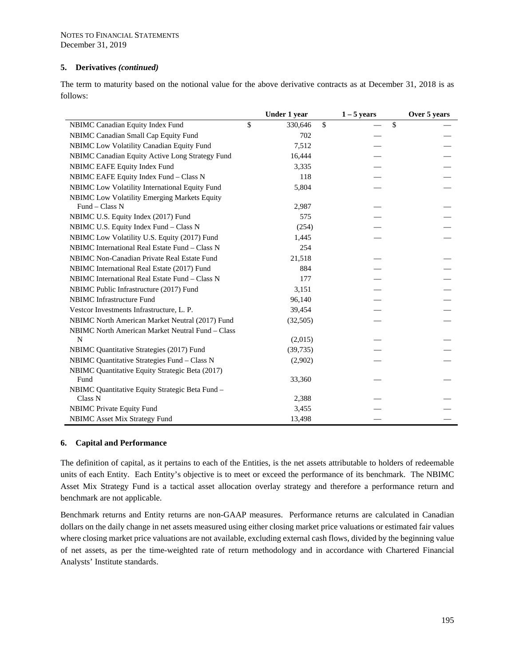The term to maturity based on the notional value for the above derivative contracts as at December 31, 2018 is as follows:

|                                                     | Under 1 year  |              | $1 - 5$ years | Over 5 years |
|-----------------------------------------------------|---------------|--------------|---------------|--------------|
| NBIMC Canadian Equity Index Fund                    | \$<br>330,646 | $\mathbb{S}$ | \$            |              |
| NBIMC Canadian Small Cap Equity Fund                | 702           |              |               |              |
| NBIMC Low Volatility Canadian Equity Fund           | 7,512         |              |               |              |
| NBIMC Canadian Equity Active Long Strategy Fund     | 16,444        |              |               |              |
| NBIMC EAFE Equity Index Fund                        | 3,335         |              |               |              |
| NBIMC EAFE Equity Index Fund - Class N              | 118           |              |               |              |
| NBIMC Low Volatility International Equity Fund      | 5,804         |              |               |              |
| <b>NBIMC Low Volatility Emerging Markets Equity</b> |               |              |               |              |
| Fund - Class N                                      | 2,987         |              |               |              |
| NBIMC U.S. Equity Index (2017) Fund                 | 575           |              |               |              |
| NBIMC U.S. Equity Index Fund - Class N              | (254)         |              |               |              |
| NBIMC Low Volatility U.S. Equity (2017) Fund        | 1,445         |              |               |              |
| NBIMC International Real Estate Fund - Class N      | 254           |              |               |              |
| NBIMC Non-Canadian Private Real Estate Fund         | 21,518        |              |               |              |
| NBIMC International Real Estate (2017) Fund         | 884           |              |               |              |
| NBIMC International Real Estate Fund - Class N      | 177           |              |               |              |
| NBIMC Public Infrastructure (2017) Fund             | 3,151         |              |               |              |
| <b>NBIMC</b> Infrastructure Fund                    | 96,140        |              |               |              |
| Vestcor Investments Infrastructure, L. P.           | 39,454        |              |               |              |
| NBIMC North American Market Neutral (2017) Fund     | (32,505)      |              |               |              |
| NBIMC North American Market Neutral Fund - Class    |               |              |               |              |
| N                                                   | (2,015)       |              |               |              |
| NBIMC Quantitative Strategies (2017) Fund           | (39, 735)     |              |               |              |
| NBIMC Quantitative Strategies Fund - Class N        | (2,902)       |              |               |              |
| NBIMC Quantitative Equity Strategic Beta (2017)     |               |              |               |              |
| Fund                                                | 33,360        |              |               |              |
| NBIMC Quantitative Equity Strategic Beta Fund -     |               |              |               |              |
| Class N                                             | 2,388         |              |               |              |
| <b>NBIMC</b> Private Equity Fund                    | 3,455         |              |               |              |
| <b>NBIMC</b> Asset Mix Strategy Fund                | 13,498        |              |               |              |

#### **6. Capital and Performance**

The definition of capital, as it pertains to each of the Entities, is the net assets attributable to holders of redeemable units of each Entity. Each Entity's objective is to meet or exceed the performance of its benchmark. The NBIMC Asset Mix Strategy Fund is a tactical asset allocation overlay strategy and therefore a performance return and benchmark are not applicable.

Benchmark returns and Entity returns are non-GAAP measures. Performance returns are calculated in Canadian dollars on the daily change in net assets measured using either closing market price valuations or estimated fair values where closing market price valuations are not available, excluding external cash flows, divided by the beginning value of net assets, as per the time-weighted rate of return methodology and in accordance with Chartered Financial Analysts' Institute standards.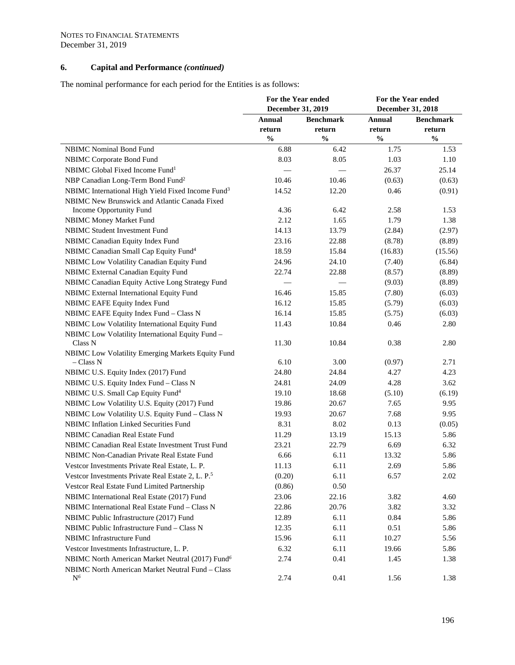# **6. Capital and Performance** *(continued)*

The nominal performance for each period for the Entities is as follows:

|                                                                | For the Year ended<br>December 31, 2019 |                  | For the Year ended<br><b>December 31, 2018</b> |                  |
|----------------------------------------------------------------|-----------------------------------------|------------------|------------------------------------------------|------------------|
|                                                                | <b>Annual</b>                           | <b>Benchmark</b> | <b>Annual</b>                                  | <b>Benchmark</b> |
|                                                                | return                                  | return           | return                                         | return           |
|                                                                | $\frac{0}{0}$                           | $\frac{0}{0}$    | $\frac{0}{0}$                                  | $\frac{0}{0}$    |
| NBIMC Nominal Bond Fund                                        | 6.88                                    | 6.42             | 1.75                                           | 1.53             |
| NBIMC Corporate Bond Fund                                      | 8.03                                    | 8.05             | 1.03                                           | 1.10             |
| NBIMC Global Fixed Income Fund <sup>1</sup>                    |                                         |                  | 26.37                                          | 25.14            |
| NBP Canadian Long-Term Bond Fund <sup>2</sup>                  | 10.46                                   | 10.46            | (0.63)                                         | (0.63)           |
| NBIMC International High Yield Fixed Income Fund <sup>3</sup>  | 14.52                                   | 12.20            | 0.46                                           | (0.91)           |
| NBIMC New Brunswick and Atlantic Canada Fixed                  |                                         |                  |                                                |                  |
| Income Opportunity Fund                                        | 4.36                                    | 6.42             | 2.58                                           | 1.53             |
| NBIMC Money Market Fund                                        | 2.12                                    | 1.65             | 1.79                                           | 1.38             |
| NBIMC Student Investment Fund                                  | 14.13                                   | 13.79            | (2.84)                                         | (2.97)           |
| NBIMC Canadian Equity Index Fund                               | 23.16                                   | 22.88            | (8.78)                                         | (8.89)           |
| NBIMC Canadian Small Cap Equity Fund <sup>4</sup>              | 18.59                                   | 15.84            | (16.83)                                        | (15.56)          |
| NBIMC Low Volatility Canadian Equity Fund                      | 24.96                                   | 24.10            | (7.40)                                         | (6.84)           |
| NBIMC External Canadian Equity Fund                            | 22.74                                   | 22.88            | (8.57)                                         | (8.89)           |
| NBIMC Canadian Equity Active Long Strategy Fund                |                                         |                  | (9.03)                                         | (8.89)           |
| NBIMC External International Equity Fund                       | 16.46                                   | 15.85            | (7.80)                                         | (6.03)           |
| NBIMC EAFE Equity Index Fund                                   | 16.12                                   | 15.85            | (5.79)                                         | (6.03)           |
| NBIMC EAFE Equity Index Fund - Class N                         | 16.14                                   | 15.85            | (5.75)                                         | (6.03)           |
| NBIMC Low Volatility International Equity Fund                 | 11.43                                   | 10.84            | 0.46                                           | 2.80             |
| NBIMC Low Volatility International Equity Fund -               |                                         |                  |                                                |                  |
| Class N                                                        | 11.30                                   | 10.84            | 0.38                                           | 2.80             |
| NBIMC Low Volatility Emerging Markets Equity Fund<br>– Class N | 6.10                                    | 3.00             | (0.97)                                         | 2.71             |
| NBIMC U.S. Equity Index (2017) Fund                            | 24.80                                   | 24.84            | 4.27                                           | 4.23             |
| NBIMC U.S. Equity Index Fund - Class N                         | 24.81                                   | 24.09            | 4.28                                           | 3.62             |
| NBIMC U.S. Small Cap Equity Fund <sup>4</sup>                  | 19.10                                   | 18.68            | (5.10)                                         | (6.19)           |
| NBIMC Low Volatility U.S. Equity (2017) Fund                   | 19.86                                   | 20.67            | 7.65                                           | 9.95             |
| NBIMC Low Volatility U.S. Equity Fund - Class N                | 19.93                                   | 20.67            | 7.68                                           | 9.95             |
| <b>NBIMC</b> Inflation Linked Securities Fund                  | 8.31                                    | 8.02             | 0.13                                           | (0.05)           |
| <b>NBIMC Canadian Real Estate Fund</b>                         | 11.29                                   | 13.19            | 15.13                                          | 5.86             |
| NBIMC Canadian Real Estate Investment Trust Fund               | 23.21                                   | 22.79            | 6.69                                           | 6.32             |
| NBIMC Non-Canadian Private Real Estate Fund                    | 6.66                                    | 6.11             | 13.32                                          | 5.86             |
| Vestcor Investments Private Real Estate, L. P.                 | 11.13                                   | 6.11             | 2.69                                           | 5.86             |
| Vestcor Investments Private Real Estate 2, L. P. <sup>5</sup>  | (0.20)                                  | 6.11             | 6.57                                           | 2.02             |
| Vestcor Real Estate Fund Limited Partnership                   | (0.86)                                  | 0.50             |                                                |                  |
| NBIMC International Real Estate (2017) Fund                    | 23.06                                   | 22.16            | 3.82                                           | 4.60             |
| NBIMC International Real Estate Fund - Class N                 | 22.86                                   | 20.76            | 3.82                                           | 3.32             |
| NBIMC Public Infrastructure (2017) Fund                        | 12.89                                   | 6.11             | 0.84                                           | 5.86             |
| NBIMC Public Infrastructure Fund - Class N                     | 12.35                                   | 6.11             | 0.51                                           | 5.86             |
| NBIMC Infrastructure Fund                                      | 15.96                                   | 6.11             | 10.27                                          | 5.56             |
| Vestcor Investments Infrastructure, L. P.                      | 6.32                                    | 6.11             | 19.66                                          | 5.86             |
| NBIMC North American Market Neutral (2017) Fund <sup>6</sup>   | 2.74                                    | 0.41             | 1.45                                           | 1.38             |
| NBIMC North American Market Neutral Fund - Class               |                                         |                  |                                                |                  |
| $N^6$                                                          | 2.74                                    | 0.41             | 1.56                                           | 1.38             |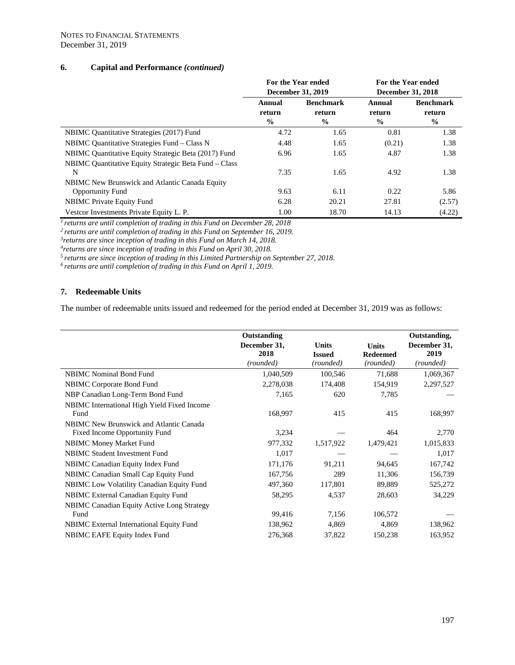## **6. Capital and Performance** *(continued)*

|                                                            | For the Year ended<br>December 31, 2019 |                                             | For the Year ended<br>December 31, 2018 |                                             |
|------------------------------------------------------------|-----------------------------------------|---------------------------------------------|-----------------------------------------|---------------------------------------------|
|                                                            | Annual<br>return<br>$\frac{0}{0}$       | <b>Benchmark</b><br>return<br>$\frac{0}{0}$ | Annual<br>return<br>$\frac{0}{0}$       | <b>Benchmark</b><br>return<br>$\frac{6}{9}$ |
| NBIMC Quantitative Strategies (2017) Fund                  | 4.72                                    | 1.65                                        | 0.81                                    | 1.38                                        |
| NBIMC Quantitative Strategies Fund - Class N               | 4.48                                    | 1.65                                        | (0.21)                                  | 1.38                                        |
| NBIMC Quantitative Equity Strategic Beta (2017) Fund       | 6.96                                    | 1.65                                        | 4.87                                    | 1.38                                        |
| NBIMC Quantitative Equity Strategic Beta Fund – Class<br>N | 7.35                                    | 1.65                                        | 4.92                                    | 1.38                                        |
| NBIMC New Brunswick and Atlantic Canada Equity             |                                         |                                             |                                         |                                             |
| <b>Opportunity Fund</b>                                    | 9.63                                    | 6.11                                        | 0.22                                    | 5.86                                        |
| <b>NBIMC</b> Private Equity Fund                           | 6.28                                    | 20.21                                       | 27.81                                   | (2.57)                                      |
| Vestcor Investments Private Equity L. P.                   | 1.00                                    | 18.70                                       | 14.13                                   | (4.22)                                      |

*1 returns are until completion of trading in this Fund on December 28, 2018*

*2 returns are until completion of trading in this Fund on September 16, 2019.*

*3returns are since inception of trading in this Fund on March 14, 2018.*

<sup>5</sup> returns are since inception of trading in this Limited Partnership on September 27, 2018.<br><sup>6</sup> returns are until completion of trading in this Fund on April 1, 2019.

## **7. Redeemable Units**

The number of redeemable units issued and redeemed for the period ended at December 31, 2019 was as follows:

|                                                                                 | Outstanding<br>December 31,<br>2018<br>(rounded) | <b>Units</b><br><b>Issued</b><br>(rounded) | <b>Units</b><br><b>Redeemed</b><br>(rounded) | Outstanding,<br>December 31,<br>2019<br>(rounded) |
|---------------------------------------------------------------------------------|--------------------------------------------------|--------------------------------------------|----------------------------------------------|---------------------------------------------------|
| <b>NBIMC</b> Nominal Bond Fund                                                  | 1,040,509                                        | 100,546                                    | 71,688                                       | 1,069,367                                         |
| NBIMC Corporate Bond Fund                                                       | 2,278,038                                        | 174,408                                    | 154,919                                      | 2,297,527                                         |
| NBP Canadian Long-Term Bond Fund                                                | 7,165                                            | 620                                        | 7,785                                        |                                                   |
| NBIMC International High Yield Fixed Income<br>Fund                             | 168,997                                          | 415                                        | 415                                          | 168,997                                           |
| <b>NBIMC</b> New Brunswick and Atlantic Canada<br>Fixed Income Opportunity Fund | 3,234                                            |                                            | 464                                          | 2,770                                             |
| <b>NBIMC Money Market Fund</b>                                                  | 977,332                                          | 1,517,922                                  | 1,479,421                                    | 1,015,833                                         |
| <b>NBIMC Student Investment Fund</b>                                            | 1,017                                            |                                            |                                              | 1,017                                             |
| NBIMC Canadian Equity Index Fund                                                | 171,176                                          | 91,211                                     | 94,645                                       | 167,742                                           |
| NBIMC Canadian Small Cap Equity Fund                                            | 167,756                                          | 289                                        | 11,306                                       | 156,739                                           |
| NBIMC Low Volatility Canadian Equity Fund                                       | 497,360                                          | 117,801                                    | 89,889                                       | 525,272                                           |
| NBIMC External Canadian Equity Fund                                             | 58,295                                           | 4,537                                      | 28,603                                       | 34,229                                            |
| <b>NBIMC Canadian Equity Active Long Strategy</b>                               |                                                  |                                            |                                              |                                                   |
| Fund                                                                            | 99,416                                           | 7,156                                      | 106,572                                      |                                                   |
| <b>NBIMC</b> External International Equity Fund                                 | 138,962                                          | 4,869                                      | 4,869                                        | 138,962                                           |
| <b>NBIMC EAFE Equity Index Fund</b>                                             | 276,368                                          | 37,822                                     | 150,238                                      | 163,952                                           |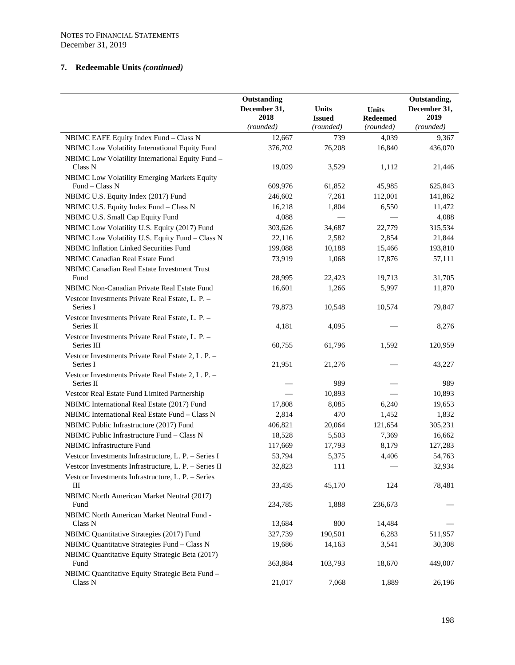# **7. Redeemable Units** *(continued)*

|                                                                       | Outstanding          |                            |                              | Outstanding,         |
|-----------------------------------------------------------------------|----------------------|----------------------------|------------------------------|----------------------|
|                                                                       | December 31,<br>2018 | <b>Units</b>               | <b>Units</b>                 | December 31,<br>2019 |
|                                                                       | (rounded)            | <b>Issued</b><br>(rounded) | <b>Redeemed</b><br>(rounded) | (rounded)            |
| NBIMC EAFE Equity Index Fund - Class N                                | 12,667               | 739                        | 4,039                        | 9,367                |
| NBIMC Low Volatility International Equity Fund                        | 376,702              | 76,208                     | 16,840                       | 436,070              |
| NBIMC Low Volatility International Equity Fund -                      |                      |                            |                              |                      |
| Class N                                                               | 19,029               | 3,529                      | 1,112                        | 21,446               |
| NBIMC Low Volatility Emerging Markets Equity<br>Fund - Class N        |                      |                            |                              |                      |
| NBIMC U.S. Equity Index (2017) Fund                                   | 609,976<br>246,602   | 61,852<br>7,261            | 45,985<br>112,001            | 625,843<br>141,862   |
| NBIMC U.S. Equity Index Fund - Class N                                | 16,218               | 1,804                      | 6,550                        | 11,472               |
| NBIMC U.S. Small Cap Equity Fund                                      | 4,088                |                            |                              | 4,088                |
| NBIMC Low Volatility U.S. Equity (2017) Fund                          | 303,626              | 34,687                     | 22,779                       | 315,534              |
| NBIMC Low Volatility U.S. Equity Fund - Class N                       | 22,116               | 2,582                      | 2,854                        | 21,844               |
| NBIMC Inflation Linked Securities Fund                                | 199,088              | 10,188                     | 15,466                       | 193,810              |
| NBIMC Canadian Real Estate Fund                                       | 73,919               | 1,068                      | 17,876                       | 57,111               |
| NBIMC Canadian Real Estate Investment Trust                           |                      |                            |                              |                      |
| Fund                                                                  | 28,995               | 22,423                     | 19.713                       | 31,705               |
| NBIMC Non-Canadian Private Real Estate Fund                           | 16,601               | 1,266                      | 5,997                        | 11,870               |
| Vestcor Investments Private Real Estate, L. P. -                      |                      |                            |                              |                      |
| Series I                                                              | 79,873               | 10,548                     | 10,574                       | 79,847               |
| Vestcor Investments Private Real Estate, L. P. -                      |                      |                            |                              |                      |
| Series II                                                             | 4,181                | 4,095                      |                              | 8,276                |
| Vestcor Investments Private Real Estate, L. P. -<br>Series III        | 60,755               | 61,796                     | 1,592                        | 120,959              |
| Vestcor Investments Private Real Estate 2, L. P. -                    |                      |                            |                              |                      |
| Series I                                                              | 21,951               | 21,276                     |                              | 43,227               |
| Vestcor Investments Private Real Estate 2, L. P. -                    |                      |                            |                              |                      |
| Series II                                                             |                      | 989                        |                              | 989                  |
| Vestcor Real Estate Fund Limited Partnership                          |                      | 10,893                     |                              | 10,893               |
| NBIMC International Real Estate (2017) Fund                           | 17,808               | 8,085                      | 6,240                        | 19,653               |
| NBIMC International Real Estate Fund - Class N                        | 2,814                | 470                        | 1,452                        | 1,832                |
| NBIMC Public Infrastructure (2017) Fund                               | 406,821              | 20,064                     | 121,654                      | 305,231              |
| NBIMC Public Infrastructure Fund - Class N                            | 18,528               | 5,503                      | 7,369                        | 16,662               |
| NBIMC Infrastructure Fund                                             | 117,669              | 17,793                     | 8,179                        | 127,283              |
| Vestcor Investments Infrastructure, L. P. - Series I                  | 53,794               | 5,375                      | 4,406                        | 54,763               |
| Vestcor Investments Infrastructure, L. P. - Series II                 | 32,823               | 111                        |                              | 32,934               |
| Vestcor Investments Infrastructure, L. P. - Series<br>Ш               | 33,435               | 45,170                     | 124                          | 78,481               |
| NBIMC North American Market Neutral (2017)                            |                      |                            |                              |                      |
| Fund                                                                  | 234,785              | 1,888                      | 236,673                      |                      |
| NBIMC North American Market Neutral Fund -                            |                      |                            |                              |                      |
| Class N                                                               | 13,684               | 800                        | 14,484                       |                      |
| NBIMC Quantitative Strategies (2017) Fund                             | 327,739              | 190,501                    | 6,283                        | 511,957              |
| NBIMC Quantitative Strategies Fund - Class N                          | 19,686               | 14,163                     | 3,541                        | 30,308               |
| NBIMC Quantitative Equity Strategic Beta (2017)                       |                      |                            |                              |                      |
| Fund                                                                  | 363,884              | 103,793                    | 18,670                       | 449,007              |
| NBIMC Quantitative Equity Strategic Beta Fund -<br>Class <sub>N</sub> | 21,017               | 7,068                      | 1,889                        | 26,196               |
|                                                                       |                      |                            |                              |                      |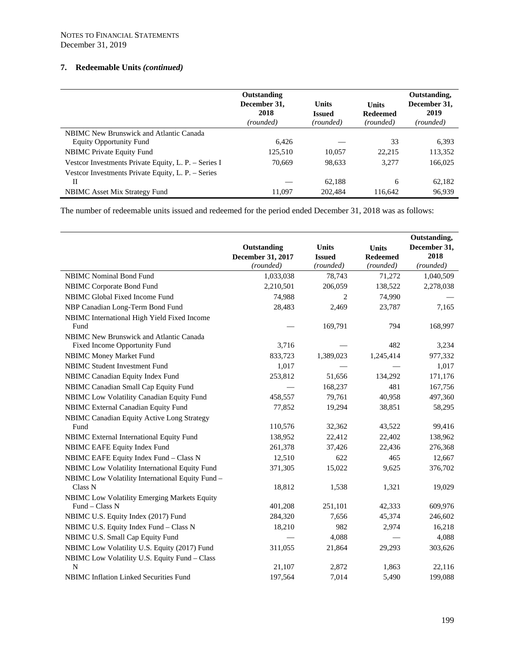# **7. Redeemable Units** *(continued)*

|                                                      | Outstanding<br>December 31,<br>2018<br>(rounded) | <b>Units</b><br><b>Issued</b><br>(rounded) | <b>Units</b><br><b>Redeemed</b><br>(rounded) | Outstanding.<br>December 31,<br>2019<br>(rounded) |
|------------------------------------------------------|--------------------------------------------------|--------------------------------------------|----------------------------------------------|---------------------------------------------------|
| <b>NBIMC</b> New Brunswick and Atlantic Canada       |                                                  |                                            |                                              |                                                   |
| <b>Equity Opportunity Fund</b>                       | 6,426                                            |                                            | 33                                           | 6,393                                             |
| <b>NBIMC</b> Private Equity Fund                     | 125,510                                          | 10.057                                     | 22,215                                       | 113,352                                           |
| Vestcor Investments Private Equity, L. P. – Series I | 70.669                                           | 98,633                                     | 3,277                                        | 166,025                                           |
| Vestcor Investments Private Equity, L. P. – Series   |                                                  |                                            |                                              |                                                   |
| П                                                    |                                                  | 62,188                                     | 6                                            | 62,182                                            |
| NBIMC Asset Mix Strategy Fund                        | 11.097                                           | 202.484                                    | 116.642                                      | 96,939                                            |

The number of redeemable units issued and redeemed for the period ended December 31, 2018 was as follows:

|                                                                        | Outstanding<br>December 31, 2017 | <b>Units</b><br><b>Issued</b> | <b>Units</b><br><b>Redeemed</b> | Outstanding,<br>December 31,<br>2018 |
|------------------------------------------------------------------------|----------------------------------|-------------------------------|---------------------------------|--------------------------------------|
|                                                                        | (rounded)                        | (rounded)                     | (rounded)                       | (rounded)                            |
| <b>NBIMC</b> Nominal Bond Fund                                         | 1,033,038                        | 78,743                        | 71,272                          | 1,040,509                            |
| NBIMC Corporate Bond Fund                                              | 2,210,501                        | 206,059                       | 138,522                         | 2,278,038                            |
| NBIMC Global Fixed Income Fund                                         | 74,988                           | 2                             | 74,990                          |                                      |
| NBP Canadian Long-Term Bond Fund                                       | 28,483                           | 2,469                         | 23,787                          | 7,165                                |
| NBIMC International High Yield Fixed Income<br>Fund                    |                                  | 169,791                       | 794                             | 168,997                              |
| NBIMC New Brunswick and Atlantic Canada                                |                                  |                               |                                 |                                      |
| Fixed Income Opportunity Fund                                          | 3,716                            |                               | 482                             | 3,234                                |
| NBIMC Money Market Fund                                                | 833,723                          | 1,389,023                     | 1,245,414                       | 977,332                              |
| <b>NBIMC Student Investment Fund</b>                                   | 1,017                            |                               |                                 | 1,017                                |
| NBIMC Canadian Equity Index Fund                                       | 253,812                          | 51,656                        | 134,292                         | 171,176                              |
| NBIMC Canadian Small Cap Equity Fund                                   |                                  | 168,237                       | 481                             | 167,756                              |
| NBIMC Low Volatility Canadian Equity Fund                              | 458,557                          | 79,761                        | 40,958                          | 497,360                              |
| NBIMC External Canadian Equity Fund                                    | 77,852                           | 19,294                        | 38,851                          | 58,295                               |
| NBIMC Canadian Equity Active Long Strategy<br>Fund                     | 110,576                          | 32,362                        | 43,522                          | 99,416                               |
|                                                                        | 138,952                          | 22,412                        | 22,402                          |                                      |
| NBIMC External International Equity Fund                               |                                  |                               |                                 | 138,962                              |
| NBIMC EAFE Equity Index Fund                                           | 261,378                          | 37,426                        | 22,436                          | 276,368                              |
| NBIMC EAFE Equity Index Fund - Class N                                 | 12,510                           | 622                           | 465                             | 12,667                               |
| NBIMC Low Volatility International Equity Fund                         | 371,305                          | 15,022                        | 9,625                           | 376,702                              |
| NBIMC Low Volatility International Equity Fund -<br>Class <sub>N</sub> | 18,812                           | 1,538                         | 1,321                           | 19,029                               |
| NBIMC Low Volatility Emerging Markets Equity<br>Fund - Class N         | 401,208                          | 251,101                       | 42,333                          | 609,976                              |
| NBIMC U.S. Equity Index (2017) Fund                                    | 284,320                          | 7,656                         | 45,374                          | 246,602                              |
| NBIMC U.S. Equity Index Fund - Class N                                 | 18,210                           | 982                           | 2,974                           | 16,218                               |
| NBIMC U.S. Small Cap Equity Fund                                       |                                  | 4,088                         |                                 | 4,088                                |
| NBIMC Low Volatility U.S. Equity (2017) Fund                           | 311,055                          | 21,864                        | 29,293                          | 303,626                              |
| NBIMC Low Volatility U.S. Equity Fund - Class                          |                                  |                               |                                 |                                      |
| N                                                                      | 21,107                           | 2,872                         | 1,863                           | 22,116                               |
| NBIMC Inflation Linked Securities Fund                                 | 197,564                          | 7,014                         | 5,490                           | 199,088                              |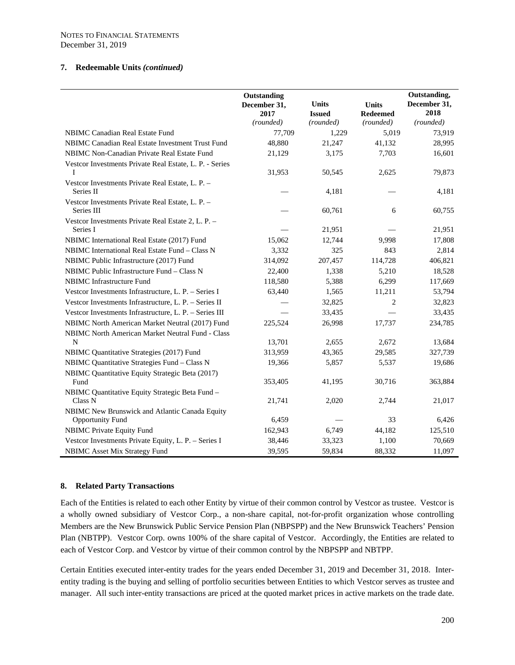#### **7. Redeemable Units** *(continued)*

|                                                                | Outstanding<br>December 31,<br>2017 | <b>Units</b><br><b>Issued</b> | <b>Units</b><br><b>Redeemed</b> | Outstanding,<br>December 31,<br>2018 |
|----------------------------------------------------------------|-------------------------------------|-------------------------------|---------------------------------|--------------------------------------|
|                                                                | (rounded)                           | (rounded)                     | (rounded)                       | (rounded)                            |
| NBIMC Canadian Real Estate Fund                                | 77,709                              | 1,229                         | 5,019                           | 73,919                               |
| NBIMC Canadian Real Estate Investment Trust Fund               | 48,880                              | 21,247                        | 41,132                          | 28,995                               |
| NBIMC Non-Canadian Private Real Estate Fund                    | 21,129                              | 3,175                         | 7,703                           | 16,601                               |
| Vestcor Investments Private Real Estate, L. P. - Series<br>T   | 31,953                              | 50,545                        | 2,625                           | 79,873                               |
| Vestcor Investments Private Real Estate, L. P. -<br>Series II  |                                     | 4,181                         |                                 | 4,181                                |
| Vestcor Investments Private Real Estate, L. P. -<br>Series III |                                     | 60,761                        | 6                               | 60,755                               |
| Vestcor Investments Private Real Estate 2, L. P. -             |                                     |                               |                                 |                                      |
| Series I                                                       |                                     | 21,951                        |                                 | 21,951                               |
| NBIMC International Real Estate (2017) Fund                    | 15,062                              | 12,744                        | 9,998                           | 17,808                               |
| NBIMC International Real Estate Fund - Class N                 | 3,332                               | 325                           | 843                             | 2,814                                |
| NBIMC Public Infrastructure (2017) Fund                        | 314,092                             | 207,457                       | 114,728                         | 406,821                              |
| NBIMC Public Infrastructure Fund – Class N                     | 22,400                              | 1,338                         | 5,210                           | 18,528                               |
| <b>NBIMC</b> Infrastructure Fund                               | 118,580                             | 5,388                         | 6,299                           | 117,669                              |
| Vestcor Investments Infrastructure, L. P. - Series I           | 63,440                              | 1,565                         | 11,211                          | 53,794                               |
| Vestcor Investments Infrastructure, L. P. - Series II          |                                     | 32,825                        | 2                               | 32,823                               |
| Vestcor Investments Infrastructure, L. P. - Series III         |                                     | 33,435                        |                                 | 33,435                               |
| NBIMC North American Market Neutral (2017) Fund                | 225,524                             | 26,998                        | 17,737                          | 234,785                              |
| NBIMC North American Market Neutral Fund - Class               |                                     |                               |                                 |                                      |
| N                                                              | 13,701                              | 2,655                         | 2,672                           | 13,684                               |
| NBIMC Quantitative Strategies (2017) Fund                      | 313,959                             | 43,365                        | 29,585                          | 327,739                              |
| NBIMC Quantitative Strategies Fund - Class N                   | 19,366                              | 5,857                         | 5,537                           | 19,686                               |
| NBIMC Quantitative Equity Strategic Beta (2017)<br>Fund        | 353,405                             | 41,195                        | 30,716                          | 363,884                              |
| NBIMC Quantitative Equity Strategic Beta Fund -<br>Class N     | 21,741                              | 2,020                         | 2,744                           | 21,017                               |
| NBIMC New Brunswick and Atlantic Canada Equity                 |                                     |                               |                                 |                                      |
| <b>Opportunity Fund</b>                                        | 6,459                               |                               | 33                              | 6,426                                |
| NBIMC Private Equity Fund                                      | 162,943                             | 6,749                         | 44,182                          | 125,510                              |
| Vestcor Investments Private Equity, L. P. - Series I           | 38,446                              | 33,323                        | 1,100                           | 70,669                               |
| <b>NBIMC</b> Asset Mix Strategy Fund                           | 39,595                              | 59,834                        | 88,332                          | 11,097                               |

#### **8. Related Party Transactions**

Each of the Entities is related to each other Entity by virtue of their common control by Vestcor as trustee. Vestcor is a wholly owned subsidiary of Vestcor Corp., a non-share capital, not-for-profit organization whose controlling Members are the New Brunswick Public Service Pension Plan (NBPSPP) and the New Brunswick Teachers' Pension Plan (NBTPP). Vestcor Corp. owns 100% of the share capital of Vestcor. Accordingly, the Entities are related to each of Vestcor Corp. and Vestcor by virtue of their common control by the NBPSPP and NBTPP.

Certain Entities executed inter-entity trades for the years ended December 31, 2019 and December 31, 2018. Interentity trading is the buying and selling of portfolio securities between Entities to which Vestcor serves as trustee and manager. All such inter-entity transactions are priced at the quoted market prices in active markets on the trade date.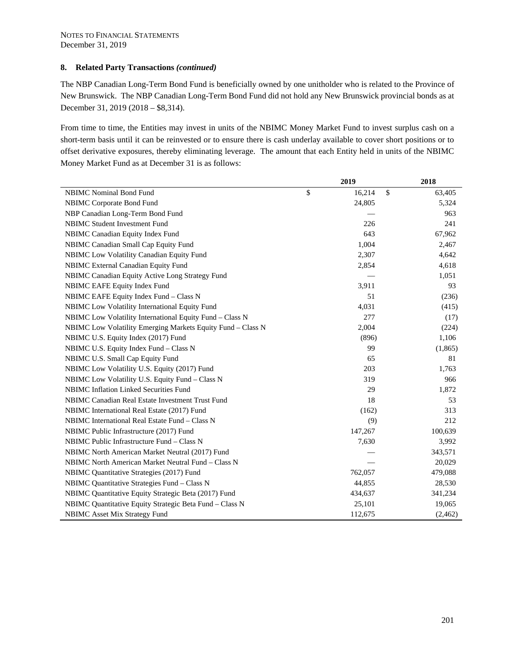The NBP Canadian Long-Term Bond Fund is beneficially owned by one unitholder who is related to the Province of New Brunswick. The NBP Canadian Long-Term Bond Fund did not hold any New Brunswick provincial bonds as at December 31, 2019 (2018 – \$8,314).

From time to time, the Entities may invest in units of the NBIMC Money Market Fund to invest surplus cash on a short-term basis until it can be reinvested or to ensure there is cash underlay available to cover short positions or to offset derivative exposures, thereby eliminating leverage. The amount that each Entity held in units of the NBIMC Money Market Fund as at December 31 is as follows:

|                                                             | 2019                         | 2018    |
|-------------------------------------------------------------|------------------------------|---------|
| <b>NBIMC</b> Nominal Bond Fund                              | \$<br>$\mathbb{S}$<br>16,214 | 63,405  |
| NBIMC Corporate Bond Fund                                   | 24,805                       | 5,324   |
| NBP Canadian Long-Term Bond Fund                            |                              | 963     |
| <b>NBIMC Student Investment Fund</b>                        | 226                          | 241     |
| NBIMC Canadian Equity Index Fund                            | 643                          | 67,962  |
| NBIMC Canadian Small Cap Equity Fund                        | 1,004                        | 2,467   |
| NBIMC Low Volatility Canadian Equity Fund                   | 2,307                        | 4,642   |
| NBIMC External Canadian Equity Fund                         | 2,854                        | 4,618   |
| NBIMC Canadian Equity Active Long Strategy Fund             |                              | 1,051   |
| NBIMC EAFE Equity Index Fund                                | 3,911                        | 93      |
| NBIMC EAFE Equity Index Fund - Class N                      | 51                           | (236)   |
| NBIMC Low Volatility International Equity Fund              | 4,031                        | (415)   |
| NBIMC Low Volatility International Equity Fund - Class N    | 277                          | (17)    |
| NBIMC Low Volatility Emerging Markets Equity Fund - Class N | 2,004                        | (224)   |
| NBIMC U.S. Equity Index (2017) Fund                         | (896)                        | 1,106   |
| NBIMC U.S. Equity Index Fund - Class N                      | 99                           | (1,865) |
| NBIMC U.S. Small Cap Equity Fund                            | 65                           | 81      |
| NBIMC Low Volatility U.S. Equity (2017) Fund                | 203                          | 1,763   |
| NBIMC Low Volatility U.S. Equity Fund - Class N             | 319                          | 966     |
| <b>NBIMC</b> Inflation Linked Securities Fund               | 29                           | 1,872   |
| NBIMC Canadian Real Estate Investment Trust Fund            | 18                           | 53      |
| NBIMC International Real Estate (2017) Fund                 | (162)                        | 313     |
| NBIMC International Real Estate Fund - Class N              | (9)                          | 212     |
| NBIMC Public Infrastructure (2017) Fund                     | 147,267                      | 100,639 |
| NBIMC Public Infrastructure Fund - Class N                  | 7,630                        | 3,992   |
| NBIMC North American Market Neutral (2017) Fund             |                              | 343,571 |
| NBIMC North American Market Neutral Fund – Class N          |                              | 20,029  |
| NBIMC Quantitative Strategies (2017) Fund                   | 762,057                      | 479,088 |
| NBIMC Quantitative Strategies Fund - Class N                | 44,855                       | 28,530  |
| NBIMC Quantitative Equity Strategic Beta (2017) Fund        | 434,637                      | 341,234 |
| NBIMC Quantitative Equity Strategic Beta Fund - Class N     | 25,101                       | 19,065  |
| NBIMC Asset Mix Strategy Fund                               | 112,675                      | (2,462) |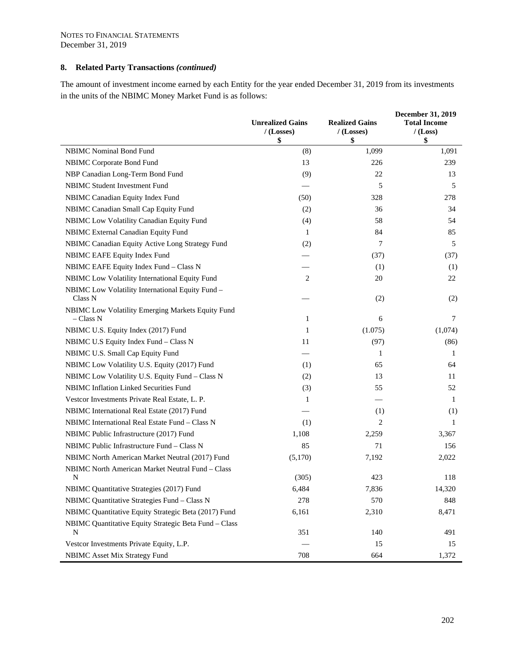The amount of investment income earned by each Entity for the year ended December 31, 2019 from its investments in the units of the NBIMC Money Market Fund is as follows:

|                                                                | <b>Unrealized Gains</b><br>$/$ (Losses)<br>\$ | <b>Realized Gains</b><br>/(Losses)<br>\$ | December 31, 2019<br><b>Total Income</b><br>$/$ (Loss)<br>\$ |
|----------------------------------------------------------------|-----------------------------------------------|------------------------------------------|--------------------------------------------------------------|
| <b>NBIMC</b> Nominal Bond Fund                                 | (8)                                           | 1,099                                    | 1,091                                                        |
| <b>NBIMC Corporate Bond Fund</b>                               | 13                                            | 226                                      | 239                                                          |
| NBP Canadian Long-Term Bond Fund                               | (9)                                           | 22                                       | 13                                                           |
| <b>NBIMC Student Investment Fund</b>                           |                                               | 5                                        | 5                                                            |
| NBIMC Canadian Equity Index Fund                               | (50)                                          | 328                                      | 278                                                          |
| NBIMC Canadian Small Cap Equity Fund                           | (2)                                           | 36                                       | 34                                                           |
| NBIMC Low Volatility Canadian Equity Fund                      | (4)                                           | 58                                       | 54                                                           |
| <b>NBIMC</b> External Canadian Equity Fund                     | 1                                             | 84                                       | 85                                                           |
| NBIMC Canadian Equity Active Long Strategy Fund                | (2)                                           | 7                                        | 5                                                            |
| NBIMC EAFE Equity Index Fund                                   |                                               | (37)                                     | (37)                                                         |
| NBIMC EAFE Equity Index Fund - Class N                         |                                               | (1)                                      | (1)                                                          |
| NBIMC Low Volatility International Equity Fund                 | 2                                             | 20                                       | 22                                                           |
| NBIMC Low Volatility International Equity Fund -<br>Class N    |                                               | (2)                                      | (2)                                                          |
| NBIMC Low Volatility Emerging Markets Equity Fund<br>– Class N | 1                                             | 6                                        | 7                                                            |
| NBIMC U.S. Equity Index (2017) Fund                            | 1                                             | (1.075)                                  | (1,074)                                                      |
| NBIMC U.S Equity Index Fund - Class N                          | 11                                            | (97)                                     | (86)                                                         |
| NBIMC U.S. Small Cap Equity Fund                               |                                               | 1                                        | 1                                                            |
| NBIMC Low Volatility U.S. Equity (2017) Fund                   | (1)                                           | 65                                       | 64                                                           |
| NBIMC Low Volatility U.S. Equity Fund - Class N                | (2)                                           | 13                                       | 11                                                           |
| NBIMC Inflation Linked Securities Fund                         | (3)                                           | 55                                       | 52                                                           |
| Vestcor Investments Private Real Estate, L. P.                 | 1                                             |                                          | 1                                                            |
| NBIMC International Real Estate (2017) Fund                    |                                               | (1)                                      | (1)                                                          |
| NBIMC International Real Estate Fund - Class N                 | (1)                                           | 2                                        | 1                                                            |
| NBIMC Public Infrastructure (2017) Fund                        | 1,108                                         | 2,259                                    | 3,367                                                        |
| NBIMC Public Infrastructure Fund - Class N                     | 85                                            | 71                                       | 156                                                          |
| NBIMC North American Market Neutral (2017) Fund                | (5,170)                                       | 7,192                                    | 2,022                                                        |
| NBIMC North American Market Neutral Fund - Class               |                                               |                                          |                                                              |
| N                                                              | (305)                                         | 423                                      | 118                                                          |
| NBIMC Quantitative Strategies (2017) Fund                      | 6,484                                         | 7,836                                    | 14,320                                                       |
| NBIMC Quantitative Strategies Fund - Class N                   | 278                                           | 570                                      | 848                                                          |
| NBIMC Quantitative Equity Strategic Beta (2017) Fund           | 6,161                                         | 2,310                                    | 8,471                                                        |
| NBIMC Quantitative Equity Strategic Beta Fund - Class<br>N     | 351                                           | 140                                      | 491                                                          |
| Vestcor Investments Private Equity, L.P.                       |                                               | 15                                       | 15                                                           |
| <b>NBIMC Asset Mix Strategy Fund</b>                           | 708                                           | 664                                      | 1,372                                                        |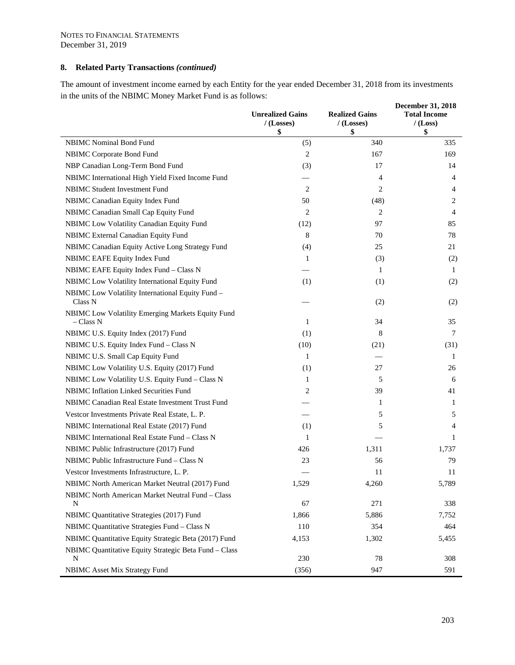The amount of investment income earned by each Entity for the year ended December 31, 2018 from its investments in the units of the NBIMC Money Market Fund is as follows: **December 31, 2018** 

|                                                                | <b>Unrealized Gains</b><br>/(Losses)<br>\$ | <b>Realized Gains</b><br>$/$ (Losses)<br>\$ | <b>December 31, 2018</b><br><b>Total Income</b><br>$/$ (Loss)<br>\$ |
|----------------------------------------------------------------|--------------------------------------------|---------------------------------------------|---------------------------------------------------------------------|
| <b>NBIMC</b> Nominal Bond Fund                                 | (5)                                        | 340                                         | 335                                                                 |
| NBIMC Corporate Bond Fund                                      | 2                                          | 167                                         | 169                                                                 |
| NBP Canadian Long-Term Bond Fund                               | (3)                                        | 17                                          | 14                                                                  |
| NBIMC International High Yield Fixed Income Fund               |                                            | 4                                           | 4                                                                   |
| NBIMC Student Investment Fund                                  | 2                                          | 2                                           | 4                                                                   |
| NBIMC Canadian Equity Index Fund                               | 50                                         | (48)                                        | 2                                                                   |
| NBIMC Canadian Small Cap Equity Fund                           | 2                                          | 2                                           | 4                                                                   |
| NBIMC Low Volatility Canadian Equity Fund                      | (12)                                       | 97                                          | 85                                                                  |
| NBIMC External Canadian Equity Fund                            | 8                                          | 70                                          | 78                                                                  |
| NBIMC Canadian Equity Active Long Strategy Fund                | (4)                                        | 25                                          | 21                                                                  |
| NBIMC EAFE Equity Index Fund                                   | 1                                          | (3)                                         | (2)                                                                 |
| NBIMC EAFE Equity Index Fund - Class N                         |                                            | $\mathbf{1}$                                | 1                                                                   |
| NBIMC Low Volatility International Equity Fund                 | (1)                                        | (1)                                         | (2)                                                                 |
| NBIMC Low Volatility International Equity Fund -<br>Class N    |                                            | (2)                                         | (2)                                                                 |
| NBIMC Low Volatility Emerging Markets Equity Fund<br>– Class N | 1                                          | 34                                          | 35                                                                  |
| NBIMC U.S. Equity Index (2017) Fund                            | (1)                                        | 8                                           | 7                                                                   |
| NBIMC U.S. Equity Index Fund - Class N                         | (10)                                       | (21)                                        | (31)                                                                |
| NBIMC U.S. Small Cap Equity Fund                               | 1                                          |                                             | 1                                                                   |
| NBIMC Low Volatility U.S. Equity (2017) Fund                   | (1)                                        | 27                                          | 26                                                                  |
| NBIMC Low Volatility U.S. Equity Fund - Class N                | 1                                          | 5                                           | 6                                                                   |
| NBIMC Inflation Linked Securities Fund                         | 2                                          | 39                                          | 41                                                                  |
| NBIMC Canadian Real Estate Investment Trust Fund               |                                            | 1                                           | 1                                                                   |
| Vestcor Investments Private Real Estate, L. P.                 |                                            | 5                                           | 5                                                                   |
| NBIMC International Real Estate (2017) Fund                    | (1)                                        | 5                                           | 4                                                                   |
| NBIMC International Real Estate Fund - Class N                 | 1                                          |                                             | 1                                                                   |
| NBIMC Public Infrastructure (2017) Fund                        | 426                                        | 1,311                                       | 1,737                                                               |
| NBIMC Public Infrastructure Fund - Class N                     | 23                                         | 56                                          | 79                                                                  |
| Vestcor Investments Infrastructure, L. P.                      |                                            | 11                                          | 11                                                                  |
| NBIMC North American Market Neutral (2017) Fund                | 1,529                                      | 4,260                                       | 5,789                                                               |
| NBIMC North American Market Neutral Fund - Class<br>N          | 67                                         | 271                                         | 338                                                                 |
| NBIMC Quantitative Strategies (2017) Fund                      | 1,866                                      | 5,886                                       | 7,752                                                               |
| NBIMC Quantitative Strategies Fund - Class N                   | 110                                        | 354                                         | 464                                                                 |
| NBIMC Quantitative Equity Strategic Beta (2017) Fund           | 4,153                                      | 1,302                                       | 5,455                                                               |
| NBIMC Quantitative Equity Strategic Beta Fund - Class<br>N     | 230                                        | 78                                          | 308                                                                 |
| <b>NBIMC</b> Asset Mix Strategy Fund                           | (356)                                      | 947                                         | 591                                                                 |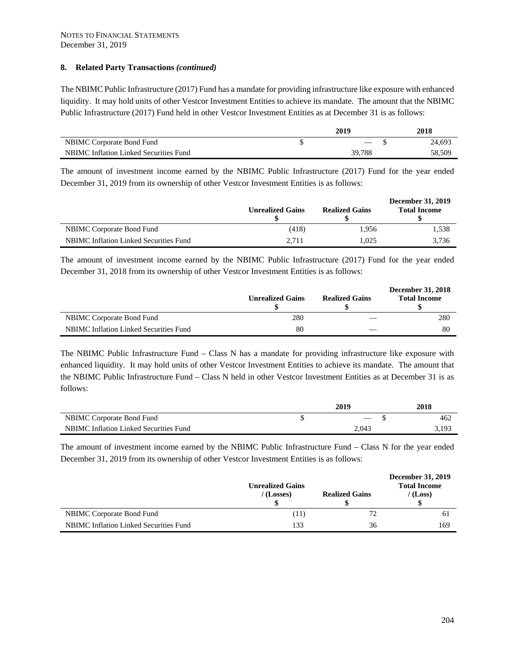The NBIMC Public Infrastructure (2017) Fund has a mandate for providing infrastructure like exposure with enhanced liquidity. It may hold units of other Vestcor Investment Entities to achieve its mandate. The amount that the NBIMC Public Infrastructure (2017) Fund held in other Vestcor Investment Entities as at December 31 is as follows:

|                                        | 2019                 | 2018   |
|----------------------------------------|----------------------|--------|
| NBIMC Corporate Bond Fund              | $\sim$ $\sim$ $\sim$ | 24,693 |
| NBIMC Inflation Linked Securities Fund | 39.788               | 58,509 |

The amount of investment income earned by the NBIMC Public Infrastructure (2017) Fund for the year ended December 31, 2019 from its ownership of other Vestcor Investment Entities is as follows:

|                                               | <b>Unrealized Gains</b> | <b>Realized Gains</b> | December 31, 2019<br><b>Total Income</b> |
|-----------------------------------------------|-------------------------|-----------------------|------------------------------------------|
| <b>NBIMC</b> Corporate Bond Fund              | (418)                   | 1.956                 | 1.538                                    |
| <b>NBIMC</b> Inflation Linked Securities Fund | 2.711                   | 1.025                 | 3.736                                    |

The amount of investment income earned by the NBIMC Public Infrastructure (2017) Fund for the year ended December 31, 2018 from its ownership of other Vestcor Investment Entities is as follows:

|                                        | <b>Unrealized Gains</b> | <b>Realized Gains</b> | <b>December 31, 2018</b><br><b>Total Income</b> |
|----------------------------------------|-------------------------|-----------------------|-------------------------------------------------|
| <b>NBIMC</b> Corporate Bond Fund       | 280                     |                       | 280                                             |
| NBIMC Inflation Linked Securities Fund | 80                      |                       | 80                                              |

The NBIMC Public Infrastructure Fund – Class N has a mandate for providing infrastructure like exposure with enhanced liquidity. It may hold units of other Vestcor Investment Entities to achieve its mandate. The amount that the NBIMC Public Infrastructure Fund – Class N held in other Vestcor Investment Entities as at December 31 is as follows:

|                                        | 2019                     | 2018  |
|----------------------------------------|--------------------------|-------|
| NBIMC Corporate Bond Fund              | $\overline{\phantom{a}}$ | 462   |
| NBIMC Inflation Linked Securities Fund | 2,043                    | 3,193 |

The amount of investment income earned by the NBIMC Public Infrastructure Fund – Class N for the year ended December 31, 2019 from its ownership of other Vestcor Investment Entities is as follows:

|                                               | <b>Unrealized Gains</b><br>(Losses) | <b>Realized Gains</b> | December 31, 2019<br><b>Total Income</b><br>(Loss) |
|-----------------------------------------------|-------------------------------------|-----------------------|----------------------------------------------------|
| <b>NBIMC</b> Corporate Bond Fund              | (11)                                |                       | 61                                                 |
| <b>NBIMC</b> Inflation Linked Securities Fund | 133                                 | 36                    | 169                                                |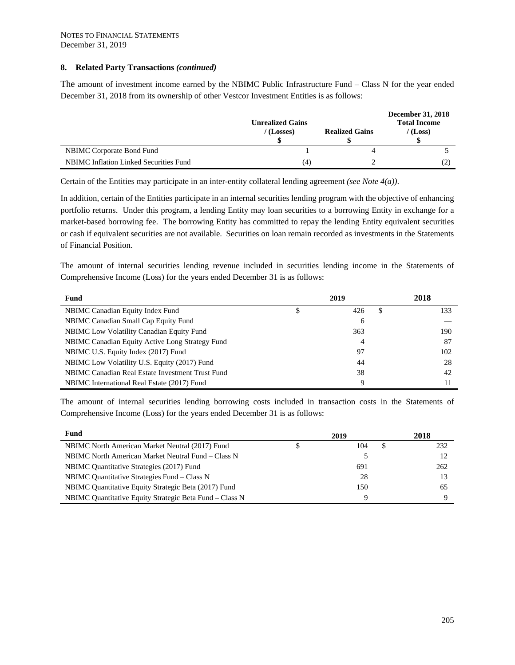The amount of investment income earned by the NBIMC Public Infrastructure Fund – Class N for the year ended December 31, 2018 from its ownership of other Vestcor Investment Entities is as follows:

|                                               | <b>Unrealized Gains</b><br>$/$ (Losses) | <b>Realized Gains</b> | December 31, 2018<br><b>Total Income</b><br>(Loss) |
|-----------------------------------------------|-----------------------------------------|-----------------------|----------------------------------------------------|
| <b>NBIMC</b> Corporate Bond Fund              |                                         |                       |                                                    |
| <b>NBIMC</b> Inflation Linked Securities Fund | (4)                                     |                       |                                                    |

Certain of the Entities may participate in an inter-entity collateral lending agreement *(see Note 4(a))*.

In addition, certain of the Entities participate in an internal securities lending program with the objective of enhancing portfolio returns. Under this program, a lending Entity may loan securities to a borrowing Entity in exchange for a market-based borrowing fee. The borrowing Entity has committed to repay the lending Entity equivalent securities or cash if equivalent securities are not available. Securities on loan remain recorded as investments in the Statements of Financial Position.

The amount of internal securities lending revenue included in securities lending income in the Statements of Comprehensive Income (Loss) for the years ended December 31 is as follows:

| Fund                                             | 2019 |          | 2018 |
|--------------------------------------------------|------|----------|------|
| NBIMC Canadian Equity Index Fund                 | S    | 426<br>S | 133  |
| NBIMC Canadian Small Cap Equity Fund             |      | 6        |      |
| <b>NBIMC</b> Low Volatility Canadian Equity Fund |      | 363      | 190  |
| NBIMC Canadian Equity Active Long Strategy Fund  |      | 4        | 87   |
| NBIMC U.S. Equity Index (2017) Fund              |      | 97       | 102  |
| NBIMC Low Volatility U.S. Equity (2017) Fund     |      | 44       | 28   |
| NBIMC Canadian Real Estate Investment Trust Fund |      | 38       | 42   |
| NBIMC International Real Estate (2017) Fund      |      | Q        | 11   |

The amount of internal securities lending borrowing costs included in transaction costs in the Statements of Comprehensive Income (Loss) for the years ended December 31 is as follows:

| Fund                                                    | 2019 | 2018 |
|---------------------------------------------------------|------|------|
| NBIMC North American Market Neutral (2017) Fund         | 104  | 232  |
| NBIMC North American Market Neutral Fund – Class N      |      |      |
| NBIMC Quantitative Strategies (2017) Fund               | 691  | 262  |
| NBIMC Quantitative Strategies Fund – Class N            | 28   |      |
| NBIMC Quantitative Equity Strategic Beta (2017) Fund    | 150  | 65   |
| NBIMC Quantitative Equity Strategic Beta Fund – Class N |      |      |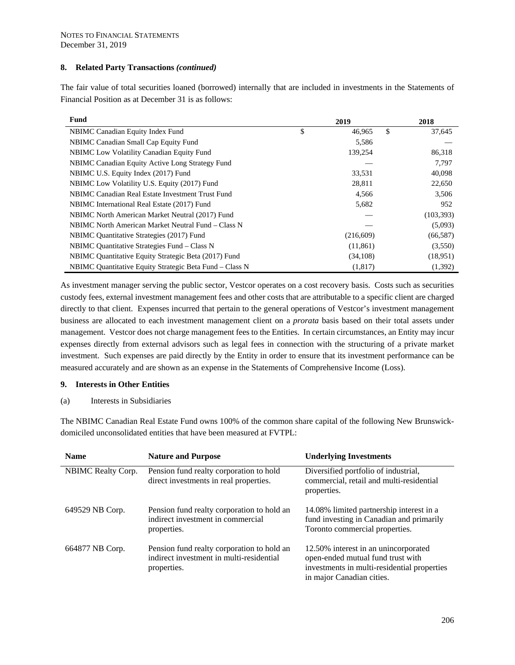The fair value of total securities loaned (borrowed) internally that are included in investments in the Statements of Financial Position as at December 31 is as follows:

| Fund                                                    | 2019         | 2018         |
|---------------------------------------------------------|--------------|--------------|
| NBIMC Canadian Equity Index Fund                        | \$<br>46,965 | \$<br>37,645 |
| NBIMC Canadian Small Cap Equity Fund                    | 5,586        |              |
| <b>NBIMC</b> Low Volatility Canadian Equity Fund        | 139,254      | 86,318       |
| NBIMC Canadian Equity Active Long Strategy Fund         |              | 7,797        |
| NBIMC U.S. Equity Index (2017) Fund                     | 33,531       | 40,098       |
| NBIMC Low Volatility U.S. Equity (2017) Fund            | 28,811       | 22,650       |
| NBIMC Canadian Real Estate Investment Trust Fund        | 4,566        | 3,506        |
| NBIMC International Real Estate (2017) Fund             | 5,682        | 952          |
| NBIMC North American Market Neutral (2017) Fund         |              | (103, 393)   |
| NBIMC North American Market Neutral Fund – Class N      |              | (5,093)      |
| NBIMC Quantitative Strategies (2017) Fund               | (216,609)    | (66, 587)    |
| NBIMC Quantitative Strategies Fund – Class N            | (11, 861)    | (3,550)      |
| NBIMC Quantitative Equity Strategic Beta (2017) Fund    | (34,108)     | (18,951)     |
| NBIMC Quantitative Equity Strategic Beta Fund - Class N | (1,817)      | (1,392)      |

As investment manager serving the public sector, Vestcor operates on a cost recovery basis. Costs such as securities custody fees, external investment management fees and other costs that are attributable to a specific client are charged directly to that client. Expenses incurred that pertain to the general operations of Vestcor's investment management business are allocated to each investment management client on a *prorata* basis based on their total assets under management. Vestcor does not charge management fees to the Entities. In certain circumstances, an Entity may incur expenses directly from external advisors such as legal fees in connection with the structuring of a private market investment. Such expenses are paid directly by the Entity in order to ensure that its investment performance can be measured accurately and are shown as an expense in the Statements of Comprehensive Income (Loss).

#### **9. Interests in Other Entities**

(a) Interests in Subsidiaries

The NBIMC Canadian Real Estate Fund owns 100% of the common share capital of the following New Brunswickdomiciled unconsolidated entities that have been measured at FVTPL:

| <b>Name</b>        | <b>Nature and Purpose</b>                                                                             | <b>Underlying Investments</b>                                                                                                                         |
|--------------------|-------------------------------------------------------------------------------------------------------|-------------------------------------------------------------------------------------------------------------------------------------------------------|
| NBIMC Realty Corp. | Pension fund realty corporation to hold<br>direct investments in real properties.                     | Diversified portfolio of industrial,<br>commercial, retail and multi-residential<br>properties.                                                       |
| 649529 NB Corp.    | Pension fund realty corporation to hold an<br>indirect investment in commercial<br>properties.        | 14.08% limited partnership interest in a<br>fund investing in Canadian and primarily<br>Toronto commercial properties.                                |
| 664877 NB Corp.    | Pension fund realty corporation to hold an<br>indirect investment in multi-residential<br>properties. | 12.50% interest in an unincorporated<br>open-ended mutual fund trust with<br>investments in multi-residential properties<br>in major Canadian cities. |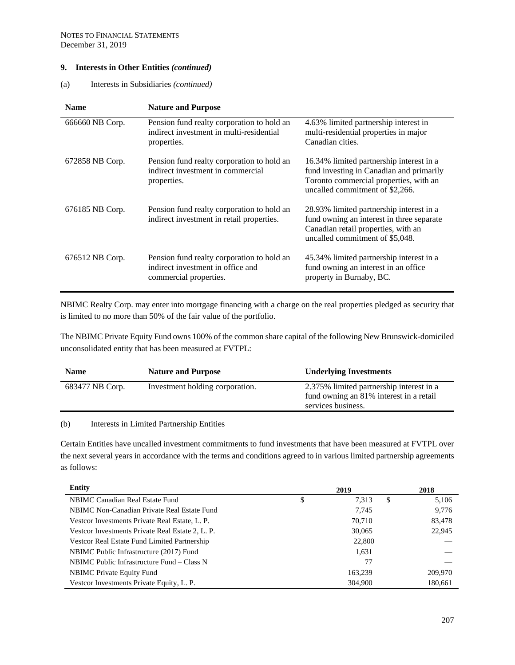## **9. Interests in Other Entities** *(continued)*

(a) Interests in Subsidiaries *(continued)* 

| <b>Name</b>     | <b>Nature and Purpose</b>                                                                                 |                                                                                                                                                                   |
|-----------------|-----------------------------------------------------------------------------------------------------------|-------------------------------------------------------------------------------------------------------------------------------------------------------------------|
| 666660 NB Corp. | Pension fund realty corporation to hold an<br>indirect investment in multi-residential<br>properties.     | 4.63% limited partnership interest in<br>multi-residential properties in major<br>Canadian cities.                                                                |
| 672858 NB Corp. | Pension fund realty corporation to hold an<br>indirect investment in commercial<br>properties.            | 16.34% limited partnership interest in a<br>fund investing in Canadian and primarily<br>Toronto commercial properties, with an<br>uncalled commitment of \$2,266. |
| 676185 NB Corp. | Pension fund realty corporation to hold an<br>indirect investment in retail properties.                   | 28.93% limited partnership interest in a<br>fund owning an interest in three separate<br>Canadian retail properties, with an<br>uncalled commitment of \$5,048.   |
| 676512 NB Corp. | Pension fund realty corporation to hold an<br>indirect investment in office and<br>commercial properties. | 45.34% limited partnership interest in a<br>fund owning an interest in an office<br>property in Burnaby, BC.                                                      |

NBIMC Realty Corp. may enter into mortgage financing with a charge on the real properties pledged as security that is limited to no more than 50% of the fair value of the portfolio.

The NBIMC Private Equity Fund owns 100% of the common share capital of the following New Brunswick-domiciled unconsolidated entity that has been measured at FVTPL:

| <b>Name</b>     | <b>Nature and Purpose</b>       | <b>Underlying Investments</b>                                                                             |
|-----------------|---------------------------------|-----------------------------------------------------------------------------------------------------------|
| 683477 NB Corp. | Investment holding corporation. | 2.375% limited partnership interest in a<br>fund owning an 81% interest in a retail<br>services business. |
|                 |                                 |                                                                                                           |

(b) Interests in Limited Partnership Entities

Certain Entities have uncalled investment commitments to fund investments that have been measured at FVTPL over the next several years in accordance with the terms and conditions agreed to in various limited partnership agreements as follows:

| <b>Entity</b>                                    | 2019 |         | 2018 |         |
|--------------------------------------------------|------|---------|------|---------|
| NBIMC Canadian Real Estate Fund                  | \$   | 7,313   | \$   | 5,106   |
| NBIMC Non-Canadian Private Real Estate Fund      |      | 7.745   |      | 9,776   |
| Vestcor Investments Private Real Estate, L. P.   |      | 70.710  |      | 83,478  |
| Vestcor Investments Private Real Estate 2, L. P. |      | 30,065  |      | 22,945  |
| Vestcor Real Estate Fund Limited Partnership     |      | 22,800  |      |         |
| NBIMC Public Infrastructure (2017) Fund          |      | 1,631   |      |         |
| NBIMC Public Infrastructure Fund – Class N       |      | 77      |      |         |
| <b>NBIMC</b> Private Equity Fund                 |      | 163,239 |      | 209,970 |
| Vestcor Investments Private Equity, L. P.        |      | 304,900 |      | 180.661 |